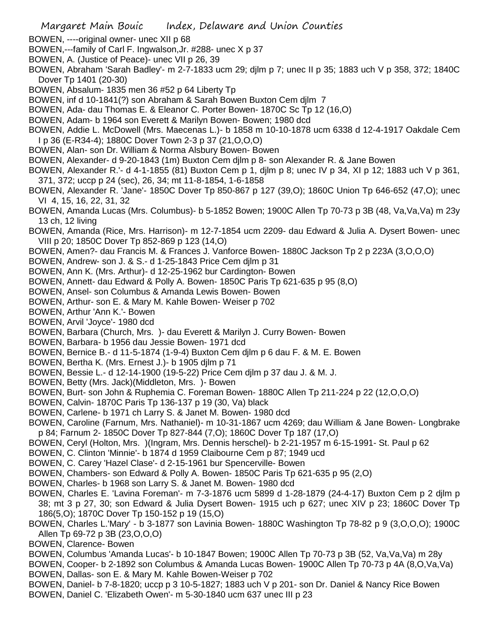- BOWEN, ----original owner- unec XII p 68
- BOWEN,---family of Carl F. Ingwalson,Jr. #288- unec X p 37
- BOWEN, A. (Justice of Peace)- unec VII p 26, 39
- BOWEN, Abraham 'Sarah Badley'- m 2-7-1833 ucm 29; djlm p 7; unec II p 35; 1883 uch V p 358, 372; 1840C Dover Tp 1401 (20-30)
- BOWEN, Absalum- 1835 men 36 #52 p 64 Liberty Tp
- BOWEN, inf d 10-1841(?) son Abraham & Sarah Bowen Buxton Cem djlm 7
- BOWEN, Ada- dau Thomas E. & Eleanor C. Porter Bowen- 1870C Sc Tp 12 (16,O)
- BOWEN, Adam- b 1964 son Everett & Marilyn Bowen- Bowen; 1980 dcd
- BOWEN, Addie L. McDowell (Mrs. Maecenas L.)- b 1858 m 10-10-1878 ucm 6338 d 12-4-1917 Oakdale Cem I p 36 (E-R34-4); 1880C Dover Town 2-3 p 37 (21,O,O,O)
- BOWEN, Alan- son Dr. William & Norma Alsbury Bowen- Bowen
- BOWEN, Alexander- d 9-20-1843 (1m) Buxton Cem djlm p 8- son Alexander R. & Jane Bowen
- BOWEN, Alexander R.'- d 4-1-1855 (81) Buxton Cem p 1, djlm p 8; unec IV p 34, XI p 12; 1883 uch V p 361, 371, 372; uccp p 24 (sec), 26, 34; mt 11-8-1854, 1-6-1858
- BOWEN, Alexander R. 'Jane'- 1850C Dover Tp 850-867 p 127 (39,O); 1860C Union Tp 646-652 (47,O); unec VI 4, 15, 16, 22, 31, 32
- BOWEN, Amanda Lucas (Mrs. Columbus)- b 5-1852 Bowen; 1900C Allen Tp 70-73 p 3B (48, Va,Va,Va) m 23y 13 ch, 12 living
- BOWEN, Amanda (Rice, Mrs. Harrison)- m 12-7-1854 ucm 2209- dau Edward & Julia A. Dysert Bowen- unec VIII p 20; 1850C Dover Tp 852-869 p 123 (14,O)
- BOWEN, Amen?- dau Francis M. & Frances J. Vanforce Bowen- 1880C Jackson Tp 2 p 223A (3,O,O,O)
- BOWEN, Andrew- son J. & S.- d 1-25-1843 Price Cem djlm p 31
- BOWEN, Ann K. (Mrs. Arthur)- d 12-25-1962 bur Cardington- Bowen
- BOWEN, Annett- dau Edward & Polly A. Bowen- 1850C Paris Tp 621-635 p 95 (8,O)
- BOWEN, Ansel- son Columbus & Amanda Lewis Bowen- Bowen
- BOWEN, Arthur- son E. & Mary M. Kahle Bowen- Weiser p 702
- BOWEN, Arthur 'Ann K.'- Bowen
- BOWEN, Arvil 'Joyce'- 1980 dcd
- BOWEN, Barbara (Church, Mrs. )- dau Everett & Marilyn J. Curry Bowen- Bowen
- BOWEN, Barbara- b 1956 dau Jessie Bowen- 1971 dcd
- BOWEN, Bernice B.- d 11-5-1874 (1-9-4) Buxton Cem djlm p 6 dau F. & M. E. Bowen
- BOWEN, Bertha K. (Mrs. Ernest J.)- b 1905 djlm p 71
- BOWEN, Bessie L.- d 12-14-1900 (19-5-22) Price Cem djlm p 37 dau J. & M. J.
- BOWEN, Betty (Mrs. Jack)(Middleton, Mrs. )- Bowen
- BOWEN, Burt- son John & Ruphemia C. Foreman Bowen- 1880C Allen Tp 211-224 p 22 (12,O,O,O)
- BOWEN, Calvin- 1870C Paris Tp 136-137 p 19 (30, Va) black
- BOWEN, Carlene- b 1971 ch Larry S. & Janet M. Bowen- 1980 dcd
- BOWEN, Caroline (Farnum, Mrs. Nathaniel)- m 10-31-1867 ucm 4269; dau William & Jane Bowen- Longbrake p 84; Farnum 2- 1850C Dover Tp 827-844 (7,O); 1860C Dover Tp 187 (17,O)
- BOWEN, Ceryl (Holton, Mrs. )(Ingram, Mrs. Dennis herschel)- b 2-21-1957 m 6-15-1991- St. Paul p 62
- BOWEN, C. Clinton 'Minnie'- b 1874 d 1959 Claibourne Cem p 87; 1949 ucd
- BOWEN, C. Carey 'Hazel Clase'- d 2-15-1961 bur Spencerville- Bowen
- BOWEN, Chambers- son Edward & Polly A. Bowen- 1850C Paris Tp 621-635 p 95 (2,O)
- BOWEN, Charles- b 1968 son Larry S. & Janet M. Bowen- 1980 dcd
- BOWEN, Charles E. 'Lavina Foreman'- m 7-3-1876 ucm 5899 d 1-28-1879 (24-4-17) Buxton Cem p 2 djlm p 38; mt 3 p 27, 30; son Edward & Julia Dysert Bowen- 1915 uch p 627; unec XIV p 23; 1860C Dover Tp 186(5,O); 1870C Dover Tp 150-152 p 19 (15,O)
- BOWEN, Charles L.'Mary' b 3-1877 son Lavinia Bowen- 1880C Washington Tp 78-82 p 9 (3,O,O,O); 1900C Allen Tp 69-72 p 3B (23,O,O,O)
- BOWEN, Clarence- Bowen
- BOWEN, Columbus 'Amanda Lucas'- b 10-1847 Bowen; 1900C Allen Tp 70-73 p 3B (52, Va,Va,Va) m 28y
- BOWEN, Cooper- b 2-1892 son Columbus & Amanda Lucas Bowen- 1900C Allen Tp 70-73 p 4A (8,O,Va,Va)
- BOWEN, Dallas- son E. & Mary M. Kahle Bowen-Weiser p 702
- BOWEN, Daniel- b 7-8-1820; uccp p 3 10-5-1827; 1883 uch V p 201- son Dr. Daniel & Nancy Rice Bowen
- BOWEN, Daniel C. 'Elizabeth Owen'- m 5-30-1840 ucm 637 unec III p 23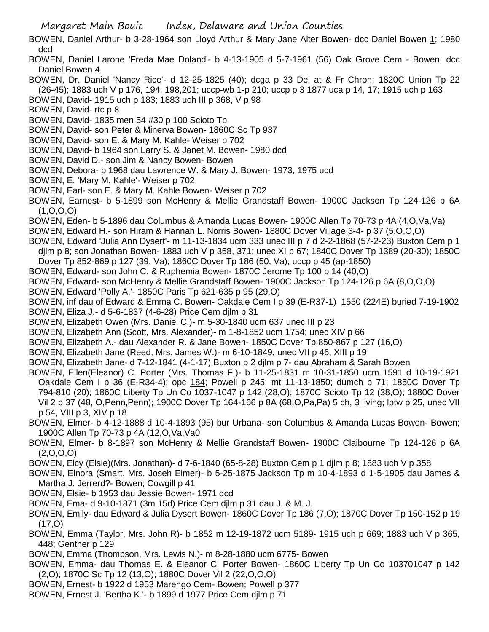Margaret Main Bouic Index, Delaware and Union Counties

- BOWEN, Daniel Arthur- b 3-28-1964 son Lloyd Arthur & Mary Jane Alter Bowen- dcc Daniel Bowen 1; 1980 dcd
- BOWEN, Daniel Larone 'Freda Mae Doland'- b 4-13-1905 d 5-7-1961 (56) Oak Grove Cem Bowen; dcc Daniel Bowen 4
- BOWEN, Dr. Daniel 'Nancy Rice'- d 12-25-1825 (40); dcga p 33 Del at & Fr Chron; 1820C Union Tp 22 (26-45); 1883 uch V p 176, 194, 198,201; uccp-wb 1-p 210; uccp p 3 1877 uca p 14, 17; 1915 uch p 163
- BOWEN, David- 1915 uch p 183; 1883 uch III p 368, V p 98
- BOWEN, David- rtc p 8
- BOWEN, David- 1835 men 54 #30 p 100 Scioto Tp
- BOWEN, David- son Peter & Minerva Bowen- 1860C Sc Tp 937
- BOWEN, David- son E. & Mary M. Kahle- Weiser p 702
- BOWEN, David- b 1964 son Larry S. & Janet M. Bowen- 1980 dcd
- BOWEN, David D.- son Jim & Nancy Bowen- Bowen
- BOWEN, Debora- b 1968 dau Lawrence W. & Mary J. Bowen- 1973, 1975 ucd
- BOWEN, E. 'Mary M. Kahle'- Weiser p 702
- BOWEN, Earl- son E. & Mary M. Kahle Bowen- Weiser p 702
- BOWEN, Earnest- b 5-1899 son McHenry & Mellie Grandstaff Bowen- 1900C Jackson Tp 124-126 p 6A (1,O,O,O)
- BOWEN, Eden- b 5-1896 dau Columbus & Amanda Lucas Bowen- 1900C Allen Tp 70-73 p 4A (4,O,Va,Va)
- BOWEN, Edward H.- son Hiram & Hannah L. Norris Bowen- 1880C Dover Village 3-4- p 37 (5,O,O,O)
- BOWEN, Edward 'Julia Ann Dysert'- m 11-13-1834 ucm 333 unec III p 7 d 2-2-1868 (57-2-23) Buxton Cem p 1 djlm p 8; son Jonathan Bowen- 1883 uch V p 358, 371; unec XI p 67; 1840C Dover Tp 1389 (20-30); 1850C Dover Tp 852-869 p 127 (39, Va); 1860C Dover Tp 186 (50, Va); uccp p 45 (ap-1850)
- BOWEN, Edward- son John C. & Ruphemia Bowen- 1870C Jerome Tp 100 p 14 (40,O)
- BOWEN, Edward- son McHenry & Mellie Grandstaff Bowen- 1900C Jackson Tp 124-126 p 6A (8,O,O,O)
- BOWEN, Edward 'Polly A.'- 1850C Paris Tp 621-635 p 95 (29,O)
- BOWEN, inf dau of Edward & Emma C. Bowen- Oakdale Cem I p 39 (E-R37-1) 1550 (224E) buried 7-19-1902
- BOWEN, Eliza J.- d 5-6-1837 (4-6-28) Price Cem djlm p 31
- BOWEN, Elizabeth Owen (Mrs. Daniel C.)- m 5-30-1840 ucm 637 unec III p 23
- BOWEN, Elizabeth Ann (Scott, Mrs. Alexander)- m 1-8-1852 ucm 1754; unec XIV p 66
- BOWEN, Elizabeth A.- dau Alexander R. & Jane Bowen- 1850C Dover Tp 850-867 p 127 (16,O)
- BOWEN, Elizabeth Jane (Reed, Mrs. James W.)- m 6-10-1849; unec VII p 46, XIII p 19
- BOWEN, Elizabeth Jane- d 7-12-1841 (4-1-17) Buxton p 2 djlm p 7- dau Abraham & Sarah Bowen
- BOWEN, Ellen(Eleanor) C. Porter (Mrs. Thomas F.)- b 11-25-1831 m 10-31-1850 ucm 1591 d 10-19-1921 Oakdale Cem I p 36 (E-R34-4); opc 184; Powell p 245; mt 11-13-1850; dumch p 71; 1850C Dover Tp 794-810 (20); 1860C Liberty Tp Un Co 1037-1047 p 142 (28,O); 1870C Scioto Tp 12 (38,O); 1880C Dover Vil 2 p 37 (48, O,Penn,Penn); 1900C Dover Tp 164-166 p 8A (68,O,Pa,Pa) 5 ch, 3 living; lptw p 25, unec VII p 54, VIII p 3, XIV p 18
- BOWEN, Elmer- b 4-12-1888 d 10-4-1893 (95) bur Urbana- son Columbus & Amanda Lucas Bowen- Bowen; 1900C Allen Tp 70-73 p 4A (12,O,Va,Va0
- BOWEN, Elmer- b 8-1897 son McHenry & Mellie Grandstaff Bowen- 1900C Claibourne Tp 124-126 p 6A  $(2,0,0,0)$
- BOWEN, Elcy (Elsie)(Mrs. Jonathan)- d 7-6-1840 (65-8-28) Buxton Cem p 1 djlm p 8; 1883 uch V p 358
- BOWEN, Elnora (Smart, Mrs. Joseh Elmer)- b 5-25-1875 Jackson Tp m 10-4-1893 d 1-5-1905 dau James & Martha J. Jerrerd? - Bowen; Cowgill p 41
- BOWEN, Elsie- b 1953 dau Jessie Bowen- 1971 dcd
- BOWEN, Ema- d 9-10-1871 (3m 15d) Price Cem djlm p 31 dau J. & M. J.
- BOWEN, Emily- dau Edward & Julia Dysert Bowen- 1860C Dover Tp 186 (7,O); 1870C Dover Tp 150-152 p 19 (17,O)
- BOWEN, Emma (Taylor, Mrs. John R)- b 1852 m 12-19-1872 ucm 5189- 1915 uch p 669; 1883 uch V p 365, 448; Genther p 129
- BOWEN, Emma (Thompson, Mrs. Lewis N.)- m 8-28-1880 ucm 6775- Bowen
- BOWEN, Emma- dau Thomas E. & Eleanor C. Porter Bowen- 1860C Liberty Tp Un Co 103701047 p 142 (2,O); 1870C Sc Tp 12 (13,O); 1880C Dover Vil 2 (22,O,O,O)
- BOWEN, Ernest- b 1922 d 1953 Marengo Cem- Bowen; Powell p 377
- BOWEN, Ernest J. 'Bertha K.'- b 1899 d 1977 Price Cem djlm p 71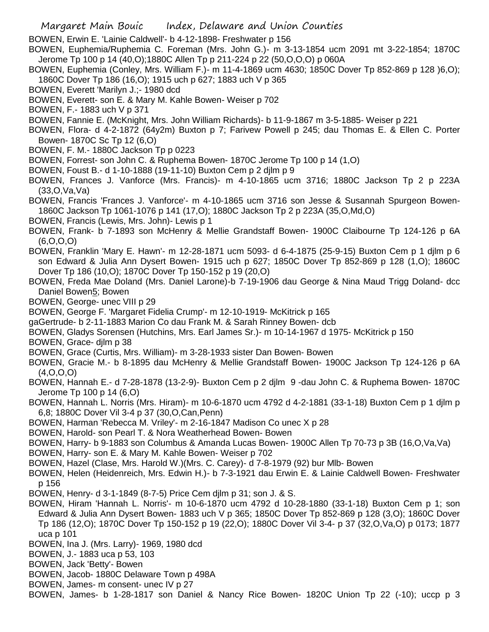BOWEN, Erwin E. 'Lainie Caldwell'- b 4-12-1898- Freshwater p 156

BOWEN, Euphemia/Ruphemia C. Foreman (Mrs. John G.)- m 3-13-1854 ucm 2091 mt 3-22-1854; 1870C Jerome Tp 100 p 14 (40,O);1880C Allen Tp p 211-224 p 22 (50,O,O,O) p 060A

BOWEN, Euphemia (Conley, Mrs. William F.)- m 11-4-1869 ucm 4630; 1850C Dover Tp 852-869 p 128 )6,O); 1860C Dover Tp 186 (16,O); 1915 uch p 627; 1883 uch V p 365

BOWEN, Everett 'Marilyn J.;- 1980 dcd

- BOWEN, Everett- son E. & Mary M. Kahle Bowen- Weiser p 702
- BOWEN, F.- 1883 uch V p 371

BOWEN, Fannie E. (McKnight, Mrs. John William Richards)- b 11-9-1867 m 3-5-1885- Weiser p 221

BOWEN, Flora- d 4-2-1872 (64y2m) Buxton p 7; Farivew Powell p 245; dau Thomas E. & Ellen C. Porter Bowen- 1870C Sc Tp 12 (6,O)

- BOWEN, F. M.- 1880C Jackson Tp p 0223
- BOWEN, Forrest- son John C. & Ruphema Bowen- 1870C Jerome Tp 100 p 14 (1,O)
- BOWEN, Foust B.- d 1-10-1888 (19-11-10) Buxton Cem p 2 djlm p 9
- BOWEN, Frances J. Vanforce (Mrs. Francis)- m 4-10-1865 ucm 3716; 1880C Jackson Tp 2 p 223A (33,O,Va,Va)

BOWEN, Francis 'Frances J. Vanforce'- m 4-10-1865 ucm 3716 son Jesse & Susannah Spurgeon Bowen-1860C Jackson Tp 1061-1076 p 141 (17,O); 1880C Jackson Tp 2 p 223A (35,O,Md,O)

- BOWEN, Francis (Lewis, Mrs. John)- Lewis p 1
- BOWEN, Frank- b 7-1893 son McHenry & Mellie Grandstaff Bowen- 1900C Claibourne Tp 124-126 p 6A (6,O,O,O)
- BOWEN, Franklin 'Mary E. Hawn'- m 12-28-1871 ucm 5093- d 6-4-1875 (25-9-15) Buxton Cem p 1 djlm p 6 son Edward & Julia Ann Dysert Bowen- 1915 uch p 627; 1850C Dover Tp 852-869 p 128 (1,O); 1860C Dover Tp 186 (10,O); 1870C Dover Tp 150-152 p 19 (20,O)
- BOWEN, Freda Mae Doland (Mrs. Daniel Larone)-b 7-19-1906 dau George & Nina Maud Trigg Doland- dcc Daniel Bowen5; Bowen
- BOWEN, George- unec VIII p 29
- BOWEN, George F. 'Margaret Fidelia Crump'- m 12-10-1919- McKitrick p 165
- gaGertrude- b 2-11-1883 Marion Co dau Frank M. & Sarah Rinney Bowen- dcb
- BOWEN, Gladys Sorensen (Hutchins, Mrs. Earl James Sr.)- m 10-14-1967 d 1975- McKitrick p 150

BOWEN, Grace- djlm p 38

- BOWEN, Grace (Curtis, Mrs. William)- m 3-28-1933 sister Dan Bowen- Bowen
- BOWEN, Gracie M.- b 8-1895 dau McHenry & Mellie Grandstaff Bowen- 1900C Jackson Tp 124-126 p 6A  $(4, 0, 0, 0)$
- BOWEN, Hannah E.- d 7-28-1878 (13-2-9)- Buxton Cem p 2 djlm 9 -dau John C. & Ruphema Bowen- 1870C Jerome Tp 100 p 14 (6,O)
- BOWEN, Hannah L. Norris (Mrs. Hiram)- m 10-6-1870 ucm 4792 d 4-2-1881 (33-1-18) Buxton Cem p 1 djlm p 6,8; 1880C Dover Vil 3-4 p 37 (30,O,Can,Penn)
- BOWEN, Harman 'Rebecca M. Vriley'- m 2-16-1847 Madison Co unec X p 28
- BOWEN, Harold- son Pearl T. & Nora Weatherhead Bowen- Bowen
- BOWEN, Harry- b 9-1883 son Columbus & Amanda Lucas Bowen- 1900C Allen Tp 70-73 p 3B (16,O,Va,Va)
- BOWEN, Harry- son E. & Mary M. Kahle Bowen- Weiser p 702
- BOWEN, Hazel (Clase, Mrs. Harold W.)(Mrs. C. Carey)- d 7-8-1979 (92) bur Mlb- Bowen
- BOWEN, Helen (Heidenreich, Mrs. Edwin H.)- b 7-3-1921 dau Erwin E. & Lainie Caldwell Bowen- Freshwater p 156
- BOWEN, Henry- d 3-1-1849 (8-7-5) Price Cem djlm p 31; son J. & S.
- BOWEN, Hiram 'Hannah L. Norris'- m 10-6-1870 ucm 4792 d 10-28-1880 (33-1-18) Buxton Cem p 1; son Edward & Julia Ann Dysert Bowen- 1883 uch V p 365; 1850C Dover Tp 852-869 p 128 (3,O); 1860C Dover Tp 186 (12,O); 1870C Dover Tp 150-152 p 19 (22,O); 1880C Dover Vil 3-4- p 37 (32,O,Va,O) p 0173; 1877 uca p 101
- BOWEN, Ina J. (Mrs. Larry)- 1969, 1980 dcd
- BOWEN, J.- 1883 uca p 53, 103
- BOWEN, Jack 'Betty'- Bowen
- BOWEN, Jacob- 1880C Delaware Town p 498A
- BOWEN, James- m consent- unec IV p 27
- BOWEN, James- b 1-28-1817 son Daniel & Nancy Rice Bowen- 1820C Union Tp 22 (-10); uccp p 3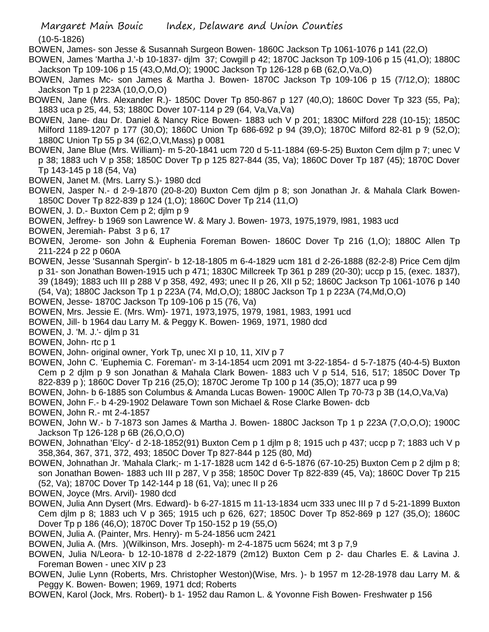(10-5-1826)

- BOWEN, James- son Jesse & Susannah Surgeon Bowen- 1860C Jackson Tp 1061-1076 p 141 (22,O)
- BOWEN, James 'Martha J.'-b 10-1837- djlm 37; Cowgill p 42; 1870C Jackson Tp 109-106 p 15 (41,O); 1880C Jackson Tp 109-106 p 15 (43,O,Md,O); 1900C Jackson Tp 126-128 p 6B (62,O,Va,O)
- BOWEN, James Mc- son James & Martha J. Bowen- 1870C Jackson Tp 109-106 p 15 (7/12,O); 1880C Jackson Tp 1 p 223A (10,O,O,O)
- BOWEN, Jane (Mrs. Alexander R.)- 1850C Dover Tp 850-867 p 127 (40,O); 1860C Dover Tp 323 (55, Pa); 1883 uca p 25, 44, 53; 1880C Dover 107-114 p 29 (64, Va,Va,Va)
- BOWEN, Jane- dau Dr. Daniel & Nancy Rice Bowen- 1883 uch V p 201; 1830C Milford 228 (10-15); 1850C Milford 1189-1207 p 177 (30,O); 1860C Union Tp 686-692 p 94 (39,O); 1870C Milford 82-81 p 9 (52,O); 1880C Union Tp 55 p 34 (62,O,Vt,Mass) p 0081
- BOWEN, Jane Blue (Mrs. William)- m 5-20-1841 ucm 720 d 5-11-1884 (69-5-25) Buxton Cem djlm p 7; unec V p 38; 1883 uch V p 358; 1850C Dover Tp p 125 827-844 (35, Va); 1860C Dover Tp 187 (45); 1870C Dover Tp 143-145 p 18 (54, Va)
- BOWEN, Janet M. (Mrs. Larry S.)- 1980 dcd
- BOWEN, Jasper N.- d 2-9-1870 (20-8-20) Buxton Cem djlm p 8; son Jonathan Jr. & Mahala Clark Bowen-1850C Dover Tp 822-839 p 124 (1,O); 1860C Dover Tp 214 (11,O)
- BOWEN, J. D.- Buxton Cem p 2; djlm p 9
- BOWEN, Jeffrey- b 1969 son Lawrence W. & Mary J. Bowen- 1973, 1975,1979, l981, 1983 ucd
- BOWEN, Jeremiah- Pabst 3 p 6, 17
- BOWEN, Jerome- son John & Euphenia Foreman Bowen- 1860C Dover Tp 216 (1,O); 1880C Allen Tp 211-224 p 22 p 060A
- BOWEN, Jesse 'Susannah Spergin'- b 12-18-1805 m 6-4-1829 ucm 181 d 2-26-1888 (82-2-8) Price Cem djlm p 31- son Jonathan Bowen-1915 uch p 471; 1830C Millcreek Tp 361 p 289 (20-30); uccp p 15, (exec. 1837), 39 (1849); 1883 uch III p 288 V p 358, 492, 493; unec II p 26, XII p 52; 1860C Jackson Tp 1061-1076 p 140 (54, Va); 1880C Jackson Tp 1 p 223A (74, Md,O,O); 1880C Jackson Tp 1 p 223A (74,Md,O,O)
- BOWEN, Jesse- 1870C Jackson Tp 109-106 p 15 (76, Va)
- BOWEN, Mrs. Jessie E. (Mrs. Wm)- 1971, 1973,1975, 1979, 1981, 1983, 1991 ucd
- BOWEN, Jill- b 1964 dau Larry M. & Peggy K. Bowen- 1969, 1971, 1980 dcd
- BOWEN, J. 'M. J.'- djlm p 31
- BOWEN, John- rtc p 1
- BOWEN, John- original owner, York Tp, unec XI p 10, 11, XIV p 7
- BOWEN, John C. 'Euphemia C. Foreman'- m 3-14-1854 ucm 2091 mt 3-22-1854- d 5-7-1875 (40-4-5) Buxton Cem p 2 djlm p 9 son Jonathan & Mahala Clark Bowen- 1883 uch V p 514, 516, 517; 1850C Dover Tp 822-839 p ); 1860C Dover Tp 216 (25,O); 1870C Jerome Tp 100 p 14 (35,O); 1877 uca p 99
- BOWEN, John- b 6-1885 son Columbus & Amanda Lucas Bowen- 1900C Allen Tp 70-73 p 3B (14,O,Va,Va)
- BOWEN, John F.- b 4-29-1902 Delaware Town son Michael & Rose Clarke Bowen- dcb
- BOWEN, John R.- mt 2-4-1857
- BOWEN, John W.- b 7-1873 son James & Martha J. Bowen- 1880C Jackson Tp 1 p 223A (7,O,O,O); 1900C Jackson Tp 126-128 p 6B (26,O,O,O)
- BOWEN, Johnathan 'Elcy'- d 2-18-1852(91) Buxton Cem p 1 djlm p 8; 1915 uch p 437; uccp p 7; 1883 uch V p 358,364, 367, 371, 372, 493; 1850C Dover Tp 827-844 p 125 (80, Md)
- BOWEN, Johnathan Jr. 'Mahala Clark;- m 1-17-1828 ucm 142 d 6-5-1876 (67-10-25) Buxton Cem p 2 djlm p 8; son Jonathan Bowen- 1883 uch III p 287, V p 358; 1850C Dover Tp 822-839 (45, Va); 1860C Dover Tp 215 (52, Va); 1870C Dover Tp 142-144 p 18 (61, Va); unec II p 26
- BOWEN, Joyce (Mrs. Arvil)- 1980 dcd
- BOWEN, Julia Ann Dysert (Mrs. Edward)- b 6-27-1815 m 11-13-1834 ucm 333 unec III p 7 d 5-21-1899 Buxton Cem djlm p 8; 1883 uch V p 365; 1915 uch p 626, 627; 1850C Dover Tp 852-869 p 127 (35,O); 1860C Dover Tp p 186 (46,O); 1870C Dover Tp 150-152 p 19 (55,O)
- BOWEN, Julia A. (Painter, Mrs. Henry)- m 5-24-1856 ucm 2421
- BOWEN, Julia A. (Mrs. )(Wilkinson, Mrs. Joseph)- m 2-4-1875 ucm 5624; mt 3 p 7,9
- BOWEN, Julia N/Leora- b 12-10-1878 d 2-22-1879 (2m12) Buxton Cem p 2- dau Charles E. & Lavina J. Foreman Bowen - unec XIV p 23
- BOWEN, Julie Lynn (Roberts, Mrs. Christopher Weston)(Wise, Mrs. )- b 1957 m 12-28-1978 dau Larry M. & Peggy K. Bowen- Bowen; 1969, 1971 dcd; Roberts
- BOWEN, Karol (Jock, Mrs. Robert)- b 1- 1952 dau Ramon L. & Yovonne Fish Bowen- Freshwater p 156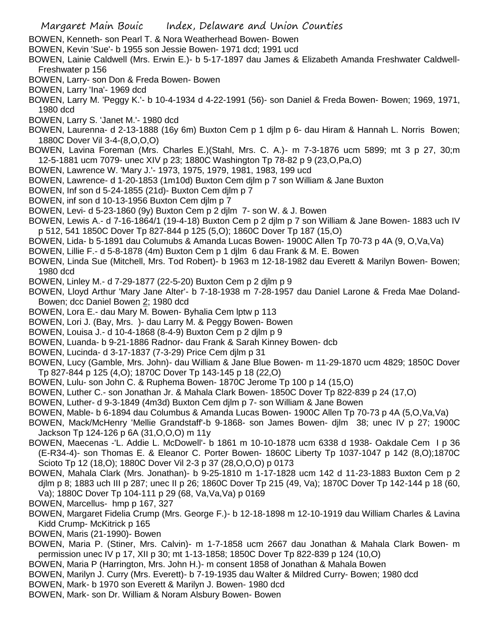- BOWEN, Kenneth- son Pearl T. & Nora Weatherhead Bowen- Bowen
- BOWEN, Kevin 'Sue'- b 1955 son Jessie Bowen- 1971 dcd; 1991 ucd
- BOWEN, Lainie Caldwell (Mrs. Erwin E.)- b 5-17-1897 dau James & Elizabeth Amanda Freshwater Caldwell-Freshwater p 156
- BOWEN, Larry- son Don & Freda Bowen- Bowen
- BOWEN, Larry 'Ina'- 1969 dcd
- BOWEN, Larry M. 'Peggy K.'- b 10-4-1934 d 4-22-1991 (56)- son Daniel & Freda Bowen- Bowen; 1969, 1971, 1980 dcd
- BOWEN, Larry S. 'Janet M.'- 1980 dcd
- BOWEN, Laurenna- d 2-13-1888 (16y 6m) Buxton Cem p 1 djlm p 6- dau Hiram & Hannah L. Norris Bowen; 1880C Dover Vil 3-4-(8,O,O,O)
- BOWEN, Lavina Foreman (Mrs. Charles E.)(Stahl, Mrs. C. A.)- m 7-3-1876 ucm 5899; mt 3 p 27, 30;m 12-5-1881 ucm 7079- unec XIV p 23; 1880C Washington Tp 78-82 p 9 (23,O,Pa,O)
- BOWEN, Lawrence W. 'Mary J.'- 1973, 1975, 1979, 1981, 1983, 199 ucd
- BOWEN, Lawrence- d 1-20-1853 (1m10d) Buxton Cem djlm p 7 son William & Jane Buxton
- BOWEN, Inf son d 5-24-1855 (21d)- Buxton Cem djlm p 7
- BOWEN, inf son d 10-13-1956 Buxton Cem djlm p 7
- BOWEN, Levi- d 5-23-1860 (9y) Buxton Cem p 2 djlm 7- son W. & J. Bowen
- BOWEN, Lewis A.- d 7-16-1864/1 (19-4-18) Buxton Cem p 2 djlm p 7 son William & Jane Bowen- 1883 uch IV p 512, 541 1850C Dover Tp 827-844 p 125 (5,O); 1860C Dover Tp 187 (15,O)
- BOWEN, Lida- b 5-1891 dau Columubs & Amanda Lucas Bowen- 1900C Allen Tp 70-73 p 4A (9, O,Va,Va)
- BOWEN, Lillie F.- d 5-8-1878 (4m) Buxton Cem p 1 djlm 6 dau Frank & M. E. Bowen
- BOWEN, Linda Sue (Mitchell, Mrs. Tod Robert)- b 1963 m 12-18-1982 dau Everett & Marilyn Bowen- Bowen; 1980 dcd
- BOWEN, Linley M.- d 7-29-1877 (22-5-20) Buxton Cem p 2 djlm p 9
- BOWEN, Lloyd Arthur 'Mary Jane Alter'- b 7-18-1938 m 7-28-1957 dau Daniel Larone & Freda Mae Doland-Bowen; dcc Daniel Bowen 2; 1980 dcd
- BOWEN, Lora E.- dau Mary M. Bowen- Byhalia Cem lptw p 113
- BOWEN, Lori J. (Bay, Mrs. )- dau Larry M. & Peggy Bowen- Bowen
- BOWEN, Louisa J.- d 10-4-1868 (8-4-9) Buxton Cem p 2 djlm p 9
- BOWEN, Luanda- b 9-21-1886 Radnor- dau Frank & Sarah Kinney Bowen- dcb
- BOWEN, Lucinda- d 3-17-1837 (7-3-29) Price Cem djlm p 31
- BOWEN, Lucy (Gamble, Mrs. John)- dau William & Jane Blue Bowen- m 11-29-1870 ucm 4829; 1850C Dover Tp 827-844 p 125 (4,O); 1870C Dover Tp 143-145 p 18 (22,O)
- BOWEN, Lulu- son John C. & Ruphema Bowen- 1870C Jerome Tp 100 p 14 (15,O)
- BOWEN, Luther C.- son Jonathan Jr. & Mahala Clark Bowen- 1850C Dover Tp 822-839 p 24 (17,O)
- BOWEN, Luther- d 9-3-1849 (4m3d) Buxton Cem djlm p 7- son William & Jane Bowen
- BOWEN, Mable- b 6-1894 dau Columbus & Amanda Lucas Bowen- 1900C Allen Tp 70-73 p 4A (5,O,Va,Va)
- BOWEN, Mack/McHenry 'Mellie Grandstaff'-b 9-1868- son James Bowen- djlm 38; unec IV p 27; 1900C Jackson Tp 124-126 p 6A (31,O,O,O) m 11y
- BOWEN, Maecenas -'L. Addie L. McDowell'- b 1861 m 10-10-1878 ucm 6338 d 1938- Oakdale Cem I p 36 (E-R34-4)- son Thomas E. & Eleanor C. Porter Bowen- 1860C Liberty Tp 1037-1047 p 142 (8,O);1870C Scioto Tp 12 (18,O); 1880C Dover Vil 2-3 p 37 (28,O,O,O) p 0173
- BOWEN, Mahala Clark (Mrs. Jonathan)- b 9-25-1810 m 1-17-1828 ucm 142 d 11-23-1883 Buxton Cem p 2 djlm p 8; 1883 uch III p 287; unec II p 26; 1860C Dover Tp 215 (49, Va); 1870C Dover Tp 142-144 p 18 (60, Va); 1880C Dover Tp 104-111 p 29 (68, Va,Va,Va) p 0169
- BOWEN, Marcellus- hmp p 167, 327
- BOWEN, Margaret Fidelia Crump (Mrs. George F.)- b 12-18-1898 m 12-10-1919 dau William Charles & Lavina Kidd Crump- McKitrick p 165
- BOWEN, Maris (21-1990)- Bowen
- BOWEN, Maria P. (Stiner, Mrs. Calvin)- m 1-7-1858 ucm 2667 dau Jonathan & Mahala Clark Bowen- m permission unec IV p 17, XII p 30; mt 1-13-1858; 1850C Dover Tp 822-839 p 124 (10,O)
- BOWEN, Maria P (Harrington, Mrs. John H.)- m consent 1858 of Jonathan & Mahala Bowen
- BOWEN, Marilyn J. Curry (Mrs. Everett)- b 7-19-1935 dau Walter & Mildred Curry- Bowen; 1980 dcd
- BOWEN, Mark- b 1970 son Everett & Marilyn J. Bowen- 1980 dcd
- BOWEN, Mark- son Dr. William & Noram Alsbury Bowen- Bowen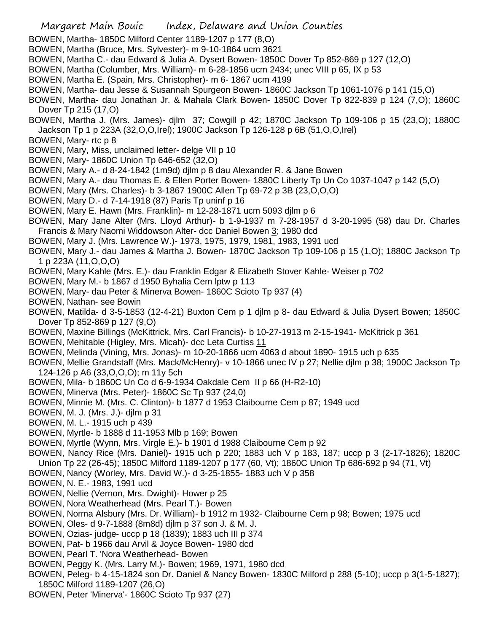- BOWEN, Martha- 1850C Milford Center 1189-1207 p 177 (8,O)
- BOWEN, Martha (Bruce, Mrs. Sylvester)- m 9-10-1864 ucm 3621
- BOWEN, Martha C.- dau Edward & Julia A. Dysert Bowen- 1850C Dover Tp 852-869 p 127 (12,O)
- BOWEN, Martha (Columber, Mrs. William)- m 6-28-1856 ucm 2434; unec VIII p 65, IX p 53
- BOWEN, Martha E. (Spain, Mrs. Christopher)- m 6- 1867 ucm 4199
- BOWEN, Martha- dau Jesse & Susannah Spurgeon Bowen- 1860C Jackson Tp 1061-1076 p 141 (15,O)
- BOWEN, Martha- dau Jonathan Jr. & Mahala Clark Bowen- 1850C Dover Tp 822-839 p 124 (7,O); 1860C Dover Tp 215 (17,O)
- BOWEN, Martha J. (Mrs. James)- djlm 37; Cowgill p 42; 1870C Jackson Tp 109-106 p 15 (23,O); 1880C Jackson Tp 1 p 223A (32,O,O,Irel); 1900C Jackson Tp 126-128 p 6B (51,O,O,Irel)
- BOWEN, Mary- rtc p 8
- BOWEN, Mary, Miss, unclaimed letter- delge VII p 10
- BOWEN, Mary- 1860C Union Tp 646-652 (32,O)
- BOWEN, Mary A.- d 8-24-1842 (1m9d) djlm p 8 dau Alexander R. & Jane Bowen
- BOWEN, Mary A.- dau Thomas E. & Ellen Porter Bowen- 1880C Liberty Tp Un Co 1037-1047 p 142 (5,O)
- BOWEN, Mary (Mrs. Charles)- b 3-1867 1900C Allen Tp 69-72 p 3B (23,O,O,O)
- BOWEN, Mary D.- d 7-14-1918 (87) Paris Tp uninf p 16
- BOWEN, Mary E. Hawn (Mrs. Franklin)- m 12-28-1871 ucm 5093 djlm p 6
- BOWEN, Mary Jane Alter (Mrs. Lloyd Arthur)- b 1-9-1937 m 7-28-1957 d 3-20-1995 (58) dau Dr. Charles Francis & Mary Naomi Widdowson Alter- dcc Daniel Bowen 3; 1980 dcd
- BOWEN, Mary J. (Mrs. Lawrence W.)- 1973, 1975, 1979, 1981, 1983, 1991 ucd
- BOWEN, Mary J.- dau James & Martha J. Bowen- 1870C Jackson Tp 109-106 p 15 (1,O); 1880C Jackson Tp 1 p 223A (11,O,O,O)
- BOWEN, Mary Kahle (Mrs. E.)- dau Franklin Edgar & Elizabeth Stover Kahle- Weiser p 702
- BOWEN, Mary M.- b 1867 d 1950 Byhalia Cem lptw p 113
- BOWEN, Mary- dau Peter & Minerva Bowen- 1860C Scioto Tp 937 (4)
- BOWEN, Nathan- see Bowin
- BOWEN, Matilda- d 3-5-1853 (12-4-21) Buxton Cem p 1 djlm p 8- dau Edward & Julia Dysert Bowen; 1850C Dover Tp 852-869 p 127 (9,O)
- BOWEN, Maxine Billings (McKittrick, Mrs. Carl Francis)- b 10-27-1913 m 2-15-1941- McKitrick p 361
- BOWEN, Mehitable (Higley, Mrs. Micah)- dcc Leta Curtiss 11
- BOWEN, Melinda (Vining, Mrs. Jonas)- m 10-20-1866 ucm 4063 d about 1890- 1915 uch p 635
- BOWEN, Mellie Grandstaff (Mrs. Mack/McHenry)- v 10-1866 unec IV p 27; Nellie djlm p 38; 1900C Jackson Tp 124-126 p A6 (33,O,O,O); m 11y 5ch
- BOWEN, Mila- b 1860C Un Co d 6-9-1934 Oakdale Cem II p 66 (H-R2-10)
- BOWEN, Minerva (Mrs. Peter)- 1860C Sc Tp 937 (24,0)
- BOWEN, Minnie M. (Mrs. C. Clinton)- b 1877 d 1953 Claibourne Cem p 87; 1949 ucd
- BOWEN, M. J. (Mrs. J.)- djlm p 31
- BOWEN, M. L.- 1915 uch p 439
- BOWEN, Myrtle- b 1888 d 11-1953 Mlb p 169; Bowen
- BOWEN, Myrtle (Wynn, Mrs. Virgle E.)- b 1901 d 1988 Claibourne Cem p 92
- BOWEN, Nancy Rice (Mrs. Daniel)- 1915 uch p 220; 1883 uch V p 183, 187; uccp p 3 (2-17-1826); 1820C Union Tp 22 (26-45); 1850C Milford 1189-1207 p 177 (60, Vt); 1860C Union Tp 686-692 p 94 (71, Vt)
- BOWEN, Nancy (Worley, Mrs. David W.)- d 3-25-1855- 1883 uch V p 358
- BOWEN, N. E.- 1983, 1991 ucd
- BOWEN, Nellie (Vernon, Mrs. Dwight)- Hower p 25
- BOWEN, Nora Weatherhead (Mrs. Pearl T.)- Bowen
- BOWEN, Norma Alsbury (Mrs. Dr. William)- b 1912 m 1932- Claibourne Cem p 98; Bowen; 1975 ucd
- BOWEN, Oles- d 9-7-1888 (8m8d) djlm p 37 son J. & M. J.
- BOWEN, Ozias- judge- uccp p 18 (1839); 1883 uch III p 374
- BOWEN, Pat- b 1966 dau Arvil & Joyce Bowen- 1980 dcd
- BOWEN, Pearl T. 'Nora Weatherhead- Bowen
- BOWEN, Peggy K. (Mrs. Larry M.)- Bowen; 1969, 1971, 1980 dcd
- BOWEN, Peleg- b 4-15-1824 son Dr. Daniel & Nancy Bowen- 1830C Milford p 288 (5-10); uccp p 3(1-5-1827); 1850C Milford 1189-1207 (26,O)
- BOWEN, Peter 'Minerva'- 1860C Scioto Tp 937 (27)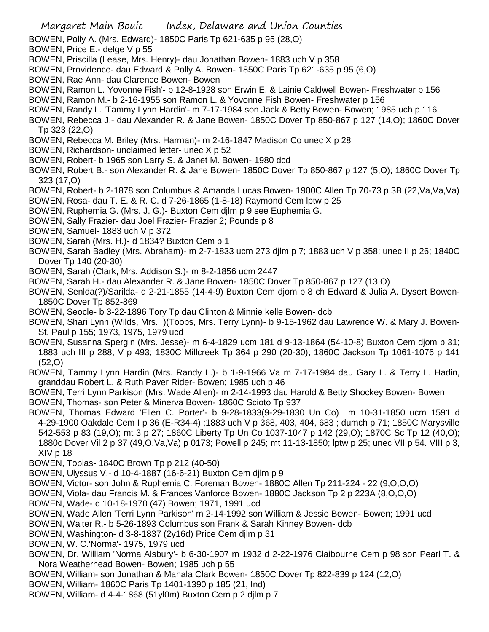- BOWEN, Polly A. (Mrs. Edward)- 1850C Paris Tp 621-635 p 95 (28,O)
- BOWEN, Price E.- delge V p 55
- BOWEN, Priscilla (Lease, Mrs. Henry)- dau Jonathan Bowen- 1883 uch V p 358
- BOWEN, Providence- dau Edward & Polly A. Bowen- 1850C Paris Tp 621-635 p 95 (6,O)
- BOWEN, Rae Ann- dau Clarence Bowen- Bowen
- BOWEN, Ramon L. Yovonne Fish'- b 12-8-1928 son Erwin E. & Lainie Caldwell Bowen- Freshwater p 156
- BOWEN, Ramon M.- b 2-16-1955 son Ramon L. & Yovonne Fish Bowen- Freshwater p 156
- BOWEN, Randy L. 'Tammy Lynn Hardin'- m 7-17-1984 son Jack & Betty Bowen- Bowen; 1985 uch p 116
- BOWEN, Rebecca J.- dau Alexander R. & Jane Bowen- 1850C Dover Tp 850-867 p 127 (14,O); 1860C Dover Tp 323 (22,O)
- BOWEN, Rebecca M. Briley (Mrs. Harman)- m 2-16-1847 Madison Co unec X p 28
- BOWEN, Richardson- unclaimed letter- unec X p 52
- BOWEN, Robert- b 1965 son Larry S. & Janet M. Bowen- 1980 dcd
- BOWEN, Robert B.- son Alexander R. & Jane Bowen- 1850C Dover Tp 850-867 p 127 (5,O); 1860C Dover Tp 323 (17,O)
- BOWEN, Robert- b 2-1878 son Columbus & Amanda Lucas Bowen- 1900C Allen Tp 70-73 p 3B (22,Va,Va,Va)
- BOWEN, Rosa- dau T. E. & R. C. d 7-26-1865 (1-8-18) Raymond Cem lptw p 25
- BOWEN, Ruphemia G. (Mrs. J. G.)- Buxton Cem djlm p 9 see Euphemia G.
- BOWEN, Sally Frazier- dau Joel Frazier- Frazier 2; Pounds p 8
- BOWEN, Samuel- 1883 uch V p 372
- BOWEN, Sarah (Mrs. H.)- d 1834? Buxton Cem p 1
- BOWEN, Sarah Badley (Mrs. Abraham)- m 2-7-1833 ucm 273 djlm p 7; 1883 uch V p 358; unec II p 26; 1840C Dover Tp 140 (20-30)
- BOWEN, Sarah (Clark, Mrs. Addison S.)- m 8-2-1856 ucm 2447
- BOWEN, Sarah H.- dau Alexander R. & Jane Bowen- 1850C Dover Tp 850-867 p 127 (13,O)
- BOWEN, Senlda(?)/Sarilda- d 2-21-1855 (14-4-9) Buxton Cem djom p 8 ch Edward & Julia A. Dysert Bowen-1850C Dover Tp 852-869
- BOWEN, Seocle- b 3-22-1896 Tory Tp dau Clinton & Minnie kelle Bowen- dcb
- BOWEN, Shari Lynn (Wilds, Mrs. )(Toops, Mrs. Terry Lynn)- b 9-15-1962 dau Lawrence W. & Mary J. Bowen-St. Paul p 155; 1973, 1975, 1979 ucd
- BOWEN, Susanna Spergin (Mrs. Jesse)- m 6-4-1829 ucm 181 d 9-13-1864 (54-10-8) Buxton Cem djom p 31; 1883 uch III p 288, V p 493; 1830C Millcreek Tp 364 p 290 (20-30); 1860C Jackson Tp 1061-1076 p 141 (52,O)
- BOWEN, Tammy Lynn Hardin (Mrs. Randy L.)- b 1-9-1966 Va m 7-17-1984 dau Gary L. & Terry L. Hadin, granddau Robert L. & Ruth Paver Rider- Bowen; 1985 uch p 46
- BOWEN, Terri Lynn Parkison (Mrs. Wade Allen)- m 2-14-1993 dau Harold & Betty Shockey Bowen- Bowen BOWEN, Thomas- son Peter & Minerva Bowen- 1860C Scioto Tp 937
- BOWEN, Thomas Edward 'Ellen C. Porter'- b 9-28-1833(9-29-1830 Un Co) m 10-31-1850 ucm 1591 d 4-29-1900 Oakdale Cem I p 36 (E-R34-4) ;1883 uch V p 368, 403, 404, 683 ; dumch p 71; 1850C Marysville 542-553 p 83 (19,O); mt 3 p 27; 1860C Liberty Tp Un Co 1037-1047 p 142 (29,O); 1870C Sc Tp 12 (40,O); 1880c Dover Vil 2 p 37 (49,O,Va,Va) p 0173; Powell p 245; mt 11-13-1850; lptw p 25; unec VII p 54. VIII p 3, XIV p 18
- BOWEN, Tobias- 1840C Brown Tp p 212 (40-50)
- BOWEN, Ulyssus V.- d 10-4-1887 (16-6-21) Buxton Cem djlm p 9
- BOWEN, Victor- son John & Ruphemia C. Foreman Bowen- 1880C Allen Tp 211-224 22 (9,O,O,O)
- BOWEN, Viola- dau Francis M. & Frances Vanforce Bowen- 1880C Jackson Tp 2 p 223A (8,O,O,O)
- BOWEN, Wade- d 10-18-1970 (47) Bowen; 1971, 1991 ucd
- BOWEN, Wade Allen 'Terri Lynn Parkison' m 2-14-1992 son William & Jessie Bowen- Bowen; 1991 ucd
- BOWEN, Walter R.- b 5-26-1893 Columbus son Frank & Sarah Kinney Bowen- dcb
- BOWEN, Washington- d 3-8-1837 (2y16d) Price Cem djlm p 31
- BOWEN, W. C.'Norma'- 1975, 1979 ucd
- BOWEN, Dr. William 'Norma Alsbury'- b 6-30-1907 m 1932 d 2-22-1976 Claibourne Cem p 98 son Pearl T. & Nora Weatherhead Bowen- Bowen; 1985 uch p 55
- BOWEN, William- son Jonathan & Mahala Clark Bowen- 1850C Dover Tp 822-839 p 124 (12,O)
- BOWEN, William- 1860C Paris Tp 1401-1390 p 185 (21, Ind)
- BOWEN, William- d 4-4-1868 (51yl0m) Buxton Cem p 2 djlm p 7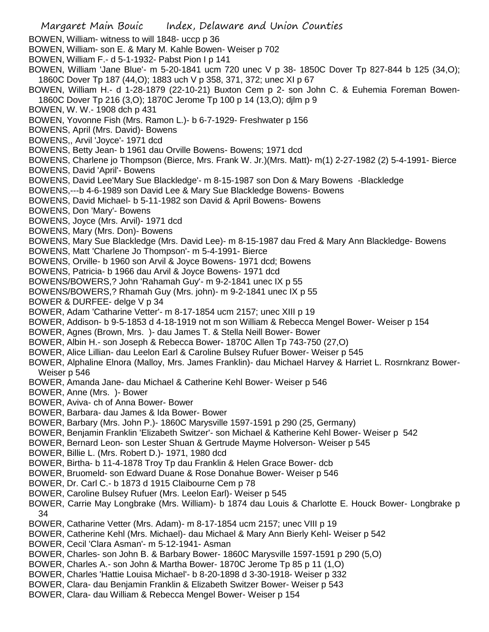BOWEN, William- witness to will 1848- uccp p 36

- BOWEN, William- son E. & Mary M. Kahle Bowen- Weiser p 702
- BOWEN, William F.- d 5-1-1932- Pabst Pion I p 141
- BOWEN, William 'Jane Blue'- m 5-20-1841 ucm 720 unec V p 38- 1850C Dover Tp 827-844 b 125 (34,O); 1860C Dover Tp 187 (44,O); 1883 uch V p 358, 371, 372; unec XI p 67
- BOWEN, William H.- d 1-28-1879 (22-10-21) Buxton Cem p 2- son John C. & Euhemia Foreman Bowen-1860C Dover Tp 216 (3,O); 1870C Jerome Tp 100 p 14 (13,O); djlm p 9
- BOWEN, W. W.- 1908 dch p 431
- BOWEN, Yovonne Fish (Mrs. Ramon L.)- b 6-7-1929- Freshwater p 156

BOWENS, April (Mrs. David)- Bowens

BOWENS,, Arvil 'Joyce'- 1971 dcd

BOWENS, Betty Jean- b 1961 dau Orville Bowens- Bowens; 1971 dcd

- BOWENS, Charlene jo Thompson (Bierce, Mrs. Frank W. Jr.)(Mrs. Matt)- m(1) 2-27-1982 (2) 5-4-1991- Bierce
- BOWENS, David 'April'- Bowens
- BOWENS, David Lee'Mary Sue Blackledge'- m 8-15-1987 son Don & Mary Bowens -Blackledge

BOWENS,---b 4-6-1989 son David Lee & Mary Sue Blackledge Bowens- Bowens

BOWENS, David Michael- b 5-11-1982 son David & April Bowens- Bowens

BOWENS, Don 'Mary'- Bowens

BOWENS, Joyce (Mrs. Arvil)- 1971 dcd

BOWENS, Mary (Mrs. Don)- Bowens

BOWENS, Mary Sue Blackledge (Mrs. David Lee)- m 8-15-1987 dau Fred & Mary Ann Blackledge- Bowens

- BOWENS, Matt 'Charlene Jo Thompson'- m 5-4-1991- Bierce
- BOWENS, Orville- b 1960 son Arvil & Joyce Bowens- 1971 dcd; Bowens
- BOWENS, Patricia- b 1966 dau Arvil & Joyce Bowens- 1971 dcd

BOWENS/BOWERS,? John 'Rahamah Guy'- m 9-2-1841 unec IX p 55

BOWENS/BOWERS,? Rhamah Guy (Mrs. john)- m 9-2-1841 unec IX p 55

BOWER & DURFEE- delge V p 34

BOWER, Adam 'Catharine Vetter'- m 8-17-1854 ucm 2157; unec XIII p 19

- BOWER, Addison- b 9-5-1853 d 4-18-1919 not m son William & Rebecca Mengel Bower- Weiser p 154
- BOWER, Agnes (Brown, Mrs. )- dau James T. & Stella Neill Bower- Bower
- BOWER, Albin H.- son Joseph & Rebecca Bower- 1870C Allen Tp 743-750 (27,O)
- BOWER, Alice Lillian- dau Leelon Earl & Caroline Bulsey Rufuer Bower- Weiser p 545
- BOWER, Alphaline Elnora (Malloy, Mrs. James Franklin)- dau Michael Harvey & Harriet L. Rosrnkranz Bower-Weiser p 546
- BOWER, Amanda Jane- dau Michael & Catherine Kehl Bower- Weiser p 546
- BOWER, Anne (Mrs. )- Bower
- BOWER, Aviva- ch of Anna Bower- Bower
- BOWER, Barbara- dau James & Ida Bower- Bower
- BOWER, Barbary (Mrs. John P.)- 1860C Marysville 1597-1591 p 290 (25, Germany)
- BOWER, Benjamin Franklin 'Elizabeth Switzer'- son Michael & Katherine Kehl Bower- Weiser p 542
- BOWER, Bernard Leon- son Lester Shuan & Gertrude Mayme Holverson- Weiser p 545
- BOWER, Billie L. (Mrs. Robert D.)- 1971, 1980 dcd
- BOWER, Birtha- b 11-4-1878 Troy Tp dau Franklin & Helen Grace Bower- dcb
- BOWER, Bruomeld- son Edward Duane & Rose Donahue Bower- Weiser p 546
- BOWER, Dr. Carl C.- b 1873 d 1915 Claibourne Cem p 78
- BOWER, Caroline Bulsey Rufuer (Mrs. Leelon Earl)- Weiser p 545
- BOWER, Carrie May Longbrake (Mrs. William)- b 1874 dau Louis & Charlotte E. Houck Bower- Longbrake p 34
- BOWER, Catharine Vetter (Mrs. Adam)- m 8-17-1854 ucm 2157; unec VIII p 19
- BOWER, Catherine Kehl (Mrs. Michael)- dau Michael & Mary Ann Bierly Kehl- Weiser p 542
- BOWER, Cecil 'Clara Asman'- m 5-12-1941- Asman
- BOWER, Charles- son John B. & Barbary Bower- 1860C Marysville 1597-1591 p 290 (5,O)
- BOWER, Charles A.- son John & Martha Bower- 1870C Jerome Tp 85 p 11 (1,O)
- BOWER, Charles 'Hattie Louisa Michael'- b 8-20-1898 d 3-30-1918- Weiser p 332
- BOWER, Clara- dau Benjamin Franklin & Elizabeth Switzer Bower- Weiser p 543
- BOWER, Clara- dau William & Rebecca Mengel Bower- Weiser p 154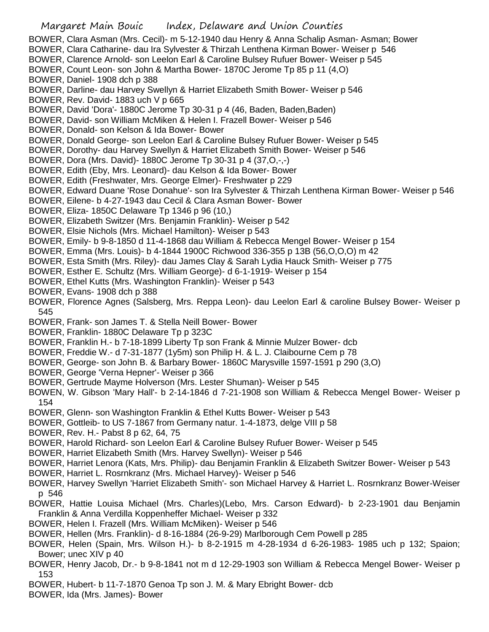BOWER, Clara Asman (Mrs. Cecil)- m 5-12-1940 dau Henry & Anna Schalip Asman- Asman; Bower BOWER, Clara Catharine- dau Ira Sylvester & Thirzah Lenthena Kirman Bower- Weiser p 546 BOWER, Clarence Arnold- son Leelon Earl & Caroline Bulsey Rufuer Bower- Weiser p 545 BOWER, Count Leon- son John & Martha Bower- 1870C Jerome Tp 85 p 11 (4,O) BOWER, Daniel- 1908 dch p 388 BOWER, Darline- dau Harvey Swellyn & Harriet Elizabeth Smith Bower- Weiser p 546 BOWER, Rev. David- 1883 uch V p 665 BOWER, David 'Dora'- 1880C Jerome Tp 30-31 p 4 (46, Baden, Baden,Baden) BOWER, David- son William McMiken & Helen I. Frazell Bower- Weiser p 546 BOWER, Donald- son Kelson & Ida Bower- Bower BOWER, Donald George- son Leelon Earl & Caroline Bulsey Rufuer Bower- Weiser p 545 BOWER, Dorothy- dau Harvey Swellyn & Harriet Elizabeth Smith Bower- Weiser p 546 BOWER, Dora (Mrs. David)- 1880C Jerome Tp 30-31 p 4 (37,O,-,-) BOWER, Edith (Eby, Mrs. Leonard)- dau Kelson & Ida Bower- Bower BOWER, Edith (Freshwater, Mrs. George Elmer)- Freshwater p 229 BOWER, Edward Duane 'Rose Donahue'- son Ira Sylvester & Thirzah Lenthena Kirman Bower- Weiser p 546 BOWER, Eilene- b 4-27-1943 dau Cecil & Clara Asman Bower- Bower BOWER, Eliza- 1850C Delaware Tp 1346 p 96 (10,) BOWER, Elizabeth Switzer (Mrs. Benjamin Franklin)- Weiser p 542 BOWER, Elsie Nichols (Mrs. Michael Hamilton)- Weiser p 543 BOWER, Emily- b 9-8-1850 d 11-4-1868 dau William & Rebecca Mengel Bower- Weiser p 154 BOWER, Emma (Mrs. Louis)- b 4-1844 1900C Richwood 336-355 p 13B (56,O,O,O) m 42 BOWER, Esta Smith (Mrs. Riley)- dau James Clay & Sarah Lydia Hauck Smith- Weiser p 775 BOWER, Esther E. Schultz (Mrs. William George)- d 6-1-1919- Weiser p 154 BOWER, Ethel Kutts (Mrs. Washington Franklin)- Weiser p 543 BOWER, Evans- 1908 dch p 388 BOWER, Florence Agnes (Salsberg, Mrs. Reppa Leon)- dau Leelon Earl & caroline Bulsey Bower- Weiser p 545 BOWER, Frank- son James T. & Stella Neill Bower- Bower BOWER, Franklin- 1880C Delaware Tp p 323C BOWER, Franklin H.- b 7-18-1899 Liberty Tp son Frank & Minnie Mulzer Bower- dcb BOWER, Freddie W.- d 7-31-1877 (1y5m) son Philip H. & L. J. Claibourne Cem p 78 BOWER, George- son John B. & Barbary Bower- 1860C Marysville 1597-1591 p 290 (3,O) BOWER, George 'Verna Hepner'- Weiser p 366 BOWER, Gertrude Mayme Holverson (Mrs. Lester Shuman)- Weiser p 545 BOWEN, W. Gibson 'Mary Hall'- b 2-14-1846 d 7-21-1908 son William & Rebecca Mengel Bower- Weiser p 154 BOWER, Glenn- son Washington Franklin & Ethel Kutts Bower- Weiser p 543 BOWER, Gottleib- to US 7-1867 from Germany natur. 1-4-1873, delge VIII p 58 BOWER, Rev. H.- Pabst 8 p 62, 64, 75 BOWER, Harold Richard- son Leelon Earl & Caroline Bulsey Rufuer Bower- Weiser p 545 BOWER, Harriet Elizabeth Smith (Mrs. Harvey Swellyn)- Weiser p 546

- BOWER, Harriet Lenora (Kats, Mrs. Philip)- dau Benjamin Franklin & Elizabeth Switzer Bower- Weiser p 543
- BOWER, Harriet L. Rosrnkranz (Mrs. Michael Harvey)- Weiser p 546
- BOWER, Harvey Swellyn 'Harriet Elizabeth Smith'- son Michael Harvey & Harriet L. Rosrnkranz Bower-Weiser p 546
- BOWER, Hattie Louisa Michael (Mrs. Charles)(Lebo, Mrs. Carson Edward)- b 2-23-1901 dau Benjamin Franklin & Anna Verdilla Koppenheffer Michael- Weiser p 332
- BOWER, Helen I. Frazell (Mrs. William McMiken)- Weiser p 546
- BOWER, Hellen (Mrs. Franklin)- d 8-16-1884 (26-9-29) Marlborough Cem Powell p 285
- BOWER, Helen (Spain, Mrs. Wilson H.)- b 8-2-1915 m 4-28-1934 d 6-26-1983- 1985 uch p 132; Spaion; Bower; unec XIV p 40
- BOWER, Henry Jacob, Dr.- b 9-8-1841 not m d 12-29-1903 son William & Rebecca Mengel Bower- Weiser p 153
- BOWER, Hubert- b 11-7-1870 Genoa Tp son J. M. & Mary Ebright Bower- dcb
- BOWER, Ida (Mrs. James)- Bower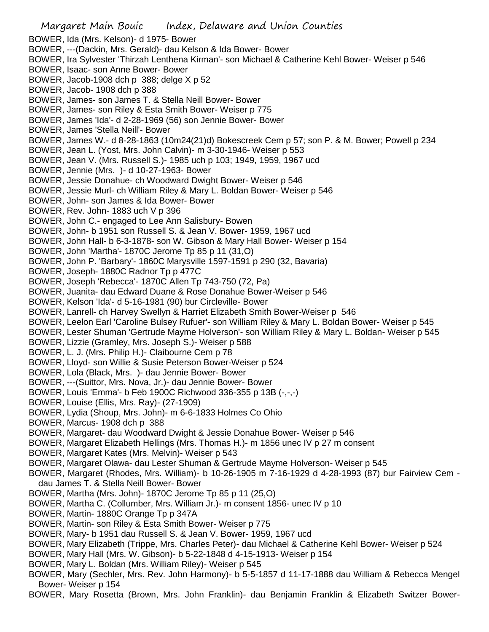Margaret Main Bouic Index, Delaware and Union Counties BOWER, Ida (Mrs. Kelson)- d 1975- Bower BOWER, ---(Dackin, Mrs. Gerald)- dau Kelson & Ida Bower- Bower BOWER, Ira Sylvester 'Thirzah Lenthena Kirman'- son Michael & Catherine Kehl Bower- Weiser p 546 BOWER, Isaac- son Anne Bower- Bower BOWER, Jacob-1908 dch p 388; delge X p 52 BOWER, Jacob- 1908 dch p 388 BOWER, James- son James T. & Stella Neill Bower- Bower BOWER, James- son Riley & Esta Smith Bower- Weiser p 775 BOWER, James 'Ida'- d 2-28-1969 (56) son Jennie Bower- Bower BOWER, James 'Stella Neill'- Bower BOWER, James W.- d 8-28-1863 (10m24(21)d) Bokescreek Cem p 57; son P. & M. Bower; Powell p 234 BOWER, Jean L. (Yost, Mrs. John Calvin)- m 3-30-1946- Weiser p 553 BOWER, Jean V. (Mrs. Russell S.)- 1985 uch p 103; 1949, 1959, 1967 ucd BOWER, Jennie (Mrs. )- d 10-27-1963- Bower BOWER, Jessie Donahue- ch Woodward Dwight Bower- Weiser p 546 BOWER, Jessie Murl- ch William Riley & Mary L. Boldan Bower- Weiser p 546 BOWER, John- son James & Ida Bower- Bower BOWER, Rev. John- 1883 uch V p 396 BOWER, John C.- engaged to Lee Ann Salisbury- Bowen BOWER, John- b 1951 son Russell S. & Jean V. Bower- 1959, 1967 ucd BOWER, John Hall- b 6-3-1878- son W. Gibson & Mary Hall Bower- Weiser p 154 BOWER, John 'Martha'- 1870C Jerome Tp 85 p 11 (31,O) BOWER, John P. 'Barbary'- 1860C Marysville 1597-1591 p 290 (32, Bavaria) BOWER, Joseph- 1880C Radnor Tp p 477C BOWER, Joseph 'Rebecca'- 1870C Allen Tp 743-750 (72, Pa) BOWER, Juanita- dau Edward Duane & Rose Donahue Bower-Weiser p 546 BOWER, Kelson 'Ida'- d 5-16-1981 (90) bur Circleville- Bower BOWER, Lanrell- ch Harvey Swellyn & Harriet Elizabeth Smith Bower-Weiser p 546 BOWER, Leelon Earl 'Caroline Bulsey Rufuer'- son William Riley & Mary L. Boldan Bower- Weiser p 545 BOWER, Lester Shuman 'Gertrude Mayme Holverson'- son William Riley & Mary L. Boldan- Weiser p 545 BOWER, Lizzie (Gramley, Mrs. Joseph S.)- Weiser p 588 BOWER, L. J. (Mrs. Philip H.)- Claibourne Cem p 78 BOWER, Lloyd- son Willie & Susie Peterson Bower-Weiser p 524 BOWER, Lola (Black, Mrs. )- dau Jennie Bower- Bower BOWER, ---(Suittor, Mrs. Nova, Jr.)- dau Jennie Bower- Bower BOWER, Louis 'Emma'- b Feb 1900C Richwood 336-355 p 13B (-,-,-) BOWER, Louise (Ellis, Mrs. Ray)- (27-1909) BOWER, Lydia (Shoup, Mrs. John)- m 6-6-1833 Holmes Co Ohio BOWER, Marcus- 1908 dch p 388 BOWER, Margaret- dau Woodward Dwight & Jessie Donahue Bower- Weiser p 546 BOWER, Margaret Elizabeth Hellings (Mrs. Thomas H.)- m 1856 unec IV p 27 m consent BOWER, Margaret Kates (Mrs. Melvin)- Weiser p 543 BOWER, Margaret Olawa- dau Lester Shuman & Gertrude Mayme Holverson- Weiser p 545 BOWER, Margaret (Rhodes, Mrs. William)- b 10-26-1905 m 7-16-1929 d 4-28-1993 (87) bur Fairview Cem dau James T. & Stella Neill Bower- Bower BOWER, Martha (Mrs. John)- 1870C Jerome Tp 85 p 11 (25,O) BOWER, Martha C. (Collumber, Mrs. William Jr.)- m consent 1856- unec IV p 10 BOWER, Martin- 1880C Orange Tp p 347A BOWER, Martin- son Riley & Esta Smith Bower- Weiser p 775 BOWER, Mary- b 1951 dau Russell S. & Jean V. Bower- 1959, 1967 ucd BOWER, Mary Elizabeth (Trippe, Mrs. Charles Peter)- dau Michael & Catherine Kehl Bower- Weiser p 524 BOWER, Mary Hall (Mrs. W. Gibson)- b 5-22-1848 d 4-15-1913- Weiser p 154 BOWER, Mary L. Boldan (Mrs. William Riley)- Weiser p 545 BOWER, Mary (Sechler, Mrs. Rev. John Harmony)- b 5-5-1857 d 11-17-1888 dau William & Rebecca Mengel Bower- Weiser p 154

BOWER, Mary Rosetta (Brown, Mrs. John Franklin)- dau Benjamin Franklin & Elizabeth Switzer Bower-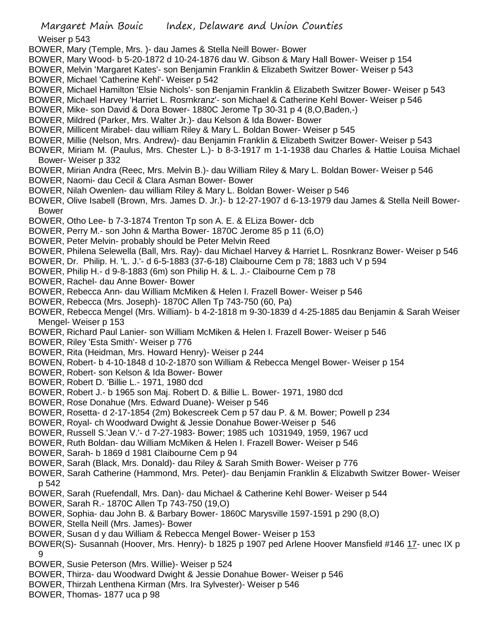Weiser p 543

- BOWER, Mary (Temple, Mrs. )- dau James & Stella Neill Bower- Bower
- BOWER, Mary Wood- b 5-20-1872 d 10-24-1876 dau W. Gibson & Mary Hall Bower- Weiser p 154
- BOWER, Melvin 'Margaret Kates'- son Benjamin Franklin & Elizabeth Switzer Bower- Weiser p 543
- BOWER, Michael 'Catherine Kehl'- Weiser p 542
- BOWER, Michael Hamilton 'Elsie Nichols'- son Benjamin Franklin & Elizabeth Switzer Bower- Weiser p 543
- BOWER, Michael Harvey 'Harriet L. Rosrnkranz'- son Michael & Catherine Kehl Bower- Weiser p 546
- BOWER, Mike- son David & Dora Bower- 1880C Jerome Tp 30-31 p 4 (8,O,Baden,-)
- BOWER, Mildred (Parker, Mrs. Walter Jr.)- dau Kelson & Ida Bower- Bower
- BOWER, Millicent Mirabel- dau william Riley & Mary L. Boldan Bower- Weiser p 545
- BOWER, Millie (Nelson, Mrs. Andrew)- dau Benjamin Franklin & Elizabeth Switzer Bower- Weiser p 543
- BOWER, Miriam M. (Paulus, Mrs. Chester L.)- b 8-3-1917 m 1-1-1938 dau Charles & Hattie Louisa Michael Bower- Weiser p 332
- BOWER, Mirian Andra (Reec, Mrs. Melvin B.)- dau William Riley & Mary L. Boldan Bower- Weiser p 546
- BOWER, Naomi- dau Cecil & Clara Asman Bower- Bower
- BOWER, Nilah Owenlen- dau william Riley & Mary L. Boldan Bower- Weiser p 546
- BOWER, Olive Isabell (Brown, Mrs. James D. Jr.)- b 12-27-1907 d 6-13-1979 dau James & Stella Neill Bower-Bower
- BOWER, Otho Lee- b 7-3-1874 Trenton Tp son A. E. & ELiza Bower- dcb
- BOWER, Perry M.- son John & Martha Bower- 1870C Jerome 85 p 11 (6,O)
- BOWER, Peter Melvin- probably should be Peter Melvin Reed
- BOWER, Philena Selewella (Ball, Mrs. Ray)- dau Michael Harvey & Harriet L. Rosnkranz Bower- Weiser p 546
- BOWER, Dr. Philip. H. 'L. J.'- d 6-5-1883 (37-6-18) Claibourne Cem p 78; 1883 uch V p 594
- BOWER, Philip H.- d 9-8-1883 (6m) son Philip H. & L. J.- Claibourne Cem p 78
- BOWER, Rachel- dau Anne Bower- Bower
- BOWER, Rebecca Ann- dau William McMiken & Helen I. Frazell Bower- Weiser p 546
- BOWER, Rebecca (Mrs. Joseph)- 1870C Allen Tp 743-750 (60, Pa)
- BOWER, Rebecca Mengel (Mrs. William)- b 4-2-1818 m 9-30-1839 d 4-25-1885 dau Benjamin & Sarah Weiser Mengel- Weiser p 153
- BOWER, Richard Paul Lanier- son William McMiken & Helen I. Frazell Bower- Weiser p 546
- BOWER, Riley 'Esta Smith'- Weiser p 776
- BOWER, Rita (Heidman, Mrs. Howard Henry)- Weiser p 244
- BOWEN, Robert- b 4-10-1848 d 10-2-1870 son William & Rebecca Mengel Bower- Weiser p 154
- BOWER, Robert- son Kelson & Ida Bower- Bower
- BOWER, Robert D. 'Billie L.- 1971, 1980 dcd
- BOWER, Robert J.- b 1965 son Maj. Robert D. & Billie L. Bower- 1971, 1980 dcd
- BOWER, Rose Donahue (Mrs. Edward Duane)- Weiser p 546
- BOWER, Rosetta- d 2-17-1854 (2m) Bokescreek Cem p 57 dau P. & M. Bower; Powell p 234
- BOWER, Royal- ch Woodward Dwight & Jessie Donahue Bower-Weiser p 546
- BOWER, Russell S.'Jean V.'- d 7-27-1983- Bower; 1985 uch 1031949, 1959, 1967 ucd
- BOWER, Ruth Boldan- dau William McMiken & Helen I. Frazell Bower- Weiser p 546
- BOWER, Sarah- b 1869 d 1981 Claibourne Cem p 94
- BOWER, Sarah (Black, Mrs. Donald)- dau Riley & Sarah Smith Bower- Weiser p 776
- BOWER, Sarah Catherine (Hammond, Mrs. Peter)- dau Benjamin Franklin & Elizabwth Switzer Bower- Weiser p 542
- BOWER, Sarah (Ruefendall, Mrs. Dan)- dau Michael & Catherine Kehl Bower- Weiser p 544
- BOWER, Sarah R.- 1870C Allen Tp 743-750 (19,O)
- BOWER, Sophia- dau John B. & Barbary Bower- 1860C Marysville 1597-1591 p 290 (8,O)
- BOWER, Stella Neill (Mrs. James)- Bower
- BOWER, Susan d y dau William & Rebecca Mengel Bower- Weiser p 153
- BOWER(S)- Susannah (Hoover, Mrs. Henry)- b 1825 p 1907 ped Arlene Hoover Mansfield #146 17- unec IX p 9
- BOWER, Susie Peterson (Mrs. Willie)- Weiser p 524
- BOWER, Thirza- dau Woodward Dwight & Jessie Donahue Bower- Weiser p 546
- BOWER, Thirzah Lenthena Kirman (Mrs. Ira Sylvester)- Weiser p 546
- BOWER, Thomas- 1877 uca p 98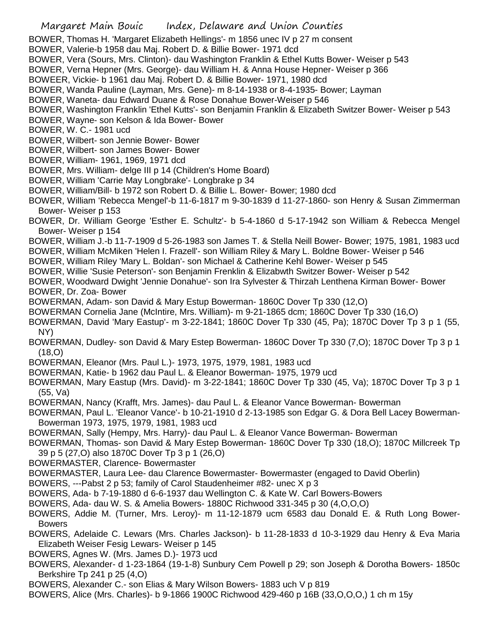## Margaret Main Bouic Index, Delaware and Union Counties

BOWER, Thomas H. 'Margaret Elizabeth Hellings'- m 1856 unec IV p 27 m consent

- BOWER, Valerie-b 1958 dau Maj. Robert D. & Billie Bower- 1971 dcd
- BOWER, Vera (Sours, Mrs. Clinton)- dau Washington Franklin & Ethel Kutts Bower- Weiser p 543
- BOWER, Verna Hepner (Mrs. George)- dau William H. & Anna House Hepner- Weiser p 366

BOWEER, Vickie- b 1961 dau Maj. Robert D. & Billie Bower- 1971, 1980 dcd

BOWER, Wanda Pauline (Layman, Mrs. Gene)- m 8-14-1938 or 8-4-1935- Bower; Layman

BOWER, Waneta- dau Edward Duane & Rose Donahue Bower-Weiser p 546

- BOWER, Washington Franklin 'Ethel Kutts'- son Benjamin Franklin & Elizabeth Switzer Bower- Weiser p 543
- BOWER, Wayne- son Kelson & Ida Bower- Bower
- BOWER, W. C.- 1981 ucd
- BOWER, Wilbert- son Jennie Bower- Bower
- BOWER, Wilbert- son James Bower- Bower
- BOWER, William- 1961, 1969, 1971 dcd
- BOWER, Mrs. William- delge III p 14 (Children's Home Board)
- BOWER, William 'Carrie May Longbrake'- Longbrake p 34
- BOWER, William/Bill- b 1972 son Robert D. & Billie L. Bower- Bower; 1980 dcd

BOWER, William 'Rebecca Mengel'-b 11-6-1817 m 9-30-1839 d 11-27-1860- son Henry & Susan Zimmerman Bower- Weiser p 153

- BOWER, Dr. William George 'Esther E. Schultz'- b 5-4-1860 d 5-17-1942 son William & Rebecca Mengel Bower- Weiser p 154
- BOWER, William J.-b 11-7-1909 d 5-26-1983 son James T. & Stella Neill Bower- Bower; 1975, 1981, 1983 ucd
- BOWER, William McMiken 'Helen I. Frazell'- son William Riley & Mary L. Boldne Bower- Weiser p 546
- BOWER, William Riley 'Mary L. Boldan'- son Michael & Catherine Kehl Bower- Weiser p 545
- BOWER, Willie 'Susie Peterson'- son Benjamin Frenklin & Elizabwth Switzer Bower- Weiser p 542
- BOWER, Woodward Dwight 'Jennie Donahue'- son Ira Sylvester & Thirzah Lenthena Kirman Bower- Bower BOWER, Dr. Zoa- Bower
- BOWERMAN, Adam- son David & Mary Estup Bowerman- 1860C Dover Tp 330 (12,O)
- BOWERMAN Cornelia Jane (McIntire, Mrs. William)- m 9-21-1865 dcm; 1860C Dover Tp 330 (16,O)
- BOWERMAN, David 'Mary Eastup'- m 3-22-1841; 1860C Dover Tp 330 (45, Pa); 1870C Dover Tp 3 p 1 (55, NY)
- BOWERMAN, Dudley- son David & Mary Estep Bowerman- 1860C Dover Tp 330 (7,O); 1870C Dover Tp 3 p 1 (18,O)
- BOWERMAN, Eleanor (Mrs. Paul L.)- 1973, 1975, 1979, 1981, 1983 ucd
- BOWERMAN, Katie- b 1962 dau Paul L. & Eleanor Bowerman- 1975, 1979 ucd
- BOWERMAN, Mary Eastup (Mrs. David)- m 3-22-1841; 1860C Dover Tp 330 (45, Va); 1870C Dover Tp 3 p 1 (55, Va)
- BOWERMAN, Nancy (Krafft, Mrs. James)- dau Paul L. & Eleanor Vance Bowerman- Bowerman

BOWERMAN, Paul L. 'Eleanor Vance'- b 10-21-1910 d 2-13-1985 son Edgar G. & Dora Bell Lacey Bowerman-Bowerman 1973, 1975, 1979, 1981, 1983 ucd

- BOWERMAN, Sally (Hempy, Mrs. Harry)- dau Paul L. & Eleanor Vance Bowerman- Bowerman
- BOWERMAN, Thomas- son David & Mary Estep Bowerman- 1860C Dover Tp 330 (18,O); 1870C Millcreek Tp 39 p 5 (27,O) also 1870C Dover Tp 3 p 1 (26,O)
- BOWERMASTER, Clarence- Bowermaster
- BOWERMASTER, Laura Lee- dau Clarence Bowermaster- Bowermaster (engaged to David Oberlin)
- BOWERS, ---Pabst 2 p 53; family of Carol Staudenheimer #82- unec X p 3
- BOWERS, Ada- b 7-19-1880 d 6-6-1937 dau Wellington C. & Kate W. Carl Bowers-Bowers
- BOWERS, Ada- dau W. S. & Amelia Bowers- 1880C Richwood 331-345 p 30 (4,O,O,O)
- BOWERS, Addie M. (Turner, Mrs. Leroy)- m 11-12-1879 ucm 6583 dau Donald E. & Ruth Long Bower-Bowers
- BOWERS, Adelaide C. Lewars (Mrs. Charles Jackson)- b 11-28-1833 d 10-3-1929 dau Henry & Eva Maria Elizabeth Weiser Fesig Lewars- Weiser p 145
- BOWERS, Agnes W. (Mrs. James D.)- 1973 ucd
- BOWERS, Alexander- d 1-23-1864 (19-1-8) Sunbury Cem Powell p 29; son Joseph & Dorotha Bowers- 1850c Berkshire Tp 241 p 25 (4,O)
- BOWERS, Alexander C.- son Elias & Mary Wilson Bowers- 1883 uch V p 819
- BOWERS, Alice (Mrs. Charles)- b 9-1866 1900C Richwood 429-460 p 16B (33,O,O,O,) 1 ch m 15y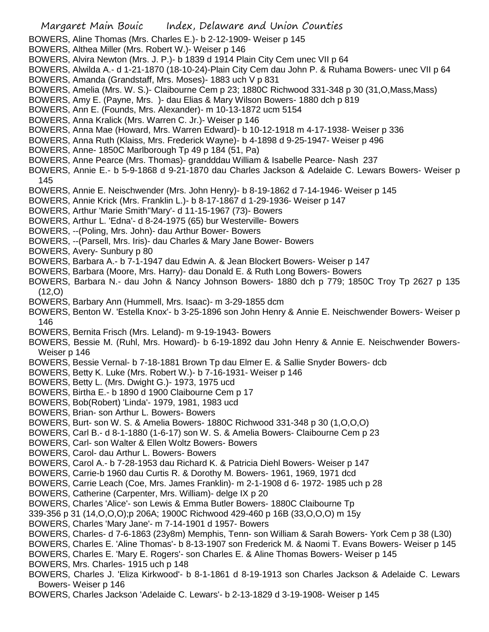- BOWERS, Aline Thomas (Mrs. Charles E.)- b 2-12-1909- Weiser p 145
- BOWERS, Althea Miller (Mrs. Robert W.)- Weiser p 146
- BOWERS, Alvira Newton (Mrs. J. P.)- b 1839 d 1914 Plain City Cem unec VII p 64
- BOWERS, Alwilda A.- d 1-21-1870 (18-10-24)-Plain City Cem dau John P. & Ruhama Bowers- unec VII p 64 BOWERS, Amanda (Grandstaff, Mrs. Moses)- 1883 uch V p 831
- BOWERS, Amelia (Mrs. W. S.)- Claibourne Cem p 23; 1880C Richwood 331-348 p 30 (31,O,Mass,Mass)
- BOWERS, Amy E. (Payne, Mrs. )- dau Elias & Mary Wilson Bowers- 1880 dch p 819
- BOWERS, Ann E. (Founds, Mrs. Alexander)- m 10-13-1872 ucm 5154
- BOWERS, Anna Kralick (Mrs. Warren C. Jr.)- Weiser p 146
- BOWERS, Anna Mae (Howard, Mrs. Warren Edward)- b 10-12-1918 m 4-17-1938- Weiser p 336
- BOWERS, Anna Ruth (Klaiss, Mrs. Frederick Wayne)- b 4-1898 d 9-25-1947- Weiser p 496
- BOWERS, Anne- 1850C Marlborough Tp 49 p 184 (51, Pa)
- BOWERS, Anne Pearce (Mrs. Thomas)- grandddau William & Isabelle Pearce- Nash 237
- BOWERS, Annie E.- b 5-9-1868 d 9-21-1870 dau Charles Jackson & Adelaide C. Lewars Bowers- Weiser p 145
- BOWERS, Annie E. Neischwender (Mrs. John Henry)- b 8-19-1862 d 7-14-1946- Weiser p 145
- BOWERS, Annie Krick (Mrs. Franklin L.)- b 8-17-1867 d 1-29-1936- Weiser p 147
- BOWERS, Arthur 'Marie Smith''Mary'- d 11-15-1967 (73)- Bowers
- BOWERS, Arthur L. 'Edna'- d 8-24-1975 (65) bur Westerville- Bowers
- BOWERS, --(Poling, Mrs. John)- dau Arthur Bower- Bowers
- BOWERS, --(Parsell, Mrs. Iris)- dau Charles & Mary Jane Bower- Bowers
- BOWERS, Avery- Sunbury p 80
- BOWERS, Barbara A.- b 7-1-1947 dau Edwin A. & Jean Blockert Bowers- Weiser p 147
- BOWERS, Barbara (Moore, Mrs. Harry)- dau Donald E. & Ruth Long Bowers- Bowers
- BOWERS, Barbara N.- dau John & Nancy Johnson Bowers- 1880 dch p 779; 1850C Troy Tp 2627 p 135  $(12,0)$
- BOWERS, Barbary Ann (Hummell, Mrs. Isaac)- m 3-29-1855 dcm
- BOWERS, Benton W. 'Estella Knox'- b 3-25-1896 son John Henry & Annie E. Neischwender Bowers- Weiser p 146
- BOWERS, Bernita Frisch (Mrs. Leland)- m 9-19-1943- Bowers
- BOWERS, Bessie M. (Ruhl, Mrs. Howard)- b 6-19-1892 dau John Henry & Annie E. Neischwender Bowers-Weiser p 146
- BOWERS, Bessie Vernal- b 7-18-1881 Brown Tp dau Elmer E. & Sallie Snyder Bowers- dcb
- BOWERS, Betty K. Luke (Mrs. Robert W.)- b 7-16-1931- Weiser p 146
- BOWERS, Betty L. (Mrs. Dwight G.)- 1973, 1975 ucd
- BOWERS, Birtha E.- b 1890 d 1900 Claibourne Cem p 17
- BOWERS, Bob(Robert) 'Linda'- 1979, 1981, 1983 ucd
- BOWERS, Brian- son Arthur L. Bowers- Bowers
- BOWERS, Burt- son W. S. & Amelia Bowers- 1880C Richwood 331-348 p 30 (1,O,O,O)
- BOWERS, Carl B.- d 8-1-1880 (1-6-17) son W. S. & Amelia Bowers- Claibourne Cem p 23
- BOWERS, Carl- son Walter & Ellen Woltz Bowers- Bowers
- BOWERS, Carol- dau Arthur L. Bowers- Bowers
- BOWERS, Carol A.- b 7-28-1953 dau Richard K. & Patricia Diehl Bowers- Weiser p 147
- BOWERS, Carrie-b 1960 dau Curtis R. & Dorothy M. Bowers- 1961, 1969, 1971 dcd
- BOWERS, Carrie Leach (Coe, Mrs. James Franklin)- m 2-1-1908 d 6- 1972- 1985 uch p 28
- BOWERS, Catherine (Carpenter, Mrs. William)- delge IX p 20
- BOWERS, Charles 'Alice'- son Lewis & Emma Butler Bowers- 1880C Claibourne Tp
- 339-356 p 31 (14,O,O,O);p 206A; 1900C Richwood 429-460 p 16B (33,O,O,O) m 15y
- BOWERS, Charles 'Mary Jane'- m 7-14-1901 d 1957- Bowers
- BOWERS, Charles- d 7-6-1863 (23y8m) Memphis, Tenn- son William & Sarah Bowers- York Cem p 38 (L30)
- BOWERS, Charles E. 'Aline Thomas'- b 8-13-1907 son Frederick M. & Naomi T. Evans Bowers- Weiser p 145
- BOWERS, Charles E. 'Mary E. Rogers'- son Charles E. & Aline Thomas Bowers- Weiser p 145
- BOWERS, Mrs. Charles- 1915 uch p 148
- BOWERS, Charles J. 'Eliza Kirkwood'- b 8-1-1861 d 8-19-1913 son Charles Jackson & Adelaide C. Lewars Bowers- Weiser p 146
- BOWERS, Charles Jackson 'Adelaide C. Lewars'- b 2-13-1829 d 3-19-1908- Weiser p 145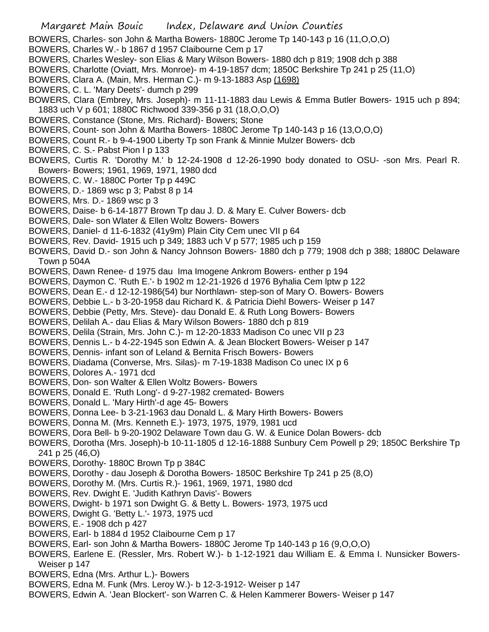- BOWERS, Charles- son John & Martha Bowers- 1880C Jerome Tp 140-143 p 16 (11,O,O,O)
- BOWERS, Charles W.- b 1867 d 1957 Claibourne Cem p 17
- BOWERS, Charles Wesley- son Elias & Mary Wilson Bowers- 1880 dch p 819; 1908 dch p 388
- BOWERS, Charlotte (Oviatt, Mrs. Monroe)- m 4-19-1857 dcm; 1850C Berkshire Tp 241 p 25 (11,O)
- BOWERS, Clara A. (Main, Mrs. Herman C.)- m 9-13-1883 Asp (1698)
- BOWERS, C. L. 'Mary Deets'- dumch p 299
- BOWERS, Clara (Embrey, Mrs. Joseph)- m 11-11-1883 dau Lewis & Emma Butler Bowers- 1915 uch p 894; 1883 uch V p 601; 1880C Richwood 339-356 p 31 (18,O,O,O)
- BOWERS, Constance (Stone, Mrs. Richard)- Bowers; Stone
- BOWERS, Count- son John & Martha Bowers- 1880C Jerome Tp 140-143 p 16 (13,O,O,O)
- BOWERS, Count R.- b 9-4-1900 Liberty Tp son Frank & Minnie Mulzer Bowers- dcb
- BOWERS, C. S.- Pabst Pion I p 133
- BOWERS, Curtis R. 'Dorothy M.' b 12-24-1908 d 12-26-1990 body donated to OSU- -son Mrs. Pearl R. Bowers- Bowers; 1961, 1969, 1971, 1980 dcd
- BOWERS, C. W.- 1880C Porter Tp p 449C
- BOWERS, D.- 1869 wsc p 3; Pabst 8 p 14
- BOWERS, Mrs. D.- 1869 wsc p 3
- BOWERS, Daise- b 6-14-1877 Brown Tp dau J. D. & Mary E. Culver Bowers- dcb
- BOWERS, Dale- son Wlater & Ellen Woltz Bowers- Bowers
- BOWERS, Daniel- d 11-6-1832 (41y9m) Plain City Cem unec VII p 64
- BOWERS, Rev. David- 1915 uch p 349; 1883 uch V p 577; 1985 uch p 159
- BOWERS, David D.- son John & Nancy Johnson Bowers- 1880 dch p 779; 1908 dch p 388; 1880C Delaware Town p 504A
- BOWERS, Dawn Renee- d 1975 dau Ima Imogene Ankrom Bowers- enther p 194
- BOWERS, Daymon C. 'Ruth E.'- b 1902 m 12-21-1926 d 1976 Byhalia Cem lptw p 122
- BOWERS, Dean E.- d 12-12-1986(54) bur Northlawn- step-son of Mary O. Bowers- Bowers
- BOWERS, Debbie L.- b 3-20-1958 dau Richard K. & Patricia Diehl Bowers- Weiser p 147
- BOWERS, Debbie (Petty, Mrs. Steve)- dau Donald E. & Ruth Long Bowers- Bowers
- BOWERS, Delilah A.- dau Elias & Mary Wilson Bowers- 1880 dch p 819
- BOWERS, Delila (Strain, Mrs. John C.)- m 12-20-1833 Madison Co unec VII p 23
- BOWERS, Dennis L.- b 4-22-1945 son Edwin A. & Jean Blockert Bowers- Weiser p 147
- BOWERS, Dennis- infant son of Leland & Bernita Frisch Bowers- Bowers
- BOWERS, Diadama (Converse, Mrs. Silas)- m 7-19-1838 Madison Co unec IX p 6
- BOWERS, Dolores A.- 1971 dcd
- BOWERS, Don- son Walter & Ellen Woltz Bowers- Bowers
- BOWERS, Donald E. 'Ruth Long'- d 9-27-1982 cremated- Bowers
- BOWERS, Donald L. 'Mary Hirth'-d age 45- Bowers
- BOWERS, Donna Lee- b 3-21-1963 dau Donald L. & Mary Hirth Bowers- Bowers
- BOWERS, Donna M. (Mrs. Kenneth E.)- 1973, 1975, 1979, 1981 ucd
- BOWERS, Dora Bell- b 9-20-1902 Delaware Town dau G. W. & Eunice Dolan Bowers- dcb
- BOWERS, Dorotha (Mrs. Joseph)-b 10-11-1805 d 12-16-1888 Sunbury Cem Powell p 29; 1850C Berkshire Tp 241 p 25 (46,O)
- BOWERS, Dorothy- 1880C Brown Tp p 384C
- BOWERS, Dorothy dau Joseph & Dorotha Bowers- 1850C Berkshire Tp 241 p 25 (8,O)
- BOWERS, Dorothy M. (Mrs. Curtis R.)- 1961, 1969, 1971, 1980 dcd
- BOWERS, Rev. Dwight E. 'Judith Kathryn Davis'- Bowers
- BOWERS, Dwight- b 1971 son Dwight G. & Betty L. Bowers- 1973, 1975 ucd
- BOWERS, Dwight G. 'Betty L.'- 1973, 1975 ucd
- BOWERS, E.- 1908 dch p 427
- BOWERS, Earl- b 1884 d 1952 Claibourne Cem p 17
- BOWERS, Earl- son John & Martha Bowers- 1880C Jerome Tp 140-143 p 16 (9,O,O,O)
- BOWERS, Earlene E. (Ressler, Mrs. Robert W.)- b 1-12-1921 dau William E. & Emma I. Nunsicker Bowers-Weiser p 147
- BOWERS, Edna (Mrs. Arthur L.)- Bowers
- BOWERS, Edna M. Funk (Mrs. Leroy W.)- b 12-3-1912- Weiser p 147
- BOWERS, Edwin A. 'Jean Blockert'- son Warren C. & Helen Kammerer Bowers- Weiser p 147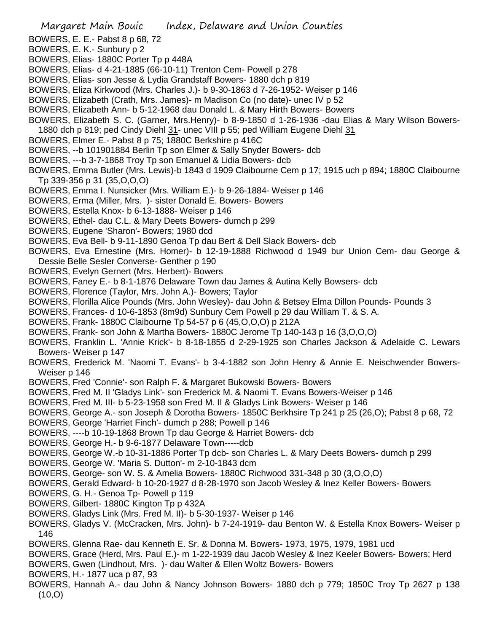- BOWERS, E. E.- Pabst 8 p 68, 72
- BOWERS, E. K.- Sunbury p 2
- BOWERS, Elias- 1880C Porter Tp p 448A
- BOWERS, Elias- d 4-21-1885 (66-10-11) Trenton Cem- Powell p 278
- BOWERS, Elias- son Jesse & Lydia Grandstaff Bowers- 1880 dch p 819
- BOWERS, Eliza Kirkwood (Mrs. Charles J.)- b 9-30-1863 d 7-26-1952- Weiser p 146
- BOWERS, Elizabeth (Crath, Mrs. James)- m Madison Co (no date)- unec IV p 52
- BOWERS, Elizabeth Ann- b 5-12-1968 dau Donald L. & Mary Hirth Bowers- Bowers
- BOWERS, Elizabeth S. C. (Garner, Mrs.Henry)- b 8-9-1850 d 1-26-1936 -dau Elias & Mary Wilson Bowers-1880 dch p 819; ped Cindy Diehl 31- unec VIII p 55; ped William Eugene Diehl 31
- BOWERS, Elmer E.- Pabst 8 p 75; 1880C Berkshire p 416C
- BOWERS, --b 101901884 Berlin Tp son Elmer & Sally Snyder Bowers- dcb
- BOWERS, ---b 3-7-1868 Troy Tp son Emanuel & Lidia Bowers- dcb
- BOWERS, Emma Butler (Mrs. Lewis)-b 1843 d 1909 Claibourne Cem p 17; 1915 uch p 894; 1880C Claibourne Tp 339-356 p 31 (35,O,O,O)
- BOWERS, Emma I. Nunsicker (Mrs. William E.)- b 9-26-1884- Weiser p 146
- BOWERS, Erma (Miller, Mrs. )- sister Donald E. Bowers- Bowers
- BOWERS, Estella Knox- b 6-13-1888- Weiser p 146
- BOWERS, Ethel- dau C.L. & Mary Deets Bowers- dumch p 299
- BOWERS, Eugene 'Sharon'- Bowers; 1980 dcd
- BOWERS, Eva Bell- b 9-11-1890 Genoa Tp dau Bert & Dell Slack Bowers- dcb
- BOWERS, Eva Ernestine (Mrs. Homer)- b 12-19-1888 Richwood d 1949 bur Union Cem- dau George & Dessie Belle Sesler Converse- Genther p 190
- BOWERS, Evelyn Gernert (Mrs. Herbert)- Bowers
- BOWERS, Faney E.- b 8-1-1876 Delaware Town dau James & Autina Kelly Bowsers- dcb
- BOWERS, Florence (Taylor, Mrs. John A.)- Bowers; Taylor
- BOWERS, Florilla Alice Pounds (Mrs. John Wesley)- dau John & Betsey Elma Dillon Pounds- Pounds 3
- BOWERS, Frances- d 10-6-1853 (8m9d) Sunbury Cem Powell p 29 dau William T. & S. A.
- BOWERS, Frank- 1880C Claibourne Tp 54-57 p 6 (45,O,O,O) p 212A
- BOWERS, Frank- son John & Martha Bowers- 1880C Jerome Tp 140-143 p 16 (3,O,O,O)
- BOWERS, Franklin L. 'Annie Krick'- b 8-18-1855 d 2-29-1925 son Charles Jackson & Adelaide C. Lewars Bowers- Weiser p 147
- BOWERS, Frederick M. 'Naomi T. Evans'- b 3-4-1882 son John Henry & Annie E. Neischwender Bowers-Weiser p 146
- BOWERS, Fred 'Connie'- son Ralph F. & Margaret Bukowski Bowers- Bowers
- BOWERS, Fred M. II 'Gladys Link'- son Frederick M. & Naomi T. Evans Bowers-Weiser p 146
- BOWERS, Fred M. III- b 5-23-1958 son Fred M. II & Gladys Link Bowers- Weiser p 146
- BOWERS, George A.- son Joseph & Dorotha Bowers- 1850C Berkhsire Tp 241 p 25 (26,O); Pabst 8 p 68, 72
- BOWERS, George 'Harriet Finch'- dumch p 288; Powell p 146
- BOWERS, ----b 10-19-1868 Brown Tp dau George & Harriet Bowers- dcb
- BOWERS, George H.- b 9-6-1877 Delaware Town-----dcb
- BOWERS, George W.-b 10-31-1886 Porter Tp dcb- son Charles L. & Mary Deets Bowers- dumch p 299
- BOWERS, George W. 'Maria S. Dutton'- m 2-10-1843 dcm
- BOWERS, George- son W. S. & Amelia Bowers- 1880C Richwood 331-348 p 30 (3,O,O,O)
- BOWERS, Gerald Edward- b 10-20-1927 d 8-28-1970 son Jacob Wesley & Inez Keller Bowers- Bowers
- BOWERS, G. H.- Genoa Tp- Powell p 119
- BOWERS, Gilbert- 1880C Kington Tp p 432A
- BOWERS, Gladys Link (Mrs. Fred M. II)- b 5-30-1937- Weiser p 146
- BOWERS, Gladys V. (McCracken, Mrs. John)- b 7-24-1919- dau Benton W. & Estella Knox Bowers- Weiser p 146
- BOWERS, Glenna Rae- dau Kenneth E. Sr. & Donna M. Bowers- 1973, 1975, 1979, 1981 ucd
- BOWERS, Grace (Herd, Mrs. Paul E.)- m 1-22-1939 dau Jacob Wesley & Inez Keeler Bowers- Bowers; Herd
- BOWERS, Gwen (Lindhout, Mrs. )- dau Walter & Ellen Woltz Bowers- Bowers
- BOWERS, H.- 1877 uca p 87, 93
- BOWERS, Hannah A.- dau John & Nancy Johnson Bowers- 1880 dch p 779; 1850C Troy Tp 2627 p 138  $(10, 0)$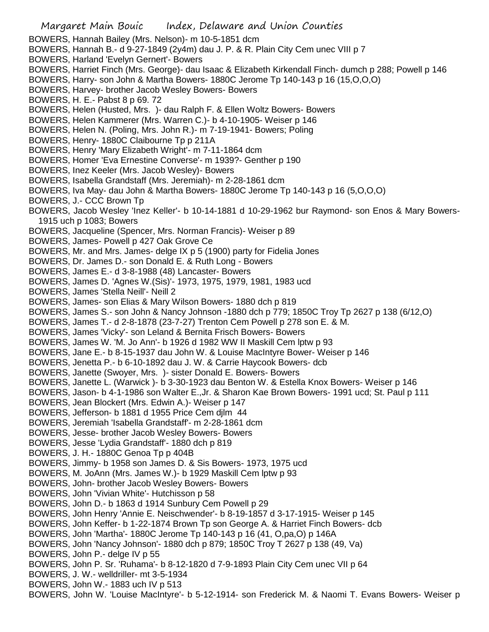Margaret Main Bouic Index, Delaware and Union Counties BOWERS, Hannah Bailey (Mrs. Nelson)- m 10-5-1851 dcm BOWERS, Hannah B.- d 9-27-1849 (2y4m) dau J. P. & R. Plain City Cem unec VIII p 7 BOWERS, Harland 'Evelyn Gernert'- Bowers BOWERS, Harriet Finch (Mrs. George)- dau Isaac & Elizabeth Kirkendall Finch- dumch p 288; Powell p 146 BOWERS, Harry- son John & Martha Bowers- 1880C Jerome Tp 140-143 p 16 (15,O,O,O) BOWERS, Harvey- brother Jacob Wesley Bowers- Bowers BOWERS, H. E.- Pabst 8 p 69. 72 BOWERS, Helen (Husted, Mrs. )- dau Ralph F. & Ellen Woltz Bowers- Bowers BOWERS, Helen Kammerer (Mrs. Warren C.)- b 4-10-1905- Weiser p 146 BOWERS, Helen N. (Poling, Mrs. John R.)- m 7-19-1941- Bowers; Poling BOWERS, Henry- 1880C Claibourne Tp p 211A BOWERS, Henry 'Mary Elizabeth Wright'- m 7-11-1864 dcm BOWERS, Homer 'Eva Ernestine Converse'- m 1939?- Genther p 190 BOWERS, Inez Keeler (Mrs. Jacob Wesley)- Bowers BOWERS, Isabella Grandstaff (Mrs. Jeremiah)- m 2-28-1861 dcm BOWERS, Iva May- dau John & Martha Bowers- 1880C Jerome Tp 140-143 p 16 (5,O,O,O) BOWERS, J.- CCC Brown Tp BOWERS, Jacob Wesley 'Inez Keller'- b 10-14-1881 d 10-29-1962 bur Raymond- son Enos & Mary Bowers-1915 uch p 1083; Bowers BOWERS, Jacqueline (Spencer, Mrs. Norman Francis)- Weiser p 89 BOWERS, James- Powell p 427 Oak Grove Ce BOWERS, Mr. and Mrs. James- delge IX p 5 (1900) party for Fidelia Jones BOWERS, Dr. James D.- son Donald E. & Ruth Long - Bowers BOWERS, James E.- d 3-8-1988 (48) Lancaster- Bowers BOWERS, James D. 'Agnes W.(Sis)'- 1973, 1975, 1979, 1981, 1983 ucd BOWERS, James 'Stella Neill'- Neill 2 BOWERS, James- son Elias & Mary Wilson Bowers- 1880 dch p 819 BOWERS, James S.- son John & Nancy Johnson -1880 dch p 779; 1850C Troy Tp 2627 p 138 (6/12,O) BOWERS, James T.- d 2-8-1878 (23-7-27) Trenton Cem Powell p 278 son E. & M. BOWERS, James 'Vicky'- son Leland & Bernita Frisch Bowers- Bowers BOWERS, James W. 'M. Jo Ann'- b 1926 d 1982 WW II Maskill Cem lptw p 93 BOWERS, Jane E.- b 8-15-1937 dau John W. & Louise MacIntyre Bower- Weiser p 146 BOWERS, Jenetta P.- b 6-10-1892 dau J. W. & Carrie Haycook Bowers- dcb BOWERS, Janette (Swoyer, Mrs. )- sister Donald E. Bowers- Bowers BOWERS, Janette L. (Warwick )- b 3-30-1923 dau Benton W. & Estella Knox Bowers- Weiser p 146 BOWERS, Jason- b 4-1-1986 son Walter E.,Jr. & Sharon Kae Brown Bowers- 1991 ucd; St. Paul p 111 BOWERS, Jean Blockert (Mrs. Edwin A.)- Weiser p 147 BOWERS, Jefferson- b 1881 d 1955 Price Cem djlm 44 BOWERS, Jeremiah 'Isabella Grandstaff'- m 2-28-1861 dcm BOWERS, Jesse- brother Jacob Wesley Bowers- Bowers BOWERS, Jesse 'Lydia Grandstaff'- 1880 dch p 819 BOWERS, J. H.- 1880C Genoa Tp p 404B BOWERS, Jimmy- b 1958 son James D. & Sis Bowers- 1973, 1975 ucd BOWERS, M. JoAnn (Mrs. James W.)- b 1929 Maskill Cem lptw p 93 BOWERS, John- brother Jacob Wesley Bowers- Bowers BOWERS, John 'Vivian White'- Hutchisson p 58 BOWERS, John D.- b 1863 d 1914 Sunbury Cem Powell p 29 BOWERS, John Henry 'Annie E. Neischwender'- b 8-19-1857 d 3-17-1915- Weiser p 145 BOWERS, John Keffer- b 1-22-1874 Brown Tp son George A. & Harriet Finch Bowers- dcb BOWERS, John 'Martha'- 1880C Jerome Tp 140-143 p 16 (41, O,pa,O) p 146A BOWERS, John 'Nancy Johnson'- 1880 dch p 879; 1850C Troy T 2627 p 138 (49, Va) BOWERS, John P.- delge IV p 55 BOWERS, John P. Sr. 'Ruhama'- b 8-12-1820 d 7-9-1893 Plain City Cem unec VII p 64 BOWERS, J. W.- welldriller- mt 3-5-1934 BOWERS, John W.- 1883 uch IV p 513 BOWERS, John W. 'Louise MacIntyre'- b 5-12-1914- son Frederick M. & Naomi T. Evans Bowers- Weiser p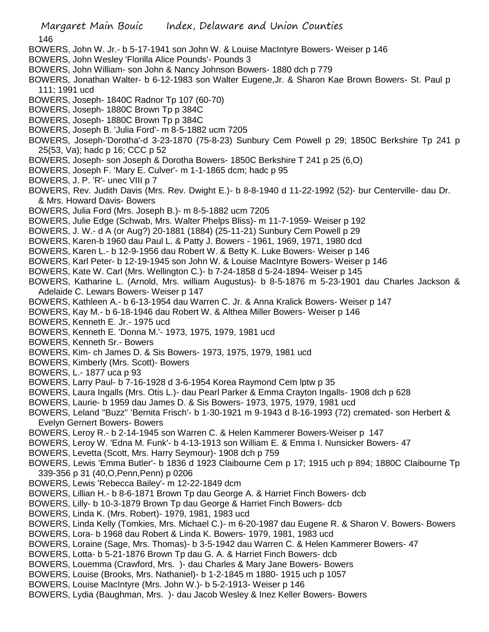146

- BOWERS, John W. Jr.- b 5-17-1941 son John W. & Louise MacIntyre Bowers- Weiser p 146
- BOWERS, John Wesley 'Florilla Alice Pounds'- Pounds 3
- BOWERS, John William- son John & Nancy Johnson Bowers- 1880 dch p 779
- BOWERS, Jonathan Walter- b 6-12-1983 son Walter Eugene,Jr. & Sharon Kae Brown Bowers- St. Paul p 111; 1991 ucd
- BOWERS, Joseph- 1840C Radnor Tp 107 (60-70)
- BOWERS, Joseph- 1880C Brown Tp p 384C
- BOWERS, Joseph- 1880C Brown Tp p 384C
- BOWERS, Joseph B. 'Julia Ford'- m 8-5-1882 ucm 7205
- BOWERS, Joseph-'Dorotha'-d 3-23-1870 (75-8-23) Sunbury Cem Powell p 29; 1850C Berkshire Tp 241 p 25(53, Va); hadc p 16; CCC p 52
- BOWERS, Joseph- son Joseph & Dorotha Bowers- 1850C Berkshire T 241 p 25 (6,O)
- BOWERS, Joseph F. 'Mary E. Culver'- m 1-1-1865 dcm; hadc p 95
- BOWERS, J. P. 'R'- unec VIII p 7
- BOWERS, Rev. Judith Davis (Mrs. Rev. Dwight E.)- b 8-8-1940 d 11-22-1992 (52)- bur Centerville- dau Dr. & Mrs. Howard Davis- Bowers
- BOWERS, Julia Ford (Mrs. Joseph B.)- m 8-5-1882 ucm 7205
- BOWERS, Julie Edge (Schwab, Mrs. Walter Phelps Bliss)- m 11-7-1959- Weiser p 192
- BOWERS, J. W.- d A (or Aug?) 20-1881 (1884) (25-11-21) Sunbury Cem Powell p 29
- BOWERS, Karen-b 1960 dau Paul L. & Patty J. Bowers 1961, 1969, 1971, 1980 dcd
- BOWERS, Karen L.- b 12-9-1956 dau Robert W. & Betty K. Luke Bowers- Weiser p 146
- BOWERS, Karl Peter- b 12-19-1945 son John W. & Louise MacIntyre Bowers- Weiser p 146
- BOWERS, Kate W. Carl (Mrs. Wellington C.)- b 7-24-1858 d 5-24-1894- Weiser p 145
- BOWERS, Katharine L. (Arnold, Mrs. william Augustus)- b 8-5-1876 m 5-23-1901 dau Charles Jackson & Adelaide C. Lewars Bowers- Weiser p 147
- BOWERS, Kathleen A.- b 6-13-1954 dau Warren C. Jr. & Anna Kralick Bowers- Weiser p 147
- BOWERS, Kay M.- b 6-18-1946 dau Robert W. & Althea Miller Bowers- Weiser p 146
- BOWERS, Kenneth E. Jr.- 1975 ucd
- BOWERS, Kenneth E. 'Donna M.'- 1973, 1975, 1979, 1981 ucd
- BOWERS, Kenneth Sr.- Bowers
- BOWERS, Kim- ch James D. & Sis Bowers- 1973, 1975, 1979, 1981 ucd
- BOWERS, Kimberly (Mrs. Scott)- Bowers
- BOWERS, L.- 1877 uca p 93
- BOWERS, Larry Paul- b 7-16-1928 d 3-6-1954 Korea Raymond Cem lptw p 35
- BOWERS, Laura Ingalls (Mrs. Otis L.)- dau Pearl Parker & Emma Crayton Ingalls- 1908 dch p 628
- BOWERS, Laurie- b 1959 dau James D. & Sis Bowers- 1973, 1975, 1979, 1981 ucd
- BOWERS, Leland "Buzz" 'Bernita Frisch'- b 1-30-1921 m 9-1943 d 8-16-1993 (72) cremated- son Herbert & Evelyn Gernert Bowers- Bowers
- BOWERS, Leroy R.- b 2-14-1945 son Warren C. & Helen Kammerer Bowers-Weiser p 147
- BOWERS, Leroy W. 'Edna M. Funk'- b 4-13-1913 son William E. & Emma I. Nunsicker Bowers- 47
- BOWERS, Levetta (Scott, Mrs. Harry Seymour)- 1908 dch p 759
- BOWERS, Lewis 'Emma Butler'- b 1836 d 1923 Claibourne Cem p 17; 1915 uch p 894; 1880C Claibourne Tp 339-356 p 31 (40,O,Penn,Penn) p 0206
- BOWERS, Lewis 'Rebecca Bailey'- m 12-22-1849 dcm
- BOWERS, Lillian H.- b 8-6-1871 Brown Tp dau George A. & Harriet Finch Bowers- dcb
- BOWERS, Lilly- b 10-3-1879 Brown Tp dau George & Harriet Finch Bowers- dcb
- BOWERS, Linda K. (Mrs. Robert)- 1979, 1981, 1983 ucd
- BOWERS, Linda Kelly (Tomkies, Mrs. Michael C.)- m 6-20-1987 dau Eugene R. & Sharon V. Bowers- Bowers
- BOWERS, Lora- b 1968 dau Robert & Linda K. Bowers- 1979, 1981, 1983 ucd
- BOWERS, Loraine (Sage, Mrs. Thomas)- b 3-5-1942 dau Warren C. & Helen Kammerer Bowers- 47
- BOWERS, Lotta- b 5-21-1876 Brown Tp dau G. A. & Harriet Finch Bowers- dcb
- BOWERS, Louemma (Crawford, Mrs. )- dau Charles & Mary Jane Bowers- Bowers
- BOWERS, Louise (Brooks, Mrs. Nathaniel)- b 1-2-1845 m 1880- 1915 uch p 1057
- BOWERS, Louise MacIntyre (Mrs. John W.)- b 5-2-1913- Weiser p 146
- BOWERS, Lydia (Baughman, Mrs. )- dau Jacob Wesley & Inez Keller Bowers- Bowers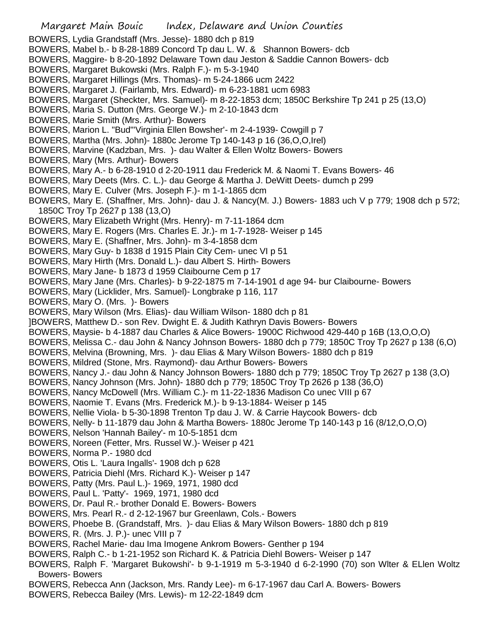- BOWERS, Lydia Grandstaff (Mrs. Jesse)- 1880 dch p 819
- BOWERS, Mabel b.- b 8-28-1889 Concord Tp dau L. W. & Shannon Bowers- dcb
- BOWERS, Maggire- b 8-20-1892 Delaware Town dau Jeston & Saddie Cannon Bowers- dcb
- BOWERS, Margaret Bukowski (Mrs. Ralph F.)- m 5-3-1940
- BOWERS, Margaret Hillings (Mrs. Thomas)- m 5-24-1866 ucm 2422
- BOWERS, Margaret J. (Fairlamb, Mrs. Edward)- m 6-23-1881 ucm 6983
- BOWERS, Margaret (Sheckter, Mrs. Samuel)- m 8-22-1853 dcm; 1850C Berkshire Tp 241 p 25 (13,O)
- BOWERS, Maria S. Dutton (Mrs. George W.)- m 2-10-1843 dcm
- BOWERS, Marie Smith (Mrs. Arthur)- Bowers
- BOWERS, Marion L. "Bud"'Virginia Ellen Bowsher'- m 2-4-1939- Cowgill p 7
- BOWERS, Martha (Mrs. John)- 1880c Jerome Tp 140-143 p 16 (36,O,O,Irel)
- BOWERS, Marvine (Kadzban, Mrs. )- dau Walter & Ellen Woltz Bowers- Bowers
- BOWERS, Mary (Mrs. Arthur)- Bowers
- BOWERS, Mary A.- b 6-28-1910 d 2-20-1911 dau Frederick M. & Naomi T. Evans Bowers- 46
- BOWERS, Mary Deets (Mrs. C. L.)- dau George & Martha J. DeWitt Deets- dumch p 299
- BOWERS, Mary E. Culver (Mrs. Joseph F.)- m 1-1-1865 dcm
- BOWERS, Mary E. (Shaffner, Mrs. John)- dau J. & Nancy(M. J.) Bowers- 1883 uch V p 779; 1908 dch p 572; 1850C Troy Tp 2627 p 138 (13,O)
- BOWERS, Mary Elizabeth Wright (Mrs. Henry)- m 7-11-1864 dcm
- BOWERS, Mary E. Rogers (Mrs. Charles E. Jr.)- m 1-7-1928- Weiser p 145
- BOWERS, Mary E. (Shaffner, Mrs. John)- m 3-4-1858 dcm
- BOWERS, Mary Guy- b 1838 d 1915 Plain City Cem- unec VI p 51
- BOWERS, Mary Hirth (Mrs. Donald L.)- dau Albert S. Hirth- Bowers
- BOWERS, Mary Jane- b 1873 d 1959 Claibourne Cem p 17
- BOWERS, Mary Jane (Mrs. Charles)- b 9-22-1875 m 7-14-1901 d age 94- bur Claibourne- Bowers
- BOWERS, Mary (Licklider, Mrs. Samuel)- Longbrake p 116, 117
- BOWERS, Mary O. (Mrs. )- Bowers
- BOWERS, Mary Wilson (Mrs. Elias)- dau William Wilson- 1880 dch p 81
- ]BOWERS, Matthew D.- son Rev. Dwight E. & Judith Kathryn Davis Bowers- Bowers
- BOWERS, Maysie- b 4-1887 dau Charles & Alice Bowers- 1900C Richwood 429-440 p 16B (13,O,O,O)
- BOWERS, Melissa C.- dau John & Nancy Johnson Bowers- 1880 dch p 779; 1850C Troy Tp 2627 p 138 (6,O)
- BOWERS, Melvina (Browning, Mrs. )- dau Elias & Mary Wilson Bowers- 1880 dch p 819
- BOWERS, Mildred (Stone, Mrs. Raymond)- dau Arthur Bowers- Bowers
- BOWERS, Nancy J.- dau John & Nancy Johnson Bowers- 1880 dch p 779; 1850C Troy Tp 2627 p 138 (3,O)
- BOWERS, Nancy Johnson (Mrs. John)- 1880 dch p 779; 1850C Troy Tp 2626 p 138 (36,O)
- BOWERS, Nancy McDowell (Mrs. William C.)- m 11-22-1836 Madison Co unec VIII p 67
- BOWERS, Naomie T. Evans (Mrs. Frederick M.)- b 9-13-1884- Weiser p 145
- BOWERS, Nellie Viola- b 5-30-1898 Trenton Tp dau J. W. & Carrie Haycook Bowers- dcb
- BOWERS, Nelly- b 11-1879 dau John & Martha Bowers- 1880c Jerome Tp 140-143 p 16 (8/12,O,O,O)
- BOWERS, Nelson 'Hannah Bailey'- m 10-5-1851 dcm
- BOWERS, Noreen (Fetter, Mrs. Russel W.)- Weiser p 421
- BOWERS, Norma P.- 1980 dcd
- BOWERS, Otis L. 'Laura Ingalls'- 1908 dch p 628
- BOWERS, Patricia Diehl (Mrs. Richard K.)- Weiser p 147
- BOWERS, Patty (Mrs. Paul L.)- 1969, 1971, 1980 dcd
- BOWERS, Paul L. 'Patty'- 1969, 1971, 1980 dcd
- BOWERS, Dr. Paul R.- brother Donald E. Bowers- Bowers
- BOWERS, Mrs. Pearl R.- d 2-12-1967 bur Greenlawn, Cols.- Bowers
- BOWERS, Phoebe B. (Grandstaff, Mrs. )- dau Elias & Mary Wilson Bowers- 1880 dch p 819
- BOWERS, R. (Mrs. J. P.)- unec VIII p 7
- BOWERS, Rachel Marie- dau Ima Imogene Ankrom Bowers- Genther p 194
- BOWERS, Ralph C.- b 1-21-1952 son Richard K. & Patricia Diehl Bowers- Weiser p 147
- BOWERS, Ralph F. 'Margaret Bukowshi'- b 9-1-1919 m 5-3-1940 d 6-2-1990 (70) son Wlter & ELlen Woltz Bowers- Bowers
- BOWERS, Rebecca Ann (Jackson, Mrs. Randy Lee)- m 6-17-1967 dau Carl A. Bowers- Bowers
- BOWERS, Rebecca Bailey (Mrs. Lewis)- m 12-22-1849 dcm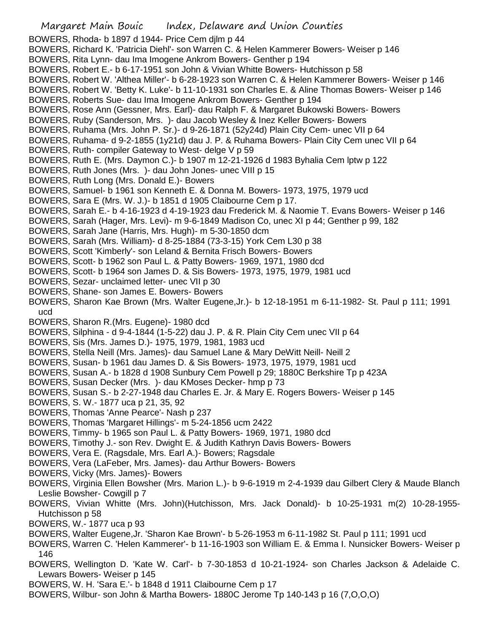Margaret Main Bouic Index, Delaware and Union Counties BOWERS, Rhoda- b 1897 d 1944- Price Cem djlm p 44 BOWERS, Richard K. 'Patricia Diehl'- son Warren C. & Helen Kammerer Bowers- Weiser p 146 BOWERS, Rita Lynn- dau Ima Imogene Ankrom Bowers- Genther p 194 BOWERS, Robert E.- b 6-17-1951 son John & Vivian Whitte Bowers- Hutchisson p 58 BOWERS, Robert W. 'Althea Miller'- b 6-28-1923 son Warren C. & Helen Kammerer Bowers- Weiser p 146 BOWERS, Robert W. 'Betty K. Luke'- b 11-10-1931 son Charles E. & Aline Thomas Bowers- Weiser p 146 BOWERS, Roberts Sue- dau Ima Imogene Ankrom Bowers- Genther p 194 BOWERS, Rose Ann (Gessner, Mrs. Earl)- dau Ralph F. & Margaret Bukowski Bowers- Bowers BOWERS, Ruby (Sanderson, Mrs. )- dau Jacob Wesley & Inez Keller Bowers- Bowers BOWERS, Ruhama (Mrs. John P. Sr.)- d 9-26-1871 (52y24d) Plain City Cem- unec VII p 64 BOWERS, Ruhama- d 9-2-1855 (1y21d) dau J. P. & Ruhama Bowers- Plain City Cem unec VII p 64 BOWERS, Ruth- compiler Gateway to West- delge V p 59 BOWERS, Ruth E. (Mrs. Daymon C.)- b 1907 m 12-21-1926 d 1983 Byhalia Cem lptw p 122 BOWERS, Ruth Jones (Mrs. )- dau John Jones- unec VIII p 15 BOWERS, Ruth Long (Mrs. Donald E.)- Bowers BOWERS, Samuel- b 1961 son Kenneth E. & Donna M. Bowers- 1973, 1975, 1979 ucd BOWERS, Sara E (Mrs. W. J.)- b 1851 d 1905 Claibourne Cem p 17. BOWERS, Sarah E.- b 4-16-1923 d 4-19-1923 dau Frederick M. & Naomie T. Evans Bowers- Weiser p 146 BOWERS, Sarah (Hager, Mrs. Levi)- m 9-6-1849 Madison Co, unec XI p 44; Genther p 99, 182 BOWERS, Sarah Jane (Harris, Mrs. Hugh)- m 5-30-1850 dcm BOWERS, Sarah (Mrs. William)- d 8-25-1884 (73-3-15) York Cem L30 p 38 BOWERS, Scott 'Kimberly'- son Leland & Bernita Frisch Bowers- Bowers BOWERS, Scott- b 1962 son Paul L. & Patty Bowers- 1969, 1971, 1980 dcd BOWERS, Scott- b 1964 son James D. & Sis Bowers- 1973, 1975, 1979, 1981 ucd BOWERS, Sezar- unclaimed letter- unec VII p 30 BOWERS, Shane- son James E. Bowers- Bowers BOWERS, Sharon Kae Brown (Mrs. Walter Eugene,Jr.)- b 12-18-1951 m 6-11-1982- St. Paul p 111; 1991 ucd BOWERS, Sharon R.(Mrs. Eugene)- 1980 dcd BOWERS, Silphina - d 9-4-1844 (1-5-22) dau J. P. & R. Plain City Cem unec VII p 64 BOWERS, Sis (Mrs. James D.)- 1975, 1979, 1981, 1983 ucd BOWERS, Stella Neill (Mrs. James)- dau Samuel Lane & Mary DeWitt Neill- Neill 2 BOWERS, Susan- b 1961 dau James D. & Sis Bowers- 1973, 1975, 1979, 1981 ucd BOWERS, Susan A.- b 1828 d 1908 Sunbury Cem Powell p 29; 1880C Berkshire Tp p 423A BOWERS, Susan Decker (Mrs. )- dau KMoses Decker- hmp p 73 BOWERS, Susan S.- b 2-27-1948 dau Charles E. Jr. & Mary E. Rogers Bowers- Weiser p 145 BOWERS, S. W.- 1877 uca p 21, 35, 92 BOWERS, Thomas 'Anne Pearce'- Nash p 237 BOWERS, Thomas 'Margaret Hillings'- m 5-24-1856 ucm 2422 BOWERS, Timmy- b 1965 son Paul L. & Patty Bowers- 1969, 1971, 1980 dcd BOWERS, Timothy J.- son Rev. Dwight E. & Judith Kathryn Davis Bowers- Bowers BOWERS, Vera E. (Ragsdale, Mrs. Earl A.)- Bowers; Ragsdale BOWERS, Vera (LaFeber, Mrs. James)- dau Arthur Bowers- Bowers BOWERS, Vicky (Mrs. James)- Bowers BOWERS, Virginia Ellen Bowsher (Mrs. Marion L.)- b 9-6-1919 m 2-4-1939 dau Gilbert Clery & Maude Blanch Leslie Bowsher- Cowgill p 7 BOWERS, Vivian Whitte (Mrs. John)(Hutchisson, Mrs. Jack Donald)- b 10-25-1931 m(2) 10-28-1955- Hutchisson p 58 BOWERS, W.- 1877 uca p 93 BOWERS, Walter Eugene,Jr. 'Sharon Kae Brown'- b 5-26-1953 m 6-11-1982 St. Paul p 111; 1991 ucd

BOWERS, Warren C. 'Helen Kammerer'- b 11-16-1903 son William E. & Emma I. Nunsicker Bowers- Weiser p 146

- BOWERS, Wellington D. 'Kate W. Carl'- b 7-30-1853 d 10-21-1924- son Charles Jackson & Adelaide C. Lewars Bowers- Weiser p 145
- BOWERS, W. H. 'Sara E.'- b 1848 d 1911 Claibourne Cem p 17
- BOWERS, Wilbur- son John & Martha Bowers- 1880C Jerome Tp 140-143 p 16 (7,O,O,O)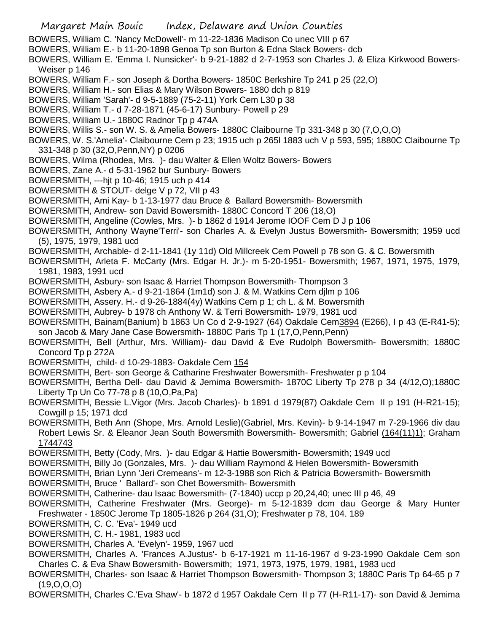Margaret Main Bouic Index, Delaware and Union Counties BOWERS, William C. 'Nancy McDowell'- m 11-22-1836 Madison Co unec VIII p 67 BOWERS, William E.- b 11-20-1898 Genoa Tp son Burton & Edna Slack Bowers- dcb BOWERS, William E. 'Emma I. Nunsicker'- b 9-21-1882 d 2-7-1953 son Charles J. & Eliza Kirkwood Bowers-Weiser p 146 BOWERS, William F.- son Joseph & Dortha Bowers- 1850C Berkshire Tp 241 p 25 (22,O) BOWERS, William H.- son Elias & Mary Wilson Bowers- 1880 dch p 819 BOWERS, William 'Sarah'- d 9-5-1889 (75-2-11) York Cem L30 p 38 BOWERS, William T.- d 7-28-1871 (45-6-17) Sunbury- Powell p 29 BOWERS, William U.- 1880C Radnor Tp p 474A BOWERS, Willis S.- son W. S. & Amelia Bowers- 1880C Claibourne Tp 331-348 p 30 (7,O,O,O) BOWERS, W. S.'Amelia'- Claibourne Cem p 23; 1915 uch p 265l 1883 uch V p 593, 595; 1880C Claibourne Tp 331-348 p 30 (32,O,Penn,NY) p 0206 BOWERS, Wilma (Rhodea, Mrs. )- dau Walter & Ellen Woltz Bowers- Bowers BOWERS, Zane A.- d 5-31-1962 bur Sunbury- Bowers BOWERSMITH, ---hjt p 10-46; 1915 uch p 414 BOWERSMITH & STOUT- delge V p 72, VII p 43 BOWERSMITH, Ami Kay- b 1-13-1977 dau Bruce & Ballard Bowersmith- Bowersmith BOWERSMITH, Andrew- son David Bowersmith- 1880C Concord T 206 (18,O) BOWERSMITH, Angeline (Cowles, Mrs. )- b 1862 d 1914 Jerome IOOF Cem D J p 106 BOWERSMITH, Anthony Wayne'Terri'- son Charles A. & Evelyn Justus Bowersmith- Bowersmith; 1959 ucd (5), 1975, 1979, 1981 ucd BOWERSMITH, Archable- d 2-11-1841 (1y 11d) Old Millcreek Cem Powell p 78 son G. & C. Bowersmith BOWERSMITH, Arleta F. McCarty (Mrs. Edgar H. Jr.)- m 5-20-1951- Bowersmith; 1967, 1971, 1975, 1979, 1981, 1983, 1991 ucd BOWERSMITH, Asbury- son Isaac & Harriet Thompson Bowersmith- Thompson 3 BOWERSMITH, Asbery A.- d 9-21-1864 (1m1d) son J. & M. Watkins Cem djlm p 106 BOWERSMITH, Assery. H.- d 9-26-1884(4y) Watkins Cem p 1; ch L. & M. Bowersmith BOWERSMITH, Aubrey- b 1978 ch Anthony W. & Terri Bowersmith- 1979, 1981 ucd BOWERSMITH, Bainam(Banium) b 1863 Un Co d 2-9-1927 (64) Oakdale Cem3894 (E266), I p 43 (E-R41-5); son Jacob & Mary Jane Case Bowersmith- 1880C Paris Tp 1 (17,O,Penn,Penn) BOWERSMITH, Bell (Arthur, Mrs. William)- dau David & Eve Rudolph Bowersmith- Bowersmith; 1880C Concord Tp p 272A BOWERSMITH, child- d 10-29-1883- Oakdale Cem 154 BOWERSMITH, Bert- son George & Catharine Freshwater Bowersmith- Freshwater p p 104 BOWERSMITH, Bertha Dell- dau David & Jemima Bowersmith- 1870C Liberty Tp 278 p 34 (4/12,O);1880C Liberty Tp Un Co 77-78 p 8 (10,O,Pa,Pa) BOWERSMITH, Bessie L.Vigor (Mrs. Jacob Charles)- b 1891 d 1979(87) Oakdale Cem II p 191 (H-R21-15); Cowgill p 15; 1971 dcd BOWERSMITH, Beth Ann (Shope, Mrs. Arnold Leslie)(Gabriel, Mrs. Kevin)- b 9-14-1947 m 7-29-1966 div dau Robert Lewis Sr. & Eleanor Jean South Bowersmith Bowersmith- Bowersmith; Gabriel (164(11)1); Graham 1744743 BOWERSMITH, Betty (Cody, Mrs. )- dau Edgar & Hattie Bowersmith- Bowersmith; 1949 ucd BOWERSMITH, Billy Jo (Gonzales, Mrs. )- dau William Raymond & Helen Bowersmith- Bowersmith BOWERSMITH, Brian Lynn 'Jeri Cremeans'- m 12-3-1988 son Rich & Patricia Bowersmith- Bowersmith BOWERSMITH, Bruce ' Ballard'- son Chet Bowersmith- Bowersmith BOWERSMITH, Catherine- dau Isaac Bowersmith- (7-1840) uccp p 20,24,40; unec III p 46, 49 BOWERSMITH, Catherine Freshwater (Mrs. George)- m 5-12-1839 dcm dau George & Mary Hunter Freshwater - 1850C Jerome Tp 1805-1826 p 264 (31,O); Freshwater p 78, 104. 189 BOWERSMITH, C. C. 'Eva'- 1949 ucd BOWERSMITH, C. H.- 1981, 1983 ucd BOWERSMITH, Charles A. 'Evelyn'- 1959, 1967 ucd BOWERSMITH, Charles A. 'Frances A.Justus'- b 6-17-1921 m 11-16-1967 d 9-23-1990 Oakdale Cem son Charles C. & Eva Shaw Bowersmith- Bowersmith; 1971, 1973, 1975, 1979, 1981, 1983 ucd BOWERSMITH, Charles- son Isaac & Harriet Thompson Bowersmith- Thompson 3; 1880C Paris Tp 64-65 p 7 (19,O,O,O) BOWERSMITH, Charles C.'Eva Shaw'- b 1872 d 1957 Oakdale Cem II p 77 (H-R11-17)- son David & Jemima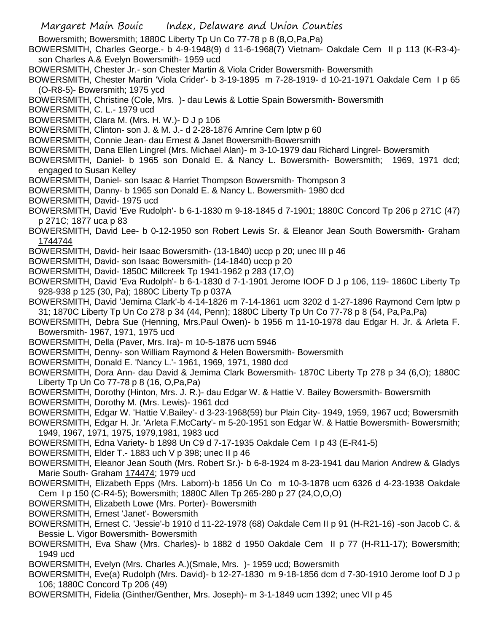- Bowersmith; Bowersmith; 1880C Liberty Tp Un Co 77-78 p 8 (8,O,Pa,Pa)
- BOWERSMITH, Charles George.- b 4-9-1948(9) d 11-6-1968(7) Vietnam- Oakdale Cem II p 113 (K-R3-4) son Charles A.& Evelyn Bowersmith- 1959 ucd
- BOWERSMITH, Chester Jr.- son Chester Martin & Viola Crider Bowersmith- Bowersmith
- BOWERSMITH, Chester Martin 'Viola Crider'- b 3-19-1895 m 7-28-1919- d 10-21-1971 Oakdale Cem I p 65 (O-R8-5)- Bowersmith; 1975 ycd
- BOWERSMITH, Christine (Cole, Mrs. )- dau Lewis & Lottie Spain Bowersmith- Bowersmith
- BOWERSMITH, C. L.- 1979 ucd
- BOWERSMITH, Clara M. (Mrs. H. W.)- D J p 106
- BOWERSMITH, Clinton- son J. & M. J.- d 2-28-1876 Amrine Cem lptw p 60
- BOWERSMITH, Connie Jean- dau Ernest & Janet Bowersmith-Bowersmith
- BOWERSMITH, Dana Ellen Lingrel (Mrs. Michael Alan)- m 3-10-1979 dau Richard Lingrel- Bowersmith
- BOWERSMITH, Daniel- b 1965 son Donald E. & Nancy L. Bowersmith- Bowersmith; 1969, 1971 dcd; engaged to Susan Kelley
- BOWERSMITH, Daniel- son Isaac & Harriet Thompson Bowersmith- Thompson 3
- BOWERSMITH, Danny- b 1965 son Donald E. & Nancy L. Bowersmith- 1980 dcd
- BOWERSMITH, David- 1975 ucd
- BOWERSMITH, David 'Eve Rudolph'- b 6-1-1830 m 9-18-1845 d 7-1901; 1880C Concord Tp 206 p 271C (47) p 271C; 1877 uca p 83
- BOWERSMITH, David Lee- b 0-12-1950 son Robert Lewis Sr. & Eleanor Jean South Bowersmith- Graham 1744744
- BOWERSMITH, David- heir Isaac Bowersmith- (13-1840) uccp p 20; unec III p 46
- BOWERSMITH, David- son Isaac Bowersmith- (14-1840) uccp p 20
- BOWERSMITH, David- 1850C Millcreek Tp 1941-1962 p 283 (17,O)
- BOWERSMITH, David 'Eva Rudolph'- b 6-1-1830 d 7-1-1901 Jerome IOOF D J p 106, 119- 1860C Liberty Tp 928-938 p 125 (30, Pa); 1880C Liberty Tp p 037A
- BOWERSMITH, David 'Jemima Clark'-b 4-14-1826 m 7-14-1861 ucm 3202 d 1-27-1896 Raymond Cem lptw p 31; 1870C Liberty Tp Un Co 278 p 34 (44, Penn); 1880C Liberty Tp Un Co 77-78 p 8 (54, Pa,Pa,Pa)
- BOWERSMITH, Debra Sue (Henning, Mrs.Paul Owen)- b 1956 m 11-10-1978 dau Edgar H. Jr. & Arleta F. Bowersmith- 1967, 1971, 1975 ucd
- BOWERSMITH, Della (Paver, Mrs. Ira)- m 10-5-1876 ucm 5946
- BOWERSMITH, Denny- son William Raymond & Helen Bowersmith- Bowersmith
- BOWERSMITH, Donald E. 'Nancy L.'- 1961, 1969, 1971, 1980 dcd
- BOWERSMITH, Dora Ann- dau David & Jemima Clark Bowersmith- 1870C Liberty Tp 278 p 34 (6,O); 1880C Liberty Tp Un Co 77-78 p 8 (16, O,Pa,Pa)
- BOWERSMITH, Dorothy (Hinton, Mrs. J. R.)- dau Edgar W. & Hattie V. Bailey Bowersmith- Bowersmith
- BOWERSMITH, Dorothy M. (Mrs. Lewis)- 1961 dcd
- BOWERSMITH, Edgar W. 'Hattie V.Bailey'- d 3-23-1968(59) bur Plain City- 1949, 1959, 1967 ucd; Bowersmith
- BOWERSMITH, Edgar H. Jr. 'Arleta F.McCarty'- m 5-20-1951 son Edgar W. & Hattie Bowersmith- Bowersmith; 1949, 1967, 1971, 1975, 1979,1981, 1983 ucd
- BOWERSMITH, Edna Variety- b 1898 Un C9 d 7-17-1935 Oakdale Cem I p 43 (E-R41-5)
- BOWERSMITH, Elder T.- 1883 uch V p 398; unec II p 46
- BOWERSMITH, Eleanor Jean South (Mrs. Robert Sr.)- b 6-8-1924 m 8-23-1941 dau Marion Andrew & Gladys Marie South- Graham 174474; 1979 ucd
- BOWERSMITH, Elizabeth Epps (Mrs. Laborn)-b 1856 Un Co m 10-3-1878 ucm 6326 d 4-23-1938 Oakdale Cem I p 150 (C-R4-5); Bowersmith; 1880C Allen Tp 265-280 p 27 (24,O,O,O)
- BOWERSMITH, Elizabeth Lowe (Mrs. Porter)- Bowersmith
- BOWERSMITH, Ernest 'Janet'- Bowersmith
- BOWERSMITH, Ernest C. 'Jessie'-b 1910 d 11-22-1978 (68) Oakdale Cem II p 91 (H-R21-16) -son Jacob C. & Bessie L. Vigor Bowersmith- Bowersmith
- BOWERSMITH, Eva Shaw (Mrs. Charles)- b 1882 d 1950 Oakdale Cem II p 77 (H-R11-17); Bowersmith; 1949 ucd
- BOWERSMITH, Evelyn (Mrs. Charles A.)(Smale, Mrs. )- 1959 ucd; Bowersmith
- BOWERSMITH, Eve(a) Rudolph (Mrs. David)- b 12-27-1830 m 9-18-1856 dcm d 7-30-1910 Jerome Ioof D J p 106; 1880C Concord Tp 206 (49)
- BOWERSMITH, Fidelia (Ginther/Genther, Mrs. Joseph)- m 3-1-1849 ucm 1392; unec VII p 45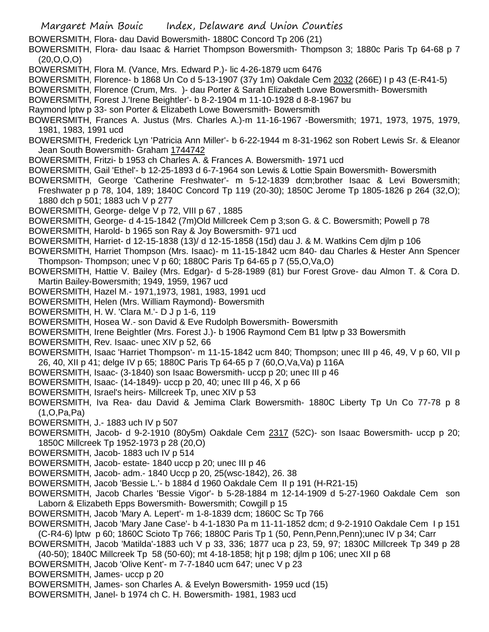- Margaret Main Bouic Index, Delaware and Union Counties
- BOWERSMITH, Flora- dau David Bowersmith- 1880C Concord Tp 206 (21)
- BOWERSMITH, Flora- dau Isaac & Harriet Thompson Bowersmith- Thompson 3; 1880c Paris Tp 64-68 p 7  $(20, 0, 0, 0)$
- BOWERSMITH, Flora M. (Vance, Mrs. Edward P.)- lic 4-26-1879 ucm 6476
- BOWERSMITH, Florence- b 1868 Un Co d 5-13-1907 (37y 1m) Oakdale Cem 2032 (266E) I p 43 (E-R41-5)
- BOWERSMITH, Florence (Crum, Mrs. )- dau Porter & Sarah Elizabeth Lowe Bowersmith- Bowersmith
- BOWERSMITH, Forest J.'Irene Beightler'- b 8-2-1904 m 11-10-1928 d 8-8-1967 bu
- Raymond lptw p 33- son Porter & Elizabeth Lowe Bowersmith- Bowersmith
- BOWERSMITH, Frances A. Justus (Mrs. Charles A.)-m 11-16-1967 -Bowersmith; 1971, 1973, 1975, 1979, 1981, 1983, 1991 ucd
- BOWERSMITH, Frederick Lyn 'Patricia Ann Miller'- b 6-22-1944 m 8-31-1962 son Robert Lewis Sr. & Eleanor Jean South Bowersmith- Graham 1744742
- BOWERSMITH, Fritzi- b 1953 ch Charles A. & Frances A. Bowersmith- 1971 ucd
- BOWERSMITH, Gail 'Ethel'- b 12-25-1893 d 6-7-1964 son Lewis & Lottie Spain Bowersmith- Bowersmith
- BOWERSMITH, George 'Catherine Freshwater'- m 5-12-1839 dcm;brother Isaac & Levi Bowersmith; Freshwater p p 78, 104, 189; 1840C Concord Tp 119 (20-30); 1850C Jerome Tp 1805-1826 p 264 (32,O); 1880 dch p 501; 1883 uch V p 277
- BOWERSMITH, George- delge V p 72, VIII p 67 , 1885
- BOWERSMITH, George- d 4-15-1842 (7m)Old Millcreek Cem p 3;son G. & C. Bowersmith; Powell p 78
- BOWERSMITH, Harold- b 1965 son Ray & Joy Bowersmith- 971 ucd
- BOWERSMITH, Harriet- d 12-15-1838 (13)/ d 12-15-1858 (15d) dau J. & M. Watkins Cem djlm p 106
- BOWERSMITH, Harriet Thompson (Mrs. Isaac)- m 11-15-1842 ucm 840- dau Charles & Hester Ann Spencer Thompson- Thompson; unec V p 60; 1880C Paris Tp 64-65 p 7 (55,O,Va,O)
- BOWERSMITH, Hattie V. Bailey (Mrs. Edgar)- d 5-28-1989 (81) bur Forest Grove- dau Almon T. & Cora D. Martin Bailey-Bowersmith; 1949, 1959, 1967 ucd
- BOWERSMITH, Hazel M.- 1971,1973, 1981, 1983, 1991 ucd
- BOWERSMITH, Helen (Mrs. William Raymond)- Bowersmith
- BOWERSMITH, H. W. 'Clara M.'- D J p 1-6, 119
- BOWERSMITH, Hosea W.- son David & Eve Rudolph Bowersmith- Bowersmith
- BOWERSMITH, Irene Beightler (Mrs. Forest J.)- b 1906 Raymond Cem B1 lptw p 33 Bowersmith
- BOWERSMITH, Rev. Isaac- unec XIV p 52, 66
- BOWERSMITH, Isaac 'Harriet Thompson'- m 11-15-1842 ucm 840; Thompson; unec III p 46, 49, V p 60, VII p 26, 40, XII p 41; delge IV p 65; 1880C Paris Tp 64-65 p 7 (60,O,Va,Va) p 116A
- BOWERSMITH, Isaac- (3-1840) son Isaac Bowersmith- uccp p 20; unec III p 46
- BOWERSMITH, Isaac- (14-1849)- uccp p 20, 40; unec III p 46, X p 66
- BOWERSMITH, Israel's heirs- Millcreek Tp, unec XIV p 53
- BOWERSMITH, Iva Rea- dau David & Jemima Clark Bowersmith- 1880C Liberty Tp Un Co 77-78 p 8 (1,O,Pa,Pa)
- BOWERSMITH, J.- 1883 uch IV p 507
- BOWERSMITH, Jacob- d 9-2-1910 (80y5m) Oakdale Cem 2317 (52C)- son Isaac Bowersmith- uccp p 20; 1850C Millcreek Tp 1952-1973 p 28 (20,O)
- BOWERSMITH, Jacob- 1883 uch IV p 514
- BOWERSMITH, Jacob- estate- 1840 uccp p 20; unec III p 46
- BOWERSMITH, Jacob- adm.- 1840 Uccp p 20, 25(wsc-1842), 26. 38
- BOWERSMITH, Jacob 'Bessie L.'- b 1884 d 1960 Oakdale Cem II p 191 (H-R21-15)
- BOWERSMITH, Jacob Charles 'Bessie Vigor'- b 5-28-1884 m 12-14-1909 d 5-27-1960 Oakdale Cem son Laborn & Elizabeth Epps Bowersmith- Bowersmith; Cowgill p 15
- BOWERSMITH, Jacob 'Mary A. Lepert'- m 1-8-1839 dcm; 1860C Sc Tp 766
- BOWERSMITH, Jacob 'Mary Jane Case'- b 4-1-1830 Pa m 11-11-1852 dcm; d 9-2-1910 Oakdale Cem I p 151 (C-R4-6) lptw p 60; 1860C Scioto Tp 766; 1880C Paris Tp 1 (50, Penn,Penn,Penn);unec IV p 34; Carr
- BOWERSMITH, Jacob 'Matilda'-1883 uch V p 33, 336; 1877 uca p 23, 59, 97; 1830C Millcreek Tp 349 p 28 (40-50); 1840C Millcreek Tp 58 (50-60); mt 4-18-1858; hjt p 198; djlm p 106; unec XII p 68
- BOWERSMITH, Jacob 'Olive Kent'- m 7-7-1840 ucm 647; unec V p 23
- BOWERSMITH, James- uccp p 20
- BOWERSMITH, James- son Charles A. & Evelyn Bowersmith- 1959 ucd (15)
- BOWERSMITH, Janel- b 1974 ch C. H. Bowersmith- 1981, 1983 ucd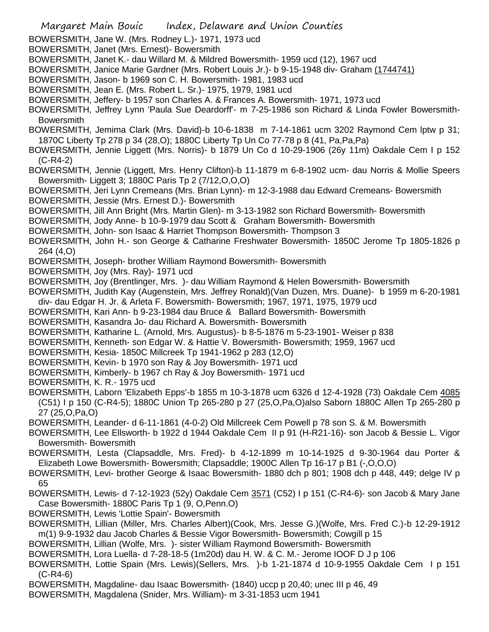- Margaret Main Bouic Index, Delaware and Union Counties BOWERSMITH, Jane W. (Mrs. Rodney L.)- 1971, 1973 ucd BOWERSMITH, Janet (Mrs. Ernest)- Bowersmith BOWERSMITH, Janet K.- dau Willard M. & Mildred Bowersmith- 1959 ucd (12), 1967 ucd BOWERSMITH, Janice Marie Gardner (Mrs. Robert Louis Jr.)- b 9-15-1948 div- Graham (1744741) BOWERSMITH, Jason- b 1969 son C. H. Bowersmith- 1981, 1983 ucd BOWERSMITH, Jean E. (Mrs. Robert L. Sr.)- 1975, 1979, 1981 ucd BOWERSMITH, Jeffery- b 1957 son Charles A. & Frances A. Bowersmith- 1971, 1973 ucd BOWERSMITH, Jeffrey Lynn 'Paula Sue Deardorff'- m 7-25-1986 son Richard & Linda Fowler Bowersmith-Bowersmith BOWERSMITH, Jemima Clark (Mrs. David)-b 10-6-1838 m 7-14-1861 ucm 3202 Raymond Cem lptw p 31; 1870C Liberty Tp 278 p 34 (28,O); 1880C Liberty Tp Un Co 77-78 p 8 (41, Pa,Pa,Pa) BOWERSMITH, Jennie Liggett (Mrs. Norris)- b 1879 Un Co d 10-29-1906 (26y 11m) Oakdale Cem I p 152 (C-R4-2) BOWERSMITH, Jennie (Liggett, Mrs. Henry Clifton)-b 11-1879 m 6-8-1902 ucm- dau Norris & Mollie Speers Bowersmith- Liggett 3; 1880C Paris Tp 2 (7/12,O,O,O) BOWERSMITH, Jeri Lynn Cremeans (Mrs. Brian Lynn)- m 12-3-1988 dau Edward Cremeans- Bowersmith BOWERSMITH, Jessie (Mrs. Ernest D.)- Bowersmith BOWERSMITH, Jill Ann Bright (Mrs. Martin Glen)- m 3-13-1982 son Richard Bowersmith- Bowersmith BOWERSMITH, Jody Anne- b 10-9-1979 dau Scott & Graham Bowersmith- Bowersmith BOWERSMITH, John- son Isaac & Harriet Thompson Bowersmith- Thompson 3 BOWERSMITH, John H.- son George & Catharine Freshwater Bowersmith- 1850C Jerome Tp 1805-1826 p 264 (4,O) BOWERSMITH, Joseph- brother William Raymond Bowersmith- Bowersmith BOWERSMITH, Joy (Mrs. Ray)- 1971 ucd BOWERSMITH, Joy (Brentlinger, Mrs. )- dau William Raymond & Helen Bowersmith- Bowersmith BOWERSMITH, Judith Kay (Augenstein, Mrs. Jeffrey Ronald)(Van Duzen, Mrs. Duane)- b 1959 m 6-20-1981 div- dau Edgar H. Jr. & Arleta F. Bowersmith- Bowersmith; 1967, 1971, 1975, 1979 ucd BOWERSMITH, Kari Ann- b 9-23-1984 dau Bruce & Ballard Bowersmith- Bowersmith BOWERSMITH, Kasandra Jo- dau Richard A. Bowersmith- Bowersmith BOWERSMITH, Katharine L. (Arnold, Mrs. Augustus)- b 8-5-1876 m 5-23-1901- Weiser p 838 BOWERSMITH, Kenneth- son Edgar W. & Hattie V. Bowersmith- Bowersmith; 1959, 1967 ucd BOWERSMITH, Kesia- 1850C Millcreek Tp 1941-1962 p 283 (12,O) BOWERSMITH, Kevin- b 1970 son Ray & Joy Bowersmith- 1971 ucd BOWERSMITH, Kimberly- b 1967 ch Ray & Joy Bowersmith- 1971 ucd BOWERSMITH, K. R.- 1975 ucd BOWERSMITH, Laborn 'Elizabeth Epps'-b 1855 m 10-3-1878 ucm 6326 d 12-4-1928 (73) Oakdale Cem 4085 (C51) I p 150 (C-R4-5); 1880C Union Tp 265-280 p 27 (25,O,Pa,O)also Saborn 1880C Allen Tp 265-280 p 27 (25,O,Pa,O) BOWERSMITH, Leander- d 6-11-1861 (4-0-2) Old Millcreek Cem Powell p 78 son S. & M. Bowersmith BOWERSMITH, Lee Ellsworth- b 1922 d 1944 Oakdale Cem II p 91 (H-R21-16)- son Jacob & Bessie L. Vigor Bowersmith- Bowersmith BOWERSMITH, Lesta (Clapsaddle, Mrs. Fred)- b 4-12-1899 m 10-14-1925 d 9-30-1964 dau Porter & Elizabeth Lowe Bowersmith- Bowersmith; Clapsaddle; 1900C Allen Tp 16-17 p B1 (-,O,O,O) BOWERSMITH, Levi- brother George & Isaac Bowersmith- 1880 dch p 801; 1908 dch p 448, 449; delge IV p 65 BOWERSMITH, Lewis- d 7-12-1923 (52y) Oakdale Cem 3571 (C52) I p 151 (C-R4-6)- son Jacob & Mary Jane Case Bowersmith- 1880C Paris Tp 1 (9, O,Penn.O) BOWERSMITH, Lewis 'Lottie Spain'- Bowersmith BOWERSMITH, Lillian (Miller, Mrs. Charles Albert)(Cook, Mrs. Jesse G.)(Wolfe, Mrs. Fred C.)-b 12-29-1912 m(1) 9-9-1932 dau Jacob Charles & Bessie Vigor Bowersmith- Bowersmith; Cowgill p 15 BOWERSMITH, Lillian (Wolfe, Mrs. )- sister William Raymond Bowersmith- Bowersmith BOWERSMITH, Lora Luella- d 7-28-18-5 (1m20d) dau H. W. & C. M.- Jerome IOOF D J p 106 BOWERSMITH, Lottie Spain (Mrs. Lewis)(Sellers, Mrs. )-b 1-21-1874 d 10-9-1955 Oakdale Cem I p 151 (C-R4-6) BOWERSMITH, Magdaline- dau Isaac Bowersmith- (1840) uccp p 20,40; unec III p 46, 49
- BOWERSMITH, Magdalena (Snider, Mrs. William)- m 3-31-1853 ucm 1941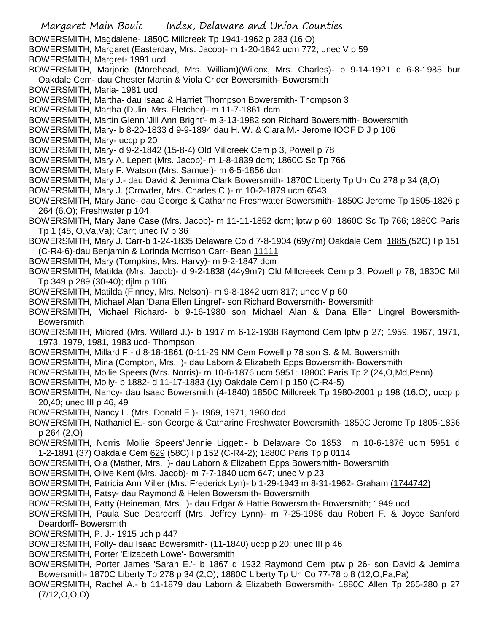Margaret Main Bouic Index, Delaware and Union Counties BOWERSMITH, Magdalene- 1850C Millcreek Tp 1941-1962 p 283 (16,O) BOWERSMITH, Margaret (Easterday, Mrs. Jacob)- m 1-20-1842 ucm 772; unec V p 59 BOWERSMITH, Margret- 1991 ucd BOWERSMITH, Marjorie (Morehead, Mrs. William)(Wilcox, Mrs. Charles)- b 9-14-1921 d 6-8-1985 bur Oakdale Cem- dau Chester Martin & Viola Crider Bowersmith- Bowersmith BOWERSMITH, Maria- 1981 ucd BOWERSMITH, Martha- dau Isaac & Harriet Thompson Bowersmith- Thompson 3 BOWERSMITH, Martha (Dulin, Mrs. Fletcher)- m 11-7-1861 dcm BOWERSMITH, Martin Glenn 'Jill Ann Bright'- m 3-13-1982 son Richard Bowersmith- Bowersmith BOWERSMITH, Mary- b 8-20-1833 d 9-9-1894 dau H. W. & Clara M.- Jerome IOOF D J p 106 BOWERSMITH, Mary- uccp p 20 BOWERSMITH, Mary- d 9-2-1842 (15-8-4) Old Millcreek Cem p 3, Powell p 78 BOWERSMITH, Mary A. Lepert (Mrs. Jacob)- m 1-8-1839 dcm; 1860C Sc Tp 766 BOWERSMITH, Mary F. Watson (Mrs. Samuel)- m 6-5-1856 dcm BOWERSMITH, Mary J.- dau David & Jemima Clark Bowersmith- 1870C Liberty Tp Un Co 278 p 34 (8,O) BOWERSMITH, Mary J. (Crowder, Mrs. Charles C.)- m 10-2-1879 ucm 6543 BOWERSMITH, Mary Jane- dau George & Catharine Freshwater Bowersmith- 1850C Jerome Tp 1805-1826 p 264 (6,O); Freshwater p 104 BOWERSMITH, Mary Jane Case (Mrs. Jacob)- m 11-11-1852 dcm; lptw p 60; 1860C Sc Tp 766; 1880C Paris Tp 1 (45, O,Va,Va); Carr; unec IV p 36 BOWERSMITH, Mary J. Carr-b 1-24-1835 Delaware Co d 7-8-1904 (69y7m) Oakdale Cem 1885 (52C) I p 151 (C-R4-6)-dau Benjamin & Lorinda Morrison Carr- Bean 11111 BOWERSMITH, Mary (Tompkins, Mrs. Harvy)- m 9-2-1847 dcm BOWERSMITH, Matilda (Mrs. Jacob)- d 9-2-1838 (44y9m?) Old Millcreeek Cem p 3; Powell p 78; 1830C Mil Tp 349 p 289 (30-40); djlm p 106 BOWERSMITH, Matilda (Finney, Mrs. Nelson)- m 9-8-1842 ucm 817; unec V p 60 BOWERSMITH, Michael Alan 'Dana Ellen Lingrel'- son Richard Bowersmith- Bowersmith BOWERSMITH, Michael Richard- b 9-16-1980 son Michael Alan & Dana Ellen Lingrel Bowersmith-Bowersmith BOWERSMITH, Mildred (Mrs. Willard J.)- b 1917 m 6-12-1938 Raymond Cem lptw p 27; 1959, 1967, 1971, 1973, 1979, 1981, 1983 ucd- Thompson BOWERSMITH, Millard F.- d 8-18-1861 (0-11-29 NM Cem Powell p 78 son S. & M. Bowersmith BOWERSMITH, Mina (Compton, Mrs. )- dau Laborn & Elizabeth Epps Bowersmith- Bowersmith BOWERSMITH, Mollie Speers (Mrs. Norris)- m 10-6-1876 ucm 5951; 1880C Paris Tp 2 (24,O,Md,Penn) BOWERSMITH, Molly- b 1882- d 11-17-1883 (1y) Oakdale Cem I p 150 (C-R4-5) BOWERSMITH, Nancy- dau Isaac Bowersmith (4-1840) 1850C Millcreek Tp 1980-2001 p 198 (16,O); uccp p 20,40; unec III p 46, 49 BOWERSMITH, Nancy L. (Mrs. Donald E.)- 1969, 1971, 1980 dcd BOWERSMITH, Nathaniel E.- son George & Catharine Freshwater Bowersmith- 1850C Jerome Tp 1805-1836 p 264 (2,O) BOWERSMITH, Norris 'Mollie Speers''Jennie Liggett'- b Delaware Co 1853 m 10-6-1876 ucm 5951 d 1-2-1891 (37) Oakdale Cem 629 (58C) I p 152 (C-R4-2); 1880C Paris Tp p 0114 BOWERSMITH, Ola (Mather, Mrs. )- dau Laborn & Elizabeth Epps Bowersmith- Bowersmith BOWERSMITH, Olive Kent (Mrs. Jacob)- m 7-7-1840 ucm 647; unec V p 23 BOWERSMITH, Patricia Ann Miller (Mrs. Frederick Lyn)- b 1-29-1943 m 8-31-1962- Graham (1744742) BOWERSMITH, Patsy- dau Raymond & Helen Bowersmith- Bowersmith BOWERSMITH, Patty (Heineman, Mrs. )- dau Edgar & Hattie Bowersmith- Bowersmith; 1949 ucd BOWERSMITH, Paula Sue Deardorff (Mrs. Jeffrey Lynn)- m 7-25-1986 dau Robert F. & Joyce Sanford Deardorff- Bowersmith BOWERSMITH, P. J.- 1915 uch p 447 BOWERSMITH, Polly- dau Isaac Bowersmith- (11-1840) uccp p 20; unec III p 46 BOWERSMITH, Porter 'Elizabeth Lowe'- Bowersmith BOWERSMITH, Porter James 'Sarah E.'- b 1867 d 1932 Raymond Cem lptw p 26- son David & Jemima Bowersmith- 1870C Liberty Tp 278 p 34 (2,O); 1880C Liberty Tp Un Co 77-78 p 8 (12,O,Pa,Pa)

BOWERSMITH, Rachel A.- b 11-1879 dau Laborn & Elizabeth Bowersmith- 1880C Allen Tp 265-280 p 27 (7/12,O,O,O)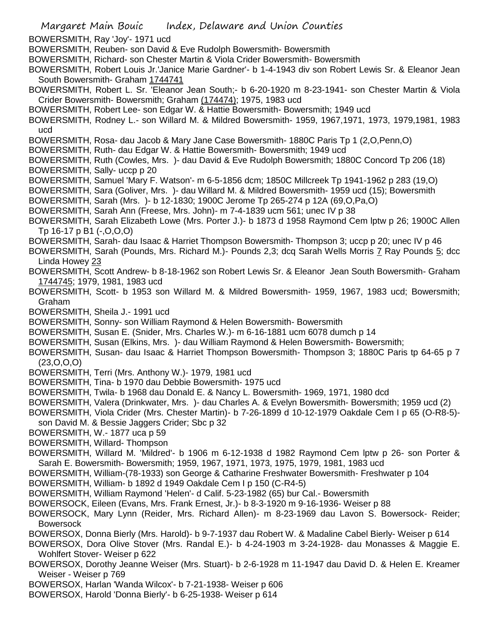- Margaret Main Bouic Index, Delaware and Union Counties BOWERSMITH, Ray 'Joy'- 1971 ucd BOWERSMITH, Reuben- son David & Eve Rudolph Bowersmith- Bowersmith BOWERSMITH, Richard- son Chester Martin & Viola Crider Bowersmith- Bowersmith BOWERSMITH, Robert Louis Jr.'Janice Marie Gardner'- b 1-4-1943 div son Robert Lewis Sr. & Eleanor Jean South Bowersmith- Graham 1744741 BOWERSMITH, Robert L. Sr. 'Eleanor Jean South;- b 6-20-1920 m 8-23-1941- son Chester Martin & Viola Crider Bowersmith- Bowersmith; Graham (174474); 1975, 1983 ucd BOWERSMITH, Robert Lee- son Edgar W. & Hattie Bowersmith- Bowersmith; 1949 ucd BOWERSMITH, Rodney L.- son Willard M. & Mildred Bowersmith- 1959, 1967,1971, 1973, 1979,1981, 1983 ucd BOWERSMITH, Rosa- dau Jacob & Mary Jane Case Bowersmith- 1880C Paris Tp 1 (2,O,Penn,O) BOWERSMITH, Ruth- dau Edgar W. & Hattie Bowersmith- Bowersmith; 1949 ucd BOWERSMITH, Ruth (Cowles, Mrs. )- dau David & Eve Rudolph Bowersmith; 1880C Concord Tp 206 (18) BOWERSMITH, Sally- uccp p 20 BOWERSMITH, Samuel 'Mary F. Watson'- m 6-5-1856 dcm; 1850C Millcreek Tp 1941-1962 p 283 (19,O) BOWERSMITH, Sara (Goliver, Mrs. )- dau Willard M. & Mildred Bowersmith- 1959 ucd (15); Bowersmith BOWERSMITH, Sarah (Mrs. )- b 12-1830; 1900C Jerome Tp 265-274 p 12A (69,O,Pa,O) BOWERSMITH, Sarah Ann (Freese, Mrs. John)- m 7-4-1839 ucm 561; unec IV p 38 BOWERSMITH, Sarah Elizabeth Lowe (Mrs. Porter J.)- b 1873 d 1958 Raymond Cem lptw p 26; 1900C Allen Tp 16-17 p B1 (-,O,O,O) BOWERSMITH, Sarah- dau Isaac & Harriet Thompson Bowersmith- Thompson 3; uccp p 20; unec IV p 46 BOWERSMITH, Sarah (Pounds, Mrs. Richard M.)- Pounds 2,3; dcq Sarah Wells Morris 7 Ray Pounds 5; dcc Linda Howey 23 BOWERSMITH, Scott Andrew- b 8-18-1962 son Robert Lewis Sr. & Eleanor Jean South Bowersmith- Graham 1744745; 1979, 1981, 1983 ucd BOWERSMITH, Scott- b 1953 son Willard M. & Mildred Bowersmith- 1959, 1967, 1983 ucd; Bowersmith; Graham BOWERSMITH, Sheila J.- 1991 ucd BOWERSMITH, Sonny- son William Raymond & Helen Bowersmith- Bowersmith BOWERSMITH, Susan E. (Snider, Mrs. Charles W.)- m 6-16-1881 ucm 6078 dumch p 14 BOWERSMITH, Susan (Elkins, Mrs. )- dau William Raymond & Helen Bowersmith- Bowersmith; BOWERSMITH, Susan- dau Isaac & Harriet Thompson Bowersmith- Thompson 3; 1880C Paris tp 64-65 p 7  $(23,0,0,0)$ BOWERSMITH, Terri (Mrs. Anthony W.)- 1979, 1981 ucd BOWERSMITH, Tina- b 1970 dau Debbie Bowersmith- 1975 ucd BOWERSMITH, Twila- b 1968 dau Donald E. & Nancy L. Bowersmith- 1969, 1971, 1980 dcd BOWERSMITH, Valera (Drinkwater, Mrs. )- dau Charles A. & Evelyn Bowersmith- Bowersmith; 1959 ucd (2) BOWERSMITH, Viola Crider (Mrs. Chester Martin)- b 7-26-1899 d 10-12-1979 Oakdale Cem I p 65 (O-R8-5) son David M. & Bessie Jaggers Crider; Sbc p 32 BOWERSMITH, W.- 1877 uca p 59 BOWERSMITH, Willard- Thompson BOWERSMITH, Willard M. 'Mildred'- b 1906 m 6-12-1938 d 1982 Raymond Cem lptw p 26- son Porter & Sarah E. Bowersmith- Bowersmith; 1959, 1967, 1971, 1973, 1975, 1979, 1981, 1983 ucd BOWERSMITH, William-(78-1933) son George & Catharine Freshwater Bowersmith- Freshwater p 104 BOWERSMITH, William- b 1892 d 1949 Oakdale Cem I p 150 (C-R4-5) BOWERSMITH, William Raymond 'Helen'- d Calif. 5-23-1982 (65) bur Cal.- Bowersmith BOWERSOCK, Eileen (Evans, Mrs. Frank Ernest, Jr.)- b 8-3-1920 m 9-16-1936- Weiser p 88 BOWERSOCK, Mary Lynn (Reider, Mrs. Richard Allen)- m 8-23-1969 dau Lavon S. Bowersock- Reider; Bowersock BOWERSOX, Donna Bierly (Mrs. Harold)- b 9-7-1937 dau Robert W. & Madaline Cabel Bierly- Weiser p 614 BOWERSOX, Dora Olive Stover (Mrs. Randal E.)- b 4-24-1903 m 3-24-1928- dau Monasses & Maggie E. Wohlfert Stover- Weiser p 622 BOWERSOX, Dorothy Jeanne Weiser (Mrs. Stuart)- b 2-6-1928 m 11-1947 dau David D. & Helen E. Kreamer Weiser - Weiser p 769 BOWERSOX, Harlan 'Wanda Wilcox'- b 7-21-1938- Weiser p 606
- BOWERSOX, Harold 'Donna Bierly'- b 6-25-1938- Weiser p 614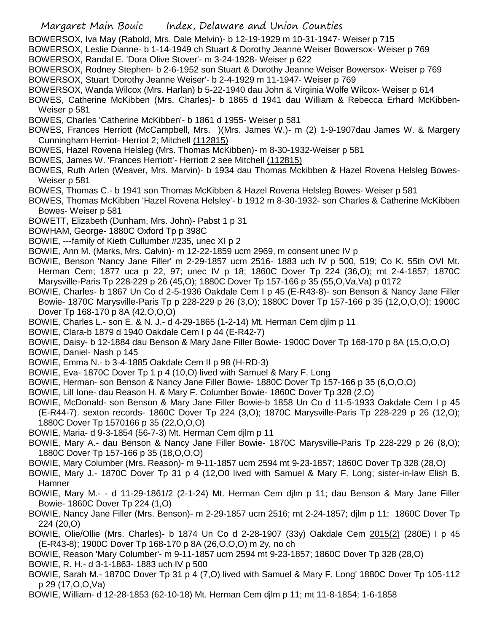- Margaret Main Bouic Index, Delaware and Union Counties
- BOWERSOX, Iva May (Rabold, Mrs. Dale Melvin)- b 12-19-1929 m 10-31-1947- Weiser p 715
- BOWERSOX, Leslie Dianne- b 1-14-1949 ch Stuart & Dorothy Jeanne Weiser Bowersox- Weiser p 769
- BOWERSOX, Randal E. 'Dora Olive Stover'- m 3-24-1928- Weiser p 622
- BOWERSOX, Rodney Stephen- b 2-6-1952 son Stuart & Dorothy Jeanne Weiser Bowersox- Weiser p 769 BOWERSOX, Stuart 'Dorothy Jeanne Weiser'- b 2-4-1929 m 11-1947- Weiser p 769
- BOWERSOX, Wanda Wilcox (Mrs. Harlan) b 5-22-1940 dau John & Virginia Wolfe Wilcox- Weiser p 614
- BOWES, Catherine McKibben (Mrs. Charles)- b 1865 d 1941 dau William & Rebecca Erhard McKibben-Weiser p 581
- BOWES, Charles 'Catherine McKibben'- b 1861 d 1955- Weiser p 581
- BOWES, Frances Herriott (McCampbell, Mrs. )(Mrs. James W.)- m (2) 1-9-1907dau James W. & Margery Cunningham Herriot- Herriot 2; Mitchell (112815)
- BOWES, Hazel Rovena Helsleg (Mrs. Thomas McKibben)- m 8-30-1932-Weiser p 581
- BOWES, James W. 'Frances Herriott'- Herriott 2 see Mitchell (112815)
- BOWES, Ruth Arlen (Weaver, Mrs. Marvin)- b 1934 dau Thomas Mckibben & Hazel Rovena Helsleg Bowes-Weiser p 581
- BOWES, Thomas C.- b 1941 son Thomas McKibben & Hazel Rovena Helsleg Bowes- Weiser p 581
- BOWES, Thomas McKibben 'Hazel Rovena Helsley'- b 1912 m 8-30-1932- son Charles & Catherine McKibben Bowes- Weiser p 581
- BOWETT, Elizabeth (Dunham, Mrs. John)- Pabst 1 p 31
- BOWHAM, George- 1880C Oxford Tp p 398C
- BOWIE, ---family of Kieth Cullumber #235, unec XI p 2
- BOWIE, Ann M. (Marks, Mrs. Calvin)- m 12-22-1859 ucm 2969, m consent unec IV p
- BOWIE, Benson 'Nancy Jane Filler' m 2-29-1857 ucm 2516- 1883 uch IV p 500, 519; Co K. 55th OVI Mt. Herman Cem; 1877 uca p 22, 97; unec IV p 18; 1860C Dover Tp 224 (36,O); mt 2-4-1857; 1870C Marysville-Paris Tp 228-229 p 26 (45,O); 1880C Dover Tp 157-166 p 35 (55,O,Va,Va) p 0172
- BOWIE, Charles- b 1867 Un Co d 2-5-1936 Oakdale Cem I p 45 (E-R43-8)- son Benson & Nancy Jane Filler Bowie- 1870C Marysville-Paris Tp p 228-229 p 26 (3,O); 1880C Dover Tp 157-166 p 35 (12,O,O,O); 1900C Dover Tp 168-170 p 8A (42,O,O,O)
- BOWIE, Charles L.- son E. & N. J.- d 4-29-1865 (1-2-14) Mt. Herman Cem djlm p 11
- BOWIE, Clara-b 1879 d 1940 Oakdale Cem I p 44 (E-R42-7)
- BOWIE, Daisy- b 12-1884 dau Benson & Mary Jane Filler Bowie- 1900C Dover Tp 168-170 p 8A (15,O,O,O)
- BOWIE, Daniel- Nash p 145
- BOWIE, Emma N.- b 3-4-1885 Oakdale Cem II p 98 (H-RD-3)
- BOWIE, Eva- 1870C Dover Tp 1 p 4 (10,O) lived with Samuel & Mary F. Long
- BOWIE, Herman- son Benson & Nancy Jane Filler Bowie- 1880C Dover Tp 157-166 p 35 (6,O,O,O)
- BOWIE, Lill Ione- dau Reason H. & Mary F. Columber Bowie- 1860C Dover Tp 328 (2,O)
- BOWIE, McDonald- son Benson & Mary Jane Filler Bowie-b 1858 Un Co d 11-5-1933 Oakdale Cem I p 45 (E-R44-7). sexton records- 1860C Dover Tp 224 (3,O); 1870C Marysville-Paris Tp 228-229 p 26 (12,O); 1880C Dover Tp 1570166 p 35 (22,O,O,O)
- BOWIE, Maria- d 9-3-1854 (56-7-3) Mt. Herman Cem djlm p 11
- BOWIE, Mary A.- dau Benson & Nancy Jane Filler Bowie- 1870C Marysville-Paris Tp 228-229 p 26 (8,O); 1880C Dover Tp 157-166 p 35 (18,O,O,O)
- BOWIE, Mary Columber (Mrs. Reason)- m 9-11-1857 ucm 2594 mt 9-23-1857; 1860C Dover Tp 328 (28,O)
- BOWIE, Mary J.- 1870C Dover Tp 31 p 4 (12,O0 lived with Samuel & Mary F. Long; sister-in-law Elish B. Hamner
- BOWIE, Mary M.- d 11-29-1861/2 (2-1-24) Mt. Herman Cem djlm p 11; dau Benson & Mary Jane Filler Bowie- 1860C Dover Tp 224 (1,O)
- BOWIE, Nancy Jane Filler (Mrs. Benson)- m 2-29-1857 ucm 2516; mt 2-24-1857; djlm p 11; 1860C Dover Tp 224 (20,O)
- BOWIE, Olie/Ollie (Mrs. Charles)- b 1874 Un Co d 2-28-1907 (33y) Oakdale Cem 2015(2) (280E) I p 45 (E-R43-8); 1900C Dover Tp 168-170 p 8A (26,O,O,O) m 2y, no ch
- BOWIE, Reason 'Mary Columber'- m 9-11-1857 ucm 2594 mt 9-23-1857; 1860C Dover Tp 328 (28,O) BOWIE, R. H.- d 3-1-1863- 1883 uch IV p 500
- BOWIE, Sarah M.- 1870C Dover Tp 31 p 4 (7,O) lived with Samuel & Mary F. Long' 1880C Dover Tp 105-112 p 29 (17,O,O,Va)
- BOWIE, William- d 12-28-1853 (62-10-18) Mt. Herman Cem djlm p 11; mt 11-8-1854; 1-6-1858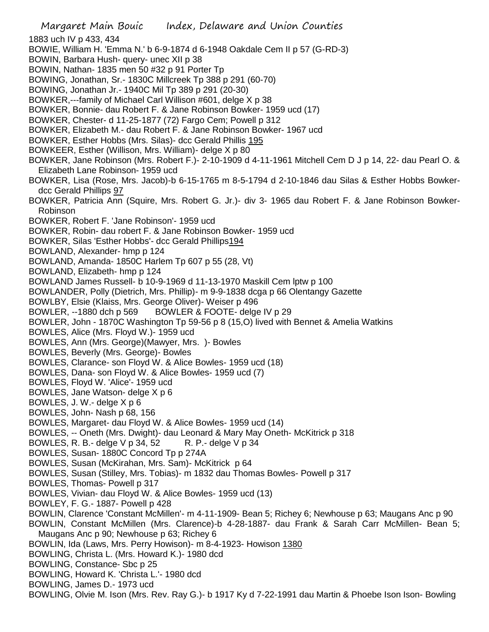Margaret Main Bouic Index, Delaware and Union Counties 1883 uch IV p 433, 434 BOWIE, William H. 'Emma N.' b 6-9-1874 d 6-1948 Oakdale Cem II p 57 (G-RD-3) BOWIN, Barbara Hush- query- unec XII p 38 BOWIN, Nathan- 1835 men 50 #32 p 91 Porter Tp BOWING, Jonathan, Sr.- 1830C Millcreek Tp 388 p 291 (60-70) BOWING, Jonathan Jr.- 1940C Mil Tp 389 p 291 (20-30) BOWKER,---family of Michael Carl Willison #601, delge X p 38 BOWKER, Bonnie- dau Robert F. & Jane Robinson Bowker- 1959 ucd (17) BOWKER, Chester- d 11-25-1877 (72) Fargo Cem; Powell p 312 BOWKER, Elizabeth M.- dau Robert F. & Jane Robinson Bowker- 1967 ucd BOWKER, Esther Hobbs (Mrs. Silas)- dcc Gerald Phillis 195 BOWKEER, Esther (Willison, Mrs. William)- delge X p 80 BOWKER, Jane Robinson (Mrs. Robert F.)- 2-10-1909 d 4-11-1961 Mitchell Cem D J p 14, 22- dau Pearl O. & Elizabeth Lane Robinson- 1959 ucd BOWKER, Lisa (Rose, Mrs. Jacob)-b 6-15-1765 m 8-5-1794 d 2-10-1846 dau Silas & Esther Hobbs Bowkerdcc Gerald Phillips 97 BOWKER, Patricia Ann (Squire, Mrs. Robert G. Jr.)- div 3- 1965 dau Robert F. & Jane Robinson Bowker-Robinson BOWKER, Robert F. 'Jane Robinson'- 1959 ucd BOWKER, Robin- dau robert F. & Jane Robinson Bowker- 1959 ucd BOWKER, Silas 'Esther Hobbs'- dcc Gerald Phillips194 BOWLAND, Alexander- hmp p 124 BOWLAND, Amanda- 1850C Harlem Tp 607 p 55 (28, Vt) BOWLAND, Elizabeth- hmp p 124 BOWLAND James Russell- b 10-9-1969 d 11-13-1970 Maskill Cem lptw p 100 BOWLANDER, Polly (Dietrich, Mrs. Phillip)- m 9-9-1838 dcga p 66 Olentangy Gazette BOWLBY, Elsie (Klaiss, Mrs. George Oliver)- Weiser p 496 BOWLER, --1880 dch p 569 BOWLER & FOOTE- delge IV p 29 BOWLER, John - 1870C Washington Tp 59-56 p 8 (15,O) lived with Bennet & Amelia Watkins BOWLES, Alice (Mrs. Floyd W.)- 1959 ucd BOWLES, Ann (Mrs. George)(Mawyer, Mrs. )- Bowles BOWLES, Beverly (Mrs. George)- Bowles BOWLES, Clarance- son Floyd W. & Alice Bowles- 1959 ucd (18) BOWLES, Dana- son Floyd W. & Alice Bowles- 1959 ucd (7) BOWLES, Floyd W. 'Alice'- 1959 ucd BOWLES, Jane Watson- delge X p 6 BOWLES, J. W.- delge X p 6 BOWLES, John- Nash p 68, 156 BOWLES, Margaret- dau Floyd W. & Alice Bowles- 1959 ucd (14) BOWLES, -- Oneth (Mrs. Dwight)- dau Leonard & Mary May Oneth- McKitrick p 318 BOWLES, R. B.- delge V p 34, 52 R. P.- delge V p 34 BOWLES, Susan- 1880C Concord Tp p 274A BOWLES, Susan (McKirahan, Mrs. Sam)- McKitrick p 64 BOWLES, Susan (Stilley, Mrs. Tobias)- m 1832 dau Thomas Bowles- Powell p 317 BOWLES, Thomas- Powell p 317 BOWLES, Vivian- dau Floyd W. & Alice Bowles- 1959 ucd (13) BOWLEY, F. G.- 1887- Powell p 428 BOWLIN, Clarence 'Constant McMillen'- m 4-11-1909- Bean 5; Richey 6; Newhouse p 63; Maugans Anc p 90 BOWLIN, Constant McMillen (Mrs. Clarence)-b 4-28-1887- dau Frank & Sarah Carr McMillen- Bean 5; Maugans Anc p 90; Newhouse p 63; Richey 6 BOWLIN, Ida (Laws, Mrs. Perry Howison)- m 8-4-1923- Howison 1380 BOWLING, Christa L. (Mrs. Howard K.)- 1980 dcd BOWLING, Constance- Sbc p 25 BOWLING, Howard K. 'Christa L.'- 1980 dcd BOWLING, James D.- 1973 ucd BOWLING, Olvie M. Ison (Mrs. Rev. Ray G.)- b 1917 Ky d 7-22-1991 dau Martin & Phoebe Ison Ison- Bowling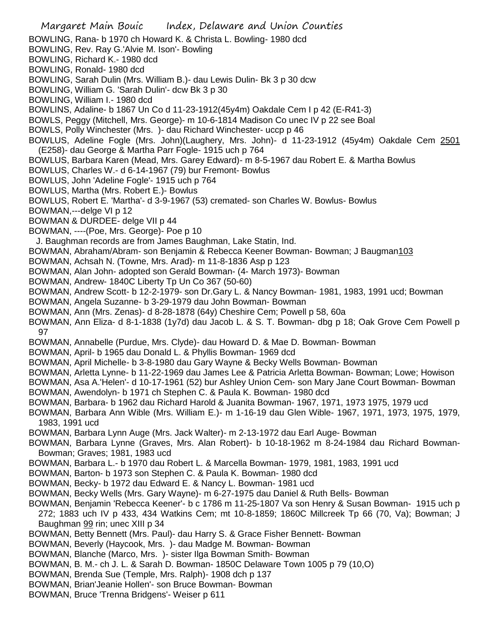Margaret Main Bouic Index, Delaware and Union Counties BOWLING, Rana- b 1970 ch Howard K. & Christa L. Bowling- 1980 dcd BOWLING, Rev. Ray G.'Alvie M. Ison'- Bowling BOWLING, Richard K.- 1980 dcd BOWLING, Ronald- 1980 dcd BOWLING, Sarah Dulin (Mrs. William B.)- dau Lewis Dulin- Bk 3 p 30 dcw BOWLING, William G. 'Sarah Dulin'- dcw Bk 3 p 30 BOWLING, William I.- 1980 dcd BOWLINS, Adaline- b 1867 Un Co d 11-23-1912(45y4m) Oakdale Cem I p 42 (E-R41-3) BOWLS, Peggy (Mitchell, Mrs. George)- m 10-6-1814 Madison Co unec IV p 22 see Boal BOWLS, Polly Winchester (Mrs. )- dau Richard Winchester- uccp p 46 BOWLUS, Adeline Fogle (Mrs. John)(Laughery, Mrs. John)- d 11-23-1912 (45y4m) Oakdale Cem 2501 (E258)- dau George & Martha Parr Fogle- 1915 uch p 764 BOWLUS, Barbara Karen (Mead, Mrs. Garey Edward)- m 8-5-1967 dau Robert E. & Martha Bowlus BOWLUS, Charles W.- d 6-14-1967 (79) bur Fremont- Bowlus BOWLUS, John 'Adeline Fogle'- 1915 uch p 764 BOWLUS, Martha (Mrs. Robert E.)- Bowlus BOWLUS, Robert E. 'Martha'- d 3-9-1967 (53) cremated- son Charles W. Bowlus- Bowlus BOWMAN,---delge VI p 12 BOWMAN & DURDEE- delge VII p 44 BOWMAN, ----(Poe, Mrs. George)- Poe p 10 J. Baughman records are from James Baughman, Lake Statin, Ind. BOWMAN, Abraham/Abram- son Benjamin & Rebecca Keener Bowman- Bowman; J Baugman103 BOWMAN, Achsah N. (Towne, Mrs. Arad)- m 11-8-1836 Asp p 123 BOWMAN, Alan John- adopted son Gerald Bowman- (4- March 1973)- Bowman BOWMAN, Andrew- 1840C Liberty Tp Un Co 367 (50-60) BOWMAN, Andrew Scott- b 12-2-1979- son Dr.Gary L. & Nancy Bowman- 1981, 1983, 1991 ucd; Bowman BOWMAN, Angela Suzanne- b 3-29-1979 dau John Bowman- Bowman BOWMAN, Ann (Mrs. Zenas)- d 8-28-1878 (64y) Cheshire Cem; Powell p 58, 60a BOWMAN, Ann Eliza- d 8-1-1838 (1y7d) dau Jacob L. & S. T. Bowman- dbg p 18; Oak Grove Cem Powell p 97 BOWMAN, Annabelle (Purdue, Mrs. Clyde)- dau Howard D. & Mae D. Bowman- Bowman BOWMAN, April- b 1965 dau Donald L. & Phyllis Bowman- 1969 dcd BOWMAN, April Michelle- b 3-8-1980 dau Gary Wayne & Becky Wells Bowman- Bowman BOWMAN, Arletta Lynne- b 11-22-1969 dau James Lee & Patricia Arletta Bowman- Bowman; Lowe; Howison BOWMAN, Asa A.'Helen'- d 10-17-1961 (52) bur Ashley Union Cem- son Mary Jane Court Bowman- Bowman BOWMAN, Awendolyn- b 1971 ch Stephen C. & Paula K. Bowman- 1980 dcd BOWMAN, Barbara- b 1962 dau Richard Harold & Juanita Bowman- 1967, 1971, 1973 1975, 1979 ucd BOWMAN, Barbara Ann Wible (Mrs. William E.)- m 1-16-19 dau Glen Wible- 1967, 1971, 1973, 1975, 1979, 1983, 1991 ucd BOWMAN, Barbara Lynn Auge (Mrs. Jack Walter)- m 2-13-1972 dau Earl Auge- Bowman BOWMAN, Barbara Lynne (Graves, Mrs. Alan Robert)- b 10-18-1962 m 8-24-1984 dau Richard Bowman-Bowman; Graves; 1981, 1983 ucd BOWMAN, Barbara L.- b 1970 dau Robert L. & Marcella Bowman- 1979, 1981, 1983, 1991 ucd BOWMAN, Barton- b 1973 son Stephen C. & Paula K. Bowman- 1980 dcd BOWMAN, Becky- b 1972 dau Edward E. & Nancy L. Bowman- 1981 ucd BOWMAN, Becky Wells (Mrs. Gary Wayne)- m 6-27-1975 dau Daniel & Ruth Bells- Bowman BOWMAN, Benjamin 'Rebecca Keener'- b c 1786 m 11-25-1807 Va son Henry & Susan Bowman- 1915 uch p 272; 1883 uch IV p 433, 434 Watkins Cem; mt 10-8-1859; 1860C Millcreek Tp 66 (70, Va); Bowman; J Baughman 99 rin; unec XIII p 34 BOWMAN, Betty Bennett (Mrs. Paul)- dau Harry S. & Grace Fisher Bennett- Bowman BOWMAN, Beverly (Haycook, Mrs. )- dau Madge M. Bowman- Bowman BOWMAN, Blanche (Marco, Mrs. )- sister Ilga Bowman Smith- Bowman BOWMAN, B. M.- ch J. L. & Sarah D. Bowman- 1850C Delaware Town 1005 p 79 (10,O) BOWMAN, Brenda Sue (Temple, Mrs. Ralph)- 1908 dch p 137 BOWMAN, Brian'Jeanie Hollen'- son Bruce Bowman- Bowman BOWMAN, Bruce 'Trenna Bridgens'- Weiser p 611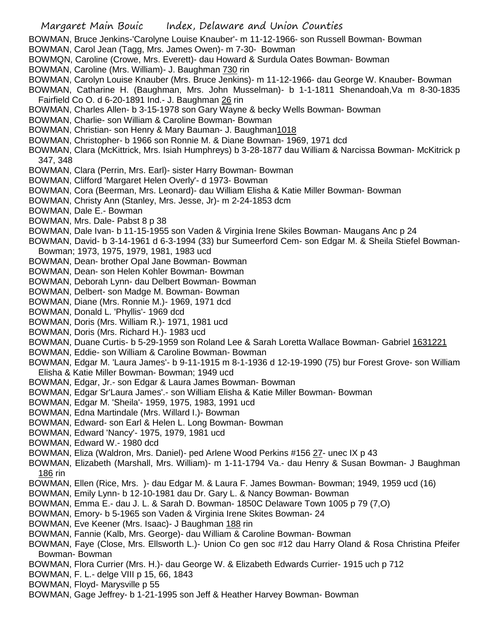- BOWMAN, Bruce Jenkins-'Carolyne Louise Knauber'- m 11-12-1966- son Russell Bowman- Bowman
- BOWMAN, Carol Jean (Tagg, Mrs. James Owen)- m 7-30- Bowman
- BOWMQN, Caroline (Crowe, Mrs. Everett)- dau Howard & Surdula Oates Bowman- Bowman
- BOWMAN, Caroline (Mrs. William)- J. Baughman 730 rin
- BOWMAN, Carolyn Louise Knauber (Mrs. Bruce Jenkins)- m 11-12-1966- dau George W. Knauber- Bowman
- BOWMAN, Catharine H. (Baughman, Mrs. John Musselman)- b 1-1-1811 Shenandoah,Va m 8-30-1835 Fairfield Co O. d 6-20-1891 Ind.- J. Baughman 26 rin
- BOWMAN, Charles Allen- b 3-15-1978 son Gary Wayne & becky Wells Bowman- Bowman
- BOWMAN, Charlie- son William & Caroline Bowman- Bowman
- BOWMAN, Christian- son Henry & Mary Bauman- J. Baughman1018
- BOWMAN, Christopher- b 1966 son Ronnie M. & Diane Bowman- 1969, 1971 dcd
- BOWMAN, Clara (McKittrick, Mrs. Isiah Humphreys) b 3-28-1877 dau William & Narcissa Bowman- McKitrick p 347, 348
- BOWMAN, Clara (Perrin, Mrs. Earl)- sister Harry Bowman- Bowman
- BOWMAN, Clifford 'Margaret Helen Overly'- d 1973- Bowman
- BOWMAN, Cora (Beerman, Mrs. Leonard)- dau William Elisha & Katie Miller Bowman- Bowman
- BOWMAN, Christy Ann (Stanley, Mrs. Jesse, Jr)- m 2-24-1853 dcm
- BOWMAN, Dale E.- Bowman
- BOWMAN, Mrs. Dale- Pabst 8 p 38
- BOWMAN, Dale Ivan- b 11-15-1955 son Vaden & Virginia Irene Skiles Bowman- Maugans Anc p 24
- BOWMAN, David- b 3-14-1961 d 6-3-1994 (33) bur Sumeerford Cem- son Edgar M. & Sheila Stiefel Bowman-Bowman; 1973, 1975, 1979, 1981, 1983 ucd
- BOWMAN, Dean- brother Opal Jane Bowman- Bowman
- BOWMAN, Dean- son Helen Kohler Bowman- Bowman
- BOWMAN, Deborah Lynn- dau Delbert Bowman- Bowman
- BOWMAN, Delbert- son Madge M. Bowman- Bowman
- BOWMAN, Diane (Mrs. Ronnie M.)- 1969, 1971 dcd
- BOWMAN, Donald L. 'Phyllis'- 1969 dcd
- BOWMAN, Doris (Mrs. William R.)- 1971, 1981 ucd
- BOWMAN, Doris (Mrs. Richard H.)- 1983 ucd
- BOWMAN, Duane Curtis- b 5-29-1959 son Roland Lee & Sarah Loretta Wallace Bowman- Gabriel 1631221
- BOWMAN, Eddie- son William & Caroline Bowman- Bowman
- BOWMAN, Edgar M. 'Laura James'- b 9-11-1915 m 8-1-1936 d 12-19-1990 (75) bur Forest Grove- son William Elisha & Katie Miller Bowman- Bowman; 1949 ucd
- BOWMAN, Edgar, Jr.- son Edgar & Laura James Bowman- Bowman
- BOWMAN, Edgar Sr'Laura James'.- son William Elisha & Katie Miller Bowman- Bowman
- BOWMAN, Edgar M. 'Sheila'- 1959, 1975, 1983, 1991 ucd
- BOWMAN, Edna Martindale (Mrs. Willard I.)- Bowman
- BOWMAN, Edward- son Earl & Helen L. Long Bowman- Bowman
- BOWMAN, Edward 'Nancy'- 1975, 1979, 1981 ucd
- BOWMAN, Edward W.- 1980 dcd
- BOWMAN, Eliza (Waldron, Mrs. Daniel)- ped Arlene Wood Perkins #156 27- unec IX p 43
- BOWMAN, Elizabeth (Marshall, Mrs. William)- m 1-11-1794 Va.- dau Henry & Susan Bowman- J Baughman 186 rin
- BOWMAN, Ellen (Rice, Mrs. )- dau Edgar M. & Laura F. James Bowman- Bowman; 1949, 1959 ucd (16)
- BOWMAN, Emily Lynn- b 12-10-1981 dau Dr. Gary L. & Nancy Bowman- Bowman
- BOWMAN, Emma E.- dau J. L. & Sarah D. Bowman- 1850C Delaware Town 1005 p 79 (7,O)
- BOWMAN, Emory- b 5-1965 son Vaden & Virginia Irene Skites Bowman- 24
- BOWMAN, Eve Keener (Mrs. Isaac)- J Baughman 188 rin
- BOWMAN, Fannie (Kalb, Mrs. George)- dau William & Caroline Bowman- Bowman
- BOWMAN, Faye (Close, Mrs. Ellsworth L.)- Union Co gen soc #12 dau Harry Oland & Rosa Christina Pfeifer Bowman- Bowman
- BOWMAN, Flora Currier (Mrs. H.)- dau George W. & Elizabeth Edwards Currier- 1915 uch p 712
- BOWMAN, F. L.- delge VIII p 15, 66, 1843
- BOWMAN, Floyd- Marysville p 55
- BOWMAN, Gage Jeffrey- b 1-21-1995 son Jeff & Heather Harvey Bowman- Bowman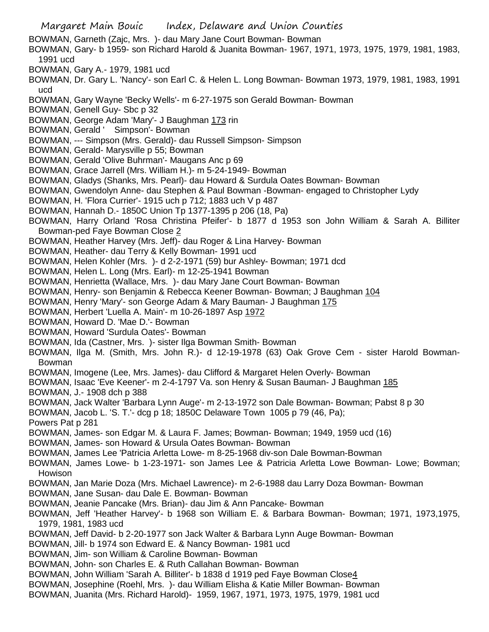Margaret Main Bouic Index, Delaware and Union Counties BOWMAN, Garneth (Zajc, Mrs. )- dau Mary Jane Court Bowman- Bowman BOWMAN, Gary- b 1959- son Richard Harold & Juanita Bowman- 1967, 1971, 1973, 1975, 1979, 1981, 1983, 1991 ucd BOWMAN, Gary A.- 1979, 1981 ucd BOWMAN, Dr. Gary L. 'Nancy'- son Earl C. & Helen L. Long Bowman- Bowman 1973, 1979, 1981, 1983, 1991 ucd BOWMAN, Gary Wayne 'Becky Wells'- m 6-27-1975 son Gerald Bowman- Bowman BOWMAN, Genell Guy- Sbc p 32 BOWMAN, George Adam 'Mary'- J Baughman 173 rin BOWMAN, Gerald ' Simpson'- Bowman BOWMAN, --- Simpson (Mrs. Gerald)- dau Russell Simpson- Simpson BOWMAN, Gerald- Marysville p 55; Bowman BOWMAN, Gerald 'Olive Buhrman'- Maugans Anc p 69 BOWMAN, Grace Jarrell (Mrs. William H.)- m 5-24-1949- Bowman BOWMAN, Gladys (Shanks, Mrs. Pearl)- dau Howard & Surdula Oates Bowman- Bowman BOWMAN, Gwendolyn Anne- dau Stephen & Paul Bowman -Bowman- engaged to Christopher Lydy BOWMAN, H. 'Flora Currier'- 1915 uch p 712; 1883 uch V p 487 BOWMAN, Hannah D.- 1850C Union Tp 1377-1395 p 206 (18, Pa) BOWMAN, Harry Orland 'Rosa Christina Pfeifer'- b 1877 d 1953 son John William & Sarah A. Billiter Bowman-ped Faye Bowman Close 2 BOWMAN, Heather Harvey (Mrs. Jeff)- dau Roger & Lina Harvey- Bowman BOWMAN, Heather- dau Terry & Kelly Bowman- 1991 ucd BOWMAN, Helen Kohler (Mrs. )- d 2-2-1971 (59) bur Ashley- Bowman; 1971 dcd BOWMAN, Helen L. Long (Mrs. Earl)- m 12-25-1941 Bowman BOWMAN, Henrietta (Wallace, Mrs. )- dau Mary Jane Court Bowman- Bowman BOWMAN, Henry- son Benjamin & Rebecca Keener Bowman- Bowman; J Baughman 104 BOWMAN, Henry 'Mary'- son George Adam & Mary Bauman- J Baughman 175 BOWMAN, Herbert 'Luella A. Main'- m 10-26-1897 Asp 1972 BOWMAN, Howard D. 'Mae D.'- Bowman BOWMAN, Howard 'Surdula Oates'- Bowman BOWMAN, Ida (Castner, Mrs. )- sister Ilga Bowman Smith- Bowman BOWMAN, Ilga M. (Smith, Mrs. John R.)- d 12-19-1978 (63) Oak Grove Cem - sister Harold Bowman-Bowman BOWMAN, Imogene (Lee, Mrs. James)- dau Clifford & Margaret Helen Overly- Bowman BOWMAN, Isaac 'Eve Keener'- m 2-4-1797 Va. son Henry & Susan Bauman- J Baughman 185 BOWMAN, J.- 1908 dch p 388 BOWMAN, Jack Walter 'Barbara Lynn Auge'- m 2-13-1972 son Dale Bowman- Bowman; Pabst 8 p 30 BOWMAN, Jacob L. 'S. T.'- dcg p 18; 1850C Delaware Town 1005 p 79 (46, Pa); Powers Pat p 281 BOWMAN, James- son Edgar M. & Laura F. James; Bowman- Bowman; 1949, 1959 ucd (16) BOWMAN, James- son Howard & Ursula Oates Bowman- Bowman BOWMAN, James Lee 'Patricia Arletta Lowe- m 8-25-1968 div-son Dale Bowman-Bowman BOWMAN, James Lowe- b 1-23-1971- son James Lee & Patricia Arletta Lowe Bowman- Lowe; Bowman; Howison BOWMAN, Jan Marie Doza (Mrs. Michael Lawrence)- m 2-6-1988 dau Larry Doza Bowman- Bowman BOWMAN, Jane Susan- dau Dale E. Bowman- Bowman BOWMAN, Jeanie Pancake (Mrs. Brian)- dau Jim & Ann Pancake- Bowman BOWMAN, Jeff 'Heather Harvey'- b 1968 son William E. & Barbara Bowman- Bowman; 1971, 1973,1975, 1979, 1981, 1983 ucd BOWMAN, Jeff David- b 2-20-1977 son Jack Walter & Barbara Lynn Auge Bowman- Bowman BOWMAN, Jill- b 1974 son Edward E. & Nancy Bowman- 1981 ucd BOWMAN, Jim- son William & Caroline Bowman- Bowman BOWMAN, John- son Charles E. & Ruth Callahan Bowman- Bowman BOWMAN, John William 'Sarah A. Billiter'- b 1838 d 1919 ped Faye Bowman Close4 BOWMAN, Josephine (Roehl, Mrs. )- dau William Elisha & Katie Miller Bowman- Bowman BOWMAN, Juanita (Mrs. Richard Harold)- 1959, 1967, 1971, 1973, 1975, 1979, 1981 ucd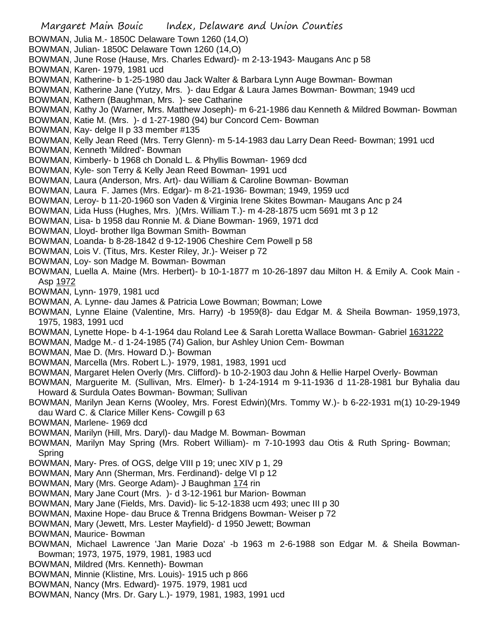Margaret Main Bouic Index, Delaware and Union Counties BOWMAN, Julia M.- 1850C Delaware Town 1260 (14,O) BOWMAN, Julian- 1850C Delaware Town 1260 (14,O) BOWMAN, June Rose (Hause, Mrs. Charles Edward)- m 2-13-1943- Maugans Anc p 58 BOWMAN, Karen- 1979, 1981 ucd BOWMAN, Katherine- b 1-25-1980 dau Jack Walter & Barbara Lynn Auge Bowman- Bowman BOWMAN, Katherine Jane (Yutzy, Mrs. )- dau Edgar & Laura James Bowman- Bowman; 1949 ucd BOWMAN, Kathern (Baughman, Mrs. )- see Catharine BOWMAN, Kathy Jo (Warner, Mrs. Matthew Joseph)- m 6-21-1986 dau Kenneth & Mildred Bowman- Bowman BOWMAN, Katie M. (Mrs. )- d 1-27-1980 (94) bur Concord Cem- Bowman BOWMAN, Kay- delge II p 33 member #135 BOWMAN, Kelly Jean Reed (Mrs. Terry Glenn)- m 5-14-1983 dau Larry Dean Reed- Bowman; 1991 ucd BOWMAN, Kenneth 'Mildred'- Bowman BOWMAN, Kimberly- b 1968 ch Donald L. & Phyllis Bowman- 1969 dcd BOWMAN, Kyle- son Terry & Kelly Jean Reed Bowman- 1991 ucd BOWMAN, Laura (Anderson, Mrs. Art)- dau William & Caroline Bowman- Bowman BOWMAN, Laura F. James (Mrs. Edgar)- m 8-21-1936- Bowman; 1949, 1959 ucd BOWMAN, Leroy- b 11-20-1960 son Vaden & Virginia Irene Skites Bowman- Maugans Anc p 24 BOWMAN, Lida Huss (Hughes, Mrs. )(Mrs. William T.)- m 4-28-1875 ucm 5691 mt 3 p 12 BOWMAN, Lisa- b 1958 dau Ronnie M. & Diane Bowman- 1969, 1971 dcd BOWMAN, Lloyd- brother Ilga Bowman Smith- Bowman BOWMAN, Loanda- b 8-28-1842 d 9-12-1906 Cheshire Cem Powell p 58 BOWMAN, Lois V. (Titus, Mrs. Kester Riley, Jr.)- Weiser p 72 BOWMAN, Loy- son Madge M. Bowman- Bowman BOWMAN, Luella A. Maine (Mrs. Herbert)- b 10-1-1877 m 10-26-1897 dau Milton H. & Emily A. Cook Main - Asp 1972 BOWMAN, Lynn- 1979, 1981 ucd BOWMAN, A. Lynne- dau James & Patricia Lowe Bowman; Bowman; Lowe BOWMAN, Lynne Elaine (Valentine, Mrs. Harry) -b 1959(8)- dau Edgar M. & Sheila Bowman- 1959,1973, 1975, 1983, 1991 ucd BOWMAN, Lynette Hope- b 4-1-1964 dau Roland Lee & Sarah Loretta Wallace Bowman- Gabriel 1631222 BOWMAN, Madge M.- d 1-24-1985 (74) Galion, bur Ashley Union Cem- Bowman BOWMAN, Mae D. (Mrs. Howard D.)- Bowman BOWMAN, Marcella (Mrs. Robert L.)- 1979, 1981, 1983, 1991 ucd BOWMAN, Margaret Helen Overly (Mrs. Clifford)- b 10-2-1903 dau John & Hellie Harpel Overly- Bowman BOWMAN, Marguerite M. (Sullivan, Mrs. Elmer)- b 1-24-1914 m 9-11-1936 d 11-28-1981 bur Byhalia dau Howard & Surdula Oates Bowman- Bowman; Sullivan BOWMAN, Marilyn Jean Kerns (Wooley, Mrs. Forest Edwin)(Mrs. Tommy W.)- b 6-22-1931 m(1) 10-29-1949 dau Ward C. & Clarice Miller Kens- Cowgill p 63 BOWMAN, Marlene- 1969 dcd BOWMAN, Marilyn (Hill, Mrs. Daryl)- dau Madge M. Bowman- Bowman BOWMAN, Marilyn May Spring (Mrs. Robert William)- m 7-10-1993 dau Otis & Ruth Spring- Bowman; Spring BOWMAN, Mary- Pres. of OGS, delge VIII p 19; unec XIV p 1, 29 BOWMAN, Mary Ann (Sherman, Mrs. Ferdinand)- delge VI p 12 BOWMAN, Mary (Mrs. George Adam)- J Baughman 174 rin BOWMAN, Mary Jane Court (Mrs. )- d 3-12-1961 bur Marion- Bowman BOWMAN, Mary Jane (Fields, Mrs. David)- lic 5-12-1838 ucm 493; unec III p 30 BOWMAN, Maxine Hope- dau Bruce & Trenna Bridgens Bowman- Weiser p 72 BOWMAN, Mary (Jewett, Mrs. Lester Mayfield)- d 1950 Jewett; Bowman BOWMAN, Maurice- Bowman BOWMAN, Michael Lawrence 'Jan Marie Doza' -b 1963 m 2-6-1988 son Edgar M. & Sheila Bowman-Bowman; 1973, 1975, 1979, 1981, 1983 ucd BOWMAN, Mildred (Mrs. Kenneth)- Bowman BOWMAN, Minnie (Klistine, Mrs. Louis)- 1915 uch p 866 BOWMAN, Nancy (Mrs. Edward)- 1975. 1979, 1981 ucd BOWMAN, Nancy (Mrs. Dr. Gary L.)- 1979, 1981, 1983, 1991 ucd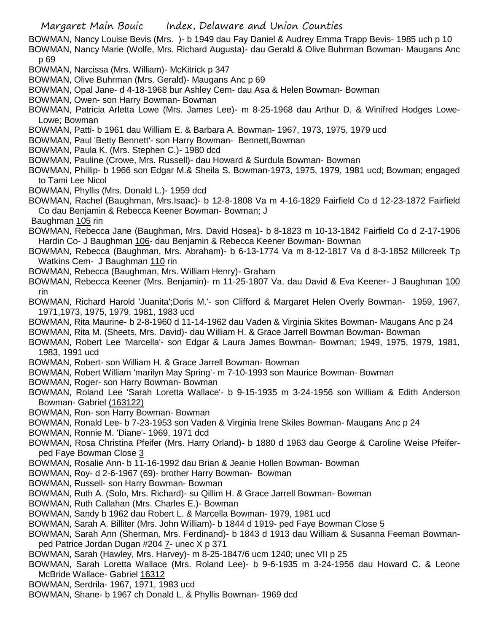Margaret Main Bouic Index, Delaware and Union Counties

BOWMAN, Nancy Louise Bevis (Mrs. )- b 1949 dau Fay Daniel & Audrey Emma Trapp Bevis- 1985 uch p 10 BOWMAN, Nancy Marie (Wolfe, Mrs. Richard Augusta)- dau Gerald & Olive Buhrman Bowman- Maugans Anc p 69

- BOWMAN, Narcissa (Mrs. William)- McKitrick p 347
- BOWMAN, Olive Buhrman (Mrs. Gerald)- Maugans Anc p 69
- BOWMAN, Opal Jane- d 4-18-1968 bur Ashley Cem- dau Asa & Helen Bowman- Bowman
- BOWMAN, Owen- son Harry Bowman- Bowman
- BOWMAN, Patricia Arletta Lowe (Mrs. James Lee)- m 8-25-1968 dau Arthur D. & Winifred Hodges Lowe-Lowe; Bowman
- BOWMAN, Patti- b 1961 dau William E. & Barbara A. Bowman- 1967, 1973, 1975, 1979 ucd
- BOWMAN, Paul 'Betty Bennett'- son Harry Bowman- Bennett,Bowman
- BOWMAN, Paula K. (Mrs. Stephen C.)- 1980 dcd
- BOWMAN, Pauline (Crowe, Mrs. Russell)- dau Howard & Surdula Bowman- Bowman
- BOWMAN, Phillip- b 1966 son Edgar M.& Sheila S. Bowman-1973, 1975, 1979, 1981 ucd; Bowman; engaged to Tami Lee Nicol
- BOWMAN, Phyllis (Mrs. Donald L.)- 1959 dcd
- BOWMAN, Rachel (Baughman, Mrs.Isaac)- b 12-8-1808 Va m 4-16-1829 Fairfield Co d 12-23-1872 Fairfield Co dau Benjamin & Rebecca Keener Bowman- Bowman; J
- Baughman 105 rin
- BOWMAN, Rebecca Jane (Baughman, Mrs. David Hosea)- b 8-1823 m 10-13-1842 Fairfield Co d 2-17-1906 Hardin Co- J Baughman 106- dau Benjamin & Rebecca Keener Bowman- Bowman
- BOWMAN, Rebecca (Baughman, Mrs. Abraham)- b 6-13-1774 Va m 8-12-1817 Va d 8-3-1852 Millcreek Tp Watkins Cem- J Baughman 110 rin
- BOWMAN, Rebecca (Baughman, Mrs. William Henry)- Graham
- BOWMAN, Rebecca Keener (Mrs. Benjamin)- m 11-25-1807 Va. dau David & Eva Keener- J Baughman 100 rin
- BOWMAN, Richard Harold 'Juanita';Doris M.'- son Clifford & Margaret Helen Overly Bowman- 1959, 1967, 1971,1973, 1975, 1979, 1981, 1983 ucd
- BOWMAN, Rita Maurine- b 2-8-1960 d 11-14-1962 dau Vaden & Virginia Skites Bowman- Maugans Anc p 24
- BOWMAN, Rita M. (Sheets, Mrs. David)- dau William H. & Grace Jarrell Bowman Bowman- Bowman
- BOWMAN, Robert Lee 'Marcella'- son Edgar & Laura James Bowman- Bowman; 1949, 1975, 1979, 1981, 1983, 1991 ucd
- BOWMAN, Robert- son William H. & Grace Jarrell Bowman- Bowman
- BOWMAN, Robert William 'marilyn May Spring'- m 7-10-1993 son Maurice Bowman- Bowman
- BOWMAN, Roger- son Harry Bowman- Bowman
- BOWMAN, Roland Lee 'Sarah Loretta Wallace'- b 9-15-1935 m 3-24-1956 son William & Edith Anderson Bowman- Gabriel (163122)
- BOWMAN, Ron- son Harry Bowman- Bowman
- BOWMAN, Ronald Lee- b 7-23-1953 son Vaden & Virginia Irene Skiles Bowman- Maugans Anc p 24
- BOWMAN, Ronnie M. 'Diane'- 1969, 1971 dcd
- BOWMAN, Rosa Christina Pfeifer (Mrs. Harry Orland)- b 1880 d 1963 dau George & Caroline Weise Pfeiferped Faye Bowman Close 3
- BOWMAN, Rosalie Ann- b 11-16-1992 dau Brian & Jeanie Hollen Bowman- Bowman
- BOWMAN, Roy- d 2-6-1967 (69)- brother Harry Bowman- Bowman
- BOWMAN, Russell- son Harry Bowman- Bowman
- BOWMAN, Ruth A. (Solo, Mrs. Richard)- su Qillim H. & Grace Jarrell Bowman- Bowman
- BOWMAN, Ruth Callahan (Mrs. Charles E.)- Bowman
- BOWMAN, Sandy b 1962 dau Robert L. & Marcella Bowman- 1979, 1981 ucd
- BOWMAN, Sarah A. Billiter (Mrs. John William)- b 1844 d 1919- ped Faye Bowman Close 5
- BOWMAN, Sarah Ann (Sherman, Mrs. Ferdinand)- b 1843 d 1913 dau William & Susanna Feeman Bowmanped Patrice Jordan Dugan #204 7- unec X p 371
- BOWMAN, Sarah (Hawley, Mrs. Harvey)- m 8-25-1847/6 ucm 1240; unec VII p 25
- BOWMAN, Sarah Loretta Wallace (Mrs. Roland Lee)- b 9-6-1935 m 3-24-1956 dau Howard C. & Leone McBride Wallace- Gabriel 16312
- BOWMAN, Serdrila- 1967, 1971, 1983 ucd
- BOWMAN, Shane- b 1967 ch Donald L. & Phyllis Bowman- 1969 dcd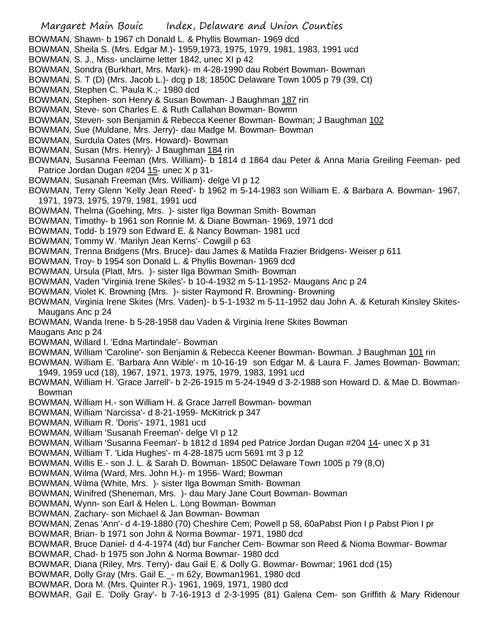Margaret Main Bouic Index, Delaware and Union Counties BOWMAN, Shawn- b 1967 ch Donald L. & Phyllis Bowman- 1969 dcd BOWMAN, Sheila S. (Mrs. Edgar M.)- 1959,1973, 1975, 1979, 1981, 1983, 1991 ucd BOWMAN, S. J., Miss- unclaime letter 1842, unec XI p 42 BOWMAN, Sondra (Burkhart, Mrs. Mark)- m 4-28-1990 dau Robert Bowman- Bowman BOWMAN, S. T (D) (Mrs. Jacob L.)- dcg p 18; 1850C Delaware Town 1005 p 79 (39, Ct) BOWMAN, Stephen C. 'Paula K.;- 1980 dcd BOWMAN, Stephen- son Henry & Susan Bowman- J Baughman 187 rin BOWMAN, Steve- son Charles E. & Ruth Callahan Bowman- Bowmn BOWMAN, Steven- son Benjamin & Rebecca Keener Bowman- Bowman; J Baughman 102 BOWMAN, Sue (Muldane, Mrs. Jerry)- dau Madge M. Bowman- Bowman BOWMAN, Surdula Oates (Mrs. Howard)- Bowman BOWMAN, Susan (Mrs. Henry)- J Baughman 184 rin BOWMAN, Susanna Feeman (Mrs. William)- b 1814 d 1864 dau Peter & Anna Maria Greiling Feeman- ped Patrice Jordan Dugan #204 15- unec X p 31- BOWMAN, Susanah Freeman (Mrs. William)- delge VI p 12 BOWMAN, Terry Glenn 'Kelly Jean Reed'- b 1962 m 5-14-1983 son William E. & Barbara A. Bowman- 1967, 1971, 1973, 1975, 1979, 1981, 1991 ucd BOWMAN, Thelma (Goehing, Mrs. )- sister Ilga Bowman Smith- Bowman BOWMAN, Timothy- b 1961 son Ronnie M. & Diane Bowman- 1969, 1971 dcd BOWMAN, Todd- b 1979 son Edward E. & Nancy Bowman- 1981 ucd BOWMAN, Tommy W. 'Marilyn Jean Kerns'- Cowgill p 63 BOWMAN, Trenna Bridgens (Mrs. Bruce)- dau James & Matilda Frazier Bridgens- Weiser p 611 BOWMAN, Troy- b 1954 son Donald L. & Phyllis Bowman- 1969 dcd BOWMAN, Ursula (Platt, Mrs. )- sister Ilga Bowman Smith- Bowman BOWMAN, Vaden 'Virginia Irene Skiles'- b 10-4-1932 m 5-11-1952- Maugans Anc p 24 BOWMAN, Violet K. Browning (Mrs. )- sister Raymond R. Browning- Browning BOWMAN, Virginia Irene Skites (Mrs. Vaden)- b 5-1-1932 m 5-11-1952 dau John A. & Keturah Kinsley Skites-Maugans Anc p 24 BOWMAN, Wanda Irene- b 5-28-1958 dau Vaden & Virginia Irene Skites Bowman Maugans Anc p 24 BOWMAN, Willard I. 'Edna Martindale'- Bowman BOWMAN, William 'Caroline'- son Benjamin & Rebecca Keener Bowman- Bowman. J Baughman 101 rin BOWMAN, William E. 'Barbara Ann Wible'- m 10-16-19 son Edgar M. & Laura F. James Bowman- Bowman; 1949, 1959 ucd (18), 1967, 1971, 1973, 1975, 1979, 1983, 1991 ucd BOWMAN, William H. 'Grace Jarrell'- b 2-26-1915 m 5-24-1949 d 3-2-1988 son Howard D. & Mae D. Bowman-Bowman BOWMAN, William H.- son William H. & Grace Jarrell Bowman- bowman BOWMAN, William 'Narcissa'- d 8-21-1959- McKitrick p 347 BOWMAN, William R. 'Doris'- 1971, 1981 ucd BOWMAN, William 'Susanah Freeman'- delge VI p 12 BOWMAN, William 'Susanna Feeman'- b 1812 d 1894 ped Patrice Jordan Dugan #204 14- unec X p 31 BOWMAN, William T. 'Lida Hughes'- m 4-28-1875 ucm 5691 mt 3 p 12 BOWMAN, Willis E.- son J. L. & Sarah D. Bowman- 1850C Delaware Town 1005 p 79 (8,O) BOWMAN, Wilma (Ward, Mrs. John H.)- m 1956- Ward; Bowman BOWMAN, Wilma (White, Mrs. )- sister Ilga Bowman Smith- Bowman BOWMAN, Winifred (Sheneman, Mrs. )- dau Mary Jane Court Bowman- Bowman BOWMAN, Wynn- son Earl & Helen L. Long Bowman- Bowman BOWMAN, Zachary- son Michael & Jan Bowman- Bowman BOWMAN, Zenas 'Ann'- d 4-19-1880 (70) Cheshire Cem; Powell p 58, 60aPabst Pion I p Pabst Pion I pr BOWMAR, Brian- b 1971 son John & Norma Bowmar- 1971, 1980 dcd BOWMAR, Bruce Daniel- d 4-4-1974 (4d) bur Fancher Cem- Bowmar son Reed & Nioma Bowmar- Bowmar BOWMAR, Chad- b 1975 son John & Norma Bowmar- 1980 dcd BOWMAR, Diana (Riley, Mrs. Terry)- dau Gail E. & Dolly G. Bowmar- Bowmar; 1961 dcd (15) BOWMAR, Dolly Gray (Mrs. Gail E.\_- m 62y, Bowman1961, 1980 dcd BOWMAR, Dora M. (Mrs. Quinter R.)- 1961, 1969, 1971, 1980 dcd BOWMAR, Gail E. 'Dolly Gray'- b 7-16-1913 d 2-3-1995 (81) Galena Cem- son Griffith & Mary Ridenour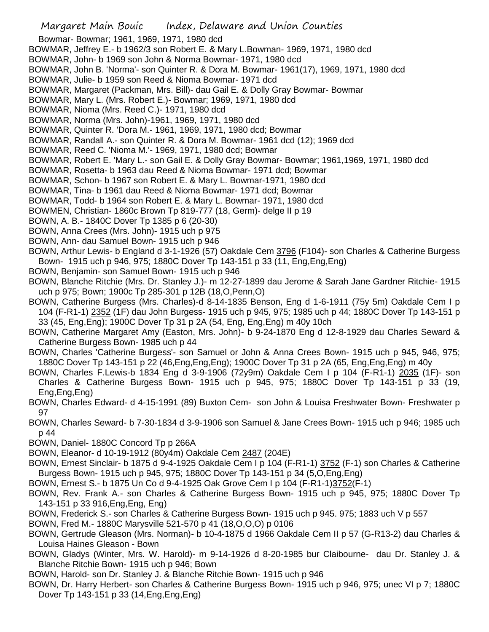Bowmar- Bowmar; 1961, 1969, 1971, 1980 dcd

- BOWMAR, Jeffrey E.- b 1962/3 son Robert E. & Mary L.Bowman- 1969, 1971, 1980 dcd
- BOWMAR, John- b 1969 son John & Norma Bowmar- 1971, 1980 dcd
- BOWMAR, John B. 'Norma'- son Quinter R. & Dora M. Bowmar- 1961(17), 1969, 1971, 1980 dcd
- BOWMAR, Julie- b 1959 son Reed & Nioma Bowmar- 1971 dcd
- BOWMAR, Margaret (Packman, Mrs. Bill)- dau Gail E. & Dolly Gray Bowmar- Bowmar
- BOWMAR, Mary L. (Mrs. Robert E.)- Bowmar; 1969, 1971, 1980 dcd
- BOWMAR, Nioma (Mrs. Reed C.)- 1971, 1980 dcd
- BOWMAR, Norma (Mrs. John)-1961, 1969, 1971, 1980 dcd
- BOWMAR, Quinter R. 'Dora M.- 1961, 1969, 1971, 1980 dcd; Bowmar
- BOWMAR, Randall A.- son Quinter R. & Dora M. Bowmar- 1961 dcd (12); 1969 dcd
- BOWMAR, Reed C. 'Nioma M.'- 1969, 1971, 1980 dcd; Bowmar
- BOWMAR, Robert E. 'Mary L.- son Gail E. & Dolly Gray Bowmar- Bowmar; 1961,1969, 1971, 1980 dcd
- BOWMAR, Rosetta- b 1963 dau Reed & Nioma Bowmar- 1971 dcd; Bowmar
- BOWMAR, Schon- b 1967 son Robert E. & Mary L. Bowmar-1971, 1980 dcd
- BOWMAR, Tina- b 1961 dau Reed & Nioma Bowmar- 1971 dcd; Bowmar
- BOWMAR, Todd- b 1964 son Robert E. & Mary L. Bowmar- 1971, 1980 dcd
- BOWMEN, Christian- 1860c Brown Tp 819-777 (18, Germ)- delge II p 19
- BOWN, A. B.- 1840C Dover Tp 1385 p 6 (20-30)
- BOWN, Anna Crees (Mrs. John)- 1915 uch p 975
- BOWN, Ann- dau Samuel Bown- 1915 uch p 946
- BOWN, Arthur Lewis- b England d 3-1-1926 (57) Oakdale Cem 3796 (F104)- son Charles & Catherine Burgess Bown- 1915 uch p 946, 975; 1880C Dover Tp 143-151 p 33 (11, Eng,Eng,Eng)
- BOWN, Benjamin- son Samuel Bown- 1915 uch p 946
- BOWN, Blanche Ritchie (Mrs. Dr. Stanley J.)- m 12-27-1899 dau Jerome & Sarah Jane Gardner Ritchie- 1915 uch p 975; Bown; 1900c Tp 285-301 p 12B (18,O,Penn,O)
- BOWN, Catherine Burgess (Mrs. Charles)-d 8-14-1835 Benson, Eng d 1-6-1911 (75y 5m) Oakdale Cem I p 104 (F-R1-1) 2352 (1F) dau John Burgess- 1915 uch p 945, 975; 1985 uch p 44; 1880C Dover Tp 143-151 p 33 (45, Eng,Eng); 1900C Dover Tp 31 p 2A (54, Eng, Eng,Eng) m 40y 10ch
- BOWN, Catherine Margaret Amy (Easton, Mrs. John)- b 9-24-1870 Eng d 12-8-1929 dau Charles Seward & Catherine Burgess Bown- 1985 uch p 44
- BOWN, Charles 'Catherine Burgess'- son Samuel or John & Anna Crees Bown- 1915 uch p 945, 946, 975; 1880C Dover Tp 143-151 p 22 (46,Eng,Eng,Eng); 1900C Dover Tp 31 p 2A (65, Eng,Eng,Eng) m 40y
- BOWN, Charles F.Lewis-b 1834 Eng d 3-9-1906 (72y9m) Oakdale Cem I p 104 (F-R1-1) 2035 (1F)- son Charles & Catherine Burgess Bown- 1915 uch p 945, 975; 1880C Dover Tp 143-151 p 33 (19, Eng,Eng,Eng)
- BOWN, Charles Edward- d 4-15-1991 (89) Buxton Cem- son John & Louisa Freshwater Bown- Freshwater p 97
- BOWN, Charles Seward- b 7-30-1834 d 3-9-1906 son Samuel & Jane Crees Bown- 1915 uch p 946; 1985 uch p 44
- BOWN, Daniel- 1880C Concord Tp p 266A
- BOWN, Eleanor- d 10-19-1912 (80y4m) Oakdale Cem 2487 (204E)
- BOWN, Ernest Sinclair- b 1875 d 9-4-1925 Oakdale Cem I p 104 (F-R1-1) 3752 (F-1) son Charles & Catherine Burgess Bown- 1915 uch p 945, 975; 1880C Dover Tp 143-151 p 34 (5,O,Eng,Eng)
- BOWN, Ernest S.- b 1875 Un Co d 9-4-1925 Oak Grove Cem I p 104 (F-R1-1)3752(F-1)
- BOWN, Rev. Frank A.- son Charles & Catherine Burgess Bown- 1915 uch p 945, 975; 1880C Dover Tp 143-151 p 33 916,Eng,Eng, Eng)
- BOWN, Frederick S.- son Charles & Catherine Burgess Bown- 1915 uch p 945. 975; 1883 uch V p 557
- BOWN, Fred M.- 1880C Marysville 521-570 p 41 (18,O,O,O) p 0106
- BOWN, Gertrude Gleason (Mrs. Norman)- b 10-4-1875 d 1966 Oakdale Cem II p 57 (G-R13-2) dau Charles & Louisa Haines Gleason - Bown
- BOWN, Gladys (Winter, Mrs. W. Harold)- m 9-14-1926 d 8-20-1985 bur Claibourne- dau Dr. Stanley J. & Blanche Ritchie Bown- 1915 uch p 946; Bown
- BOWN, Harold- son Dr. Stanley J. & Blanche Ritchie Bown- 1915 uch p 946
- BOWN, Dr. Harry Herbert- son Charles & Catherine Burgess Bown- 1915 uch p 946, 975; unec VI p 7; 1880C Dover Tp 143-151 p 33 (14,Eng,Eng,Eng)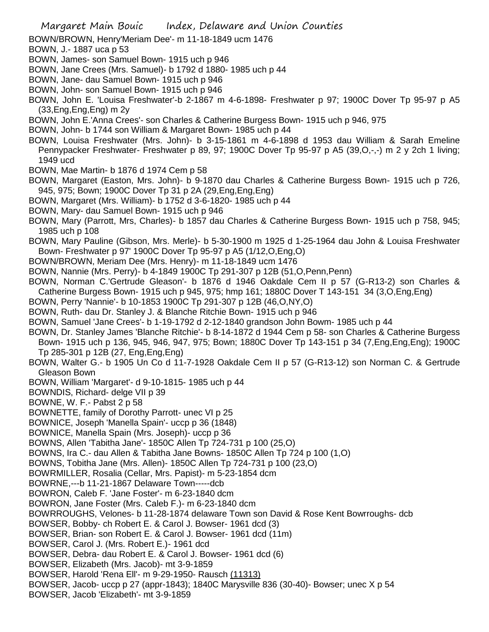Margaret Main Bouic Index, Delaware and Union Counties

- BOWN/BROWN, Henry'Meriam Dee'- m 11-18-1849 ucm 1476
- BOWN, J.- 1887 uca p 53
- BOWN, James- son Samuel Bown- 1915 uch p 946
- BOWN, Jane Crees (Mrs. Samuel)- b 1792 d 1880- 1985 uch p 44
- BOWN, Jane- dau Samuel Bown- 1915 uch p 946
- BOWN, John- son Samuel Bown- 1915 uch p 946
- BOWN, John E. 'Louisa Freshwater'-b 2-1867 m 4-6-1898- Freshwater p 97; 1900C Dover Tp 95-97 p A5 (33,Eng,Eng,Eng) m 2y
- BOWN, John E.'Anna Crees'- son Charles & Catherine Burgess Bown- 1915 uch p 946, 975
- BOWN, John- b 1744 son William & Margaret Bown- 1985 uch p 44
- BOWN, Louisa Freshwater (Mrs. John)- b 3-15-1861 m 4-6-1898 d 1953 dau William & Sarah Emeline Pennypacker Freshwater- Freshwater p 89, 97; 1900C Dover Tp 95-97 p A5 (39,O,-,-) m 2 y 2ch 1 living; 1949 ucd
- BOWN, Mae Martin- b 1876 d 1974 Cem p 58
- BOWN, Margaret (Easton, Mrs. John)- b 9-1870 dau Charles & Catherine Burgess Bown- 1915 uch p 726, 945, 975; Bown; 1900C Dover Tp 31 p 2A (29,Eng,Eng,Eng)
- BOWN, Margaret (Mrs. William)- b 1752 d 3-6-1820- 1985 uch p 44
- BOWN, Mary- dau Samuel Bown- 1915 uch p 946
- BOWN, Mary (Parrott, Mrs, Charles)- b 1857 dau Charles & Catherine Burgess Bown- 1915 uch p 758, 945; 1985 uch p 108
- BOWN, Mary Pauline (Gibson, Mrs. Merle)- b 5-30-1900 m 1925 d 1-25-1964 dau John & Louisa Freshwater Bown- Freshwater p 97' 1900C Dover Tp 95-97 p A5 (1/12,O,Eng,O)
- BOWN/BROWN, Meriam Dee (Mrs. Henry)- m 11-18-1849 ucm 1476
- BOWN, Nannie (Mrs. Perry)- b 4-1849 1900C Tp 291-307 p 12B (51,O,Penn,Penn)
- BOWN, Norman C.'Gertrude Gleason'- b 1876 d 1946 Oakdale Cem II p 57 (G-R13-2) son Charles & Catherine Burgess Bown- 1915 uch p 945, 975; hmp 161; 1880C Dover T 143-151 34 (3,O,Eng,Eng)
- BOWN, Perry 'Nannie'- b 10-1853 1900C Tp 291-307 p 12B (46,O,NY,O)
- BOWN, Ruth- dau Dr. Stanley J. & Blanche Ritchie Bown- 1915 uch p 946
- BOWN, Samuel 'Jane Crees'- b 1-19-1792 d 2-12-1840 grandson John Bowm- 1985 uch p 44
- BOWN, Dr. Stanley James 'Blanche Ritchie'- b 8-14-1872 d 1944 Cem p 58- son Charles & Catherine Burgess Bown- 1915 uch p 136, 945, 946, 947, 975; Bown; 1880C Dover Tp 143-151 p 34 (7,Eng,Eng,Eng); 1900C Tp 285-301 p 12B (27, Eng,Eng,Eng)
- BOWN, Walter G.- b 1905 Un Co d 11-7-1928 Oakdale Cem II p 57 (G-R13-12) son Norman C. & Gertrude Gleason Bown
- BOWN, William 'Margaret'- d 9-10-1815- 1985 uch p 44
- BOWNDIS, Richard- delge VII p 39
- BOWNE, W. F.- Pabst 2 p 58
- BOWNETTE, family of Dorothy Parrott- unec VI p 25
- BOWNICE, Joseph 'Manella Spain'- uccp p 36 (1848)
- BOWNICE, Manella Spain (Mrs. Joseph)- uccp p 36
- BOWNS, Allen 'Tabitha Jane'- 1850C Allen Tp 724-731 p 100 (25,O)
- BOWNS, Ira C.- dau Allen & Tabitha Jane Bowns- 1850C Allen Tp 724 p 100 (1,O)
- BOWNS, Tobitha Jane (Mrs. Allen)- 1850C Allen Tp 724-731 p 100 (23,O)
- BOWRMILLER, Rosalia (Cellar, Mrs. Papist)- m 5-23-1854 dcm
- BOWRNE,---b 11-21-1867 Delaware Town-----dcb
- BOWRON, Caleb F. 'Jane Foster'- m 6-23-1840 dcm
- BOWRON, Jane Foster (Mrs. Caleb F.)- m 6-23-1840 dcm
- BOWRROUGHS, Velones- b 11-28-1874 delaware Town son David & Rose Kent Bowrroughs- dcb
- BOWSER, Bobby- ch Robert E. & Carol J. Bowser- 1961 dcd (3)
- BOWSER, Brian- son Robert E. & Carol J. Bowser- 1961 dcd (11m)
- BOWSER, Carol J. (Mrs. Robert E.)- 1961 dcd
- BOWSER, Debra- dau Robert E. & Carol J. Bowser- 1961 dcd (6)
- BOWSER, Elizabeth (Mrs. Jacob)- mt 3-9-1859
- BOWSER, Harold 'Rena Ell'- m 9-29-1950- Rausch (11313)
- BOWSER, Jacob- uccp p 27 (appr-1843); 1840C Marysville 836 (30-40)- Bowser; unec X p 54
- BOWSER, Jacob 'Elizabeth'- mt 3-9-1859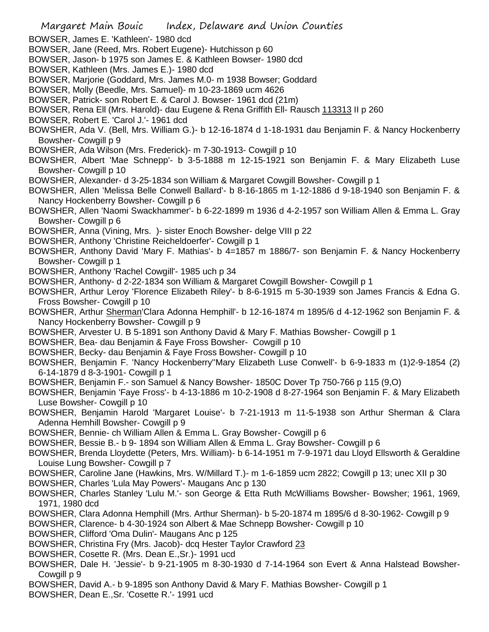- Margaret Main Bouic Index, Delaware and Union Counties BOWSER, James E. 'Kathleen'- 1980 dcd BOWSER, Jane (Reed, Mrs. Robert Eugene)- Hutchisson p 60 BOWSER, Jason- b 1975 son James E. & Kathleen Bowser- 1980 dcd BOWSER, Kathleen (Mrs. James E.)- 1980 dcd BOWSER, Marjorie (Goddard, Mrs. James M.0- m 1938 Bowser; Goddard BOWSER, Molly (Beedle, Mrs. Samuel)- m 10-23-1869 ucm 4626 BOWSER, Patrick- son Robert E. & Carol J. Bowser- 1961 dcd (21m) BOWSER, Rena Ell (Mrs. Harold)- dau Eugene & Rena Griffith Ell- Rausch 113313 II p 260 BOWSER, Robert E. 'Carol J.'- 1961 dcd BOWSHER, Ada V. (Bell, Mrs. William G.)- b 12-16-1874 d 1-18-1931 dau Benjamin F. & Nancy Hockenberry Bowsher- Cowgill p 9 BOWSHER, Ada Wilson (Mrs. Frederick)- m 7-30-1913- Cowgill p 10 BOWSHER, Albert 'Mae Schnepp'- b 3-5-1888 m 12-15-1921 son Benjamin F. & Mary Elizabeth Luse Bowsher- Cowgill p 10 BOWSHER, Alexander- d 3-25-1834 son William & Margaret Cowgill Bowsher- Cowgill p 1 BOWSHER, Allen 'Melissa Belle Conwell Ballard'- b 8-16-1865 m 1-12-1886 d 9-18-1940 son Benjamin F. & Nancy Hockenberry Bowsher- Cowgill p 6 BOWSHER, Allen 'Naomi Swackhammer'- b 6-22-1899 m 1936 d 4-2-1957 son William Allen & Emma L. Gray Bowsher- Cowgill p 6 BOWSHER, Anna (Vining, Mrs. )- sister Enoch Bowsher- delge VIII p 22 BOWSHER, Anthony 'Christine Reicheldoerfer'- Cowgill p 1 BOWSHER, Anthony David 'Mary F. Mathias'- b 4=1857 m 1886/7- son Benjamin F. & Nancy Hockenberry Bowsher- Cowgill p 1 BOWSHER, Anthony 'Rachel Cowgill'- 1985 uch p 34 BOWSHER, Anthony- d 2-22-1834 son William & Margaret Cowgill Bowsher- Cowgill p 1 BOWSHER, Arthur Leroy 'Florence Elizabeth Riley'- b 8-6-1915 m 5-30-1939 son James Francis & Edna G. Fross Bowsher- Cowgill p 10 BOWSHER, Arthur Sherman'Clara Adonna Hemphill'- b 12-16-1874 m 1895/6 d 4-12-1962 son Benjamin F. & Nancy Hockenberry Bowsher- Cowgill p 9 BOWSHER, Arvester U. B 5-1891 son Anthony David & Mary F. Mathias Bowsher- Cowgill p 1 BOWSHER, Bea- dau Benjamin & Faye Fross Bowsher- Cowgill p 10 BOWSHER, Becky- dau Benjamin & Faye Fross Bowsher- Cowgill p 10 BOWSHER, Benjamin F. 'Nancy Hockenberry''Mary Elizabeth Luse Conwell'- b 6-9-1833 m (1)2-9-1854 (2) 6-14-1879 d 8-3-1901- Cowgill p 1 BOWSHER, Benjamin F.- son Samuel & Nancy Bowsher- 1850C Dover Tp 750-766 p 115 (9,O) BOWSHER, Benjamin 'Faye Fross'- b 4-13-1886 m 10-2-1908 d 8-27-1964 son Benjamin F. & Mary Elizabeth Luse Bowsher- Cowgill p 10 BOWSHER, Benjamin Harold 'Margaret Louise'- b 7-21-1913 m 11-5-1938 son Arthur Sherman & Clara Adenna Hemhill Bowsher- Cowgill p 9 BOWSHER, Bennie- ch William Allen & Emma L. Gray Bowsher- Cowgill p 6 BOWSHER, Bessie B.- b 9- 1894 son William Allen & Emma L. Gray Bowsher- Cowgill p 6 BOWSHER, Brenda Lloydette (Peters, Mrs. William)- b 6-14-1951 m 7-9-1971 dau Lloyd Ellsworth & Geraldine Louise Lung Bowsher- Cowgill p 7 BOWSHER, Caroline Jane (Hawkins, Mrs. W/Millard T.)- m 1-6-1859 ucm 2822; Cowgill p 13; unec XII p 30 BOWSHER, Charles 'Lula May Powers'- Maugans Anc p 130 BOWSHER, Charles Stanley 'Lulu M.'- son George & Etta Ruth McWilliams Bowsher- Bowsher; 1961, 1969, 1971, 1980 dcd BOWSHER, Clara Adonna Hemphill (Mrs. Arthur Sherman)- b 5-20-1874 m 1895/6 d 8-30-1962- Cowgill p 9 BOWSHER, Clarence- b 4-30-1924 son Albert & Mae Schnepp Bowsher- Cowgill p 10 BOWSHER, Clifford 'Oma Dulin'- Maugans Anc p 125 BOWSHER, Christina Fry (Mrs. Jacob)- dcq Hester Taylor Crawford 23 BOWSHER, Cosette R. (Mrs. Dean E.,Sr.)- 1991 ucd BOWSHER, Dale H. 'Jessie'- b 9-21-1905 m 8-30-1930 d 7-14-1964 son Evert & Anna Halstead Bowsher-Cowgill p 9 BOWSHER, David A.- b 9-1895 son Anthony David & Mary F. Mathias Bowsher- Cowgill p 1
- BOWSHER, Dean E.,Sr. 'Cosette R.'- 1991 ucd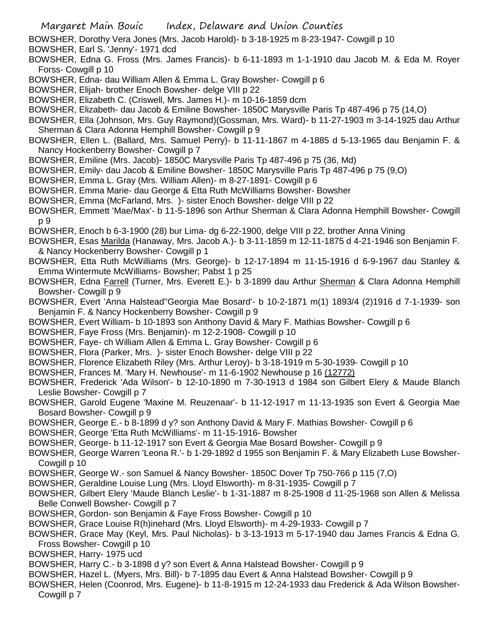- BOWSHER, Dorothy Vera Jones (Mrs. Jacob Harold)- b 3-18-1925 m 8-23-1947- Cowgill p 10
- BOWSHER, Earl S. 'Jenny'- 1971 dcd
- BOWSHER, Edna G. Fross (Mrs. James Francis)- b 6-11-1893 m 1-1-1910 dau Jacob M. & Eda M. Royer Forss- Cowgill p 10
- BOWSHER, Edna- dau William Allen & Emma L. Gray Bowsher- Cowgill p 6
- BOWSHER, Elijah- brother Enoch Bowsher- delge VIII p 22
- BOWSHER, Elizabeth C. (Criswell, Mrs. James H.)- m 10-16-1859 dcm
- BOWSHER, Elizabeth- dau Jacob & Emiline Bowsher- 1850C Marysville Paris Tp 487-496 p 75 (14,O)
- BOWSHER, Ella (Johnson, Mrs. Guy Raymond)(Gossman, Mrs. Ward)- b 11-27-1903 m 3-14-1925 dau Arthur Sherman & Clara Adonna Hemphill Bowsher- Cowgill p 9
- BOWSHER, Ellen L. (Ballard, Mrs. Samuel Perry)- b 11-11-1867 m 4-1885 d 5-13-1965 dau Benjamin F. & Nancy Hockenberry Bowsher- Cowgill p 7
- BOWSHER, Emiline (Mrs. Jacob)- 1850C Marysville Paris Tp 487-496 p 75 (36, Md)
- BOWSHER, Emily- dau Jacob & Emiline Bowsher- 1850C Marysville Paris Tp 487-496 p 75 (9,O)
- BOWSHER, Emma L. Gray (Mrs. William Allen)- m 8-27-1891- Cowgill p 6
- BOWSHER, Emma Marie- dau George & Etta Ruth McWilliams Bowsher- Bowsher
- BOWSHER, Emma (McFarland, Mrs. )- sister Enoch Bowsher- delge VIII p 22
- BOWSHER, Emmett 'Mae/Max'- b 11-5-1896 son Arthur Sherman & Clara Adonna Hemphill Bowsher- Cowgill p 9
- BOWSHER, Enoch b 6-3-1900 (28) bur Lima- dg 6-22-1900, delge VIII p 22, brother Anna Vining
- BOWSHER, Esas Marilda (Hanaway, Mrs. Jacob A.)- b 3-11-1859 m 12-11-1875 d 4-21-1946 son Benjamin F. & Nancy Hockenberry Bowsher- Cowgill p 1
- BOWSHER, Etta Ruth McWilliams (Mrs. George)- b 12-17-1894 m 11-15-1916 d 6-9-1967 dau Stanley & Emma Wintermute McWilliams- Bowsher; Pabst 1 p 25
- BOWSHER, Edna Farrell (Turner, Mrs. Everett E.)- b 3-1899 dau Arthur Sherman & Clara Adonna Hemphill Bowsher- Cowgill p 9
- BOWSHER, Evert 'Anna Halstead''Georgia Mae Bosard'- b 10-2-1871 m(1) 1893/4 (2)1916 d 7-1-1939- son Benjamin F. & Nancy Hockenberry Bowsher- Cowgill p 9
- BOWSHER, Evert William- b 10-1893 son Anthony David & Mary F. Mathias Bowsher- Cowgill p 6
- BOWSHER, Faye Fross (Mrs. Benjamin)- m 12-2-1908- Cowgill p 10
- BOWSHER, Faye- ch William Allen & Emma L. Gray Bowsher- Cowgill p 6
- BOWSHER, Flora (Parker, Mrs. )- sister Enoch Bowsher- delge VIII p 22
- BOWSHER, Florence Elizabeth Riley (Mrs. Arthur Leroy)- b 3-18-1919 m 5-30-1939- Cowgill p 10
- BOWSHER, Frances M. 'Mary H. Newhouse'- m 11-6-1902 Newhouse p 16 (12772)
- BOWSHER, Frederick 'Ada Wilson'- b 12-10-1890 m 7-30-1913 d 1984 son Gilbert Elery & Maude Blanch Leslie Bowsher- Cowgill p 7
- BOWSHER, Garold Eugene 'Maxine M. Reuzenaar'- b 11-12-1917 m 11-13-1935 son Evert & Georgia Mae Bosard Bowsher- Cowgill p 9
- BOWSHER, George E.- b 8-1899 d y? son Anthony David & Mary F. Mathias Bowsher- Cowgill p 6
- BOWSHER, George 'Etta Ruth McWilliams'- m 11-15-1916- Bowsher
- BOWSHER, George- b 11-12-1917 son Evert & Georgia Mae Bosard Bowsher- Cowgill p 9
- BOWSHER, George Warren 'Leona R.'- b 1-29-1892 d 1955 son Benjamin F. & Mary Elizabeth Luse Bowsher-Cowgill p 10
- BOWSHER, George W.- son Samuel & Nancy Bowsher- 1850C Dover Tp 750-766 p 115 (7,O)
- BOWSHER, Geraldine Louise Lung (Mrs. Lloyd Elsworth)- m 8-31-1935- Cowgill p 7
- BOWSHER, Gilbert Elery 'Maude Blanch Leslie'- b 1-31-1887 m 8-25-1908 d 11-25-1968 son Allen & Melissa Belle Conwell Bowsher- Cowgill p 7
- BOWSHER, Gordon- son Benjamin & Faye Fross Bowsher- Cowgill p 10
- BOWSHER, Grace Louise R(h)inehard (Mrs. Lloyd Elsworth)- m 4-29-1933- Cowgill p 7
- BOWSHER, Grace May (Keyl, Mrs. Paul Nicholas)- b 3-13-1913 m 5-17-1940 dau James Francis & Edna G. Fross Bowsher- Cowgill p 10
- BOWSHER, Harry- 1975 ucd
- BOWSHER, Harry C.- b 3-1898 d y? son Evert & Anna Halstead Bowsher- Cowgill p 9
- BOWSHER, Hazel L. (Myers, Mrs. Bill)- b 7-1895 dau Evert & Anna Halstead Bowsher- Cowgill p 9
- BOWSHER, Helen (Coonrod, Mrs. Eugene)- b 11-8-1915 m 12-24-1933 dau Frederick & Ada Wilson Bowsher-Cowgill p 7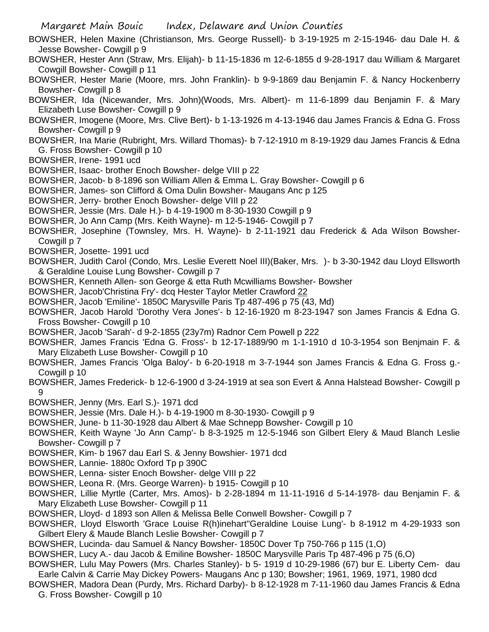Margaret Main Bouic Index, Delaware and Union Counties

- BOWSHER, Helen Maxine (Christianson, Mrs. George Russell)- b 3-19-1925 m 2-15-1946- dau Dale H. & Jesse Bowsher- Cowgill p 9
- BOWSHER, Hester Ann (Straw, Mrs. Elijah)- b 11-15-1836 m 12-6-1855 d 9-28-1917 dau William & Margaret Cowgill Bowsher- Cowgill p 11
- BOWSHER, Hester Marie (Moore, mrs. John Franklin)- b 9-9-1869 dau Benjamin F. & Nancy Hockenberry Bowsher- Cowgill p 8
- BOWSHER, Ida (Nicewander, Mrs. John)(Woods, Mrs. Albert)- m 11-6-1899 dau Benjamin F. & Mary Elizabeth Luse Bowsher- Cowgill p 9
- BOWSHER, Imogene (Moore, Mrs. Clive Bert)- b 1-13-1926 m 4-13-1946 dau James Francis & Edna G. Fross Bowsher- Cowgill p 9
- BOWSHER, Ina Marie (Rubright, Mrs. Willard Thomas)- b 7-12-1910 m 8-19-1929 dau James Francis & Edna G. Fross Bowsher- Cowgill p 10
- BOWSHER, Irene- 1991 ucd
- BOWSHER, Isaac- brother Enoch Bowsher- delge VIII p 22
- BOWSHER, Jacob- b 8-1896 son William Allen & Emma L. Gray Bowsher- Cowgill p 6
- BOWSHER, James- son Clifford & Oma Dulin Bowsher- Maugans Anc p 125
- BOWSHER, Jerry- brother Enoch Bowsher- delge VIII p 22
- BOWSHER, Jessie (Mrs. Dale H.)- b 4-19-1900 m 8-30-1930 Cowgill p 9
- BOWSHER, Jo Ann Camp (Mrs. Keith Wayne)- m 12-5-1946- Cowgill p 7
- BOWSHER, Josephine (Townsley, Mrs. H. Wayne)- b 2-11-1921 dau Frederick & Ada Wilson Bowsher-Cowgill p 7
- BOWSHER, Josette- 1991 ucd
- BOWSHER, Judith Carol (Condo, Mrs. Leslie Everett Noel III)(Baker, Mrs. )- b 3-30-1942 dau Lloyd Ellsworth & Geraldine Louise Lung Bowsher- Cowgill p 7
- BOWSHER, Kenneth Allen- son George & etta Ruth Mcwilliams Bowsher- Bowsher
- BOWSHER, Jacob'Christina Fry'- dcq Hester Taylor Metler Crawford 22
- BOWSHER, Jacob 'Emiline'- 1850C Marysville Paris Tp 487-496 p 75 (43, Md)
- BOWSHER, Jacob Harold 'Dorothy Vera Jones'- b 12-16-1920 m 8-23-1947 son James Francis & Edna G. Fross Bowsher- Cowgill p 10
- BOWSHER, Jacob 'Sarah'- d 9-2-1855 (23y7m) Radnor Cem Powell p 222
- BOWSHER, James Francis 'Edna G. Fross'- b 12-17-1889/90 m 1-1-1910 d 10-3-1954 son Benjmain F. & Mary Elizabeth Luse Bowsher- Cowgill p 10
- BOWSHER, James Francis 'Olga Baloy'- b 6-20-1918 m 3-7-1944 son James Francis & Edna G. Fross g.- Cowgill p 10
- BOWSHER, James Frederick- b 12-6-1900 d 3-24-1919 at sea son Evert & Anna Halstead Bowsher- Cowgill p 9
- BOWSHER, Jenny (Mrs. Earl S.)- 1971 dcd
- BOWSHER, Jessie (Mrs. Dale H.)- b 4-19-1900 m 8-30-1930- Cowgill p 9
- BOWSHER, June- b 11-30-1928 dau Albert & Mae Schnepp Bowsher- Cowgill p 10
- BOWSHER, Keith Wayne 'Jo Ann Camp'- b 8-3-1925 m 12-5-1946 son Gilbert Elery & Maud Blanch Leslie Bowsher- Cowgill p 7
- BOWSHER, Kim- b 1967 dau Earl S. & Jenny Bowshier- 1971 dcd
- BOWSHER, Lannie- 1880c Oxford Tp p 390C
- BOWSHER, Lenna- sister Enoch Bowsher- delge VIII p 22
- BOWSHER, Leona R. (Mrs. George Warren)- b 1915- Cowgill p 10
- BOWSHER, Lillie Myrtle (Carter, Mrs. Amos)- b 2-28-1894 m 11-11-1916 d 5-14-1978- dau Benjamin F. & Mary Elizabeth Luse Bowsher- Cowgill p 11
- BOWSHER, Lloyd- d 1893 son Allen & Melissa Belle Conwell Bowsher- Cowgill p 7
- BOWSHER, Lloyd Elsworth 'Grace Louise R(h)inehart''Geraldine Louise Lung'- b 8-1912 m 4-29-1933 son Gilbert Elery & Maude Blanch Leslie Bowsher- Cowgill p 7
- BOWSHER, Lucinda- dau Samuel & Nancy Bowsher- 1850C Dover Tp 750-766 p 115 (1,O)
- BOWSHER, Lucy A.- dau Jacob & Emiline Bowsher- 1850C Marysville Paris Tp 487-496 p 75 (6,O)
- BOWSHER, Lulu May Powers (Mrs. Charles Stanley)- b 5- 1919 d 10-29-1986 (67) bur E. Liberty Cem- dau Earle Calvin & Carrie May Dickey Powers- Maugans Anc p 130; Bowsher; 1961, 1969, 1971, 1980 dcd
- BOWSHER, Madora Dean (Purdy, Mrs. Richard Darby)- b 8-12-1928 m 7-11-1960 dau James Francis & Edna G. Fross Bowsher- Cowgill p 10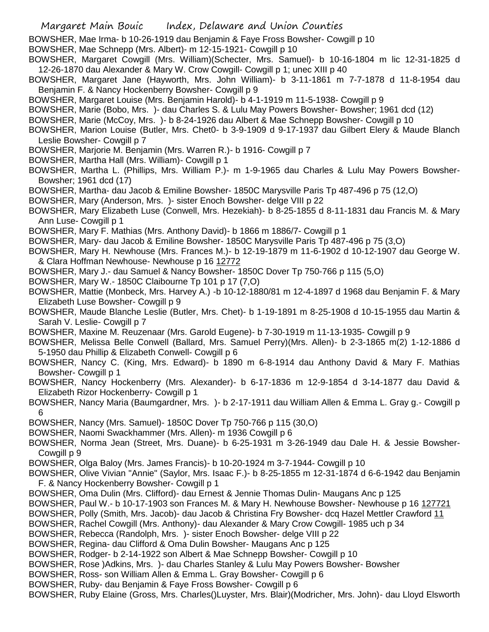BOWSHER, Mae Irma- b 10-26-1919 dau Benjamin & Faye Fross Bowsher- Cowgill p 10

BOWSHER, Mae Schnepp (Mrs. Albert)- m 12-15-1921- Cowgill p 10

BOWSHER, Margaret Cowgill (Mrs. William)(Schecter, Mrs. Samuel)- b 10-16-1804 m lic 12-31-1825 d 12-26-1870 dau Alexander & Mary W. Crow Cowgill- Cowgill p 1; unec XIII p 40

BOWSHER, Margaret Jane (Hayworth, Mrs. John William)- b 3-11-1861 m 7-7-1878 d 11-8-1954 dau Benjamin F. & Nancy Hockenberry Bowsher- Cowgill p 9

BOWSHER, Margaret Louise (Mrs. Benjamin Harold)- b 4-1-1919 m 11-5-1938- Cowgill p 9

BOWSHER, Marie (Bobo, Mrs. )- dau Charles S. & Lulu May Powers Bowsher- Bowsher; 1961 dcd (12)

BOWSHER, Marie (McCoy, Mrs. )- b 8-24-1926 dau Albert & Mae Schnepp Bowsher- Cowgill p 10

BOWSHER, Marion Louise (Butler, Mrs. Chet0- b 3-9-1909 d 9-17-1937 dau Gilbert Elery & Maude Blanch Leslie Bowsher- Cowgill p 7

BOWSHER, Marjorie M. Benjamin (Mrs. Warren R.)- b 1916- Cowgill p 7

BOWSHER, Martha Hall (Mrs. William)- Cowgill p 1

BOWSHER, Martha L. (Phillips, Mrs. William P.)- m 1-9-1965 dau Charles & Lulu May Powers Bowsher-Bowsher; 1961 dcd (17)

BOWSHER, Martha- dau Jacob & Emiline Bowsher- 1850C Marysville Paris Tp 487-496 p 75 (12,O)

BOWSHER, Mary (Anderson, Mrs. )- sister Enoch Bowsher- delge VIII p 22

BOWSHER, Mary Elizabeth Luse (Conwell, Mrs. Hezekiah)- b 8-25-1855 d 8-11-1831 dau Francis M. & Mary Ann Luse- Cowgill p 1

BOWSHER, Mary F. Mathias (Mrs. Anthony David)- b 1866 m 1886/7- Cowgill p 1

BOWSHER, Mary- dau Jacob & Emiline Bowsher- 1850C Marysville Paris Tp 487-496 p 75 (3,O)

BOWSHER, Mary H. Newhouse (Mrs. Frances M.)- b 12-19-1879 m 11-6-1902 d 10-12-1907 dau George W. & Clara Hoffman Newhouse- Newhouse p 16 12772

BOWSHER, Mary J.- dau Samuel & Nancy Bowsher- 1850C Dover Tp 750-766 p 115 (5,O)

BOWSHER, Mary W.- 1850C Claibourne Tp 101 p 17 (7,O)

BOWSHER, Mattie (Monbeck, Mrs. Harvey A.) -b 10-12-1880/81 m 12-4-1897 d 1968 dau Benjamin F. & Mary Elizabeth Luse Bowsher- Cowgill p 9

BOWSHER, Maude Blanche Leslie (Butler, Mrs. Chet)- b 1-19-1891 m 8-25-1908 d 10-15-1955 dau Martin & Sarah V. Leslie- Cowgill p 7

BOWSHER, Maxine M. Reuzenaar (Mrs. Garold Eugene)- b 7-30-1919 m 11-13-1935- Cowgill p 9

BOWSHER, Melissa Belle Conwell (Ballard, Mrs. Samuel Perry)(Mrs. Allen)- b 2-3-1865 m(2) 1-12-1886 d 5-1950 dau Phillip & Elizabeth Conwell- Cowgill p 6

BOWSHER, Nancy C. (King, Mrs. Edward)- b 1890 m 6-8-1914 dau Anthony David & Mary F. Mathias Bowsher- Cowgill p 1

BOWSHER, Nancy Hockenberry (Mrs. Alexander)- b 6-17-1836 m 12-9-1854 d 3-14-1877 dau David & Elizabeth Rizor Hockenberry- Cowgill p 1

BOWSHER, Nancy Maria (Baumgardner, Mrs. )- b 2-17-1911 dau William Allen & Emma L. Gray g.- Cowgill p 6

BOWSHER, Nancy (Mrs. Samuel)- 1850C Dover Tp 750-766 p 115 (30,O)

BOWSHER, Naomi Swackhammer (Mrs. Allen)- m 1936 Cowgill p 6

BOWSHER, Norma Jean (Street, Mrs. Duane)- b 6-25-1931 m 3-26-1949 dau Dale H. & Jessie Bowsher-Cowgill p 9

BOWSHER, Olga Baloy (Mrs. James Francis)- b 10-20-1924 m 3-7-1944- Cowgill p 10

BOWSHER, Olive Vivian "Annie" (Saylor, Mrs. Isaac F.)- b 8-25-1855 m 12-31-1874 d 6-6-1942 dau Benjamin F. & Nancy Hockenberry Bowsher- Cowgill p 1

- BOWSHER, Oma Dulin (Mrs. Clifford)- dau Ernest & Jennie Thomas Dulin- Maugans Anc p 125
- BOWSHER, Paul W.- b 10-17-1903 son Frances M. & Mary H. Newhouse Bowsher- Newhouse p 16 127721
- BOWSHER, Polly (Smith, Mrs. Jacob)- dau Jacob & Christina Fry Bowsher- dcq Hazel Mettler Crawford 11

BOWSHER, Rachel Cowgill (Mrs. Anthony)- dau Alexander & Mary Crow Cowgill- 1985 uch p 34

BOWSHER, Rebecca (Randolph, Mrs. )- sister Enoch Bowsher- delge VIII p 22

BOWSHER, Regina- dau Clifford & Oma Dulin Bowsher- Maugans Anc p 125

BOWSHER, Rodger- b 2-14-1922 son Albert & Mae Schnepp Bowsher- Cowgill p 10

BOWSHER, Rose )Adkins, Mrs. )- dau Charles Stanley & Lulu May Powers Bowsher- Bowsher

BOWSHER, Ross- son William Allen & Emma L. Gray Bowsher- Cowgill p 6

BOWSHER, Ruby- dau Benjamin & Faye Fross Bowsher- Cowgill p 6

BOWSHER, Ruby Elaine (Gross, Mrs. Charles()Luyster, Mrs. Blair)(Modricher, Mrs. John)- dau Lloyd Elsworth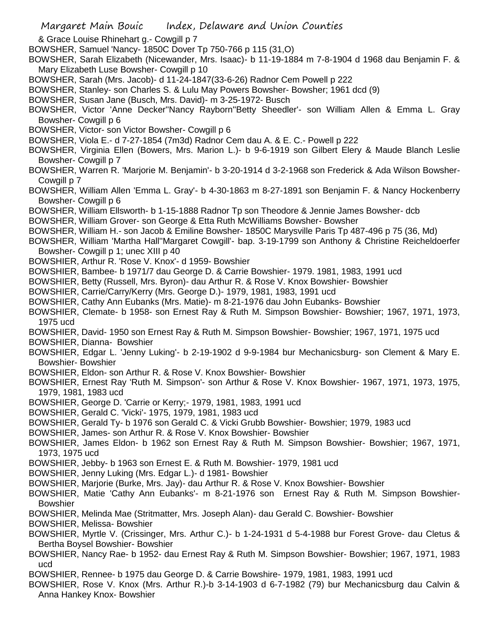& Grace Louise Rhinehart g.- Cowgill p 7

- BOWSHER, Samuel 'Nancy- 1850C Dover Tp 750-766 p 115 (31,O)
- BOWSHER, Sarah Elizabeth (Nicewander, Mrs. Isaac)- b 11-19-1884 m 7-8-1904 d 1968 dau Benjamin F. & Mary Elizabeth Luse Bowsher- Cowgill p 10
- BOWSHER, Sarah (Mrs. Jacob)- d 11-24-1847(33-6-26) Radnor Cem Powell p 222
- BOWSHER, Stanley- son Charles S. & Lulu May Powers Bowsher- Bowsher; 1961 dcd (9)
- BOWSHER, Susan Jane (Busch, Mrs. David)- m 3-25-1972- Busch
- BOWSHER, Victor 'Anne Decker''Nancy Rayborn''Betty Sheedler'- son William Allen & Emma L. Gray Bowsher- Cowgill p 6
- BOWSHER, Victor- son Victor Bowsher- Cowgill p 6
- BOWSHER, Viola E.- d 7-27-1854 (7m3d) Radnor Cem dau A. & E. C.- Powell p 222
- BOWSHER, Virginia Ellen (Bowers, Mrs. Marion L.)- b 9-6-1919 son Gilbert Elery & Maude Blanch Leslie Bowsher- Cowgill p 7
- BOWSHER, Warren R. 'Marjorie M. Benjamin'- b 3-20-1914 d 3-2-1968 son Frederick & Ada Wilson Bowsher-Cowgill p 7
- BOWSHER, William Allen 'Emma L. Gray'- b 4-30-1863 m 8-27-1891 son Benjamin F. & Nancy Hockenberry Bowsher- Cowgill p 6
- BOWSHER, William Ellsworth- b 1-15-1888 Radnor Tp son Theodore & Jennie James Bowsher- dcb
- BOWSHER, William Grover- son George & Etta Ruth McWilliams Bowsher- Bowsher
- BOWSHER, William H.- son Jacob & Emiline Bowsher- 1850C Marysville Paris Tp 487-496 p 75 (36, Md)
- BOWSHER, William 'Martha Hall''Margaret Cowgill'- bap. 3-19-1799 son Anthony & Christine Reicheldoerfer Bowsher- Cowgill p 1; unec XIII p 40
- BOWSHIER, Arthur R. 'Rose V. Knox'- d 1959- Bowshier
- BOWSHIER, Bambee- b 1971/7 dau George D. & Carrie Bowshier- 1979. 1981, 1983, 1991 ucd
- BOWSHIER, Betty (Russell, Mrs. Byron)- dau Arthur R. & Rose V. Knox Bowshier- Bowshier
- BOWSHIER, Carrie/Carry/Kerry (Mrs. George D.)- 1979, 1981, 1983, 1991 ucd
- BOWSHIER, Cathy Ann Eubanks (Mrs. Matie)- m 8-21-1976 dau John Eubanks- Bowshier
- BOWSHIER, Clemate- b 1958- son Ernest Ray & Ruth M. Simpson Bowshier- Bowshier; 1967, 1971, 1973, 1975 ucd
- BOWSHIER, David- 1950 son Ernest Ray & Ruth M. Simpson Bowshier- Bowshier; 1967, 1971, 1975 ucd
- BOWSHIER, Dianna- Bowshier
- BOWSHIER, Edgar L. 'Jenny Luking'- b 2-19-1902 d 9-9-1984 bur Mechanicsburg- son Clement & Mary E. Bowshier- Bowshier
- BOWSHIER, Eldon- son Arthur R. & Rose V. Knox Bowshier- Bowshier
- BOWSHIER, Ernest Ray 'Ruth M. Simpson'- son Arthur & Rose V. Knox Bowshier- 1967, 1971, 1973, 1975, 1979, 1981, 1983 ucd
- BOWSHIER, George D. 'Carrie or Kerry;- 1979, 1981, 1983, 1991 ucd
- BOWSHIER, Gerald C. 'Vicki'- 1975, 1979, 1981, 1983 ucd
- BOWSHIER, Gerald Ty- b 1976 son Gerald C. & Vicki Grubb Bowshier- Bowshier; 1979, 1983 ucd
- BOWSHIER, James- son Arthur R. & Rose V. Knox Bowshier- Bowshier
- BOWSHIER, James Eldon- b 1962 son Ernest Ray & Ruth M. Simpson Bowshier- Bowshier; 1967, 1971, 1973, 1975 ucd
- BOWSHIER, Jebby- b 1963 son Ernest E. & Ruth M. Bowshier- 1979, 1981 ucd
- BOWSHIER, Jenny Luking (Mrs. Edgar L.)- d 1981- Bowshier
- BOWSHIER, Marjorie (Burke, Mrs. Jay)- dau Arthur R. & Rose V. Knox Bowshier- Bowshier
- BOWSHIER, Matie 'Cathy Ann Eubanks'- m 8-21-1976 son Ernest Ray & Ruth M. Simpson Bowshier-Bowshier
- BOWSHIER, Melinda Mae (Stritmatter, Mrs. Joseph Alan)- dau Gerald C. Bowshier- Bowshier
- BOWSHIER, Melissa- Bowshier
- BOWSHIER, Myrtle V. (Crissinger, Mrs. Arthur C.)- b 1-24-1931 d 5-4-1988 bur Forest Grove- dau Cletus & Bertha Boysel Bowshier- Bowshier
- BOWSHIER, Nancy Rae- b 1952- dau Ernest Ray & Ruth M. Simpson Bowshier- Bowshier; 1967, 1971, 1983 ucd
- BOWSHIER, Rennee- b 1975 dau George D. & Carrie Bowshire- 1979, 1981, 1983, 1991 ucd
- BOWSHIER, Rose V. Knox (Mrs. Arthur R.)-b 3-14-1903 d 6-7-1982 (79) bur Mechanicsburg dau Calvin & Anna Hankey Knox- Bowshier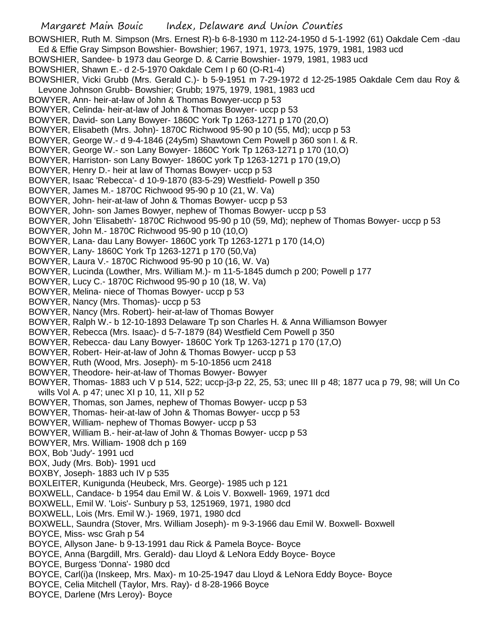BOWSHIER, Ruth M. Simpson (Mrs. Ernest R)-b 6-8-1930 m 112-24-1950 d 5-1-1992 (61) Oakdale Cem -dau Ed & Effie Gray Simpson Bowshier- Bowshier; 1967, 1971, 1973, 1975, 1979, 1981, 1983 ucd

- BOWSHIER, Sandee- b 1973 dau George D. & Carrie Bowshier- 1979, 1981, 1983 ucd
- BOWSHIER, Shawn E.- d 2-5-1970 Oakdale Cem I p 60 (O-R1-4)
- BOWSHIER, Vicki Grubb (Mrs. Gerald C.)- b 5-9-1951 m 7-29-1972 d 12-25-1985 Oakdale Cem dau Roy & Levone Johnson Grubb- Bowshier; Grubb; 1975, 1979, 1981, 1983 ucd
- BOWYER, Ann- heir-at-law of John & Thomas Bowyer-uccp p 53
- BOWYER, Celinda- heir-at-law of John & Thomas Bowyer- uccp p 53
- BOWYER, David- son Lany Bowyer- 1860C York Tp 1263-1271 p 170 (20,O)
- BOWYER, Elisabeth (Mrs. John)- 1870C Richwood 95-90 p 10 (55, Md); uccp p 53
- BOWYER, George W.- d 9-4-1846 (24y5m) Shawtown Cem Powell p 360 son I. & R.
- BOWYER, George W.- son Lany Bowyer- 1860C York Tp 1263-1271 p 170 (10,O)
- BOWYER, Harriston- son Lany Bowyer- 1860C york Tp 1263-1271 p 170 (19,O)
- BOWYER, Henry D.- heir at law of Thomas Bowyer- uccp p 53
- BOWYER, Isaac 'Rebecca'- d 10-9-1870 (83-5-29) Westfield- Powell p 350
- BOWYER, James M.- 1870C Richwood 95-90 p 10 (21, W. Va)
- BOWYER, John- heir-at-law of John & Thomas Bowyer- uccp p 53
- BOWYER, John- son James Bowyer, nephew of Thomas Bowyer- uccp p 53
- BOWYER, John 'Elisabeth'- 1870C Richwood 95-90 p 10 (59, Md); nephew of Thomas Bowyer- uccp p 53
- BOWYER, John M.- 1870C Richwood 95-90 p 10 (10,O)
- BOWYER, Lana- dau Lany Bowyer- 1860C york Tp 1263-1271 p 170 (14,O)
- BOWYER, Lany- 1860C York Tp 1263-1271 p 170 (50,Va)
- BOWYER, Laura V.- 1870C Richwood 95-90 p 10 (16, W. Va)
- BOWYER, Lucinda (Lowther, Mrs. William M.)- m 11-5-1845 dumch p 200; Powell p 177
- BOWYER, Lucy C.- 1870C Richwood 95-90 p 10 (18, W. Va)
- BOWYER, Melina- niece of Thomas Bowyer- uccp p 53
- BOWYER, Nancy (Mrs. Thomas)- uccp p 53
- BOWYER, Nancy (Mrs. Robert)- heir-at-law of Thomas Bowyer
- BOWYER, Ralph W.- b 12-10-1893 Delaware Tp son Charles H. & Anna Williamson Bowyer
- BOWYER, Rebecca (Mrs. Isaac)- d 5-7-1879 (84) Westfield Cem Powell p 350
- BOWYER, Rebecca- dau Lany Bowyer- 1860C York Tp 1263-1271 p 170 (17,O)
- BOWYER, Robert- Heir-at-law of John & Thomas Bowyer- uccp p 53
- BOWYER, Ruth (Wood, Mrs. Joseph)- m 5-10-1856 ucm 2418
- BOWYER, Theodore- heir-at-law of Thomas Bowyer- Bowyer
- BOWYER, Thomas- 1883 uch V p 514, 522; uccp-j3-p 22, 25, 53; unec III p 48; 1877 uca p 79, 98; will Un Co wills Vol A. p 47; unec XI p 10, 11, XII p 52
- BOWYER, Thomas, son James, nephew of Thomas Bowyer- uccp p 53
- BOWYER, Thomas- heir-at-law of John & Thomas Bowyer- uccp p 53
- BOWYER, William- nephew of Thomas Bowyer- uccp p 53
- BOWYER, William B.- heir-at-law of John & Thomas Bowyer- uccp p 53
- BOWYER, Mrs. William- 1908 dch p 169
- BOX, Bob 'Judy'- 1991 ucd
- BOX, Judy (Mrs. Bob)- 1991 ucd
- BOXBY, Joseph- 1883 uch IV p 535
- BOXLEITER, Kunigunda (Heubeck, Mrs. George)- 1985 uch p 121
- BOXWELL, Candace- b 1954 dau Emil W. & Lois V. Boxwell- 1969, 1971 dcd
- BOXWELL, Emil W. 'Lois'- Sunbury p 53, 1251969, 1971, 1980 dcd
- BOXWELL, Lois (Mrs. Emil W.)- 1969, 1971, 1980 dcd
- BOXWELL, Saundra (Stover, Mrs. William Joseph)- m 9-3-1966 dau Emil W. Boxwell- Boxwell
- BOYCE, Miss- wsc Grah p 54
- BOYCE, Allyson Jane- b 9-13-1991 dau Rick & Pamela Boyce- Boyce
- BOYCE, Anna (Bargdill, Mrs. Gerald)- dau Lloyd & LeNora Eddy Boyce- Boyce
- BOYCE, Burgess 'Donna'- 1980 dcd
- BOYCE, Carl(i)a (Inskeep, Mrs. Max)- m 10-25-1947 dau Lloyd & LeNora Eddy Boyce- Boyce
- BOYCE, Celia Mitchell (Taylor, Mrs. Ray)- d 8-28-1966 Boyce
- BOYCE, Darlene (Mrs Leroy)- Boyce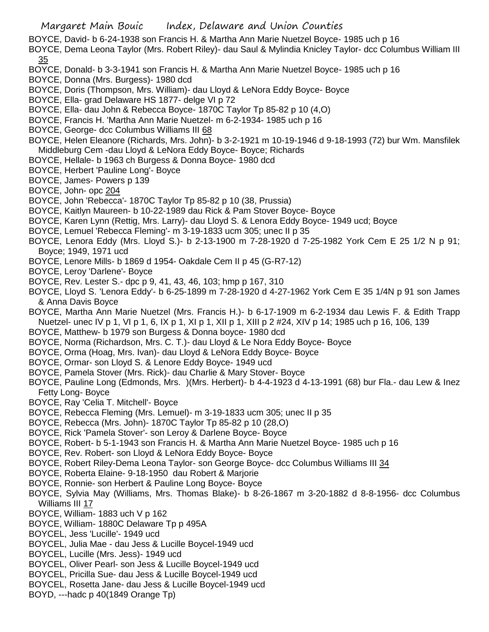- BOYCE, David- b 6-24-1938 son Francis H. & Martha Ann Marie Nuetzel Boyce- 1985 uch p 16
- BOYCE, Dema Leona Taylor (Mrs. Robert Riley)- dau Saul & Mylindia Knicley Taylor- dcc Columbus William III 35
- BOYCE, Donald- b 3-3-1941 son Francis H. & Martha Ann Marie Nuetzel Boyce- 1985 uch p 16
- BOYCE, Donna (Mrs. Burgess)- 1980 dcd
- BOYCE, Doris (Thompson, Mrs. William)- dau Lloyd & LeNora Eddy Boyce- Boyce
- BOYCE, Ella- grad Delaware HS 1877- delge VI p 72
- BOYCE, Ella- dau John & Rebecca Boyce- 1870C Taylor Tp 85-82 p 10 (4,O)
- BOYCE, Francis H. 'Martha Ann Marie Nuetzel- m 6-2-1934- 1985 uch p 16
- BOYCE, George- dcc Columbus Williams III 68
- BOYCE, Helen Eleanore (Richards, Mrs. John)- b 3-2-1921 m 10-19-1946 d 9-18-1993 (72) bur Wm. Mansfilek Middleburg Cem -dau Lloyd & LeNora Eddy Boyce- Boyce; Richards
- BOYCE, Hellale- b 1963 ch Burgess & Donna Boyce- 1980 dcd
- BOYCE, Herbert 'Pauline Long'- Boyce
- BOYCE, James- Powers p 139
- BOYCE, John- opc 204
- BOYCE, John 'Rebecca'- 1870C Taylor Tp 85-82 p 10 (38, Prussia)
- BOYCE, Kaitlyn Maureen- b 10-22-1989 dau Rick & Pam Stover Boyce- Boyce
- BOYCE, Karen Lynn (Rettig, Mrs. Larry)- dau Lloyd S. & Lenora Eddy Boyce- 1949 ucd; Boyce
- BOYCE, Lemuel 'Rebecca Fleming'- m 3-19-1833 ucm 305; unec II p 35
- BOYCE, Lenora Eddy (Mrs. Lloyd S.)- b 2-13-1900 m 7-28-1920 d 7-25-1982 York Cem E 25 1/2 N p 91; Boyce; 1949, 1971 ucd
- BOYCE, Lenore Mills- b 1869 d 1954- Oakdale Cem II p 45 (G-R7-12)
- BOYCE, Leroy 'Darlene'- Boyce
- BOYCE, Rev. Lester S.- dpc p 9, 41, 43, 46, 103; hmp p 167, 310
- BOYCE, Lloyd S. 'Lenora Eddy'- b 6-25-1899 m 7-28-1920 d 4-27-1962 York Cem E 35 1/4N p 91 son James & Anna Davis Boyce
- BOYCE, Martha Ann Marie Nuetzel (Mrs. Francis H.)- b 6-17-1909 m 6-2-1934 dau Lewis F. & Edith Trapp Nuetzel- unec IV p 1, VI p 1, 6, IX p 1, XI p 1, XII p 1, XIII p 2 #24, XIV p 14; 1985 uch p 16, 106, 139
- BOYCE, Matthew- b 1979 son Burgess & Donna boyce- 1980 dcd
- BOYCE, Norma (Richardson, Mrs. C. T.)- dau Lloyd & Le Nora Eddy Boyce- Boyce
- BOYCE, Orma (Hoag, Mrs. Ivan)- dau Lloyd & LeNora Eddy Boyce- Boyce
- BOYCE, Ormar- son Lloyd S. & Lenore Eddy Boyce- 1949 ucd
- BOYCE, Pamela Stover (Mrs. Rick)- dau Charlie & Mary Stover- Boyce
- BOYCE, Pauline Long (Edmonds, Mrs. )(Mrs. Herbert)- b 4-4-1923 d 4-13-1991 (68) bur Fla.- dau Lew & Inez Fetty Long- Boyce
- BOYCE, Ray 'Celia T. Mitchell'- Boyce
- BOYCE, Rebecca Fleming (Mrs. Lemuel)- m 3-19-1833 ucm 305; unec II p 35
- BOYCE, Rebecca (Mrs. John)- 1870C Taylor Tp 85-82 p 10 (28,O)
- BOYCE, Rick 'Pamela Stover'- son Leroy & Darlene Boyce- Boyce
- BOYCE, Robert- b 5-1-1943 son Francis H. & Martha Ann Marie Nuetzel Boyce- 1985 uch p 16
- BOYCE, Rev. Robert- son Lloyd & LeNora Eddy Boyce- Boyce
- BOYCE, Robert Riley-Dema Leona Taylor- son George Boyce- dcc Columbus Williams III 34
- BOYCE, Roberta Elaine- 9-18-1950 dau Robert & Marjorie
- BOYCE, Ronnie- son Herbert & Pauline Long Boyce- Boyce
- BOYCE, Sylvia May (Williams, Mrs. Thomas Blake)- b 8-26-1867 m 3-20-1882 d 8-8-1956- dcc Columbus Williams III 17
- BOYCE, William- 1883 uch V p 162
- BOYCE, William- 1880C Delaware Tp p 495A
- BOYCEL, Jess 'Lucille'- 1949 ucd
- BOYCEL, Julia Mae dau Jess & Lucille Boycel-1949 ucd
- BOYCEL, Lucille (Mrs. Jess)- 1949 ucd
- BOYCEL, Oliver Pearl- son Jess & Lucille Boycel-1949 ucd
- BOYCEL, Pricilla Sue- dau Jess & Lucille Boycel-1949 ucd
- BOYCEL, Rosetta Jane- dau Jess & Lucille Boycel-1949 ucd
- BOYD, ---hadc p 40(1849 Orange Tp)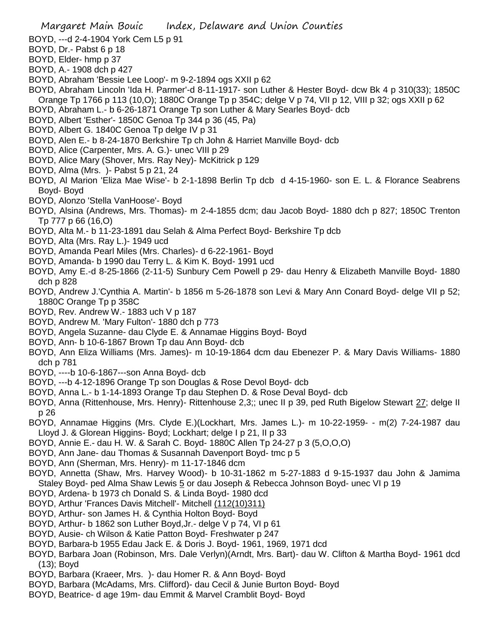- BOYD, ---d 2-4-1904 York Cem L5 p 91
- BOYD, Dr.- Pabst 6 p 18
- BOYD, Elder- hmp p 37
- BOYD, A.- 1908 dch p 427
- BOYD, Abraham 'Bessie Lee Loop'- m 9-2-1894 ogs XXII p 62
- BOYD, Abraham Lincoln 'Ida H. Parmer'-d 8-11-1917- son Luther & Hester Boyd- dcw Bk 4 p 310(33); 1850C Orange Tp 1766 p 113 (10,O); 1880C Orange Tp p 354C; delge V p 74, VII p 12, VIII p 32; ogs XXII p 62
- BOYD, Abraham L.- b 6-26-1871 Orange Tp son Luther & Mary Searles Boyd- dcb
- BOYD, Albert 'Esther'- 1850C Genoa Tp 344 p 36 (45, Pa)
- BOYD, Albert G. 1840C Genoa Tp delge IV p 31
- BOYD, Alen E.- b 8-24-1870 Berkshire Tp ch John & Harriet Manville Boyd- dcb
- BOYD, Alice (Carpenter, Mrs. A. G.)- unec VIII p 29
- BOYD, Alice Mary (Shover, Mrs. Ray Ney)- McKitrick p 129
- BOYD, Alma (Mrs. )- Pabst 5 p 21, 24
- BOYD, Al Marion 'Eliza Mae Wise'- b 2-1-1898 Berlin Tp dcb d 4-15-1960- son E. L. & Florance Seabrens Boyd- Boyd
- BOYD, Alonzo 'Stella VanHoose'- Boyd
- BOYD, Alsina (Andrews, Mrs. Thomas)- m 2-4-1855 dcm; dau Jacob Boyd- 1880 dch p 827; 1850C Trenton Tp 777 p 66 (16,O)
- BOYD, Alta M.- b 11-23-1891 dau Selah & Alma Perfect Boyd- Berkshire Tp dcb
- BOYD, Alta (Mrs. Ray L.)- 1949 ucd
- BOYD, Amanda Pearl Miles (Mrs. Charles)- d 6-22-1961- Boyd
- BOYD, Amanda- b 1990 dau Terry L. & Kim K. Boyd- 1991 ucd
- BOYD, Amy E.-d 8-25-1866 (2-11-5) Sunbury Cem Powell p 29- dau Henry & Elizabeth Manville Boyd- 1880 dch p 828
- BOYD, Andrew J.'Cynthia A. Martin'- b 1856 m 5-26-1878 son Levi & Mary Ann Conard Boyd- delge VII p 52; 1880C Orange Tp p 358C
- BOYD, Rev. Andrew W.- 1883 uch V p 187
- BOYD, Andrew M. 'Mary Fulton'- 1880 dch p 773
- BOYD, Angela Suzanne- dau Clyde E. & Annamae Higgins Boyd- Boyd
- BOYD, Ann- b 10-6-1867 Brown Tp dau Ann Boyd- dcb
- BOYD, Ann Eliza Williams (Mrs. James)- m 10-19-1864 dcm dau Ebenezer P. & Mary Davis Williams- 1880 dch p 781
- BOYD, ----b 10-6-1867---son Anna Boyd- dcb
- BOYD, ---b 4-12-1896 Orange Tp son Douglas & Rose Devol Boyd- dcb
- BOYD, Anna L.- b 1-14-1893 Orange Tp dau Stephen D. & Rose Deval Boyd- dcb
- BOYD, Anna (Rittenhouse, Mrs. Henry)- Rittenhouse 2,3;; unec II p 39, ped Ruth Bigelow Stewart 27; delge II p 26
- BOYD, Annamae Higgins (Mrs. Clyde E.)(Lockhart, Mrs. James L.)- m 10-22-1959- m(2) 7-24-1987 dau Lloyd J. & Glorean Higgins- Boyd; Lockhart; delge I p 21, II p 33
- BOYD, Annie E.- dau H. W. & Sarah C. Boyd- 1880C Allen Tp 24-27 p 3 (5,O,O,O)
- BOYD, Ann Jane- dau Thomas & Susannah Davenport Boyd- tmc p 5
- BOYD, Ann (Sherman, Mrs. Henry)- m 11-17-1846 dcm
- BOYD, Annetta (Shaw, Mrs. Harvey Wood)- b 10-31-1862 m 5-27-1883 d 9-15-1937 dau John & Jamima Staley Boyd- ped Alma Shaw Lewis 5 or dau Joseph & Rebecca Johnson Boyd- unec VI p 19
- BOYD, Ardena- b 1973 ch Donald S. & Linda Boyd- 1980 dcd
- BOYD, Arthur 'Frances Davis Mitchell'- Mitchell (112(10)311)
- BOYD, Arthur- son James H. & Cynthia Holton Boyd- Boyd
- BOYD, Arthur- b 1862 son Luther Boyd,Jr.- delge V p 74, VI p 61
- BOYD, Ausie- ch Wilson & Katie Patton Boyd- Freshwater p 247
- BOYD, Barbara-b 1955 Edau Jack E. & Doris J. Boyd- 1961, 1969, 1971 dcd
- BOYD, Barbara Joan (Robinson, Mrs. Dale Verlyn)(Arndt, Mrs. Bart)- dau W. Clifton & Martha Boyd- 1961 dcd (13); Boyd
- BOYD, Barbara (Kraeer, Mrs. )- dau Homer R. & Ann Boyd- Boyd
- BOYD, Barbara (McAdams, Mrs. Clifford)- dau Cecil & Junie Burton Boyd- Boyd
- BOYD, Beatrice- d age 19m- dau Emmit & Marvel Cramblit Boyd- Boyd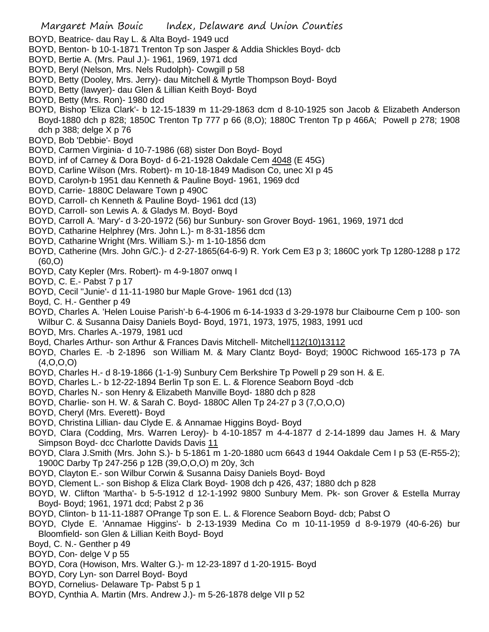- BOYD, Beatrice- dau Ray L. & Alta Boyd- 1949 ucd
- BOYD, Benton- b 10-1-1871 Trenton Tp son Jasper & Addia Shickles Boyd- dcb
- BOYD, Bertie A. (Mrs. Paul J.)- 1961, 1969, 1971 dcd
- BOYD, Beryl (Nelson, Mrs. Nels Rudolph)- Cowgill p 58
- BOYD, Betty (Dooley, Mrs. Jerry)- dau Mitchell & Myrtle Thompson Boyd- Boyd
- BOYD, Betty (lawyer)- dau Glen & Lillian Keith Boyd- Boyd
- BOYD, Betty (Mrs. Ron)- 1980 dcd
- BOYD, Bishop 'Eliza Clark'- b 12-15-1839 m 11-29-1863 dcm d 8-10-1925 son Jacob & Elizabeth Anderson Boyd-1880 dch p 828; 1850C Trenton Tp 777 p 66 (8,O); 1880C Trenton Tp p 466A; Powell p 278; 1908 dch p 388; delge X p 76
- BOYD, Bob 'Debbie'- Boyd
- BOYD, Carmen Virginia- d 10-7-1986 (68) sister Don Boyd- Boyd
- BOYD, inf of Carney & Dora Boyd- d 6-21-1928 Oakdale Cem 4048 (E 45G)
- BOYD, Carline Wilson (Mrs. Robert)- m 10-18-1849 Madison Co, unec XI p 45
- BOYD, Carolyn-b 1951 dau Kenneth & Pauline Boyd- 1961, 1969 dcd
- BOYD, Carrie- 1880C Delaware Town p 490C
- BOYD, Carroll- ch Kenneth & Pauline Boyd- 1961 dcd (13)
- BOYD, Carroll- son Lewis A. & Gladys M. Boyd- Boyd
- BOYD, Carroll A. 'Mary'- d 3-20-1972 (56) bur Sunbury- son Grover Boyd- 1961, 1969, 1971 dcd
- BOYD, Catharine Helphrey (Mrs. John L.)- m 8-31-1856 dcm
- BOYD, Catharine Wright (Mrs. William S.)- m 1-10-1856 dcm
- BOYD, Catherine (Mrs. John G/C.)- d 2-27-1865(64-6-9) R. York Cem E3 p 3; 1860C york Tp 1280-1288 p 172 (60,O)
- BOYD, Caty Kepler (Mrs. Robert)- m 4-9-1807 onwq I
- BOYD, C. E.- Pabst 7 p 17
- BOYD, Cecil ''Junie'- d 11-11-1980 bur Maple Grove- 1961 dcd (13)
- Boyd, C. H.- Genther p 49

BOYD, Charles A. 'Helen Louise Parish'-b 6-4-1906 m 6-14-1933 d 3-29-1978 bur Claibourne Cem p 100- son

Wilbur C. & Susanna Daisy Daniels Boyd- Boyd, 1971, 1973, 1975, 1983, 1991 ucd

- BOYD, Mrs. Charles A.-1979, 1981 ucd
- Boyd, Charles Arthur- son Arthur & Frances Davis Mitchell- Mitchell112(10)13112
- BOYD, Charles E. -b 2-1896 son William M. & Mary Clantz Boyd- Boyd; 1900C Richwood 165-173 p 7A (4,O,O,O)
- BOYD, Charles H.- d 8-19-1866 (1-1-9) Sunbury Cem Berkshire Tp Powell p 29 son H. & E.
- BOYD, Charles L.- b 12-22-1894 Berlin Tp son E. L. & Florence Seaborn Boyd -dcb
- BOYD, Charles N.- son Henry & Elizabeth Manville Boyd- 1880 dch p 828
- BOYD, Charlie- son H. W. & Sarah C. Boyd- 1880C Allen Tp 24-27 p 3 (7,O,O,O)
- BOYD, Cheryl (Mrs. Everett)- Boyd
- BOYD, Christina Lillian- dau Clyde E. & Annamae Higgins Boyd- Boyd
- BOYD, Clara (Codding, Mrs. Warren Leroy)- b 4-10-1857 m 4-4-1877 d 2-14-1899 dau James H. & Mary Simpson Boyd- dcc Charlotte Davids Davis 11
- BOYD, Clara J.Smith (Mrs. John S.)- b 5-1861 m 1-20-1880 ucm 6643 d 1944 Oakdale Cem I p 53 (E-R55-2); 1900C Darby Tp 247-256 p 12B (39,O,O,O) m 20y, 3ch
- BOYD, Clayton E.- son Wilbur Corwin & Susanna Daisy Daniels Boyd- Boyd
- BOYD, Clement L.- son Bishop & Eliza Clark Boyd- 1908 dch p 426, 437; 1880 dch p 828
- BOYD, W. Clifton 'Martha'- b 5-5-1912 d 12-1-1992 9800 Sunbury Mem. Pk- son Grover & Estella Murray Boyd- Boyd; 1961, 1971 dcd; Pabst 2 p 36
- BOYD, Clinton- b 11-11-1887 OPrange Tp son E. L. & Florence Seaborn Boyd- dcb; Pabst O
- BOYD, Clyde E. 'Annamae Higgins'- b 2-13-1939 Medina Co m 10-11-1959 d 8-9-1979 (40-6-26) bur Bloomfield- son Glen & Lillian Keith Boyd- Boyd
- Boyd, C. N.- Genther p 49
- BOYD, Con- delge V p 55
- BOYD, Cora (Howison, Mrs. Walter G.)- m 12-23-1897 d 1-20-1915- Boyd
- BOYD, Cory Lyn- son Darrel Boyd- Boyd
- BOYD, Cornelius- Delaware Tp- Pabst 5 p 1
- BOYD, Cynthia A. Martin (Mrs. Andrew J.)- m 5-26-1878 delge VII p 52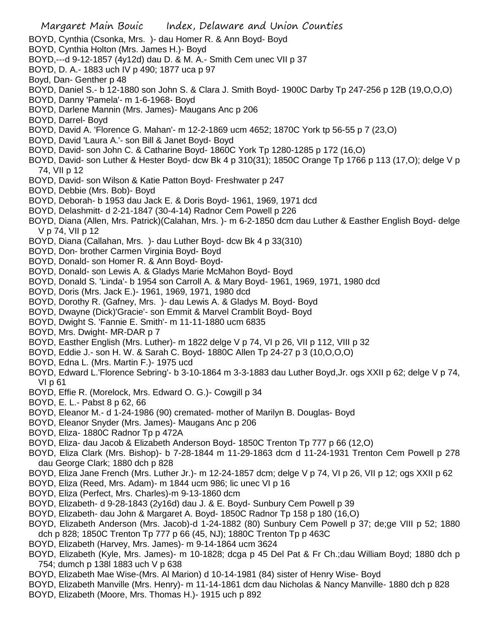- BOYD, Cynthia (Csonka, Mrs. )- dau Homer R. & Ann Boyd- Boyd
- BOYD, Cynthia Holton (Mrs. James H.)- Boyd
- BOYD,---d 9-12-1857 (4y12d) dau D. & M. A.- Smith Cem unec VII p 37
- BOYD, D. A.- 1883 uch IV p 490; 1877 uca p 97
- Boyd, Dan- Genther p 48
- BOYD, Daniel S.- b 12-1880 son John S. & Clara J. Smith Boyd- 1900C Darby Tp 247-256 p 12B (19,O,O,O)
- BOYD, Danny 'Pamela'- m 1-6-1968- Boyd
- BOYD, Darlene Mannin (Mrs. James)- Maugans Anc p 206
- BOYD, Darrel- Boyd
- BOYD, David A. 'Florence G. Mahan'- m 12-2-1869 ucm 4652; 1870C York tp 56-55 p 7 (23,O)
- BOYD, David 'Laura A.'- son Bill & Janet Boyd- Boyd
- BOYD, David- son John C. & Catharine Boyd- 1860C York Tp 1280-1285 p 172 (16,O)
- BOYD, David- son Luther & Hester Boyd- dcw Bk 4 p 310(31); 1850C Orange Tp 1766 p 113 (17,O); delge V p 74, VII p 12
- BOYD, David- son Wilson & Katie Patton Boyd- Freshwater p 247
- BOYD, Debbie (Mrs. Bob)- Boyd
- BOYD, Deborah- b 1953 dau Jack E. & Doris Boyd- 1961, 1969, 1971 dcd
- BOYD, Delashmitt- d 2-21-1847 (30-4-14) Radnor Cem Powell p 226
- BOYD, Diana (Allen, Mrs. Patrick)(Calahan, Mrs. )- m 6-2-1850 dcm dau Luther & Easther English Boyd- delge V p 74, VII p 12
- BOYD, Diana (Callahan, Mrs. )- dau Luther Boyd- dcw Bk 4 p 33(310)
- BOYD, Don- brother Carmen Virginia Boyd- Boyd
- BOYD, Donald- son Homer R. & Ann Boyd- Boyd-
- BOYD, Donald- son Lewis A. & Gladys Marie McMahon Boyd- Boyd
- BOYD, Donald S. 'Linda'- b 1954 son Carroll A. & Mary Boyd- 1961, 1969, 1971, 1980 dcd
- BOYD, Doris (Mrs. Jack E.)- 1961, 1969, 1971, 1980 dcd
- BOYD, Dorothy R. (Gafney, Mrs. )- dau Lewis A. & Gladys M. Boyd- Boyd
- BOYD, Dwayne (Dick)'Gracie'- son Emmit & Marvel Cramblit Boyd- Boyd
- BOYD, Dwight S. 'Fannie E. Smith'- m 11-11-1880 ucm 6835
- BOYD, Mrs. Dwight- MR-DAR p 7
- BOYD, Easther English (Mrs. Luther)- m 1822 delge V p 74, VI p 26, VII p 112, VIII p 32
- BOYD, Eddie J.- son H. W. & Sarah C. Boyd- 1880C Allen Tp 24-27 p 3 (10,O,O,O)
- BOYD, Edna L. (Mrs. Martin F.)- 1975 ucd
- BOYD, Edward L.'Florence Sebring'- b 3-10-1864 m 3-3-1883 dau Luther Boyd,Jr. ogs XXII p 62; delge V p 74, VI p 61
- BOYD, Effie R. (Morelock, Mrs. Edward O. G.)- Cowgill p 34
- BOYD, E. L.- Pabst 8 p 62, 66
- BOYD, Eleanor M.- d 1-24-1986 (90) cremated- mother of Marilyn B. Douglas- Boyd
- BOYD, Eleanor Snyder (Mrs. James)- Maugans Anc p 206
- BOYD, Eliza- 1880C Radnor Tp p 472A
- BOYD, Eliza- dau Jacob & Elizabeth Anderson Boyd- 1850C Trenton Tp 777 p 66 (12,O)
- BOYD, Eliza Clark (Mrs. Bishop)- b 7-28-1844 m 11-29-1863 dcm d 11-24-1931 Trenton Cem Powell p 278 dau George Clark; 1880 dch p 828
- BOYD, Eliza Jane French (Mrs. Luther Jr.)- m 12-24-1857 dcm; delge V p 74, VI p 26, VII p 12; ogs XXII p 62
- BOYD, Eliza (Reed, Mrs. Adam)- m 1844 ucm 986; lic unec VI p 16
- BOYD, Eliza (Perfect, Mrs. Charles)-m 9-13-1860 dcm
- BOYD, Elizabeth- d 9-28-1843 (2y16d) dau J. & E. Boyd- Sunbury Cem Powell p 39
- BOYD, Elizabeth- dau John & Margaret A. Boyd- 1850C Radnor Tp 158 p 180 (16,O)
- BOYD, Elizabeth Anderson (Mrs. Jacob)-d 1-24-1882 (80) Sunbury Cem Powell p 37; de;ge VIII p 52; 1880
- dch p 828; 1850C Trenton Tp 777 p 66 (45, NJ); 1880C Trenton Tp p 463C
- BOYD, Elizabeth (Harvey, Mrs. James)- m 9-14-1864 ucm 3624
- BOYD, Elizabeth (Kyle, Mrs. James)- m 10-1828; dcga p 45 Del Pat & Fr Ch.;dau William Boyd; 1880 dch p 754; dumch p 138l 1883 uch V p 638
- BOYD, Elizabeth Mae Wise-(Mrs. Al Marion) d 10-14-1981 (84) sister of Henry Wise- Boyd
- BOYD, Elizabeth Manville (Mrs. Henry)- m 11-14-1861 dcm dau Nicholas & Nancy Manville- 1880 dch p 828
- BOYD, Elizabeth (Moore, Mrs. Thomas H.)- 1915 uch p 892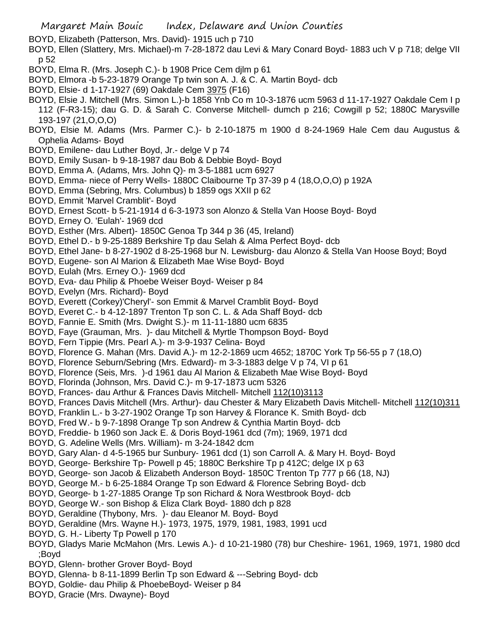Margaret Main Bouic Index, Delaware and Union Counties

BOYD, Elizabeth (Patterson, Mrs. David)- 1915 uch p 710

BOYD, Ellen (Slattery, Mrs. Michael)-m 7-28-1872 dau Levi & Mary Conard Boyd- 1883 uch V p 718; delge VII p 52

- BOYD, Elma R. (Mrs. Joseph C.)- b 1908 Price Cem djlm p 61
- BOYD, Elmora -b 5-23-1879 Orange Tp twin son A. J. & C. A. Martin Boyd- dcb
- BOYD, Elsie- d 1-17-1927 (69) Oakdale Cem 3975 (F16)
- BOYD, Elsie J. Mitchell (Mrs. Simon L.)-b 1858 Ynb Co m 10-3-1876 ucm 5963 d 11-17-1927 Oakdale Cem I p
- 112 (F-R3-15); dau G. D. & Sarah C. Converse Mitchell- dumch p 216; Cowgill p 52; 1880C Marysville 193-197 (21,O,O,O)
- BOYD, Elsie M. Adams (Mrs. Parmer C.)- b 2-10-1875 m 1900 d 8-24-1969 Hale Cem dau Augustus & Ophelia Adams- Boyd
- BOYD, Emilene- dau Luther Boyd, Jr.- delge V p 74
- BOYD, Emily Susan- b 9-18-1987 dau Bob & Debbie Boyd- Boyd
- BOYD, Emma A. (Adams, Mrs. John Q)- m 3-5-1881 ucm 6927
- BOYD, Emma- niece of Perry Wells- 1880C Claibourne Tp 37-39 p 4 (18,O,O,O) p 192A
- BOYD, Emma (Sebring, Mrs. Columbus) b 1859 ogs XXII p 62
- BOYD, Emmit 'Marvel Cramblit'- Boyd
- BOYD, Ernest Scott- b 5-21-1914 d 6-3-1973 son Alonzo & Stella Van Hoose Boyd- Boyd
- BOYD, Erney O. 'Eulah'- 1969 dcd
- BOYD, Esther (Mrs. Albert)- 1850C Genoa Tp 344 p 36 (45, Ireland)
- BOYD, Ethel D.- b 9-25-1889 Berkshire Tp dau Selah & Alma Perfect Boyd- dcb
- BOYD, Ethel Jane- b 8-27-1902 d 8-25-1968 bur N. Lewisburg- dau Alonzo & Stella Van Hoose Boyd; Boyd
- BOYD, Eugene- son Al Marion & Elizabeth Mae Wise Boyd- Boyd
- BOYD, Eulah (Mrs. Erney O.)- 1969 dcd
- BOYD, Eva- dau Philip & Phoebe Weiser Boyd- Weiser p 84
- BOYD, Evelyn (Mrs. Richard)- Boyd
- BOYD, Everett (Corkey)'Cheryl'- son Emmit & Marvel Cramblit Boyd- Boyd
- BOYD, Everet C.- b 4-12-1897 Trenton Tp son C. L. & Ada Shaff Boyd- dcb
- BOYD, Fannie E. Smith (Mrs. Dwight S.)- m 11-11-1880 ucm 6835
- BOYD, Faye (Grauman, Mrs. )- dau Mitchell & Myrtle Thompson Boyd- Boyd
- BOYD, Fern Tippie (Mrs. Pearl A.)- m 3-9-1937 Celina- Boyd
- BOYD, Florence G. Mahan (Mrs. David A.)- m 12-2-1869 ucm 4652; 1870C York Tp 56-55 p 7 (18,O)
- BOYD, Florence Seburn/Sebring (Mrs. Edward)- m 3-3-1883 delge V p 74, VI p 61
- BOYD, Florence (Seis, Mrs. )-d 1961 dau Al Marion & Elizabeth Mae Wise Boyd- Boyd
- BOYD, Florinda (Johnson, Mrs. David C.)- m 9-17-1873 ucm 5326
- BOYD, Frances- dau Arthur & Frances Davis Mitchell- Mitchell 112(10)3113
- BOYD, Frances Davis Mitchell (Mrs. Arthur)- dau Chester & Mary Elizabeth Davis Mitchell- Mitchell 112(10)311
- BOYD, Franklin L.- b 3-27-1902 Orange Tp son Harvey & Florance K. Smith Boyd- dcb
- BOYD, Fred W.- b 9-7-1898 Orange Tp son Andrew & Cynthia Martin Boyd- dcb
- BOYD, Freddie- b 1960 son Jack E. & Doris Boyd-1961 dcd (7m); 1969, 1971 dcd
- BOYD, G. Adeline Wells (Mrs. William)- m 3-24-1842 dcm
- BOYD, Gary Alan- d 4-5-1965 bur Sunbury- 1961 dcd (1) son Carroll A. & Mary H. Boyd- Boyd
- BOYD, George- Berkshire Tp- Powell p 45; 1880C Berkshire Tp p 412C; delge IX p 63
- BOYD, George- son Jacob & Elizabeth Anderson Boyd- 1850C Trenton Tp 777 p 66 (18, NJ)
- BOYD, George M.- b 6-25-1884 Orange Tp son Edward & Florence Sebring Boyd- dcb
- BOYD, George- b 1-27-1885 Orange Tp son Richard & Nora Westbrook Boyd- dcb
- BOYD, George W.- son Bishop & Eliza Clark Boyd- 1880 dch p 828
- BOYD, Geraldine (Thybony, Mrs. )- dau Eleanor M. Boyd- Boyd
- BOYD, Geraldine (Mrs. Wayne H.)- 1973, 1975, 1979, 1981, 1983, 1991 ucd
- BOYD, G. H.- Liberty Tp Powell p 170
- BOYD, Gladys Marie McMahon (Mrs. Lewis A.)- d 10-21-1980 (78) bur Cheshire- 1961, 1969, 1971, 1980 dcd ;Boyd
- BOYD, Glenn- brother Grover Boyd- Boyd
- BOYD, Glenna- b 8-11-1899 Berlin Tp son Edward & ---Sebring Boyd- dcb
- BOYD, Goldie- dau Philip & PhoebeBoyd- Weiser p 84
- BOYD, Gracie (Mrs. Dwayne)- Boyd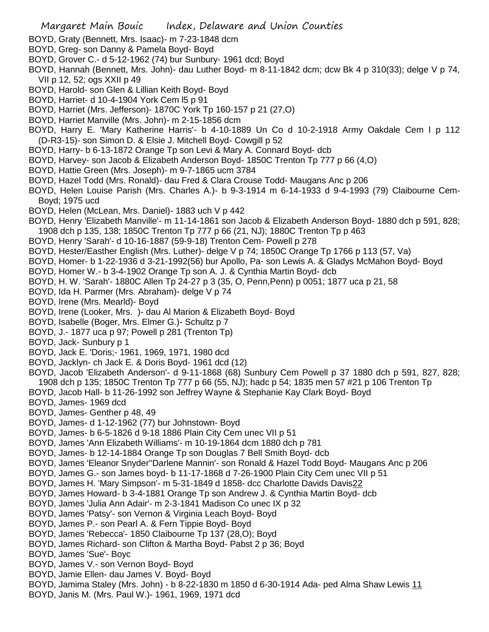- BOYD, Graty (Bennett, Mrs. Isaac)- m 7-23-1848 dcm
- BOYD, Greg- son Danny & Pamela Boyd- Boyd
- BOYD, Grover C.- d 5-12-1962 (74) bur Sunbury- 1961 dcd; Boyd
- BOYD, Hannah (Bennett, Mrs. John)- dau Luther Boyd- m 8-11-1842 dcm; dcw Bk 4 p 310(33); delge V p 74, VII p 12, 52; ogs XXII p 49
- BOYD, Harold- son Glen & Lillian Keith Boyd- Boyd
- BOYD, Harriet- d 10-4-1904 York Cem l5 p 91
- BOYD, Harriet (Mrs. Jefferson)- 1870C York Tp 160-157 p 21 (27,O)
- BOYD, Harriet Manville (Mrs. John)- m 2-15-1856 dcm
- BOYD, Harry E. 'Mary Katherine Harris'- b 4-10-1889 Un Co d 10-2-1918 Army Oakdale Cem I p 112 (D-R3-15)- son Simon D. & Elsie J. Mitchell Boyd- Cowgill p 52
- BOYD, Harry- b 6-13-1872 Orange Tp son Levi & Mary A. Connard Boyd- dcb
- BOYD, Harvey- son Jacob & Elizabeth Anderson Boyd- 1850C Trenton Tp 777 p 66 (4,O)
- BOYD, Hattie Green (Mrs. Joseph)- m 9-7-1865 ucm 3784
- BOYD, Hazel Todd (Mrs. Ronald)- dau Fred & Clara Crouse Todd- Maugans Anc p 206
- BOYD, Helen Louise Parish (Mrs. Charles A.)- b 9-3-1914 m 6-14-1933 d 9-4-1993 (79) Claibourne Cem-Boyd; 1975 ucd
- BOYD, Helen (McLean, Mrs. Daniel)- 1883 uch V p 442
- BOYD, Henry 'Elizabeth Manville'- m 11-14-1861 son Jacob & Elizabeth Anderson Boyd- 1880 dch p 591, 828; 1908 dch p 135, 138; 1850C Trenton Tp 777 p 66 (21, NJ); 1880C Trenton Tp p 463
- BOYD, Henry 'Sarah'- d 10-16-1887 (59-9-18) Trenton Cem- Powell p 278
- BOYD, Hester/Easther English (Mrs. Luther)- delge V p 74; 1850C Orange Tp 1766 p 113 (57, Va)
- BOYD, Homer- b 1-22-1936 d 3-21-1992(56) bur Apollo, Pa- son Lewis A. & Gladys McMahon Boyd- Boyd
- BOYD, Homer W.- b 3-4-1902 Orange Tp son A. J. & Cynthia Martin Boyd- dcb
- BOYD, H. W. 'Sarah'- 1880C Allen Tp 24-27 p 3 (35, O, Penn,Penn) p 0051; 1877 uca p 21, 58
- BOYD, Ida H. Parmer (Mrs. Abraham)- delge V p 74
- BOYD, Irene (Mrs. Mearld)- Boyd
- BOYD, Irene (Looker, Mrs. )- dau Al Marion & Elizabeth Boyd- Boyd
- BOYD, Isabelle (Boger, Mrs. Elmer G.)- Schultz p 7
- BOYD, J.- 1877 uca p 97; Powell p 281 (Trenton Tp)
- BOYD, Jack- Sunbury p 1
- BOYD, Jack E. 'Doris;- 1961, 1969, 1971, 1980 dcd
- BOYD, Jacklyn- ch Jack E. & Doris Boyd- 1961 dcd (12)
- BOYD, Jacob 'Elizabeth Anderson'- d 9-11-1868 (68) Sunbury Cem Powell p 37 1880 dch p 591, 827, 828; 1908 dch p 135; 1850C Trenton Tp 777 p 66 (55, NJ); hadc p 54; 1835 men 57 #21 p 106 Trenton Tp
- BOYD, Jacob Hall- b 11-26-1992 son Jeffrey Wayne & Stephanie Kay Clark Boyd- Boyd
- BOYD, James- 1969 dcd
- BOYD, James- Genther p 48, 49
- BOYD, James- d 1-12-1962 (77) bur Johnstown- Boyd
- BOYD, James- b 6-5-1826 d 9-18 1886 Plain City Cem unec VII p 51
- BOYD, James 'Ann Elizabeth Williams'- m 10-19-1864 dcm 1880 dch p 781
- BOYD, James- b 12-14-1884 Orange Tp son Douglas 7 Bell Smith Boyd- dcb
- BOYD, James 'Eleanor Snyder''Darlene Mannin'- son Ronald & Hazel Todd Boyd- Maugans Anc p 206
- BOYD, James G.- son James boyd- b 11-17-1868 d 7-26-1900 Plain City Cem unec VII p 51
- BOYD, James H. 'Mary Simpson'- m 5-31-1849 d 1858- dcc Charlotte Davids Davis22
- BOYD, James Howard- b 3-4-1881 Orange Tp son Andrew J. & Cynthia Martin Boyd- dcb
- BOYD, James 'Julia Ann Adair'- m 2-3-1841 Madison Co unec IX p 32
- BOYD, James 'Patsy'- son Vernon & Virginia Leach Boyd- Boyd
- BOYD, James P.- son Pearl A. & Fern Tippie Boyd- Boyd
- BOYD, James 'Rebecca'- 1850 Claibourne Tp 137 (28,O); Boyd
- BOYD, James Richard- son Clifton & Martha Boyd- Pabst 2 p 36; Boyd
- BOYD, James 'Sue'- Boyc
- BOYD, James V.- son Vernon Boyd- Boyd
- BOYD, Jamie Ellen- dau James V. Boyd- Boyd
- BOYD, Jamima Staley (Mrs. John) b 8-22-1830 m 1850 d 6-30-1914 Ada- ped Alma Shaw Lewis 11
- BOYD, Janis M. (Mrs. Paul W.)- 1961, 1969, 1971 dcd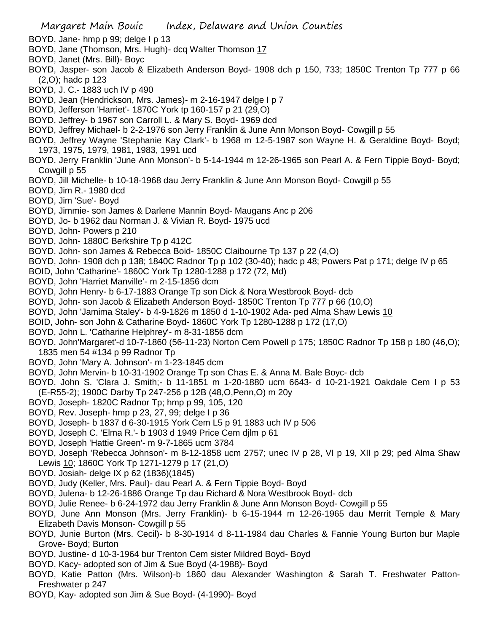- BOYD, Jane- hmp p 99; delge I p 13
- BOYD, Jane (Thomson, Mrs. Hugh)- dcq Walter Thomson 17
- BOYD, Janet (Mrs. Bill)- Boyc
- BOYD, Jasper- son Jacob & Elizabeth Anderson Boyd- 1908 dch p 150, 733; 1850C Trenton Tp 777 p 66 (2,O); hadc p 123
- BOYD, J. C.- 1883 uch IV p 490
- BOYD, Jean (Hendrickson, Mrs. James)- m 2-16-1947 delge I p 7
- BOYD, Jefferson 'Harriet'- 1870C York tp 160-157 p 21 (29,O)
- BOYD, Jeffrey- b 1967 son Carroll L. & Mary S. Boyd- 1969 dcd
- BOYD, Jeffrey Michael- b 2-2-1976 son Jerry Franklin & June Ann Monson Boyd- Cowgill p 55
- BOYD, Jeffrey Wayne 'Stephanie Kay Clark'- b 1968 m 12-5-1987 son Wayne H. & Geraldine Boyd- Boyd; 1973, 1975, 1979, 1981, 1983, 1991 ucd
- BOYD, Jerry Franklin 'June Ann Monson'- b 5-14-1944 m 12-26-1965 son Pearl A. & Fern Tippie Boyd- Boyd; Cowgill p 55
- BOYD, Jill Michelle- b 10-18-1968 dau Jerry Franklin & June Ann Monson Boyd- Cowgill p 55
- BOYD, Jim R.- 1980 dcd
- BOYD, Jim 'Sue'- Boyd
- BOYD, Jimmie- son James & Darlene Mannin Boyd- Maugans Anc p 206
- BOYD, Jo- b 1962 dau Norman J. & Vivian R. Boyd- 1975 ucd
- BOYD, John- Powers p 210
- BOYD, John- 1880C Berkshire Tp p 412C
- BOYD, John- son James & Rebecca Boid- 1850C Claibourne Tp 137 p 22 (4,O)
- BOYD, John- 1908 dch p 138; 1840C Radnor Tp p 102 (30-40); hadc p 48; Powers Pat p 171; delge IV p 65
- BOID, John 'Catharine'- 1860C York Tp 1280-1288 p 172 (72, Md)
- BOYD, John 'Harriet Manville'- m 2-15-1856 dcm
- BOYD, John Henry- b 6-17-1883 Orange Tp son Dick & Nora Westbrook Boyd- dcb
- BOYD, John- son Jacob & Elizabeth Anderson Boyd- 1850C Trenton Tp 777 p 66 (10,O)
- BOYD, John 'Jamima Staley'- b 4-9-1826 m 1850 d 1-10-1902 Ada- ped Alma Shaw Lewis 10
- BOID, John- son John & Catharine Boyd- 1860C York Tp 1280-1288 p 172 (17,O)
- BOYD, John L. 'Catharine Helphrey'- m 8-31-1856 dcm
- BOYD, John'Margaret'-d 10-7-1860 (56-11-23) Norton Cem Powell p 175; 1850C Radnor Tp 158 p 180 (46,O); 1835 men 54 #134 p 99 Radnor Tp
- BOYD, John 'Mary A. Johnson'- m 1-23-1845 dcm
- BOYD, John Mervin- b 10-31-1902 Orange Tp son Chas E. & Anna M. Bale Boyc- dcb
- BOYD, John S. 'Clara J. Smith;- b 11-1851 m 1-20-1880 ucm 6643- d 10-21-1921 Oakdale Cem I p 53 (E-R55-2); 1900C Darby Tp 247-256 p 12B (48,O,Penn,O) m 20y
- BOYD, Joseph- 1820C Radnor Tp; hmp p 99, 105, 120
- BOYD, Rev. Joseph- hmp p 23, 27, 99; delge I p 36
- BOYD, Joseph- b 1837 d 6-30-1915 York Cem L5 p 91 1883 uch IV p 506
- BOYD, Joseph C. 'Elma R.'- b 1903 d 1949 Price Cem djlm p 61
- BOYD, Joseph 'Hattie Green'- m 9-7-1865 ucm 3784
- BOYD, Joseph 'Rebecca Johnson'- m 8-12-1858 ucm 2757; unec IV p 28, VI p 19, XII p 29; ped Alma Shaw Lewis 10; 1860C York Tp 1271-1279 p 17 (21,O)
- BOYD, Josiah- delge IX p 62 (1836)(1845)
- BOYD, Judy (Keller, Mrs. Paul)- dau Pearl A. & Fern Tippie Boyd- Boyd
- BOYD, Julena- b 12-26-1886 Orange Tp dau Richard & Nora Westbrook Boyd- dcb
- BOYD, Julie Renee- b 6-24-1972 dau Jerry Franklin & June Ann Monson Boyd- Cowgill p 55
- BOYD, June Ann Monson (Mrs. Jerry Franklin)- b 6-15-1944 m 12-26-1965 dau Merrit Temple & Mary Elizabeth Davis Monson- Cowgill p 55
- BOYD, Junie Burton (Mrs. Cecil)- b 8-30-1914 d 8-11-1984 dau Charles & Fannie Young Burton bur Maple Grove- Boyd; Burton
- BOYD, Justine- d 10-3-1964 bur Trenton Cem sister Mildred Boyd- Boyd
- BOYD, Kacy- adopted son of Jim & Sue Boyd (4-1988)- Boyd
- BOYD, Katie Patton (Mrs. Wilson)-b 1860 dau Alexander Washington & Sarah T. Freshwater Patton-Freshwater p 247
- BOYD, Kay- adopted son Jim & Sue Boyd- (4-1990)- Boyd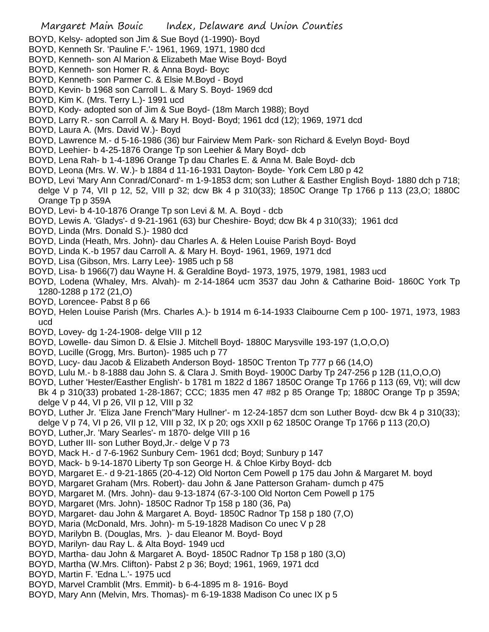- BOYD, Kelsy- adopted son Jim & Sue Boyd (1-1990)- Boyd
- BOYD, Kenneth Sr. 'Pauline F.'- 1961, 1969, 1971, 1980 dcd
- BOYD, Kenneth- son Al Marion & Elizabeth Mae Wise Boyd- Boyd
- BOYD, Kenneth- son Homer R. & Anna Boyd- Boyc
- BOYD, Kenneth- son Parmer C. & Elsie M.Boyd Boyd
- BOYD, Kevin- b 1968 son Carroll L. & Mary S. Boyd- 1969 dcd
- BOYD, Kim K. (Mrs. Terry L.)- 1991 ucd
- BOYD, Kody- adopted son of Jim & Sue Boyd- (18m March 1988); Boyd
- BOYD, Larry R.- son Carroll A. & Mary H. Boyd- Boyd; 1961 dcd (12); 1969, 1971 dcd
- BOYD, Laura A. (Mrs. David W.)- Boyd
- BOYD, Lawrence M.- d 5-16-1986 (36) bur Fairview Mem Park- son Richard & Evelyn Boyd- Boyd
- BOYD, Leehier- b 4-25-1876 Orange Tp son Leehier & Mary Boyd- dcb
- BOYD, Lena Rah- b 1-4-1896 Orange Tp dau Charles E. & Anna M. Bale Boyd- dcb
- BOYD, Leona (Mrs. W. W.)- b 1884 d 11-16-1931 Dayton- Boyde- York Cem L80 p 42
- BOYD, Levi 'Mary Ann Conrad/Conard'- m 1-9-1853 dcm; son Luther & Easther English Boyd- 1880 dch p 718; delge V p 74, VII p 12, 52, VIII p 32; dcw Bk 4 p 310(33); 1850C Orange Tp 1766 p 113 (23,O; 1880C Orange Tp p 359A
- BOYD, Levi- b 4-10-1876 Orange Tp son Levi & M. A. Boyd dcb
- BOYD, Lewis A. 'Gladys'- d 9-21-1961 (63) bur Cheshire- Boyd; dcw Bk 4 p 310(33); 1961 dcd
- BOYD, Linda (Mrs. Donald S.)- 1980 dcd
- BOYD, Linda (Heath, Mrs. John)- dau Charles A. & Helen Louise Parish Boyd- Boyd
- BOYD, Linda K.-b 1957 dau Carroll A. & Mary H. Boyd- 1961, 1969, 1971 dcd
- BOYD, Lisa (Gibson, Mrs. Larry Lee)- 1985 uch p 58
- BOYD, Lisa- b 1966(7) dau Wayne H. & Geraldine Boyd- 1973, 1975, 1979, 1981, 1983 ucd
- BOYD, Lodena (Whaley, Mrs. Alvah)- m 2-14-1864 ucm 3537 dau John & Catharine Boid- 1860C York Tp 1280-1288 p 172 (21,O)
- BOYD, Lorencee- Pabst 8 p 66
- BOYD, Helen Louise Parish (Mrs. Charles A.)- b 1914 m 6-14-1933 Claibourne Cem p 100- 1971, 1973, 1983 ucd
- BOYD, Lovey- dg 1-24-1908- delge VIII p 12
- BOYD, Lowelle- dau Simon D. & Elsie J. Mitchell Boyd- 1880C Marysville 193-197 (1,O,O,O)
- BOYD, Lucille (Grogg, Mrs. Burton)- 1985 uch p 77
- BOYD, Lucy- dau Jacob & Elizabeth Anderson Boyd- 1850C Trenton Tp 777 p 66 (14,O)
- BOYD, Lulu M.- b 8-1888 dau John S. & Clara J. Smith Boyd- 1900C Darby Tp 247-256 p 12B (11,O,O,O)
- BOYD, Luther 'Hester/Easther English'- b 1781 m 1822 d 1867 1850C Orange Tp 1766 p 113 (69, Vt); will dcw Bk 4 p 310(33) probated 1-28-1867; CCC; 1835 men 47 #82 p 85 Orange Tp; 1880C Orange Tp p 359A; delge V p 44, VI p 26, VII p 12, VIII p 32
- BOYD, Luther Jr. 'Eliza Jane French''Mary Hullner'- m 12-24-1857 dcm son Luther Boyd- dcw Bk 4 p 310(33); delge V p 74, VI p 26, VII p 12, VIII p 32, IX p 20; ogs XXII p 62 1850C Orange Tp 1766 p 113 (20,O)
- BOYD, Luther,Jr. 'Mary Searles'- m 1870- delge VIII p 16
- BOYD, Luther III- son Luther Boyd,Jr.- delge V p 73
- 
- BOYD, Mack H.- d 7-6-1962 Sunbury Cem- 1961 dcd; Boyd; Sunbury p 147
- BOYD, Mack- b 9-14-1870 Liberty Tp son George H. & Chloe Kirby Boyd- dcb
- BOYD, Margaret E.- d 9-21-1865 (20-4-12) Old Norton Cem Powell p 175 dau John & Margaret M. boyd
- BOYD, Margaret Graham (Mrs. Robert)- dau John & Jane Patterson Graham- dumch p 475
- BOYD, Margaret M. (Mrs. John)- dau 9-13-1874 (67-3-100 Old Norton Cem Powell p 175
- BOYD, Margaret (Mrs. John)- 1850C Radnor Tp 158 p 180 (36, Pa)
- BOYD, Margaret- dau John & Margaret A. Boyd- 1850C Radnor Tp 158 p 180 (7,O)
- BOYD, Maria (McDonald, Mrs. John)- m 5-19-1828 Madison Co unec V p 28
- BOYD, Marilybn B. (Douglas, Mrs. )- dau Eleanor M. Boyd- Boyd
- BOYD, Marilyn- dau Ray L. & Alta Boyd- 1949 ucd
- BOYD, Martha- dau John & Margaret A. Boyd- 1850C Radnor Tp 158 p 180 (3,O)
- BOYD, Martha (W.Mrs. Clifton)- Pabst 2 p 36; Boyd; 1961, 1969, 1971 dcd
- BOYD, Martin F. 'Edna L.'- 1975 ucd
- BOYD, Marvel Cramblit (Mrs. Emmit)- b 6-4-1895 m 8- 1916- Boyd
- BOYD, Mary Ann (Melvin, Mrs. Thomas)- m 6-19-1838 Madison Co unec IX p 5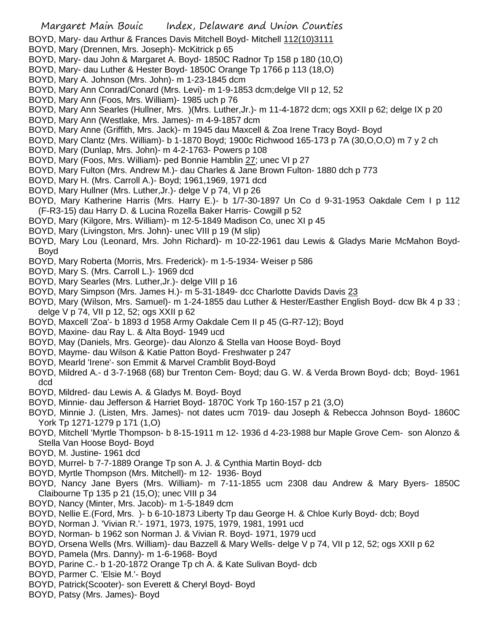BOYD, Mary- dau Arthur & Frances Davis Mitchell Boyd- Mitchell 112(10)3111

- BOYD, Mary (Drennen, Mrs. Joseph)- McKitrick p 65
- BOYD, Mary- dau John & Margaret A. Boyd- 1850C Radnor Tp 158 p 180 (10,O)
- BOYD, Mary- dau Luther & Hester Boyd- 1850C Orange Tp 1766 p 113 (18,O)
- BOYD, Mary A. Johnson (Mrs. John)- m 1-23-1845 dcm
- BOYD, Mary Ann Conrad/Conard (Mrs. Levi)- m 1-9-1853 dcm;delge VII p 12, 52
- BOYD, Mary Ann (Foos, Mrs. William)- 1985 uch p 76
- BOYD, Mary Ann Searles (Hullner, Mrs. )(Mrs. Luther,Jr.)- m 11-4-1872 dcm; ogs XXII p 62; delge IX p 20
- BOYD, Mary Ann (Westlake, Mrs. James)- m 4-9-1857 dcm
- BOYD, Mary Anne (Griffith, Mrs. Jack)- m 1945 dau Maxcell & Zoa Irene Tracy Boyd- Boyd
- BOYD, Mary Clantz (Mrs. William)- b 1-1870 Boyd; 1900c Richwood 165-173 p 7A (30,O,O,O) m 7 y 2 ch
- BOYD, Mary (Dunlap, Mrs. John)- m 4-2-1763- Powers p 108
- BOYD, Mary (Foos, Mrs. William)- ped Bonnie Hamblin 27; unec VI p 27
- BOYD, Mary Fulton (Mrs. Andrew M.)- dau Charles & Jane Brown Fulton- 1880 dch p 773
- BOYD, Mary H. (Mrs. Carroll A.)- Boyd; 1961,1969, 1971 dcd
- BOYD, Mary Hullner (Mrs. Luther,Jr.)- delge V p 74, VI p 26
- BOYD, Mary Katherine Harris (Mrs. Harry E.)- b 1/7-30-1897 Un Co d 9-31-1953 Oakdale Cem I p 112 (F-R3-15) dau Harry D. & Lucina Rozella Baker Harris- Cowgill p 52
- BOYD, Mary (Kilgore, Mrs. William)- m 12-5-1849 Madison Co, unec XI p 45
- BOYD, Mary (Livingston, Mrs. John)- unec VIII p 19 (M slip)
- BOYD, Mary Lou (Leonard, Mrs. John Richard)- m 10-22-1961 dau Lewis & Gladys Marie McMahon Boyd-Boyd
- BOYD, Mary Roberta (Morris, Mrs. Frederick)- m 1-5-1934- Weiser p 586
- BOYD, Mary S. (Mrs. Carroll L.)- 1969 dcd
- BOYD, Mary Searles (Mrs. Luther,Jr.)- delge VIII p 16
- BOYD, Mary Simpson (Mrs. James H.)- m 5-31-1849- dcc Charlotte Davids Davis 23
- BOYD, Mary (Wilson, Mrs. Samuel)- m 1-24-1855 dau Luther & Hester/Easther English Boyd- dcw Bk 4 p 33 ; delge V p 74, VII p 12, 52; ogs XXII p 62
- BOYD, Maxcell 'Zoa'- b 1893 d 1958 Army Oakdale Cem II p 45 (G-R7-12); Boyd
- BOYD, Maxine- dau Ray L. & Alta Boyd- 1949 ucd
- BOYD, May (Daniels, Mrs. George)- dau Alonzo & Stella van Hoose Boyd- Boyd
- BOYD, Mayme- dau Wilson & Katie Patton Boyd- Freshwater p 247
- BOYD, Mearld 'Irene'- son Emmit & Marvel Cramblit Boyd-Boyd
- BOYD, Mildred A.- d 3-7-1968 (68) bur Trenton Cem- Boyd; dau G. W. & Verda Brown Boyd- dcb; Boyd- 1961 dcd
- BOYD, Mildred- dau Lewis A. & Gladys M. Boyd- Boyd
- BOYD, Minnie- dau Jefferson & Harriet Boyd- 1870C York Tp 160-157 p 21 (3,O)
- BOYD, Minnie J. (Listen, Mrs. James)- not dates ucm 7019- dau Joseph & Rebecca Johnson Boyd- 1860C York Tp 1271-1279 p 171 (1,O)
- BOYD, Mitchell 'Myrtle Thompson- b 8-15-1911 m 12- 1936 d 4-23-1988 bur Maple Grove Cem- son Alonzo & Stella Van Hoose Boyd- Boyd
- BOYD, M. Justine- 1961 dcd
- BOYD, Murrel- b 7-7-1889 Orange Tp son A. J. & Cynthia Martin Boyd- dcb
- BOYD, Myrtle Thompson (Mrs. Mitchell)- m 12- 1936- Boyd
- BOYD, Nancy Jane Byers (Mrs. William)- m 7-11-1855 ucm 2308 dau Andrew & Mary Byers- 1850C Claibourne Tp 135 p 21 (15,O); unec VIII p 34
- BOYD, Nancy (Minter, Mrs. Jacob)- m 1-5-1849 dcm
- BOYD, Nellie E.(Ford, Mrs. )- b 6-10-1873 Liberty Tp dau George H. & Chloe Kurly Boyd- dcb; Boyd
- BOYD, Norman J. 'Vivian R.'- 1971, 1973, 1975, 1979, 1981, 1991 ucd
- BOYD, Norman- b 1962 son Norman J. & Vivian R. Boyd- 1971, 1979 ucd
- BOYD, Orsena Wells (Mrs. William)- dau Bazzell & Mary Wells- delge V p 74, VII p 12, 52; ogs XXII p 62
- BOYD, Pamela (Mrs. Danny)- m 1-6-1968- Boyd
- BOYD, Parine C.- b 1-20-1872 Orange Tp ch A. & Kate Sulivan Boyd- dcb
- BOYD, Parmer C. 'Elsie M.'- Boyd
- BOYD, Patrick(Scooter)- son Everett & Cheryl Boyd- Boyd
- BOYD, Patsy (Mrs. James)- Boyd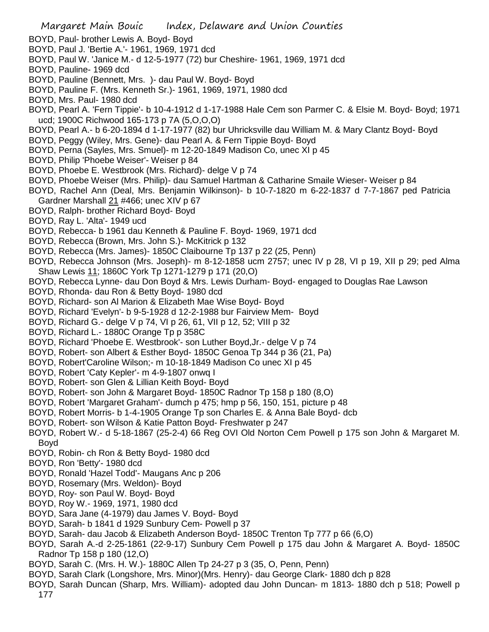- BOYD, Paul- brother Lewis A. Boyd- Boyd
- BOYD, Paul J. 'Bertie A.'- 1961, 1969, 1971 dcd
- BOYD, Paul W. 'Janice M.- d 12-5-1977 (72) bur Cheshire- 1961, 1969, 1971 dcd
- BOYD, Pauline- 1969 dcd
- BOYD, Pauline (Bennett, Mrs. )- dau Paul W. Boyd- Boyd
- BOYD, Pauline F. (Mrs. Kenneth Sr.)- 1961, 1969, 1971, 1980 dcd
- BOYD, Mrs. Paul- 1980 dcd
- BOYD, Pearl A. 'Fern Tippie'- b 10-4-1912 d 1-17-1988 Hale Cem son Parmer C. & Elsie M. Boyd- Boyd; 1971 ucd; 1900C Richwood 165-173 p 7A (5,O,O,O)
- BOYD, Pearl A.- b 6-20-1894 d 1-17-1977 (82) bur Uhricksville dau William M. & Mary Clantz Boyd- Boyd
- BOYD, Peggy (Wiley, Mrs. Gene)- dau Pearl A. & Fern Tippie Boyd- Boyd
- BOYD, Perna (Sayles, Mrs. Smuel)- m 12-20-1849 Madison Co, unec XI p 45
- BOYD, Philip 'Phoebe Weiser'- Weiser p 84
- BOYD, Phoebe E. Westbrook (Mrs. Richard)- delge V p 74
- BOYD, Phoebe Weiser (Mrs. Philip)- dau Samuel Hartman & Catharine Smaile Wieser- Weiser p 84
- BOYD, Rachel Ann (Deal, Mrs. Benjamin Wilkinson)- b 10-7-1820 m 6-22-1837 d 7-7-1867 ped Patricia Gardner Marshall 21 #466; unec XIV p 67
- BOYD, Ralph- brother Richard Boyd- Boyd
- BOYD, Ray L. 'Alta'- 1949 ucd
- BOYD, Rebecca- b 1961 dau Kenneth & Pauline F. Boyd- 1969, 1971 dcd
- BOYD, Rebecca (Brown, Mrs. John S.)- McKitrick p 132
- BOYD, Rebecca (Mrs. James)- 1850C Claibourne Tp 137 p 22 (25, Penn)
- BOYD, Rebecca Johnson (Mrs. Joseph)- m 8-12-1858 ucm 2757; unec IV p 28, VI p 19, XII p 29; ped Alma Shaw Lewis 11; 1860C York Tp 1271-1279 p 171 (20,O)
- BOYD, Rebecca Lynne- dau Don Boyd & Mrs. Lewis Durham- Boyd- engaged to Douglas Rae Lawson
- BOYD, Rhonda- dau Ron & Betty Boyd- 1980 dcd
- BOYD, Richard- son Al Marion & Elizabeth Mae Wise Boyd- Boyd
- BOYD, Richard 'Evelyn'- b 9-5-1928 d 12-2-1988 bur Fairview Mem- Boyd
- BOYD, Richard G.- delge V p 74, VI p 26, 61, VII p 12, 52; VIII p 32
- BOYD, Richard L.- 1880C Orange Tp p 358C
- BOYD, Richard 'Phoebe E. Westbrook'- son Luther Boyd,Jr.- delge V p 74
- BOYD, Robert- son Albert & Esther Boyd- 1850C Genoa Tp 344 p 36 (21, Pa)
- BOYD, Robert'Caroline Wilson;- m 10-18-1849 Madison Co unec XI p 45
- BOYD, Robert 'Caty Kepler'- m 4-9-1807 onwq I
- BOYD, Robert- son Glen & Lillian Keith Boyd- Boyd
- BOYD, Robert- son John & Margaret Boyd- 1850C Radnor Tp 158 p 180 (8,O)
- BOYD, Robert 'Margaret Graham'- dumch p 475; hmp p 56, 150, 151, picture p 48
- BOYD, Robert Morris- b 1-4-1905 Orange Tp son Charles E. & Anna Bale Boyd- dcb
- BOYD, Robert- son Wilson & Katie Patton Boyd- Freshwater p 247
- BOYD, Robert W.- d 5-18-1867 (25-2-4) 66 Reg OVI Old Norton Cem Powell p 175 son John & Margaret M. Boyd
- BOYD, Robin- ch Ron & Betty Boyd- 1980 dcd
- BOYD, Ron 'Betty'- 1980 dcd
- BOYD, Ronald 'Hazel Todd'- Maugans Anc p 206
- BOYD, Rosemary (Mrs. Weldon)- Boyd
- BOYD, Roy- son Paul W. Boyd- Boyd
- BOYD, Roy W.- 1969, 1971, 1980 dcd
- BOYD, Sara Jane (4-1979) dau James V. Boyd- Boyd
- BOYD, Sarah- b 1841 d 1929 Sunbury Cem- Powell p 37
- BOYD, Sarah- dau Jacob & Elizabeth Anderson Boyd- 1850C Trenton Tp 777 p 66 (6,O)
- BOYD, Sarah A.-d 2-25-1861 (22-9-17) Sunbury Cem Powell p 175 dau John & Margaret A. Boyd- 1850C Radnor Tp 158 p 180 (12,O)
- BOYD, Sarah C. (Mrs. H. W.)- 1880C Allen Tp 24-27 p 3 (35, O, Penn, Penn)
- BOYD, Sarah Clark (Longshore, Mrs. Minor)(Mrs. Henry)- dau George Clark- 1880 dch p 828
- BOYD, Sarah Duncan (Sharp, Mrs. William)- adopted dau John Duncan- m 1813- 1880 dch p 518; Powell p 177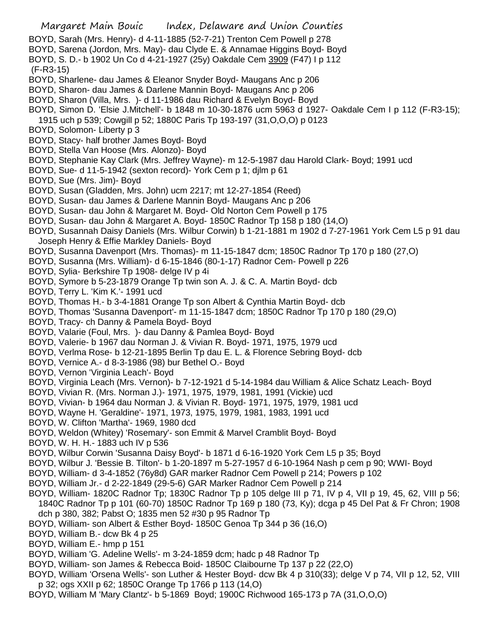- BOYD, Sarah (Mrs. Henry)- d 4-11-1885 (52-7-21) Trenton Cem Powell p 278
- BOYD, Sarena (Jordon, Mrs. May)- dau Clyde E. & Annamae Higgins Boyd- Boyd
- BOYD, S. D.- b 1902 Un Co d 4-21-1927 (25y) Oakdale Cem 3909 (F47) I p 112
- (F-R3-15)
- BOYD, Sharlene- dau James & Eleanor Snyder Boyd- Maugans Anc p 206
- BOYD, Sharon- dau James & Darlene Mannin Boyd- Maugans Anc p 206
- BOYD, Sharon (Villa, Mrs. )- d 11-1986 dau Richard & Evelyn Boyd- Boyd
- BOYD, Simon D. 'Elsie J.Mitchell'- b 1848 m 10-30-1876 ucm 5963 d 1927- Oakdale Cem I p 112 (F-R3-15);
- 1915 uch p 539; Cowgill p 52; 1880C Paris Tp 193-197 (31,O,O,O) p 0123
- BOYD, Solomon- Liberty p 3
- BOYD, Stacy- half brother James Boyd- Boyd
- BOYD, Stella Van Hoose (Mrs. Alonzo)- Boyd
- BOYD, Stephanie Kay Clark (Mrs. Jeffrey Wayne)- m 12-5-1987 dau Harold Clark- Boyd; 1991 ucd
- BOYD, Sue- d 11-5-1942 (sexton record)- York Cem p 1; djlm p 61
- BOYD, Sue (Mrs. Jim)- Boyd
- BOYD, Susan (Gladden, Mrs. John) ucm 2217; mt 12-27-1854 (Reed)
- BOYD, Susan- dau James & Darlene Mannin Boyd- Maugans Anc p 206
- BOYD, Susan- dau John & Margaret M. Boyd- Old Norton Cem Powell p 175
- BOYD, Susan- dau John & Margaret A. Boyd- 1850C Radnor Tp 158 p 180 (14,O)
- BOYD, Susannah Daisy Daniels (Mrs. Wilbur Corwin) b 1-21-1881 m 1902 d 7-27-1961 York Cem L5 p 91 dau Joseph Henry & Effie Markley Daniels- Boyd
- BOYD, Susanna Davenport (Mrs. Thomas)- m 11-15-1847 dcm; 1850C Radnor Tp 170 p 180 (27,O)
- BOYD, Susanna (Mrs. William)- d 6-15-1846 (80-1-17) Radnor Cem- Powell p 226
- BOYD, Sylia- Berkshire Tp 1908- delge IV p 4i
- BOYD, Symore b 5-23-1879 Orange Tp twin son A. J. & C. A. Martin Boyd- dcb
- BOYD, Terry L. 'Kim K.'- 1991 ucd
- BOYD, Thomas H.- b 3-4-1881 Orange Tp son Albert & Cynthia Martin Boyd- dcb
- BOYD, Thomas 'Susanna Davenport'- m 11-15-1847 dcm; 1850C Radnor Tp 170 p 180 (29,O)
- BOYD, Tracy- ch Danny & Pamela Boyd- Boyd
- BOYD, Valarie (Foul, Mrs. )- dau Danny & Pamlea Boyd- Boyd
- BOYD, Valerie- b 1967 dau Norman J. & Vivian R. Boyd- 1971, 1975, 1979 ucd
- BOYD, Verlma Rose- b 12-21-1895 Berlin Tp dau E. L. & Florence Sebring Boyd- dcb
- BOYD, Vernice A.- d 8-3-1986 (98) bur Bethel O.- Boyd
- BOYD, Vernon 'Virginia Leach'- Boyd
- BOYD, Virginia Leach (Mrs. Vernon)- b 7-12-1921 d 5-14-1984 dau William & Alice Schatz Leach- Boyd
- BOYD, Vivian R. (Mrs. Norman J.)- 1971, 1975, 1979, 1981, 1991 (Vickie) ucd
- BOYD, Vivian- b 1964 dau Norman J. & Vivian R. Boyd- 1971, 1975, 1979, 1981 ucd
- BOYD, Wayne H. 'Geraldine'- 1971, 1973, 1975, 1979, 1981, 1983, 1991 ucd
- BOYD, W. Clifton 'Martha'- 1969, 1980 dcd
- BOYD, Weldon (Whitey) 'Rosemary'- son Emmit & Marvel Cramblit Boyd- Boyd
- BOYD, W. H. H.- 1883 uch IV p 536
- BOYD, Wilbur Corwin 'Susanna Daisy Boyd'- b 1871 d 6-16-1920 York Cem L5 p 35; Boyd
- BOYD, Wilbur J. 'Bessie B. Tilton'- b 1-20-1897 m 5-27-1957 d 6-10-1964 Nash p cem p 90; WWI- Boyd
- BOYD, William- d 3-4-1852 (76y8d) GAR marker Radnor Cem Powell p 214; Powers p 102
- BOYD, William Jr.- d 2-22-1849 (29-5-6) GAR Marker Radnor Cem Powell p 214
- BOYD, William- 1820C Radnor Tp; 1830C Radnor Tp p 105 delge III p 71, IV p 4, VII p 19, 45, 62, VIII p 56; 1840C Radnor Tp p 101 (60-70) 1850C Radnor Tp 169 p 180 (73, Ky); dcga p 45 Del Pat & Fr Chron; 1908 dch p 380, 382; Pabst O; 1835 men 52 #30 p 95 Radnor Tp
- BOYD, William- son Albert & Esther Boyd- 1850C Genoa Tp 344 p 36 (16,O)
- BOYD, William B.- dcw Bk 4 p 25
- BOYD, William E.- hmp p 151
- BOYD, William 'G. Adeline Wells'- m 3-24-1859 dcm; hadc p 48 Radnor Tp
- BOYD, William- son James & Rebecca Boid- 1850C Claibourne Tp 137 p 22 (22,O)
- BOYD, William 'Orsena Wells'- son Luther & Hester Boyd- dcw Bk 4 p 310(33); delge V p 74, VII p 12, 52, VIII p 32; ogs XXII p 62; 1850C Orange Tp 1766 p 113 (14,O)
- BOYD, William M 'Mary Clantz'- b 5-1869 Boyd; 1900C Richwood 165-173 p 7A (31,O,O,O)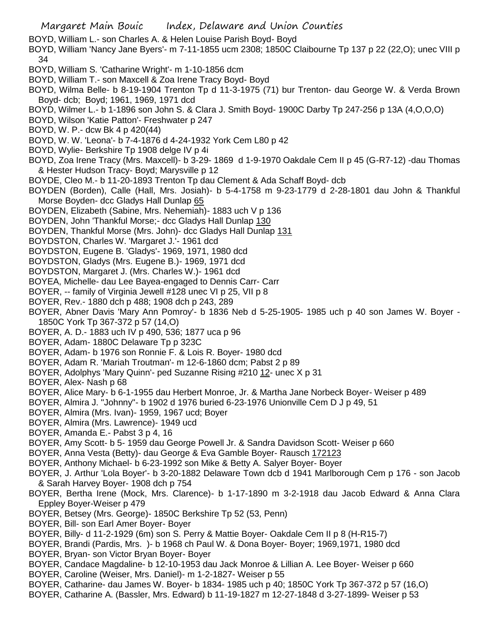- BOYD, William L.- son Charles A. & Helen Louise Parish Boyd- Boyd
- BOYD, William 'Nancy Jane Byers'- m 7-11-1855 ucm 2308; 1850C Claibourne Tp 137 p 22 (22,O); unec VIII p 34
- BOYD, William S. 'Catharine Wright'- m 1-10-1856 dcm
- BOYD, William T.- son Maxcell & Zoa Irene Tracy Boyd- Boyd
- BOYD, Wilma Belle- b 8-19-1904 Trenton Tp d 11-3-1975 (71) bur Trenton- dau George W. & Verda Brown Boyd- dcb; Boyd; 1961, 1969, 1971 dcd
- BOYD, Wilmer L.- b 1-1896 son John S. & Clara J. Smith Boyd- 1900C Darby Tp 247-256 p 13A (4,O,O,O)
- BOYD, Wilson 'Katie Patton'- Freshwater p 247
- BOYD, W. P.- dcw Bk 4 p 420(44)
- BOYD, W. W. 'Leona'- b 7-4-1876 d 4-24-1932 York Cem L80 p 42
- BOYD, Wylie- Berkshire Tp 1908 delge IV p 4i
- BOYD, Zoa Irene Tracy (Mrs. Maxcell)- b 3-29- 1869 d 1-9-1970 Oakdale Cem II p 45 (G-R7-12) -dau Thomas & Hester Hudson Tracy- Boyd; Marysville p 12
- BOYDE, Cleo M.- b 11-20-1893 Trenton Tp dau Clement & Ada Schaff Boyd- dcb
- BOYDEN (Borden), Calle (Hall, Mrs. Josiah)- b 5-4-1758 m 9-23-1779 d 2-28-1801 dau John & Thankful Morse Boyden- dcc Gladys Hall Dunlap 65
- BOYDEN, Elizabeth (Sabine, Mrs. Nehemiah)- 1883 uch V p 136
- BOYDEN, John 'Thankful Morse;- dcc Gladys Hall Dunlap 130
- BOYDEN, Thankful Morse (Mrs. John)- dcc Gladys Hall Dunlap 131
- BOYDSTON, Charles W. 'Margaret J.'- 1961 dcd
- BOYDSTON, Eugene B. 'Gladys'- 1969, 1971, 1980 dcd
- BOYDSTON, Gladys (Mrs. Eugene B.)- 1969, 1971 dcd
- BOYDSTON, Margaret J. (Mrs. Charles W.)- 1961 dcd
- BOYEA, Michelle- dau Lee Bayea-engaged to Dennis Carr- Carr
- BOYER, -- family of Virginia Jewell #128 unec VI p 25, VII p 8
- BOYER, Rev.- 1880 dch p 488; 1908 dch p 243, 289
- BOYER, Abner Davis 'Mary Ann Pomroy'- b 1836 Neb d 5-25-1905- 1985 uch p 40 son James W. Boyer 1850C York Tp 367-372 p 57 (14,O)
- BOYER, A. D.- 1883 uch IV p 490, 536; 1877 uca p 96
- BOYER, Adam- 1880C Delaware Tp p 323C
- BOYER, Adam- b 1976 son Ronnie F. & Lois R. Boyer- 1980 dcd
- BOYER, Adam R. 'Mariah Troutman'- m 12-6-1860 dcm; Pabst 2 p 89
- BOYER, Adolphys 'Mary Quinn'- ped Suzanne Rising #210 12- unec X p 31
- BOYER, Alex- Nash p 68
- BOYER, Alice Mary- b 6-1-1955 dau Herbert Monroe, Jr. & Martha Jane Norbeck Boyer- Weiser p 489
- BOYER, Almira J. "Johnny"- b 1902 d 1976 buried 6-23-1976 Unionville Cem D J p 49, 51
- BOYER, Almira (Mrs. Ivan)- 1959, 1967 ucd; Boyer
- BOYER, Almira (Mrs. Lawrence)- 1949 ucd
- BOYER, Amanda E.- Pabst 3 p 4, 16
- BOYER, Amy Scott- b 5- 1959 dau George Powell Jr. & Sandra Davidson Scott- Weiser p 660
- BOYER, Anna Vesta (Betty)- dau George & Eva Gamble Boyer- Rausch 172123
- BOYER, Anthony Michael- b 6-23-1992 son Mike & Betty A. Salyer Boyer- Boyer
- BOYER, J. Arthur 'Lola Boyer'- b 3-20-1882 Delaware Town dcb d 1941 Marlborough Cem p 176 son Jacob & Sarah Harvey Boyer- 1908 dch p 754
- BOYER, Bertha Irene (Mock, Mrs. Clarence)- b 1-17-1890 m 3-2-1918 dau Jacob Edward & Anna Clara Eppley Boyer-Weiser p 479
- BOYER, Betsey (Mrs. George)- 1850C Berkshire Tp 52 (53, Penn)
- BOYER, Bill- son Earl Amer Boyer- Boyer
- BOYER, Billy- d 11-2-1929 (6m) son S. Perry & Mattie Boyer- Oakdale Cem II p 8 (H-R15-7)
- BOYER, Brandi (Pardis, Mrs. )- b 1968 ch Paul W. & Dona Boyer- Boyer; 1969,1971, 1980 dcd
- BOYER, Bryan- son Victor Bryan Boyer- Boyer
- BOYER, Candace Magdaline- b 12-10-1953 dau Jack Monroe & Lillian A. Lee Boyer- Weiser p 660
- BOYER, Caroline (Weiser, Mrs. Daniel)- m 1-2-1827- Weiser p 55
- BOYER, Catharine- dau James W. Boyer- b 1834- 1985 uch p 40; 1850C York Tp 367-372 p 57 (16,O)
- BOYER, Catharine A. (Bassler, Mrs. Edward) b 11-19-1827 m 12-27-1848 d 3-27-1899- Weiser p 53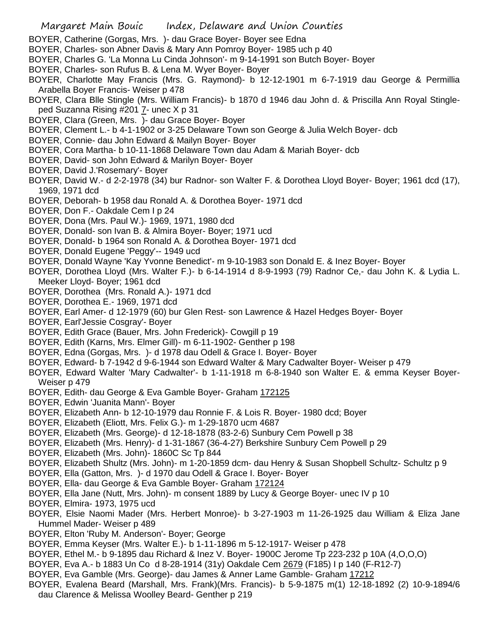- BOYER, Catherine (Gorgas, Mrs. )- dau Grace Boyer- Boyer see Edna
- BOYER, Charles- son Abner Davis & Mary Ann Pomroy Boyer- 1985 uch p 40
- BOYER, Charles G. 'La Monna Lu Cinda Johnson'- m 9-14-1991 son Butch Boyer- Boyer
- BOYER, Charles- son Rufus B. & Lena M. Wyer Boyer- Boyer
- BOYER, Charlotte May Francis (Mrs. G. Raymond)- b 12-12-1901 m 6-7-1919 dau George & Permillia Arabella Boyer Francis- Weiser p 478
- BOYER, Clara Blle Stingle (Mrs. William Francis)- b 1870 d 1946 dau John d. & Priscilla Ann Royal Stingleped Suzanna Rising #201 7- unec X p 31
- BOYER, Clara (Green, Mrs. )- dau Grace Boyer- Boyer
- BOYER, Clement L.- b 4-1-1902 or 3-25 Delaware Town son George & Julia Welch Boyer- dcb
- BOYER, Connie- dau John Edward & Mailyn Boyer- Boyer
- BOYER, Cora Martha- b 10-11-1868 Delaware Town dau Adam & Mariah Boyer- dcb
- BOYER, David- son John Edward & Marilyn Boyer- Boyer
- BOYER, David J.'Rosemary'- Boyer
- BOYER, David W.- d 2-2-1978 (34) bur Radnor- son Walter F. & Dorothea Lloyd Boyer- Boyer; 1961 dcd (17), 1969, 1971 dcd
- BOYER, Deborah- b 1958 dau Ronald A. & Dorothea Boyer- 1971 dcd
- BOYER, Don F.- Oakdale Cem I p 24
- BOYER, Dona (Mrs. Paul W.)- 1969, 1971, 1980 dcd
- BOYER, Donald- son Ivan B. & Almira Boyer- Boyer; 1971 ucd
- BOYER, Donald- b 1964 son Ronald A. & Dorothea Boyer- 1971 dcd
- BOYER, Donald Eugene 'Peggy'-- 1949 ucd
- BOYER, Donald Wayne 'Kay Yvonne Benedict'- m 9-10-1983 son Donald E. & Inez Boyer- Boyer
- BOYER, Dorothea Lloyd (Mrs. Walter F.)- b 6-14-1914 d 8-9-1993 (79) Radnor Ce,- dau John K. & Lydia L. Meeker Lloyd- Boyer; 1961 dcd
- BOYER, Dorothea (Mrs. Ronald A.)- 1971 dcd
- BOYER, Dorothea E.- 1969, 1971 dcd
- BOYER, Earl Amer- d 12-1979 (60) bur Glen Rest- son Lawrence & Hazel Hedges Boyer- Boyer
- BOYER, Earl'Jessie Cosgray'- Boyer
- BOYER, Edith Grace (Bauer, Mrs. John Frederick)- Cowgill p 19
- BOYER, Edith (Karns, Mrs. Elmer Gill)- m 6-11-1902- Genther p 198
- BOYER, Edna (Gorgas, Mrs. )- d 1978 dau Odell & Grace I. Boyer- Boyer
- BOYER, Edward- b 7-1942 d 9-6-1944 son Edward Walter & Mary Cadwalter Boyer- Weiser p 479
- BOYER, Edward Walter 'Mary Cadwalter'- b 1-11-1918 m 6-8-1940 son Walter E. & emma Keyser Boyer-Weiser p 479
- BOYER, Edith- dau George & Eva Gamble Boyer- Graham 172125
- BOYER, Edwin 'Juanita Mann'- Boyer
- BOYER, Elizabeth Ann- b 12-10-1979 dau Ronnie F. & Lois R. Boyer- 1980 dcd; Boyer
- BOYER, Elizabeth (Eliott, Mrs. Felix G.)- m 1-29-1870 ucm 4687
- BOYER, Elizabeth (Mrs. George)- d 12-18-1878 (83-2-6) Sunbury Cem Powell p 38
- BOYER, Elizabeth (Mrs. Henry)- d 1-31-1867 (36-4-27) Berkshire Sunbury Cem Powell p 29
- BOYER, Elizabeth (Mrs. John)- 1860C Sc Tp 844
- BOYER, Elizabeth Shultz (Mrs. John)- m 1-20-1859 dcm- dau Henry & Susan Shopbell Schultz- Schultz p 9
- BOYER, Ella (Gatton, Mrs. )- d 1970 dau Odell & Grace I. Boyer- Boyer
- BOYER, Ella- dau George & Eva Gamble Boyer- Graham 172124
- BOYER, Ella Jane (Nutt, Mrs. John)- m consent 1889 by Lucy & George Boyer- unec IV p 10
- BOYER, Elmira- 1973, 1975 ucd
- BOYER, Elsie Naomi Mader (Mrs. Herbert Monroe)- b 3-27-1903 m 11-26-1925 dau William & Eliza Jane Hummel Mader- Weiser p 489
- BOYER, Elton 'Ruby M. Anderson'- Boyer; George
- BOYER, Emma Keyser (Mrs. Walter E.)- b 1-11-1896 m 5-12-1917- Weiser p 478
- BOYER, Ethel M.- b 9-1895 dau Richard & Inez V. Boyer- 1900C Jerome Tp 223-232 p 10A (4,O,O,O)
- BOYER, Eva A.- b 1883 Un Co d 8-28-1914 (31y) Oakdale Cem 2679 (F185) I p 140 (F-R12-7)
- BOYER, Eva Gamble (Mrs. George)- dau James & Anner Lame Gamble- Graham 17212
- BOYER, Evalena Beard (Marshall, Mrs. Frank)(Mrs. Francis)- b 5-9-1875 m(1) 12-18-1892 (2) 10-9-1894/6 dau Clarence & Melissa Woolley Beard- Genther p 219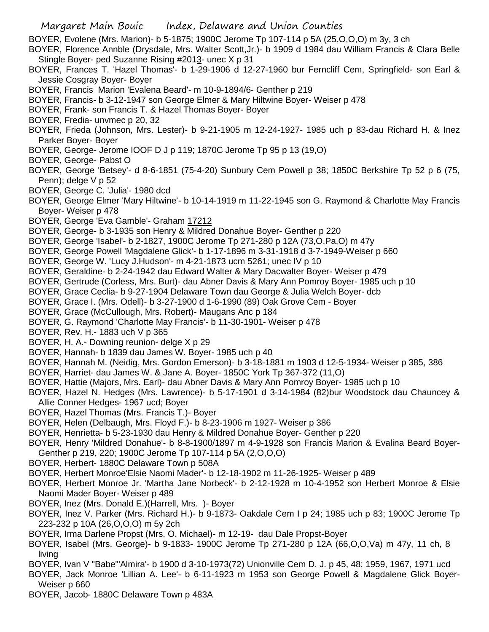BOYER, Evolene (Mrs. Marion)- b 5-1875; 1900C Jerome Tp 107-114 p 5A (25,O,O,O) m 3y, 3 ch

- BOYER, Florence Annble (Drysdale, Mrs. Walter Scott,Jr.)- b 1909 d 1984 dau William Francis & Clara Belle Stingle Boyer- ped Suzanne Rising #2013- unec X p 31
- BOYER, Frances T. 'Hazel Thomas'- b 1-29-1906 d 12-27-1960 bur Ferncliff Cem, Springfield- son Earl & Jessie Cosgray Boyer- Boyer
- BOYER, Francis Marion 'Evalena Beard'- m 10-9-1894/6- Genther p 219
- BOYER, Francis- b 3-12-1947 son George Elmer & Mary Hiltwine Boyer- Weiser p 478
- BOYER, Frank- son Francis T. & Hazel Thomas Boyer- Boyer
- BOYER, Fredia- unvmec p 20, 32
- BOYER, Frieda (Johnson, Mrs. Lester)- b 9-21-1905 m 12-24-1927- 1985 uch p 83-dau Richard H. & Inez Parker Boyer- Boyer
- BOYER, George- Jerome IOOF D J p 119; 1870C Jerome Tp 95 p 13 (19,O)
- BOYER, George- Pabst O
- BOYER, George 'Betsey'- d 8-6-1851 (75-4-20) Sunbury Cem Powell p 38; 1850C Berkshire Tp 52 p 6 (75, Penn); delge V p 52
- BOYER, George C. 'Julia'- 1980 dcd
- BOYER, George Elmer 'Mary Hiltwine'- b 10-14-1919 m 11-22-1945 son G. Raymond & Charlotte May Francis Boyer- Weiser p 478
- BOYER, George 'Eva Gamble'- Graham 17212
- BOYER, George- b 3-1935 son Henry & Mildred Donahue Boyer- Genther p 220
- BOYER, George 'Isabel'- b 2-1827, 1900C Jerome Tp 271-280 p 12A (73,O,Pa,O) m 47y
- BOYER, George Powell 'Magdalene Glick'- b 1-17-1896 m 3-31-1918 d 3-7-1949-Weiser p 660
- BOYER, George W. 'Lucy J.Hudson'- m 4-21-1873 ucm 5261; unec IV p 10
- BOYER, Geraldine- b 2-24-1942 dau Edward Walter & Mary Dacwalter Boyer- Weiser p 479
- BOYER, Gertrude (Corless, Mrs. Burt)- dau Abner Davis & Mary Ann Pomroy Boyer- 1985 uch p 10
- BOYER, Grace Ceclia- b 9-27-1904 Delaware Town dau George & Julia Welch Boyer- dcb
- BOYER, Grace I. (Mrs. Odell)- b 3-27-1900 d 1-6-1990 (89) Oak Grove Cem Boyer
- BOYER, Grace (McCullough, Mrs. Robert)- Maugans Anc p 184
- BOYER, G. Raymond 'Charlotte May Francis'- b 11-30-1901- Weiser p 478
- BOYER, Rev. H.- 1883 uch V p 365
- BOYER, H. A.- Downing reunion- delge X p 29
- BOYER, Hannah- b 1839 dau James W. Boyer- 1985 uch p 40
- BOYER, Hannah M. (Neidig, Mrs. Gordon Emerson)- b 3-18-1881 m 1903 d 12-5-1934- Weiser p 385, 386
- BOYER, Harriet- dau James W. & Jane A. Boyer- 1850C York Tp 367-372 (11,O)
- BOYER, Hattie (Majors, Mrs. Earl)- dau Abner Davis & Mary Ann Pomroy Boyer- 1985 uch p 10
- BOYER, Hazel N. Hedges (Mrs. Lawrence)- b 5-17-1901 d 3-14-1984 (82)bur Woodstock dau Chauncey & Allie Conner Hedges- 1967 ucd; Boyer
- BOYER, Hazel Thomas (Mrs. Francis T.)- Boyer
- BOYER, Helen (Delbaugh, Mrs. Floyd F.)- b 8-23-1906 m 1927- Weiser p 386
- BOYER, Henrietta- b 5-23-1930 dau Henry & Mildred Donahue Boyer- Genther p 220
- BOYER, Henry 'Mildred Donahue'- b 8-8-1900/1897 m 4-9-1928 son Francis Marion & Evalina Beard Boyer-Genther p 219, 220; 1900C Jerome Tp 107-114 p 5A (2,O,O,O)
- BOYER, Herbert- 1880C Delaware Town p 508A
- BOYER, Herbert Monroe'Elsie Naomi Mader'- b 12-18-1902 m 11-26-1925- Weiser p 489
- BOYER, Herbert Monroe Jr. 'Martha Jane Norbeck'- b 2-12-1928 m 10-4-1952 son Herbert Monroe & Elsie Naomi Mader Boyer- Weiser p 489
- BOYER, Inez (Mrs. Donald E.)(Harrell, Mrs. )- Boyer
- BOYER, Inez V. Parker (Mrs. Richard H.)- b 9-1873- Oakdale Cem I p 24; 1985 uch p 83; 1900C Jerome Tp 223-232 p 10A (26,O,O,O) m 5y 2ch
- BOYER, Irma Darlene Propst (Mrs. O. Michael)- m 12-19- dau Dale Propst-Boyer
- BOYER, Isabel (Mrs. George)- b 9-1833- 1900C Jerome Tp 271-280 p 12A (66,O,O,Va) m 47y, 11 ch, 8 living
- BOYER, Ivan V "Babe"'Almira'- b 1900 d 3-10-1973(72) Unionville Cem D. J. p 45, 48; 1959, 1967, 1971 ucd
- BOYER, Jack Monroe 'Lillian A. Lee'- b 6-11-1923 m 1953 son George Powell & Magdalene Glick Boyer-Weiser p 660
- BOYER, Jacob- 1880C Delaware Town p 483A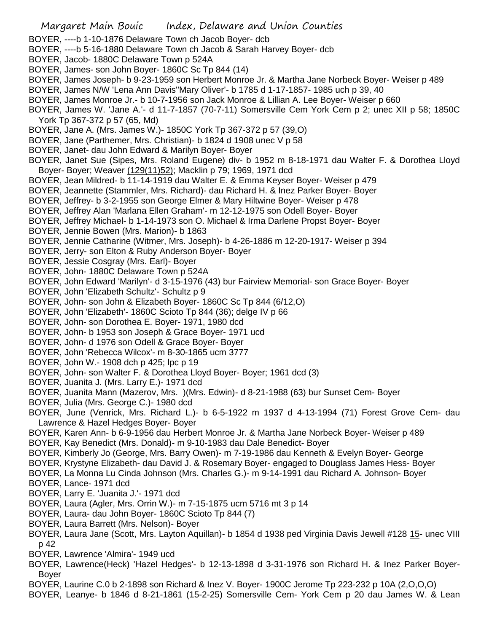- Margaret Main Bouic Index, Delaware and Union Counties BOYER, ----b 1-10-1876 Delaware Town ch Jacob Boyer- dcb BOYER, ----b 5-16-1880 Delaware Town ch Jacob & Sarah Harvey Boyer- dcb BOYER, Jacob- 1880C Delaware Town p 524A BOYER, James- son John Boyer- 1860C Sc Tp 844 (14) BOYER, James Joseph- b 9-23-1959 son Herbert Monroe Jr. & Martha Jane Norbeck Boyer- Weiser p 489 BOYER, James N/W 'Lena Ann Davis''Mary Oliver'- b 1785 d 1-17-1857- 1985 uch p 39, 40 BOYER, James Monroe Jr.- b 10-7-1956 son Jack Monroe & Lillian A. Lee Boyer- Weiser p 660 BOYER, James W. 'Jane A.'- d 11-7-1857 (70-7-11) Somersville Cem York Cem p 2; unec XII p 58; 1850C York Tp 367-372 p 57 (65, Md) BOYER, Jane A. (Mrs. James W.)- 1850C York Tp 367-372 p 57 (39,O) BOYER, Jane (Parthemer, Mrs. Christian)- b 1824 d 1908 unec V p 58 BOYER, Janet- dau John Edward & Marilyn Boyer- Boyer BOYER, Janet Sue (Sipes, Mrs. Roland Eugene) div- b 1952 m 8-18-1971 dau Walter F. & Dorothea Lloyd Boyer- Boyer; Weaver (129(11)52); Macklin p 79; 1969, 1971 dcd BOYER, Jean Mildred- b 11-14-1919 dau Walter E. & Emma Keyser Boyer- Weiser p 479 BOYER, Jeannette (Stammler, Mrs. Richard)- dau Richard H. & Inez Parker Boyer- Boyer BOYER, Jeffrey- b 3-2-1955 son George Elmer & Mary Hiltwine Boyer- Weiser p 478 BOYER, Jeffrey Alan 'Marlana Ellen Graham'- m 12-12-1975 son Odell Boyer- Boyer BOYER, Jeffrey Michael- b 1-14-1973 son O. Michael & Irma Darlene Propst Boyer- Boyer BOYER, Jennie Bowen (Mrs. Marion)- b 1863 BOYER, Jennie Catharine (Witmer, Mrs. Joseph)- b 4-26-1886 m 12-20-1917- Weiser p 394 BOYER, Jerry- son Elton & Ruby Anderson Boyer- Boyer BOYER, Jessie Cosgray (Mrs. Earl)- Boyer BOYER, John- 1880C Delaware Town p 524A BOYER, John Edward 'Marilyn'- d 3-15-1976 (43) bur Fairview Memorial- son Grace Boyer- Boyer BOYER, John 'Elizabeth Schultz'- Schultz p 9 BOYER, John- son John & Elizabeth Boyer- 1860C Sc Tp 844 (6/12,O) BOYER, John 'Elizabeth'- 1860C Scioto Tp 844 (36); delge IV p 66 BOYER, John- son Dorothea E. Boyer- 1971, 1980 dcd BOYER, John- b 1953 son Joseph & Grace Boyer- 1971 ucd BOYER, John- d 1976 son Odell & Grace Boyer- Boyer BOYER, John 'Rebecca Wilcox'- m 8-30-1865 ucm 3777 BOYER, John W.- 1908 dch p 425; lpc p 19 BOYER, John- son Walter F. & Dorothea Lloyd Boyer- Boyer; 1961 dcd (3) BOYER, Juanita J. (Mrs. Larry E.)- 1971 dcd BOYER, Juanita Mann (Mazerov, Mrs. )(Mrs. Edwin)- d 8-21-1988 (63) bur Sunset Cem- Boyer BOYER, Julia (Mrs. George C.)- 1980 dcd BOYER, June (Venrick, Mrs. Richard L.)- b 6-5-1922 m 1937 d 4-13-1994 (71) Forest Grove Cem- dau Lawrence & Hazel Hedges Boyer- Boyer BOYER, Karen Ann- b 6-9-1956 dau Herbert Monroe Jr. & Martha Jane Norbeck Boyer- Weiser p 489 BOYER, Kay Benedict (Mrs. Donald)- m 9-10-1983 dau Dale Benedict- Boyer BOYER, Kimberly Jo (George, Mrs. Barry Owen)- m 7-19-1986 dau Kenneth & Evelyn Boyer- George BOYER, Krystyne Elizabeth- dau David J. & Rosemary Boyer- engaged to Douglass James Hess- Boyer BOYER, La Monna Lu Cinda Johnson (Mrs. Charles G.)- m 9-14-1991 dau Richard A. Johnson- Boyer BOYER, Lance- 1971 dcd BOYER, Larry E. 'Juanita J.'- 1971 dcd BOYER, Laura (Agler, Mrs. Orrin W.)- m 7-15-1875 ucm 5716 mt 3 p 14 BOYER, Laura- dau John Boyer- 1860C Scioto Tp 844 (7) BOYER, Laura Barrett (Mrs. Nelson)- Boyer
- BOYER, Laura Jane (Scott, Mrs. Layton Aquillan)- b 1854 d 1938 ped Virginia Davis Jewell #128 15- unec VIII p 42
- BOYER, Lawrence 'Almira'- 1949 ucd
- BOYER, Lawrence(Heck) 'Hazel Hedges'- b 12-13-1898 d 3-31-1976 son Richard H. & Inez Parker Boyer-Boyer
- BOYER, Laurine C.0 b 2-1898 son Richard & Inez V. Boyer- 1900C Jerome Tp 223-232 p 10A (2,O,O,O)
- BOYER, Leanye- b 1846 d 8-21-1861 (15-2-25) Somersville Cem- York Cem p 20 dau James W. & Lean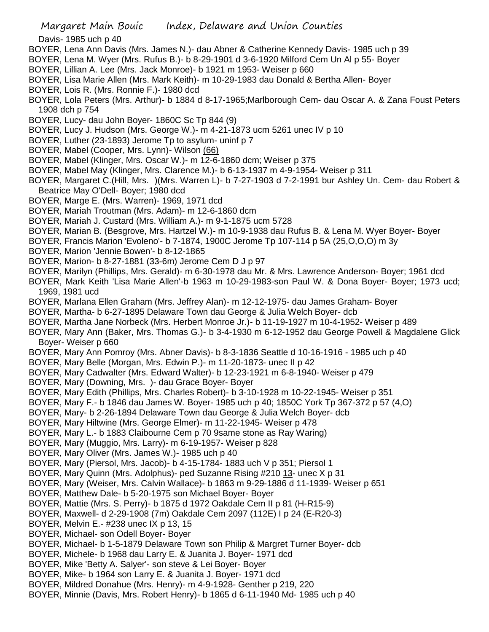Davis- 1985 uch p 40

- BOYER, Lena Ann Davis (Mrs. James N.)- dau Abner & Catherine Kennedy Davis- 1985 uch p 39
- BOYER, Lena M. Wyer (Mrs. Rufus B.)- b 8-29-1901 d 3-6-1920 Milford Cem Un Al p 55- Boyer
- BOYER, Lillian A. Lee (Mrs. Jack Monroe)- b 1921 m 1953- Weiser p 660
- BOYER, Lisa Marie Allen (Mrs. Mark Keith)- m 10-29-1983 dau Donald & Bertha Allen- Boyer
- BOYER, Lois R. (Mrs. Ronnie F.)- 1980 dcd
- BOYER, Lola Peters (Mrs. Arthur)- b 1884 d 8-17-1965;Marlborough Cem- dau Oscar A. & Zana Foust Peters 1908 dch p 754
- BOYER, Lucy- dau John Boyer- 1860C Sc Tp 844 (9)
- BOYER, Lucy J. Hudson (Mrs. George W.)- m 4-21-1873 ucm 5261 unec IV p 10
- BOYER, Luther (23-1893) Jerome Tp to asylum- uninf p 7
- BOYER, Mabel (Cooper, Mrs. Lynn)- Wilson (66)
- BOYER, Mabel (Klinger, Mrs. Oscar W.)- m 12-6-1860 dcm; Weiser p 375
- BOYER, Mabel May (Klinger, Mrs. Clarence M.)- b 6-13-1937 m 4-9-1954- Weiser p 311
- BOYER, Margaret C.(Hill, Mrs. )(Mrs. Warren L)- b 7-27-1903 d 7-2-1991 bur Ashley Un. Cem- dau Robert & Beatrice May O'Dell- Boyer; 1980 dcd
- BOYER, Marge E. (Mrs. Warren)- 1969, 1971 dcd
- BOYER, Mariah Troutman (Mrs. Adam)- m 12-6-1860 dcm
- BOYER, Mariah J. Custard (Mrs. William A.)- m 9-1-1875 ucm 5728
- BOYER, Marian B. (Besgrove, Mrs. Hartzel W.)- m 10-9-1938 dau Rufus B. & Lena M. Wyer Boyer- Boyer
- BOYER, Francis Marion 'Evoleno'- b 7-1874, 1900C Jerome Tp 107-114 p 5A (25,O,O,O) m 3y
- BOYER, Marion 'Jennie Bowen'- b 8-12-1865
- BOYER, Marion- b 8-27-1881 (33-6m) Jerome Cem D J p 97
- BOYER, Marilyn (Phillips, Mrs. Gerald)- m 6-30-1978 dau Mr. & Mrs. Lawrence Anderson- Boyer; 1961 dcd
- BOYER, Mark Keith 'Lisa Marie Allen'-b 1963 m 10-29-1983-son Paul W. & Dona Boyer- Boyer; 1973 ucd; 1969, 1981 ucd
- BOYER, Marlana Ellen Graham (Mrs. Jeffrey Alan)- m 12-12-1975- dau James Graham- Boyer
- BOYER, Martha- b 6-27-1895 Delaware Town dau George & Julia Welch Boyer- dcb
- BOYER, Martha Jane Norbeck (Mrs. Herbert Monroe Jr.)- b 11-19-1927 m 10-4-1952- Weiser p 489
- BOYER, Mary Ann (Baker, Mrs. Thomas G.)- b 3-4-1930 m 6-12-1952 dau George Powell & Magdalene Glick Boyer- Weiser p 660
- BOYER, Mary Ann Pomroy (Mrs. Abner Davis)- b 8-3-1836 Seattle d 10-16-1916 1985 uch p 40
- BOYER, Mary Belle (Morgan, Mrs. Edwin P.)- m 11-20-1873- unec II p 42
- BOYER, Mary Cadwalter (Mrs. Edward Walter)- b 12-23-1921 m 6-8-1940- Weiser p 479
- BOYER, Mary (Downing, Mrs. )- dau Grace Boyer- Boyer
- BOYER, Mary Edith (Phillips, Mrs. Charles Robert)- b 3-10-1928 m 10-22-1945- Weiser p 351
- BOYER, Mary F.- b 1846 dau James W. Boyer- 1985 uch p 40; 1850C York Tp 367-372 p 57 (4,O)
- BOYER, Mary- b 2-26-1894 Delaware Town dau George & Julia Welch Boyer- dcb
- BOYER, Mary Hiltwine (Mrs. George Elmer)- m 11-22-1945- Weiser p 478
- BOYER, Mary L.- b 1883 Claibourne Cem p 70 9same stone as Ray Waring)
- BOYER, Mary (Muggio, Mrs. Larry)- m 6-19-1957- Weiser p 828
- BOYER, Mary Oliver (Mrs. James W.)- 1985 uch p 40
- BOYER, Mary (Piersol, Mrs. Jacob)- b 4-15-1784- 1883 uch V p 351; Piersol 1
- BOYER, Mary Quinn (Mrs. Adolphus)- ped Suzanne Rising #210 13- unec X p 31
- BOYER, Mary (Weiser, Mrs. Calvin Wallace)- b 1863 m 9-29-1886 d 11-1939- Weiser p 651
- BOYER, Matthew Dale- b 5-20-1975 son Michael Boyer- Boyer
- BOYER, Mattie (Mrs. S. Perry)- b 1875 d 1972 Oakdale Cem II p 81 (H-R15-9)
- BOYER, Maxwell- d 2-29-1908 (7m) Oakdale Cem 2097 (112E) I p 24 (E-R20-3)
- BOYER, Melvin E.- #238 unec IX p 13, 15
- BOYER, Michael- son Odell Boyer- Boyer
- BOYER, Michael- b 1-5-1879 Delaware Town son Philip & Margret Turner Boyer- dcb
- BOYER, Michele- b 1968 dau Larry E. & Juanita J. Boyer- 1971 dcd
- BOYER, Mike 'Betty A. Salyer'- son steve & Lei Boyer- Boyer
- BOYER, Mike- b 1964 son Larry E. & Juanita J. Boyer- 1971 dcd
- BOYER, Mildred Donahue (Mrs. Henry)- m 4-9-1928- Genther p 219, 220
- BOYER, Minnie (Davis, Mrs. Robert Henry)- b 1865 d 6-11-1940 Md- 1985 uch p 40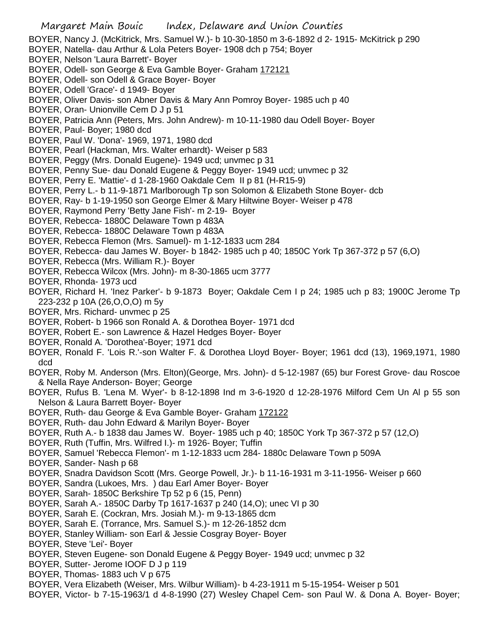- BOYER, Nancy J. (McKitrick, Mrs. Samuel W.)- b 10-30-1850 m 3-6-1892 d 2- 1915- McKitrick p 290
- BOYER, Natella- dau Arthur & Lola Peters Boyer- 1908 dch p 754; Boyer
- BOYER, Nelson 'Laura Barrett'- Boyer
- BOYER, Odell- son George & Eva Gamble Boyer- Graham 172121
- BOYER, Odell- son Odell & Grace Boyer- Boyer
- BOYER, Odell 'Grace'- d 1949- Boyer
- BOYER, Oliver Davis- son Abner Davis & Mary Ann Pomroy Boyer- 1985 uch p 40
- BOYER, Oran- Unionville Cem D J p 51
- BOYER, Patricia Ann (Peters, Mrs. John Andrew)- m 10-11-1980 dau Odell Boyer- Boyer
- BOYER, Paul- Boyer; 1980 dcd
- BOYER, Paul W. 'Dona'- 1969, 1971, 1980 dcd
- BOYER, Pearl (Hackman, Mrs. Walter erhardt)- Weiser p 583
- BOYER, Peggy (Mrs. Donald Eugene)- 1949 ucd; unvmec p 31
- BOYER, Penny Sue- dau Donald Eugene & Peggy Boyer- 1949 ucd; unvmec p 32
- BOYER, Perry E. 'Mattie'- d 1-28-1960 Oakdale Cem II p 81 (H-R15-9)
- BOYER, Perry L.- b 11-9-1871 Marlborough Tp son Solomon & Elizabeth Stone Boyer- dcb
- BOYER, Ray- b 1-19-1950 son George Elmer & Mary Hiltwine Boyer- Weiser p 478
- BOYER, Raymond Perry 'Betty Jane Fish'- m 2-19- Boyer
- BOYER, Rebecca- 1880C Delaware Town p 483A
- BOYER, Rebecca- 1880C Delaware Town p 483A
- BOYER, Rebecca Flemon (Mrs. Samuel)- m 1-12-1833 ucm 284
- BOYER, Rebecca- dau James W. Boyer- b 1842- 1985 uch p 40; 1850C York Tp 367-372 p 57 (6,O)
- BOYER, Rebecca (Mrs. William R.)- Boyer
- BOYER, Rebecca Wilcox (Mrs. John)- m 8-30-1865 ucm 3777
- BOYER, Rhonda- 1973 ucd
- BOYER, Richard H. 'Inez Parker'- b 9-1873 Boyer; Oakdale Cem I p 24; 1985 uch p 83; 1900C Jerome Tp 223-232 p 10A (26,O,O,O) m 5y
- BOYER, Mrs. Richard- unvmec p 25
- BOYER, Robert- b 1966 son Ronald A. & Dorothea Boyer- 1971 dcd
- BOYER, Robert E.- son Lawrence & Hazel Hedges Boyer- Boyer
- BOYER, Ronald A. 'Dorothea'-Boyer; 1971 dcd
- BOYER, Ronald F. 'Lois R.'-son Walter F. & Dorothea Lloyd Boyer- Boyer; 1961 dcd (13), 1969,1971, 1980 dcd
- BOYER, Roby M. Anderson (Mrs. Elton)(George, Mrs. John)- d 5-12-1987 (65) bur Forest Grove- dau Roscoe & Nella Raye Anderson- Boyer; George
- BOYER, Rufus B. 'Lena M. Wyer'- b 8-12-1898 Ind m 3-6-1920 d 12-28-1976 Milford Cem Un Al p 55 son Nelson & Laura Barrett Boyer- Boyer
- BOYER, Ruth- dau George & Eva Gamble Boyer- Graham 172122
- BOYER, Ruth- dau John Edward & Marilyn Boyer- Boyer
- BOYER, Ruth A.- b 1838 dau James W. Boyer- 1985 uch p 40; 1850C York Tp 367-372 p 57 (12,O)
- BOYER, Ruth (Tuffin, Mrs. Wilfred I.)- m 1926- Boyer; Tuffin
- BOYER, Samuel 'Rebecca Flemon'- m 1-12-1833 ucm 284- 1880c Delaware Town p 509A
- BOYER, Sander- Nash p 68
- BOYER, Snadra Davidson Scott (Mrs. George Powell, Jr.)- b 11-16-1931 m 3-11-1956- Weiser p 660
- BOYER, Sandra (Lukoes, Mrs. ) dau Earl Amer Boyer- Boyer
- BOYER, Sarah- 1850C Berkshire Tp 52 p 6 (15, Penn)
- BOYER, Sarah A.- 1850C Darby Tp 1617-1637 p 240 (14,O); unec VI p 30
- BOYER, Sarah E. (Cockran, Mrs. Josiah M.)- m 9-13-1865 dcm
- BOYER, Sarah E. (Torrance, Mrs. Samuel S.)- m 12-26-1852 dcm
- BOYER, Stanley William- son Earl & Jessie Cosgray Boyer- Boyer
- BOYER, Steve 'Lei'- Boyer
- BOYER, Steven Eugene- son Donald Eugene & Peggy Boyer- 1949 ucd; unvmec p 32
- BOYER, Sutter- Jerome IOOF D J p 119
- BOYER, Thomas- 1883 uch V p 675
- BOYER, Vera Elizabeth (Weiser, Mrs. Wilbur William)- b 4-23-1911 m 5-15-1954- Weiser p 501
- BOYER, Victor- b 7-15-1963/1 d 4-8-1990 (27) Wesley Chapel Cem- son Paul W. & Dona A. Boyer- Boyer;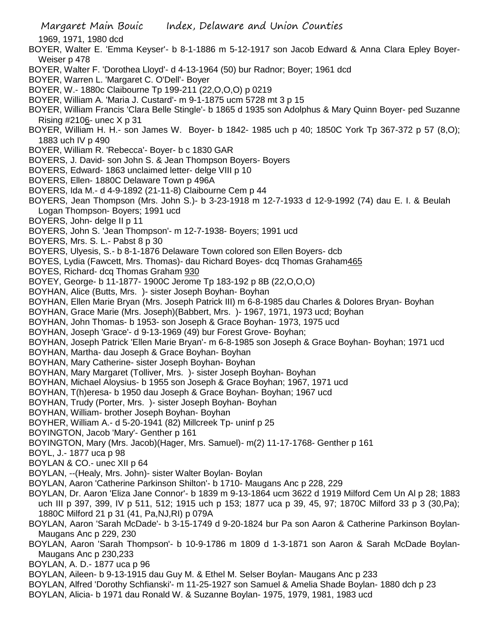- Margaret Main Bouic Index, Delaware and Union Counties
- 1969, 1971, 1980 dcd
- BOYER, Walter E. 'Emma Keyser'- b 8-1-1886 m 5-12-1917 son Jacob Edward & Anna Clara Epley Boyer-Weiser p 478
- BOYER, Walter F. 'Dorothea Lloyd'- d 4-13-1964 (50) bur Radnor; Boyer; 1961 dcd
- BOYER, Warren L. 'Margaret C. O'Dell'- Boyer
- BOYER, W.- 1880c Claibourne Tp 199-211 (22,O,O,O) p 0219
- BOYER, William A. 'Maria J. Custard'- m 9-1-1875 ucm 5728 mt 3 p 15
- BOYER, William Francis 'Clara Belle Stingle'- b 1865 d 1935 son Adolphus & Mary Quinn Boyer- ped Suzanne Rising  $\#2106$ - unec X p 31
- BOYER, William H. H.- son James W. Boyer- b 1842- 1985 uch p 40; 1850C York Tp 367-372 p 57 (8,O); 1883 uch IV p 490
- BOYER, William R. 'Rebecca'- Boyer- b c 1830 GAR
- BOYERS, J. David- son John S. & Jean Thompson Boyers- Boyers
- BOYERS, Edward- 1863 unclaimed letter- delge VIII p 10
- BOYERS, Ellen- 1880C Delaware Town p 496A
- BOYERS, Ida M.- d 4-9-1892 (21-11-8) Claibourne Cem p 44
- BOYERS, Jean Thompson (Mrs. John S.)- b 3-23-1918 m 12-7-1933 d 12-9-1992 (74) dau E. I. & Beulah Logan Thompson- Boyers; 1991 ucd
- BOYERS, John- delge II p 11
- BOYERS, John S. 'Jean Thompson'- m 12-7-1938- Boyers; 1991 ucd
- BOYERS, Mrs. S. L.- Pabst 8 p 30
- BOYERS, Ulyesis, S.- b 8-1-1876 Delaware Town colored son Ellen Boyers- dcb
- BOYES, Lydia (Fawcett, Mrs. Thomas)- dau Richard Boyes- dcq Thomas Graham465
- BOYES, Richard- dcq Thomas Graham 930
- BOYEY, George- b 11-1877- 1900C Jerome Tp 183-192 p 8B (22,O,O,O)
- BOYHAN, Alice (Butts, Mrs. )- sister Joseph Boyhan- Boyhan
- BOYHAN, Ellen Marie Bryan (Mrs. Joseph Patrick III) m 6-8-1985 dau Charles & Dolores Bryan- Boyhan
- BOYHAN, Grace Marie (Mrs. Joseph)(Babbert, Mrs. )- 1967, 1971, 1973 ucd; Boyhan
- BOYHAN, John Thomas- b 1953- son Joseph & Grace Boyhan- 1973, 1975 ucd
- BOYHAN, Joseph 'Grace'- d 9-13-1969 (49) bur Forest Grove- Boyhan;
- BOYHAN, Joseph Patrick 'Ellen Marie Bryan'- m 6-8-1985 son Joseph & Grace Boyhan- Boyhan; 1971 ucd
- BOYHAN, Martha- dau Joseph & Grace Boyhan- Boyhan
- BOYHAN, Mary Catherine- sister Joseph Boyhan- Boyhan
- BOYHAN, Mary Margaret (Tolliver, Mrs. )- sister Joseph Boyhan- Boyhan
- BOYHAN, Michael Aloysius- b 1955 son Joseph & Grace Boyhan; 1967, 1971 ucd
- BOYHAN, T(h)eresa- b 1950 dau Joseph & Grace Boyhan- Boyhan; 1967 ucd
- BOYHAN, Trudy (Porter, Mrs. )- sister Joseph Boyhan- Boyhan
- BOYHAN, William- brother Joseph Boyhan- Boyhan
- BOYHER, William A.- d 5-20-1941 (82) Millcreek Tp- uninf p 25
- BOYINGTON, Jacob 'Mary'- Genther p 161
- BOYINGTON, Mary (Mrs. Jacob)(Hager, Mrs. Samuel)- m(2) 11-17-1768- Genther p 161
- BOYL, J.- 1877 uca p 98
- BOYLAN & CO.- unec XII p 64
- BOYLAN, --(Healy, Mrs. John)- sister Walter Boylan- Boylan
- BOYLAN, Aaron 'Catherine Parkinson Shilton'- b 1710- Maugans Anc p 228, 229
- BOYLAN, Dr. Aaron 'Eliza Jane Connor'- b 1839 m 9-13-1864 ucm 3622 d 1919 Milford Cem Un Al p 28; 1883 uch III p 397, 399, IV p 511, 512; 1915 uch p 153; 1877 uca p 39, 45, 97; 1870C Milford 33 p 3 (30,Pa); 1880C Milford 21 p 31 (41, Pa,NJ,RI) p 079A
- BOYLAN, Aaron 'Sarah McDade'- b 3-15-1749 d 9-20-1824 bur Pa son Aaron & Catherine Parkinson Boylan-Maugans Anc p 229, 230
- BOYLAN, Aaron 'Sarah Thompson'- b 10-9-1786 m 1809 d 1-3-1871 son Aaron & Sarah McDade Boylan-Maugans Anc p 230,233
- BOYLAN, A. D.- 1877 uca p 96
- BOYLAN, Aileen- b 9-13-1915 dau Guy M. & Ethel M. Selser Boylan- Maugans Anc p 233
- BOYLAN, Alfred 'Dorothy Schfianski'- m 11-25-1927 son Samuel & Amelia Shade Boylan- 1880 dch p 23
- BOYLAN, Alicia- b 1971 dau Ronald W. & Suzanne Boylan- 1975, 1979, 1981, 1983 ucd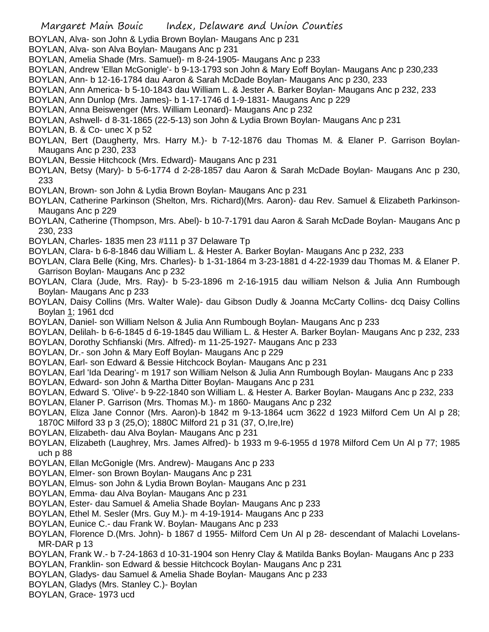- BOYLAN, Alva- son John & Lydia Brown Boylan- Maugans Anc p 231
- BOYLAN, Alva- son Alva Boylan- Maugans Anc p 231
- BOYLAN, Amelia Shade (Mrs. Samuel)- m 8-24-1905- Maugans Anc p 233
- BOYLAN, Andrew 'Ellan McGonigle'- b 9-13-1793 son John & Mary Eoff Boylan- Maugans Anc p 230,233
- BOYLAN, Ann- b 12-16-1784 dau Aaron & Sarah McDade Boylan- Maugans Anc p 230, 233
- BOYLAN, Ann America- b 5-10-1843 dau William L. & Jester A. Barker Boylan- Maugans Anc p 232, 233
- BOYLAN, Ann Dunlop (Mrs. James)- b 1-17-1746 d 1-9-1831- Maugans Anc p 229
- BOYLAN, Anna Beiswenger (Mrs. William Leonard)- Maugans Anc p 232
- BOYLAN, Ashwell- d 8-31-1865 (22-5-13) son John & Lydia Brown Boylan- Maugans Anc p 231
- BOYLAN, B. & Co- unec X p 52
- BOYLAN, Bert (Daugherty, Mrs. Harry M.)- b 7-12-1876 dau Thomas M. & Elaner P. Garrison Boylan-Maugans Anc p 230, 233
- BOYLAN, Bessie Hitchcock (Mrs. Edward)- Maugans Anc p 231
- BOYLAN, Betsy (Mary)- b 5-6-1774 d 2-28-1857 dau Aaron & Sarah McDade Boylan- Maugans Anc p 230, 233
- BOYLAN, Brown- son John & Lydia Brown Boylan- Maugans Anc p 231
- BOYLAN, Catherine Parkinson (Shelton, Mrs. Richard)(Mrs. Aaron)- dau Rev. Samuel & Elizabeth Parkinson-Maugans Anc p 229
- BOYLAN, Catherine (Thompson, Mrs. Abel)- b 10-7-1791 dau Aaron & Sarah McDade Boylan- Maugans Anc p 230, 233
- BOYLAN, Charles- 1835 men 23 #111 p 37 Delaware Tp
- BOYLAN, Clara- b 6-8-1846 dau William L. & Hester A. Barker Boylan- Maugans Anc p 232, 233
- BOYLAN, Clara Belle (King, Mrs. Charles)- b 1-31-1864 m 3-23-1881 d 4-22-1939 dau Thomas M. & Elaner P. Garrison Boylan- Maugans Anc p 232
- BOYLAN, Clara (Jude, Mrs. Ray)- b 5-23-1896 m 2-16-1915 dau william Nelson & Julia Ann Rumbough Boylan- Maugans Anc p 233
- BOYLAN, Daisy Collins (Mrs. Walter Wale)- dau Gibson Dudly & Joanna McCarty Collins- dcq Daisy Collins Boylan 1; 1961 dcd
- BOYLAN, Daniel- son William Nelson & Julia Ann Rumbough Boylan- Maugans Anc p 233
- BOYLAN, Delilah- b 6-6-1845 d 6-19-1845 dau William L. & Hester A. Barker Boylan- Maugans Anc p 232, 233
- BOYLAN, Dorothy Schfianski (Mrs. Alfred)- m 11-25-1927- Maugans Anc p 233
- BOYLAN, Dr.- son John & Mary Eoff Boylan- Maugans Anc p 229
- BOYLAN, Earl- son Edward & Bessie Hitchcock Boylan- Maugans Anc p 231
- BOYLAN, Earl 'Ida Dearing'- m 1917 son William Nelson & Julia Ann Rumbough Boylan- Maugans Anc p 233
- BOYLAN, Edward- son John & Martha Ditter Boylan- Maugans Anc p 231
- BOYLAN, Edward S. 'Olive'- b 9-22-1840 son William L. & Hester A. Barker Boylan- Maugans Anc p 232, 233
- BOYLAN, Elaner P. Garrison (Mrs. Thomas M.)- m 1860- Maugans Anc p 232
- BOYLAN, Eliza Jane Connor (Mrs. Aaron)-b 1842 m 9-13-1864 ucm 3622 d 1923 Milford Cem Un Al p 28; 1870C Milford 33 p 3 (25,O); 1880C Milford 21 p 31 (37, O,Ire,Ire)
- BOYLAN, Elizabeth- dau Alva Boylan- Maugans Anc p 231
- BOYLAN, Elizabeth (Laughrey, Mrs. James Alfred)- b 1933 m 9-6-1955 d 1978 Milford Cem Un Al p 77; 1985 uch p 88
- BOYLAN, Ellan McGonigle (Mrs. Andrew)- Maugans Anc p 233
- BOYLAN, Elmer- son Brown Boylan- Maugans Anc p 231
- BOYLAN, Elmus- son John & Lydia Brown Boylan- Maugans Anc p 231
- BOYLAN, Emma- dau Alva Boylan- Maugans Anc p 231
- BOYLAN, Ester- dau Samuel & Amelia Shade Boylan- Maugans Anc p 233
- BOYLAN, Ethel M. Sesler (Mrs. Guy M.)- m 4-19-1914- Maugans Anc p 233
- BOYLAN, Eunice C.- dau Frank W. Boylan- Maugans Anc p 233
- BOYLAN, Florence D.(Mrs. John)- b 1867 d 1955- Milford Cem Un Al p 28- descendant of Malachi Lovelans-MR-DAR p 13
- BOYLAN, Frank W.- b 7-24-1863 d 10-31-1904 son Henry Clay & Matilda Banks Boylan- Maugans Anc p 233
- BOYLAN, Franklin- son Edward & bessie Hitchcock Boylan- Maugans Anc p 231
- BOYLAN, Gladys- dau Samuel & Amelia Shade Boylan- Maugans Anc p 233
- BOYLAN, Gladys (Mrs. Stanley C.)- Boylan
- BOYLAN, Grace- 1973 ucd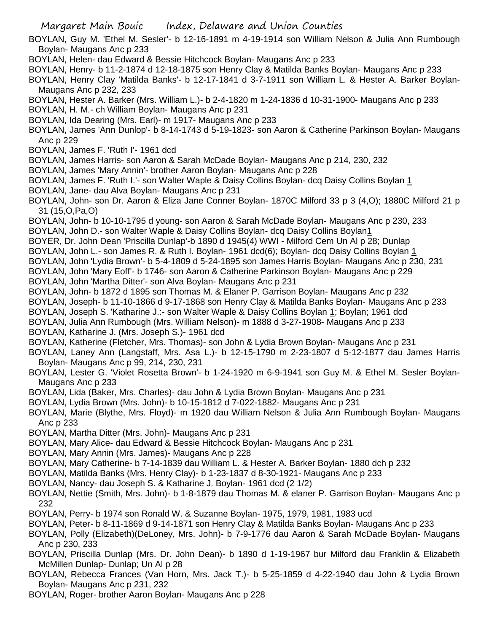BOYLAN, Guy M. 'Ethel M. Sesler'- b 12-16-1891 m 4-19-1914 son William Nelson & Julia Ann Rumbough Boylan- Maugans Anc p 233

- BOYLAN, Helen- dau Edward & Bessie Hitchcock Boylan- Maugans Anc p 233
- BOYLAN, Henry- b 11-2-1874 d 12-18-1875 son Henry Clay & Matilda Banks Boylan- Maugans Anc p 233
- BOYLAN, Henry Clay 'Matilda Banks'- b 12-17-1841 d 3-7-1911 son William L. & Hester A. Barker Boylan-Maugans Anc p 232, 233
- BOYLAN, Hester A. Barker (Mrs. William L.)- b 2-4-1820 m 1-24-1836 d 10-31-1900- Maugans Anc p 233
- BOYLAN, H. M.- ch William Boylan- Maugans Anc p 231
- BOYLAN, Ida Dearing (Mrs. Earl)- m 1917- Maugans Anc p 233
- BOYLAN, James 'Ann Dunlop'- b 8-14-1743 d 5-19-1823- son Aaron & Catherine Parkinson Boylan- Maugans Anc p 229
- BOYLAN, James F. 'Ruth I'- 1961 dcd
- BOYLAN, James Harris- son Aaron & Sarah McDade Boylan- Maugans Anc p 214, 230, 232
- BOYLAN, James 'Mary Annin'- brother Aaron Boylan- Maugans Anc p 228
- BOYLAN, James F. 'Ruth I.'- son Walter Waple & Daisy Collins Boylan- dcq Daisy Collins Boylan 1
- BOYLAN, Jane- dau Alva Boylan- Maugans Anc p 231
- BOYLAN, John- son Dr. Aaron & Eliza Jane Conner Boylan- 1870C Milford 33 p 3 (4,O); 1880C Milford 21 p 31 (15,O,Pa,O)
- BOYLAN, John- b 10-10-1795 d young- son Aaron & Sarah McDade Boylan- Maugans Anc p 230, 233
- BOYLAN, John D.- son Walter Waple & Daisy Collins Boylan- dcq Daisy Collins Boylan1
- BOYER, Dr. John Dean 'Priscilla Dunlap'-b 1890 d 1945(4) WWI Milford Cem Un Al p 28; Dunlap
- BOYLAN, John L.- son James R. & Ruth I. Boylan- 1961 dcd(6); Boylan- dcq Daisy Collins Boylan 1
- BOYLAN, John 'Lydia Brown'- b 5-4-1809 d 5-24-1895 son James Harris Boylan- Maugans Anc p 230, 231
- BOYLAN, John 'Mary Eoff'- b 1746- son Aaron & Catherine Parkinson Boylan- Maugans Anc p 229
- BOYLAN, John 'Martha Ditter'- son Alva Boylan- Maugans Anc p 231
- BOYLAN, John- b 1872 d 1895 son Thomas M. & Elaner P. Garrison Boylan- Maugans Anc p 232
- BOYLAN, Joseph- b 11-10-1866 d 9-17-1868 son Henry Clay & Matilda Banks Boylan- Maugans Anc p 233
- BOYLAN, Joseph S. 'Katharine J.:- son Walter Waple & Daisy Collins Boylan 1; Boylan; 1961 dcd
- BOYLAN, Julia Ann Rumbough (Mrs. William Nelson)- m 1888 d 3-27-1908- Maugans Anc p 233
- BOYLAN, Katharine J. (Mrs. Joseph S.)- 1961 dcd
- BOYLAN, Katherine (Fletcher, Mrs. Thomas)- son John & Lydia Brown Boylan- Maugans Anc p 231
- BOYLAN, Laney Ann (Langstaff, Mrs. Asa L.)- b 12-15-1790 m 2-23-1807 d 5-12-1877 dau James Harris Boylan- Maugans Anc p 99, 214, 230, 231
- BOYLAN, Lester G. 'Violet Rosetta Brown'- b 1-24-1920 m 6-9-1941 son Guy M. & Ethel M. Sesler Boylan-Maugans Anc p 233
- BOYLAN, Lida (Baker, Mrs. Charles)- dau John & Lydia Brown Boylan- Maugans Anc p 231
- BOYLAN, Lydia Brown (Mrs. John)- b 10-15-1812 d 7-022-1882- Maugans Anc p 231
- BOYLAN, Marie (Blythe, Mrs. Floyd)- m 1920 dau William Nelson & Julia Ann Rumbough Boylan- Maugans Anc p 233
- BOYLAN, Martha Ditter (Mrs. John)- Maugans Anc p 231
- BOYLAN, Mary Alice- dau Edward & Bessie Hitchcock Boylan- Maugans Anc p 231
- BOYLAN, Mary Annin (Mrs. James)- Maugans Anc p 228
- BOYLAN, Mary Catherine- b 7-14-1839 dau William L. & Hester A. Barker Boylan- 1880 dch p 232
- BOYLAN, Matilda Banks (Mrs. Henry Clay)- b 1-23-1837 d 8-30-1921- Maugans Anc p 233
- BOYLAN, Nancy- dau Joseph S. & Katharine J. Boylan- 1961 dcd (2 1/2)
- BOYLAN, Nettie (Smith, Mrs. John)- b 1-8-1879 dau Thomas M. & elaner P. Garrison Boylan- Maugans Anc p 232
- BOYLAN, Perry- b 1974 son Ronald W. & Suzanne Boylan- 1975, 1979, 1981, 1983 ucd
- BOYLAN, Peter- b 8-11-1869 d 9-14-1871 son Henry Clay & Matilda Banks Boylan- Maugans Anc p 233
- BOYLAN, Polly (Elizabeth)(DeLoney, Mrs. John)- b 7-9-1776 dau Aaron & Sarah McDade Boylan- Maugans Anc p 230, 233
- BOYLAN, Priscilla Dunlap (Mrs. Dr. John Dean)- b 1890 d 1-19-1967 bur Milford dau Franklin & Elizabeth McMillen Dunlap- Dunlap; Un Al p 28
- BOYLAN, Rebecca Frances (Van Horn, Mrs. Jack T.)- b 5-25-1859 d 4-22-1940 dau John & Lydia Brown Boylan- Maugans Anc p 231, 232
- BOYLAN, Roger- brother Aaron Boylan- Maugans Anc p 228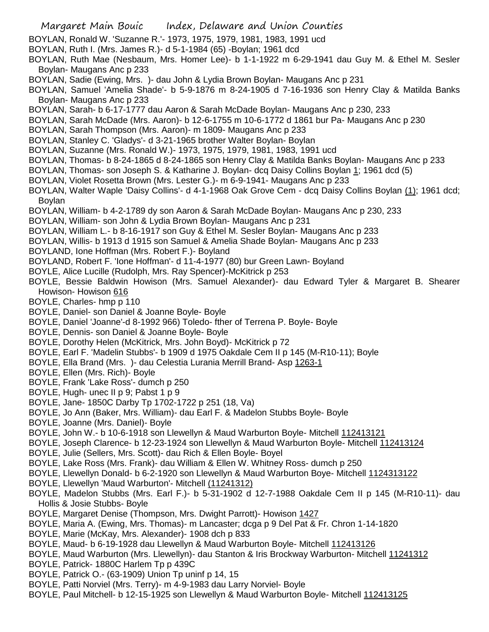- BOYLAN, Ronald W. 'Suzanne R.'- 1973, 1975, 1979, 1981, 1983, 1991 ucd
- BOYLAN, Ruth I. (Mrs. James R.)- d 5-1-1984 (65) -Boylan; 1961 dcd
- BOYLAN, Ruth Mae (Nesbaum, Mrs. Homer Lee)- b 1-1-1922 m 6-29-1941 dau Guy M. & Ethel M. Sesler Boylan- Maugans Anc p 233
- BOYLAN, Sadie (Ewing, Mrs. )- dau John & Lydia Brown Boylan- Maugans Anc p 231
- BOYLAN, Samuel 'Amelia Shade'- b 5-9-1876 m 8-24-1905 d 7-16-1936 son Henry Clay & Matilda Banks Boylan- Maugans Anc p 233
- BOYLAN, Sarah- b 6-17-1777 dau Aaron & Sarah McDade Boylan- Maugans Anc p 230, 233
- BOYLAN, Sarah McDade (Mrs. Aaron)- b 12-6-1755 m 10-6-1772 d 1861 bur Pa- Maugans Anc p 230
- BOYLAN, Sarah Thompson (Mrs. Aaron)- m 1809- Maugans Anc p 233
- BOYLAN, Stanley C. 'Gladys'- d 3-21-1965 brother Walter Boylan- Boylan
- BOYLAN, Suzanne (Mrs. Ronald W.)- 1973, 1975, 1979, 1981, 1983, 1991 ucd
- BOYLAN, Thomas- b 8-24-1865 d 8-24-1865 son Henry Clay & Matilda Banks Boylan- Maugans Anc p 233
- BOYLAN, Thomas- son Joseph S. & Katharine J. Boylan- dcq Daisy Collins Boylan 1; 1961 dcd (5)
- BOYLAN, Violet Rosetta Brown (Mrs. Lester G.)- m 6-9-1941- Maugans Anc p 233
- BOYLAN, Walter Waple 'Daisy Collins'- d 4-1-1968 Oak Grove Cem dcq Daisy Collins Boylan (1); 1961 dcd; Boylan
- BOYLAN, William- b 4-2-1789 dy son Aaron & Sarah McDade Boylan- Maugans Anc p 230, 233
- BOYLAN, William- son John & Lydia Brown Boylan- Maugans Anc p 231
- BOYLAN, William L.- b 8-16-1917 son Guy & Ethel M. Sesler Boylan- Maugans Anc p 233
- BOYLAN, Willis- b 1913 d 1915 son Samuel & Amelia Shade Boylan- Maugans Anc p 233
- BOYLAND, Ione Hoffman (Mrs. Robert F.)- Boyland
- BOYLAND, Robert F. 'Ione Hoffman'- d 11-4-1977 (80) bur Green Lawn- Boyland
- BOYLE, Alice Lucille (Rudolph, Mrs. Ray Spencer)-McKitrick p 253
- BOYLE, Bessie Baldwin Howison (Mrs. Samuel Alexander)- dau Edward Tyler & Margaret B. Shearer Howison- Howison 616
- BOYLE, Charles- hmp p 110
- BOYLE, Daniel- son Daniel & Joanne Boyle- Boyle
- BOYLE, Daniel 'Joanne'-d 8-1992 966) Toledo- fther of Terrena P. Boyle- Boyle
- BOYLE, Dennis- son Daniel & Joanne Boyle- Boyle
- BOYLE, Dorothy Helen (McKitrick, Mrs. John Boyd)- McKitrick p 72
- BOYLE, Earl F. 'Madelin Stubbs'- b 1909 d 1975 Oakdale Cem II p 145 (M-R10-11); Boyle
- BOYLE, Ella Brand (Mrs. )- dau Celestia Lurania Merrill Brand- Asp 1263-1
- BOYLE, Ellen (Mrs. Rich)- Boyle
- BOYLE, Frank 'Lake Ross'- dumch p 250
- BOYLE, Hugh- unec II p 9; Pabst 1 p 9
- BOYLE, Jane- 1850C Darby Tp 1702-1722 p 251 (18, Va)
- BOYLE, Jo Ann (Baker, Mrs. William)- dau Earl F. & Madelon Stubbs Boyle- Boyle
- BOYLE, Joanne (Mrs. Daniel)- Boyle
- BOYLE, John W.- b 10-6-1918 son Llewellyn & Maud Warburton Boyle- Mitchell 112413121
- BOYLE, Joseph Clarence- b 12-23-1924 son Llewellyn & Maud Warburton Boyle- Mitchell 112413124
- BOYLE, Julie (Sellers, Mrs. Scott)- dau Rich & Ellen Boyle- Boyel
- BOYLE, Lake Ross (Mrs. Frank)- dau William & Ellen W. Whitney Ross- dumch p 250
- BOYLE, Llewellyn Donald- b 6-2-1920 son Llewellyn & Maud Warburton Boye- Mitchell 1124313122
- BOYLE, Llewellyn 'Maud Warburton'- Mitchell (11241312)
- BOYLE, Madelon Stubbs (Mrs. Earl F.)- b 5-31-1902 d 12-7-1988 Oakdale Cem II p 145 (M-R10-11)- dau Hollis & Josie Stubbs- Boyle
- BOYLE, Margaret Denise (Thompson, Mrs. Dwight Parrott)- Howison 1427
- BOYLE, Maria A. (Ewing, Mrs. Thomas)- m Lancaster; dcga p 9 Del Pat & Fr. Chron 1-14-1820
- BOYLE, Marie (McKay, Mrs. Alexander)- 1908 dch p 833
- BOYLE, Maud- b 6-19-1928 dau Llewellyn & Maud Warburton Boyle- Mitchell 112413126
- BOYLE, Maud Warburton (Mrs. Llewellyn)- dau Stanton & Iris Brockway Warburton- Mitchell 11241312
- BOYLE, Patrick- 1880C Harlem Tp p 439C
- BOYLE, Patrick O.- (63-1909) Union Tp uninf p 14, 15
- BOYLE, Patti Norviel (Mrs. Terry)- m 4-9-1983 dau Larry Norviel- Boyle
- BOYLE, Paul Mitchell- b 12-15-1925 son Llewellyn & Maud Warburton Boyle- Mitchell 112413125